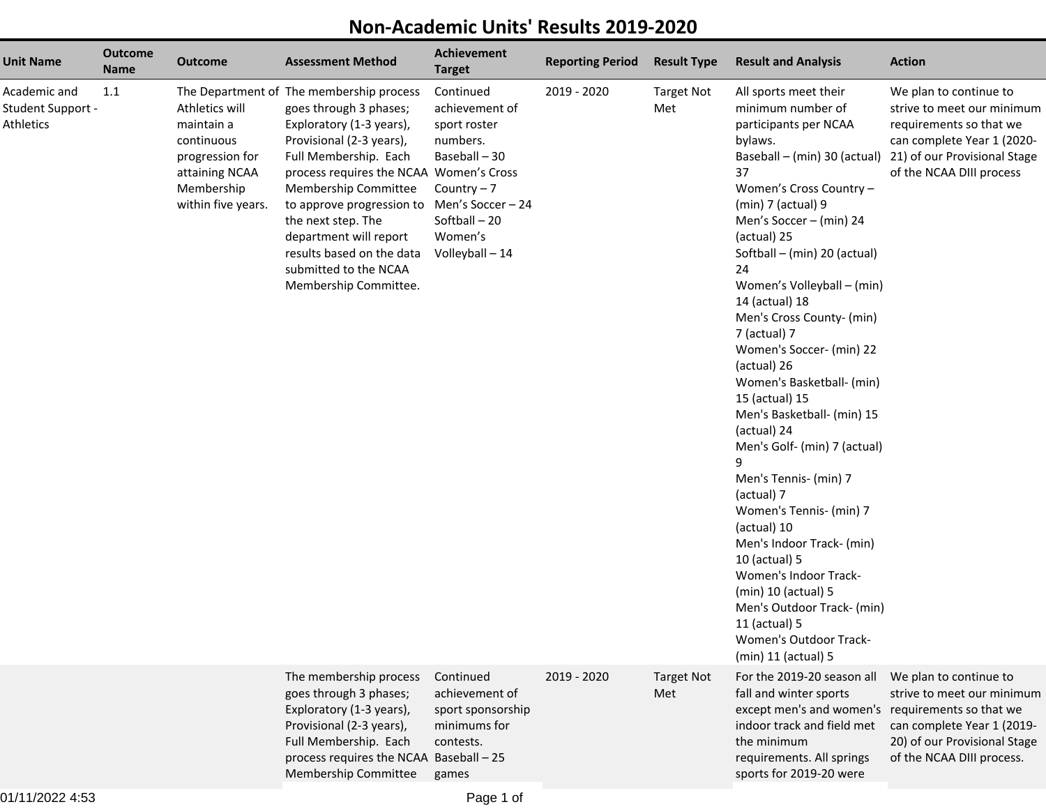## **Non-Academic Units' Results 2019-2020**

| <b>Unit Name</b>                               | <b>Outcome</b><br><b>Name</b> | <b>Outcome</b>                                                                                                      | <b>Assessment Method</b>                                                                                                                                                                                                                                                                                                                                                                             | Achievement<br><b>Target</b>                                                                                                          | <b>Reporting Period</b> | <b>Result Type</b>       | <b>Result and Analysis</b>                                                                                                                                                                                                                                                                                                                                                                                                                                                                                                                                                                                                                                                                                                                                                                                             | <b>Action</b>                                                                                                                                                             |
|------------------------------------------------|-------------------------------|---------------------------------------------------------------------------------------------------------------------|------------------------------------------------------------------------------------------------------------------------------------------------------------------------------------------------------------------------------------------------------------------------------------------------------------------------------------------------------------------------------------------------------|---------------------------------------------------------------------------------------------------------------------------------------|-------------------------|--------------------------|------------------------------------------------------------------------------------------------------------------------------------------------------------------------------------------------------------------------------------------------------------------------------------------------------------------------------------------------------------------------------------------------------------------------------------------------------------------------------------------------------------------------------------------------------------------------------------------------------------------------------------------------------------------------------------------------------------------------------------------------------------------------------------------------------------------------|---------------------------------------------------------------------------------------------------------------------------------------------------------------------------|
| Academic and<br>Student Support -<br>Athletics | 1.1                           | Athletics will<br>maintain a<br>continuous<br>progression for<br>attaining NCAA<br>Membership<br>within five years. | The Department of The membership process<br>goes through 3 phases;<br>Exploratory (1-3 years),<br>Provisional (2-3 years),<br>Full Membership. Each<br>process requires the NCAA Women's Cross<br>Membership Committee<br>to approve progression to Men's Soccer - 24<br>the next step. The<br>department will report<br>results based on the data<br>submitted to the NCAA<br>Membership Committee. | Continued<br>achievement of<br>sport roster<br>numbers.<br>Baseball - 30<br>Country $-7$<br>Softball-20<br>Women's<br>Volleyball - 14 | 2019 - 2020             | <b>Target Not</b><br>Met | All sports meet their<br>minimum number of<br>participants per NCAA<br>bylaws.<br>Baseball - (min) 30 (actual)<br>37<br>Women's Cross Country -<br>$(min)$ 7 (actual) 9<br>Men's Soccer - (min) 24<br>(actual) 25<br>Softball - (min) 20 (actual)<br>24<br>Women's Volleyball - (min)<br>14 (actual) 18<br>Men's Cross County- (min)<br>7 (actual) 7<br>Women's Soccer- (min) 22<br>(actual) 26<br>Women's Basketball- (min)<br>15 (actual) 15<br>Men's Basketball- (min) 15<br>(actual) 24<br>Men's Golf- (min) 7 (actual)<br>٩<br>Men's Tennis- (min) 7<br>(actual) 7<br>Women's Tennis- (min) 7<br>(actual) 10<br>Men's Indoor Track- (min)<br>10 (actual) 5<br>Women's Indoor Track-<br>(min) 10 (actual) 5<br>Men's Outdoor Track- (min)<br>11 (actual) 5<br><b>Women's Outdoor Track-</b><br>(min) 11 (actual) 5 | We plan to continue to<br>strive to meet our minimum<br>requirements so that we<br>can complete Year 1 (2020-<br>21) of our Provisional Stage<br>of the NCAA DIII process |
|                                                |                               |                                                                                                                     | The membership process<br>goes through 3 phases;<br>Exploratory (1-3 years),<br>Provisional (2-3 years),<br>Full Membership. Each<br>process requires the NCAA Baseball - 25<br>Membership Committee                                                                                                                                                                                                 | Continued<br>achievement of<br>sport sponsorship<br>minimums for<br>contests.<br>games                                                | 2019 - 2020             | <b>Target Not</b><br>Met | For the 2019-20 season all<br>fall and winter sports<br>except men's and women's requirements so that we<br>indoor track and field met<br>the minimum<br>requirements. All springs<br>sports for 2019-20 were                                                                                                                                                                                                                                                                                                                                                                                                                                                                                                                                                                                                          | We plan to continue to<br>strive to meet our minimum<br>can complete Year 1 (2019-<br>20) of our Provisional Stage<br>of the NCAA DIII process.                           |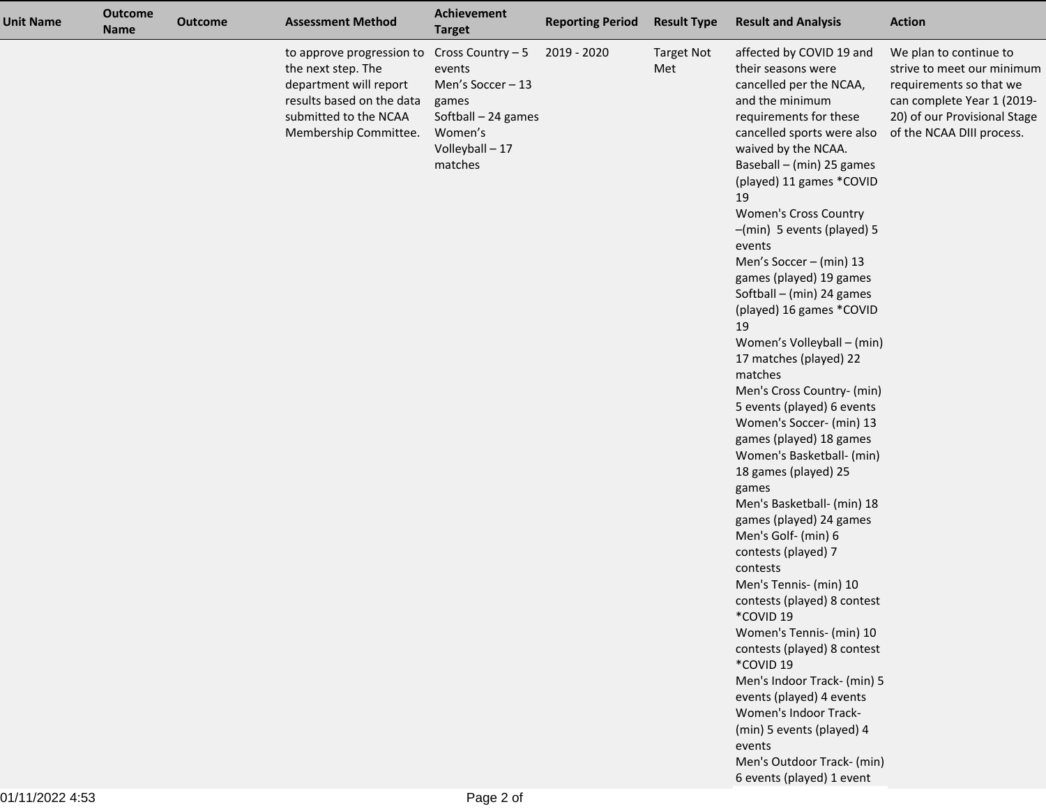| <b>Unit Name</b> | <b>Outcome</b><br><b>Name</b> | <b>Outcome</b> | <b>Assessment Method</b>                                                                                                                                 | Achievement<br><b>Target</b>                                                                                          | <b>Reporting Period</b> | <b>Result Type</b>       | <b>Result and Analysis</b>                                                                                                                                                                                                                                                                                                                                                                                                                                                                                                                                                                                                                                                                                                                                                                                                                                                                                                                                                                                                                                                                                                                  | <b>Action</b>                                                                                                                                                              |
|------------------|-------------------------------|----------------|----------------------------------------------------------------------------------------------------------------------------------------------------------|-----------------------------------------------------------------------------------------------------------------------|-------------------------|--------------------------|---------------------------------------------------------------------------------------------------------------------------------------------------------------------------------------------------------------------------------------------------------------------------------------------------------------------------------------------------------------------------------------------------------------------------------------------------------------------------------------------------------------------------------------------------------------------------------------------------------------------------------------------------------------------------------------------------------------------------------------------------------------------------------------------------------------------------------------------------------------------------------------------------------------------------------------------------------------------------------------------------------------------------------------------------------------------------------------------------------------------------------------------|----------------------------------------------------------------------------------------------------------------------------------------------------------------------------|
|                  |                               |                | to approve progression to<br>the next step. The<br>department will report<br>results based on the data<br>submitted to the NCAA<br>Membership Committee. | Cross Country - 5<br>events<br>Men's Soccer-13<br>games<br>Softball - 24 games<br>Women's<br>Volleyball-17<br>matches | 2019 - 2020             | <b>Target Not</b><br>Met | affected by COVID 19 and<br>their seasons were<br>cancelled per the NCAA,<br>and the minimum<br>requirements for these<br>cancelled sports were also<br>waived by the NCAA.<br>Baseball - (min) 25 games<br>(played) 11 games *COVID<br>19<br>Women's Cross Country<br>-(min) 5 events (played) 5<br>events<br>Men's Soccer - (min) 13<br>games (played) 19 games<br>Softball - (min) 24 games<br>(played) 16 games *COVID<br>19<br>Women's Volleyball - (min)<br>17 matches (played) 22<br>matches<br>Men's Cross Country- (min)<br>5 events (played) 6 events<br>Women's Soccer- (min) 13<br>games (played) 18 games<br>Women's Basketball- (min)<br>18 games (played) 25<br>games<br>Men's Basketball- (min) 18<br>games (played) 24 games<br>Men's Golf- (min) 6<br>contests (played) 7<br>contests<br>Men's Tennis- (min) 10<br>contests (played) 8 contest<br>*COVID 19<br>Women's Tennis- (min) 10<br>contests (played) 8 contest<br>*COVID 19<br>Men's Indoor Track- (min) 5<br>events (played) 4 events<br>Women's Indoor Track-<br>(min) 5 events (played) 4<br>events<br>Men's Outdoor Track- (min)<br>6 events (played) 1 event | We plan to continue to<br>strive to meet our minimum<br>requirements so that we<br>can complete Year 1 (2019-<br>20) of our Provisional Stage<br>of the NCAA DIII process. |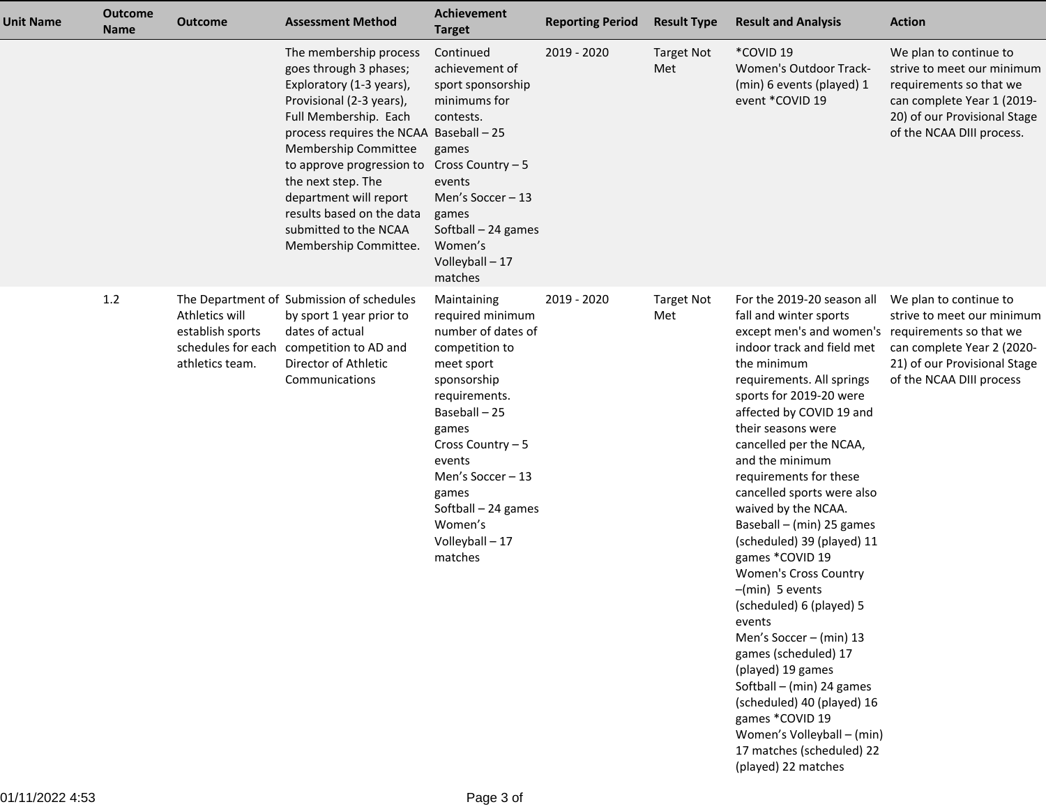| <b>Unit Name</b> | <b>Outcome</b><br><b>Name</b> | <b>Outcome</b>                                        | <b>Assessment Method</b>                                                                                                                                                                                                                                                                                                                                         | <b>Achievement</b><br><b>Target</b>                                                                                                                                                                                                                                      | <b>Reporting Period</b> | <b>Result Type</b>       | <b>Result and Analysis</b>                                                                                                                                                                                                                                                                                                                                                                                                                                                                                                                                                                                                                                                                                                                                                                                    | <b>Action</b>                                                                                                                                                              |
|------------------|-------------------------------|-------------------------------------------------------|------------------------------------------------------------------------------------------------------------------------------------------------------------------------------------------------------------------------------------------------------------------------------------------------------------------------------------------------------------------|--------------------------------------------------------------------------------------------------------------------------------------------------------------------------------------------------------------------------------------------------------------------------|-------------------------|--------------------------|---------------------------------------------------------------------------------------------------------------------------------------------------------------------------------------------------------------------------------------------------------------------------------------------------------------------------------------------------------------------------------------------------------------------------------------------------------------------------------------------------------------------------------------------------------------------------------------------------------------------------------------------------------------------------------------------------------------------------------------------------------------------------------------------------------------|----------------------------------------------------------------------------------------------------------------------------------------------------------------------------|
|                  |                               |                                                       | The membership process<br>goes through 3 phases;<br>Exploratory (1-3 years),<br>Provisional (2-3 years),<br>Full Membership. Each<br>process requires the NCAA Baseball - 25<br>Membership Committee<br>to approve progression to<br>the next step. The<br>department will report<br>results based on the data<br>submitted to the NCAA<br>Membership Committee. | Continued<br>achievement of<br>sport sponsorship<br>minimums for<br>contests.<br>games<br>Cross Country - 5<br>events<br>Men's Soccer - 13<br>games<br>Softball - 24 games<br>Women's<br>Volleyball - 17<br>matches                                                      | 2019 - 2020             | <b>Target Not</b><br>Met | *COVID 19<br><b>Women's Outdoor Track-</b><br>(min) 6 events (played) 1<br>event *COVID 19                                                                                                                                                                                                                                                                                                                                                                                                                                                                                                                                                                                                                                                                                                                    | We plan to continue to<br>strive to meet our minimum<br>requirements so that we<br>can complete Year 1 (2019-<br>20) of our Provisional Stage<br>of the NCAA DIII process. |
|                  | 1.2                           | Athletics will<br>establish sports<br>athletics team. | The Department of Submission of schedules<br>by sport 1 year prior to<br>dates of actual<br>schedules for each competition to AD and<br>Director of Athletic<br>Communications                                                                                                                                                                                   | Maintaining<br>required minimum<br>number of dates of<br>competition to<br>meet sport<br>sponsorship<br>requirements.<br>Baseball-25<br>games<br>Cross Country - 5<br>events<br>Men's Soccer-13<br>games<br>Softball - 24 games<br>Women's<br>Volleyball - 17<br>matches | 2019 - 2020             | <b>Target Not</b><br>Met | For the 2019-20 season all<br>fall and winter sports<br>except men's and women's requirements so that we<br>indoor track and field met<br>the minimum<br>requirements. All springs<br>sports for 2019-20 were<br>affected by COVID 19 and<br>their seasons were<br>cancelled per the NCAA,<br>and the minimum<br>requirements for these<br>cancelled sports were also<br>waived by the NCAA.<br>Baseball - (min) 25 games<br>(scheduled) 39 (played) 11<br>games *COVID 19<br><b>Women's Cross Country</b><br>$-(min)$ 5 events<br>(scheduled) 6 (played) 5<br>events<br>Men's Soccer - (min) 13<br>games (scheduled) 17<br>(played) 19 games<br>Softball - (min) 24 games<br>(scheduled) 40 (played) 16<br>games *COVID 19<br>Women's Volleyball - (min)<br>17 matches (scheduled) 22<br>(played) 22 matches | We plan to continue to<br>strive to meet our minimum<br>can complete Year 2 (2020-<br>21) of our Provisional Stage<br>of the NCAA DIII process                             |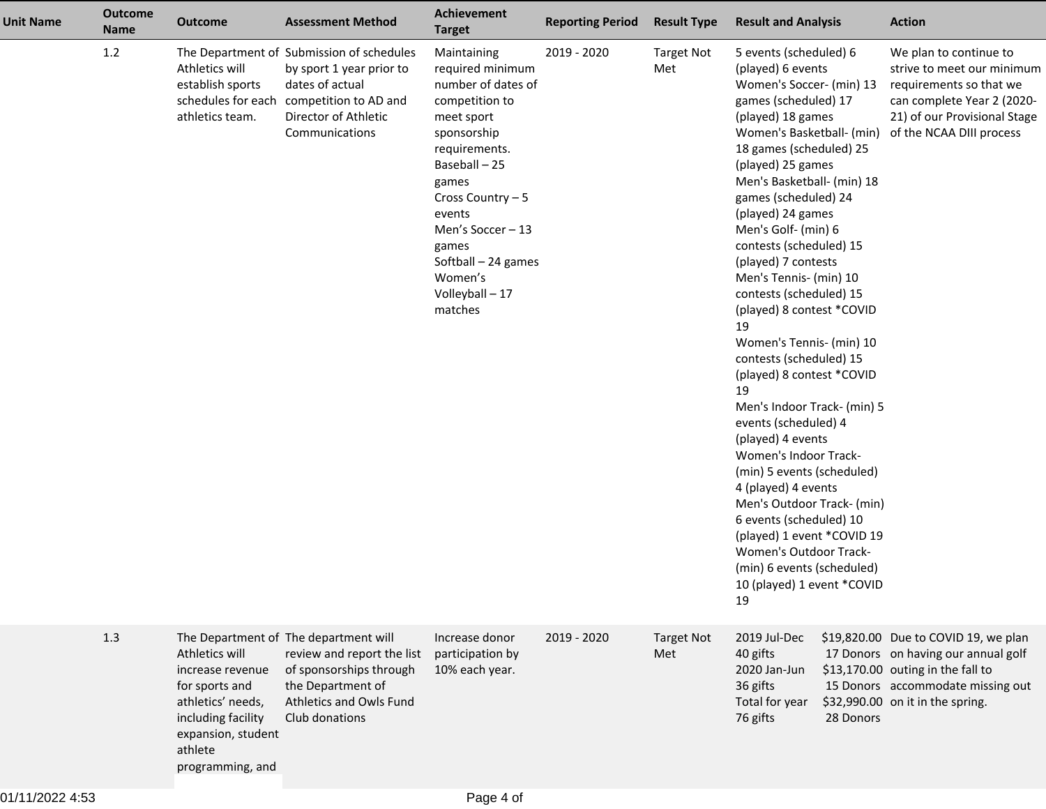| <b>Unit Name</b> | <b>Outcome</b><br><b>Name</b> | <b>Outcome</b>                                                                                                                                       | <b>Assessment Method</b>                                                                                                                                                       | <b>Achievement</b><br><b>Target</b>                                                                                                                                                                                                                                        | <b>Reporting Period</b> | <b>Result Type</b>       | <b>Result and Analysis</b>                                                                                                                                                                                                                                                                                                                                                                                                                                                                                                                                                                                                                                                                                                                                                                                                                                                                  | <b>Action</b>                                                                                                                                                                             |
|------------------|-------------------------------|------------------------------------------------------------------------------------------------------------------------------------------------------|--------------------------------------------------------------------------------------------------------------------------------------------------------------------------------|----------------------------------------------------------------------------------------------------------------------------------------------------------------------------------------------------------------------------------------------------------------------------|-------------------------|--------------------------|---------------------------------------------------------------------------------------------------------------------------------------------------------------------------------------------------------------------------------------------------------------------------------------------------------------------------------------------------------------------------------------------------------------------------------------------------------------------------------------------------------------------------------------------------------------------------------------------------------------------------------------------------------------------------------------------------------------------------------------------------------------------------------------------------------------------------------------------------------------------------------------------|-------------------------------------------------------------------------------------------------------------------------------------------------------------------------------------------|
|                  | 1.2                           | Athletics will<br>establish sports<br>athletics team.                                                                                                | The Department of Submission of schedules<br>by sport 1 year prior to<br>dates of actual<br>schedules for each competition to AD and<br>Director of Athletic<br>Communications | Maintaining<br>required minimum<br>number of dates of<br>competition to<br>meet sport<br>sponsorship<br>requirements.<br>Baseball-25<br>games<br>Cross Country - 5<br>events<br>Men's Soccer - 13<br>games<br>Softball - 24 games<br>Women's<br>Volleyball - 17<br>matches | 2019 - 2020             | <b>Target Not</b><br>Met | 5 events (scheduled) 6<br>(played) 6 events<br>Women's Soccer- (min) 13<br>games (scheduled) 17<br>(played) 18 games<br>Women's Basketball- (min)<br>18 games (scheduled) 25<br>(played) 25 games<br>Men's Basketball- (min) 18<br>games (scheduled) 24<br>(played) 24 games<br>Men's Golf- (min) 6<br>contests (scheduled) 15<br>(played) 7 contests<br>Men's Tennis- (min) 10<br>contests (scheduled) 15<br>(played) 8 contest *COVID<br>19<br>Women's Tennis- (min) 10<br>contests (scheduled) 15<br>(played) 8 contest *COVID<br>19<br>Men's Indoor Track- (min) 5<br>events (scheduled) 4<br>(played) 4 events<br>Women's Indoor Track-<br>(min) 5 events (scheduled)<br>4 (played) 4 events<br>Men's Outdoor Track- (min)<br>6 events (scheduled) 10<br>(played) 1 event *COVID 19<br><b>Women's Outdoor Track-</b><br>(min) 6 events (scheduled)<br>10 (played) 1 event *COVID<br>19 | We plan to continue to<br>strive to meet our minimum<br>requirements so that we<br>can complete Year 2 (2020-<br>21) of our Provisional Stage<br>of the NCAA DIII process                 |
|                  | 1.3                           | Athletics will<br>increase revenue<br>for sports and<br>athletics' needs,<br>including facility<br>expansion, student<br>athlete<br>programming, and | The Department of The department will<br>review and report the list<br>of sponsorships through<br>the Department of<br>Athletics and Owls Fund<br>Club donations               | Increase donor<br>participation by<br>10% each year.                                                                                                                                                                                                                       | 2019 - 2020             | <b>Target Not</b><br>Met | 2019 Jul-Dec<br>40 gifts<br>2020 Jan-Jun<br>36 gifts<br>Total for year<br>76 gifts<br>28 Donors                                                                                                                                                                                                                                                                                                                                                                                                                                                                                                                                                                                                                                                                                                                                                                                             | \$19,820.00 Due to COVID 19, we plan<br>17 Donors on having our annual golf<br>\$13,170.00 outing in the fall to<br>15 Donors accommodate missing out<br>\$32,990.00 on it in the spring. |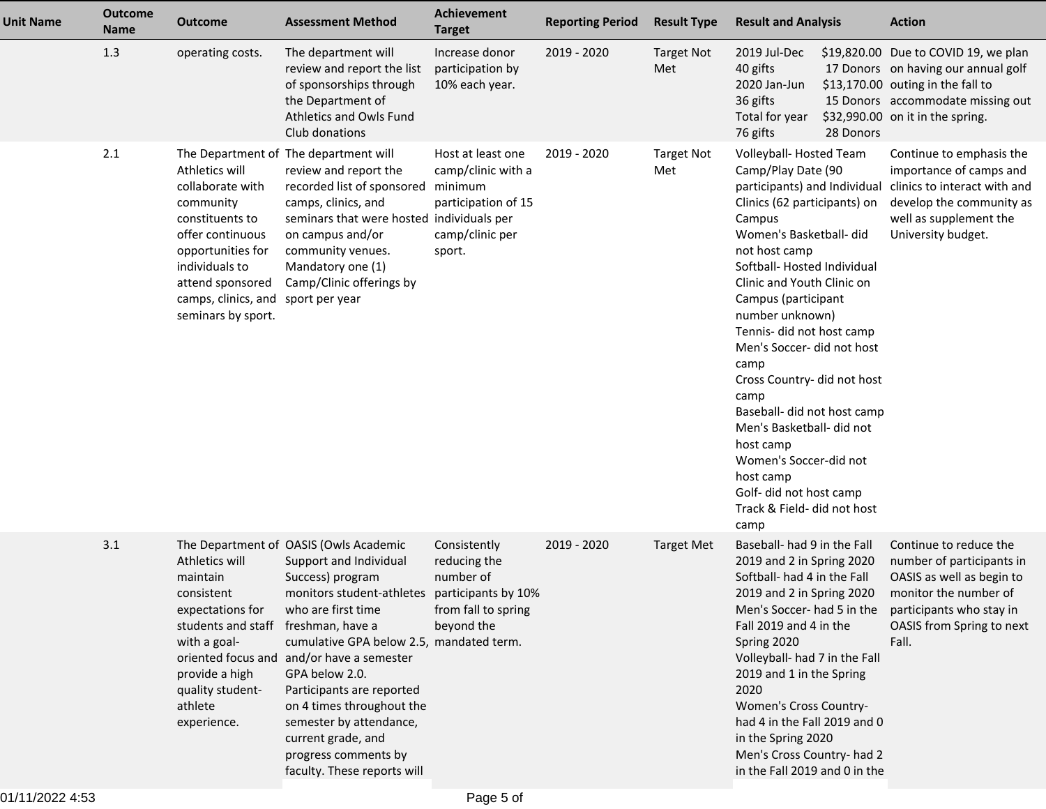| <b>Unit Name</b> | <b>Outcome</b><br><b>Name</b> | <b>Outcome</b>                                                                                                                                                                                                | <b>Assessment Method</b>                                                                                                                                                                                                                                                                                                                                                                                             | Achievement<br><b>Target</b>                                                                           | <b>Reporting Period</b> | <b>Result Type</b>       | <b>Result and Analysis</b>                                                                                                                                                                                                                                                                                                                                                                                                                                                                                                                                           |           | <b>Action</b>                                                                                                                                                                             |
|------------------|-------------------------------|---------------------------------------------------------------------------------------------------------------------------------------------------------------------------------------------------------------|----------------------------------------------------------------------------------------------------------------------------------------------------------------------------------------------------------------------------------------------------------------------------------------------------------------------------------------------------------------------------------------------------------------------|--------------------------------------------------------------------------------------------------------|-------------------------|--------------------------|----------------------------------------------------------------------------------------------------------------------------------------------------------------------------------------------------------------------------------------------------------------------------------------------------------------------------------------------------------------------------------------------------------------------------------------------------------------------------------------------------------------------------------------------------------------------|-----------|-------------------------------------------------------------------------------------------------------------------------------------------------------------------------------------------|
|                  | 1.3                           | operating costs.                                                                                                                                                                                              | The department will<br>review and report the list<br>of sponsorships through<br>the Department of<br>Athletics and Owls Fund<br>Club donations                                                                                                                                                                                                                                                                       | Increase donor<br>participation by<br>10% each year.                                                   | 2019 - 2020             | <b>Target Not</b><br>Met | 2019 Jul-Dec<br>40 gifts<br>2020 Jan-Jun<br>36 gifts<br>Total for year<br>76 gifts                                                                                                                                                                                                                                                                                                                                                                                                                                                                                   | 28 Donors | \$19,820.00 Due to COVID 19, we plan<br>17 Donors on having our annual golf<br>\$13,170.00 outing in the fall to<br>15 Donors accommodate missing out<br>\$32,990.00 on it in the spring. |
|                  | 2.1                           | Athletics will<br>collaborate with<br>community<br>constituents to<br>offer continuous<br>opportunities for<br>individuals to<br>attend sponsored<br>camps, clinics, and sport per year<br>seminars by sport. | The Department of The department will<br>review and report the<br>recorded list of sponsored<br>camps, clinics, and<br>seminars that were hosted individuals per<br>on campus and/or<br>community venues.<br>Mandatory one (1)<br>Camp/Clinic offerings by                                                                                                                                                           | Host at least one<br>camp/clinic with a<br>minimum<br>participation of 15<br>camp/clinic per<br>sport. | 2019 - 2020             | Target Not<br>Met        | Volleyball-Hosted Team<br>Camp/Play Date (90<br>participants) and Individual<br>Clinics (62 participants) on<br>Campus<br>Women's Basketball- did<br>not host camp<br>Softball-Hosted Individual<br>Clinic and Youth Clinic on<br>Campus (participant<br>number unknown)<br>Tennis- did not host camp<br>Men's Soccer- did not host<br>camp<br>Cross Country- did not host<br>camp<br>Baseball- did not host camp<br>Men's Basketball- did not<br>host camp<br>Women's Soccer-did not<br>host camp<br>Golf- did not host camp<br>Track & Field- did not host<br>camp |           | Continue to emphasis the<br>importance of camps and<br>clinics to interact with and<br>develop the community as<br>well as supplement the<br>University budget.                           |
|                  | 3.1                           | Athletics will<br>maintain<br>consistent<br>expectations for<br>students and staff freshman, have a<br>with a goal-<br>provide a high<br>quality student-<br>athlete<br>experience.                           | The Department of OASIS (Owls Academic<br>Support and Individual<br>Success) program<br>monitors student-athletes<br>who are first time<br>cumulative GPA below 2.5, mandated term.<br>oriented focus and and/or have a semester<br>GPA below 2.0.<br>Participants are reported<br>on 4 times throughout the<br>semester by attendance,<br>current grade, and<br>progress comments by<br>faculty. These reports will | Consistently<br>reducing the<br>number of<br>participants by 10%<br>from fall to spring<br>beyond the  | 2019 - 2020             | <b>Target Met</b>        | Baseball- had 9 in the Fall<br>2019 and 2 in Spring 2020<br>Softball- had 4 in the Fall<br>2019 and 2 in Spring 2020<br>Men's Soccer- had 5 in the<br>Fall 2019 and 4 in the<br>Spring 2020<br>Volleyball- had 7 in the Fall<br>2019 and 1 in the Spring<br>2020<br>Women's Cross Country-<br>had 4 in the Fall 2019 and 0<br>in the Spring 2020<br>Men's Cross Country- had 2<br>in the Fall 2019 and 0 in the                                                                                                                                                      |           | Continue to reduce the<br>number of participants in<br>OASIS as well as begin to<br>monitor the number of<br>participants who stay in<br>OASIS from Spring to next<br>Fall.               |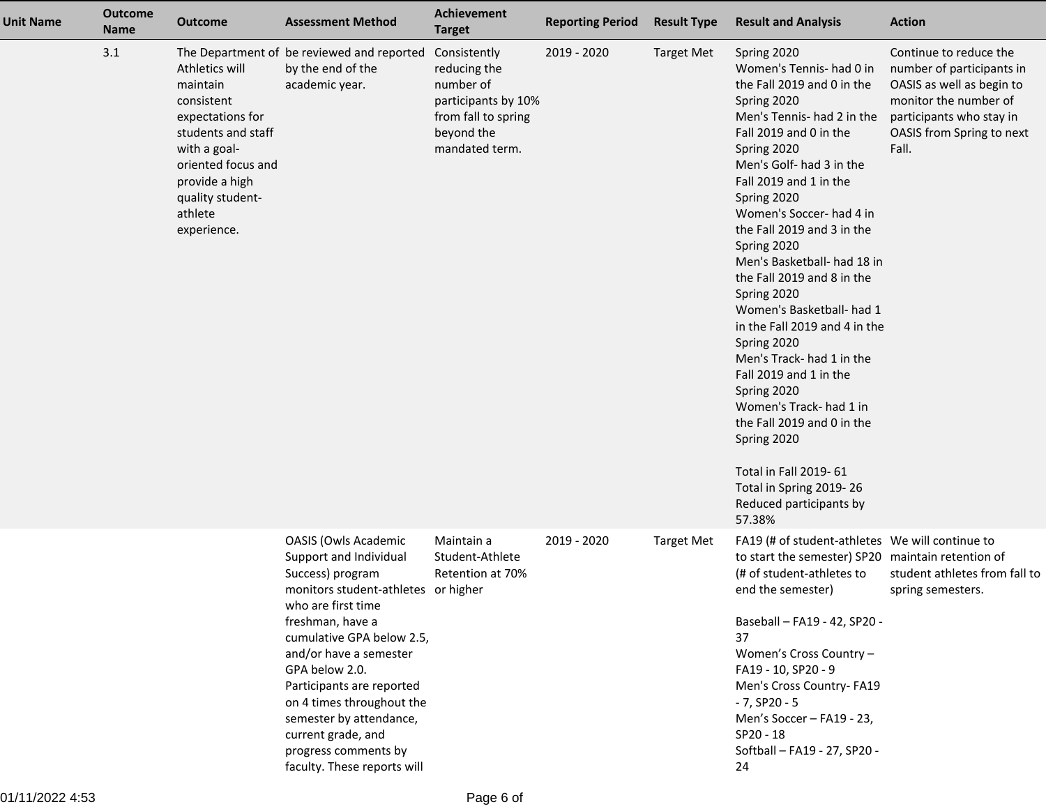| <b>Unit Name</b> | <b>Outcome</b><br><b>Name</b> | <b>Outcome</b>                                                                                                                                                                           | <b>Assessment Method</b>                                                                                                                                                                                                                                                                                                                                                                              | <b>Achievement</b><br><b>Target</b>                                                                                     | <b>Reporting Period</b> | <b>Result Type</b> | <b>Result and Analysis</b>                                                                                                                                                                                                                                                                                                                                                                                                                                                                                                                                                                                                                                                                                | <b>Action</b>                                                                                                                                                               |
|------------------|-------------------------------|------------------------------------------------------------------------------------------------------------------------------------------------------------------------------------------|-------------------------------------------------------------------------------------------------------------------------------------------------------------------------------------------------------------------------------------------------------------------------------------------------------------------------------------------------------------------------------------------------------|-------------------------------------------------------------------------------------------------------------------------|-------------------------|--------------------|-----------------------------------------------------------------------------------------------------------------------------------------------------------------------------------------------------------------------------------------------------------------------------------------------------------------------------------------------------------------------------------------------------------------------------------------------------------------------------------------------------------------------------------------------------------------------------------------------------------------------------------------------------------------------------------------------------------|-----------------------------------------------------------------------------------------------------------------------------------------------------------------------------|
|                  | 3.1                           | Athletics will<br>maintain<br>consistent<br>expectations for<br>students and staff<br>with a goal-<br>oriented focus and<br>provide a high<br>quality student-<br>athlete<br>experience. | The Department of be reviewed and reported<br>by the end of the<br>academic year.                                                                                                                                                                                                                                                                                                                     | Consistently<br>reducing the<br>number of<br>participants by 10%<br>from fall to spring<br>beyond the<br>mandated term. | 2019 - 2020             | <b>Target Met</b>  | Spring 2020<br>Women's Tennis- had 0 in<br>the Fall 2019 and 0 in the<br>Spring 2020<br>Men's Tennis- had 2 in the<br>Fall 2019 and 0 in the<br>Spring 2020<br>Men's Golf- had 3 in the<br>Fall 2019 and 1 in the<br>Spring 2020<br>Women's Soccer- had 4 in<br>the Fall 2019 and 3 in the<br>Spring 2020<br>Men's Basketball- had 18 in<br>the Fall 2019 and 8 in the<br>Spring 2020<br>Women's Basketball- had 1<br>in the Fall 2019 and 4 in the<br>Spring 2020<br>Men's Track- had 1 in the<br>Fall 2019 and 1 in the<br>Spring 2020<br>Women's Track- had 1 in<br>the Fall 2019 and 0 in the<br>Spring 2020<br>Total in Fall 2019-61<br>Total in Spring 2019-26<br>Reduced participants by<br>57.38% | Continue to reduce the<br>number of participants in<br>OASIS as well as begin to<br>monitor the number of<br>participants who stay in<br>OASIS from Spring to next<br>Fall. |
|                  |                               |                                                                                                                                                                                          | <b>OASIS (Owls Academic</b><br>Support and Individual<br>Success) program<br>monitors student-athletes or higher<br>who are first time<br>freshman, have a<br>cumulative GPA below 2.5,<br>and/or have a semester<br>GPA below 2.0.<br>Participants are reported<br>on 4 times throughout the<br>semester by attendance,<br>current grade, and<br>progress comments by<br>faculty. These reports will | Maintain a<br>Student-Athlete<br>Retention at 70%                                                                       | 2019 - 2020             | <b>Target Met</b>  | FA19 (# of student-athletes We will continue to<br>to start the semester) SP20 maintain retention of<br>(# of student-athletes to<br>end the semester)<br>Baseball - FA19 - 42, SP20 -<br>37<br>Women's Cross Country -<br>FA19 - 10, SP20 - 9<br>Men's Cross Country- FA19<br>$-7, SP20 - 5$<br>Men's Soccer - FA19 - 23,<br>$SP20 - 18$<br>Softball - FA19 - 27, SP20 -<br>24                                                                                                                                                                                                                                                                                                                           | student athletes from fall to<br>spring semesters.                                                                                                                          |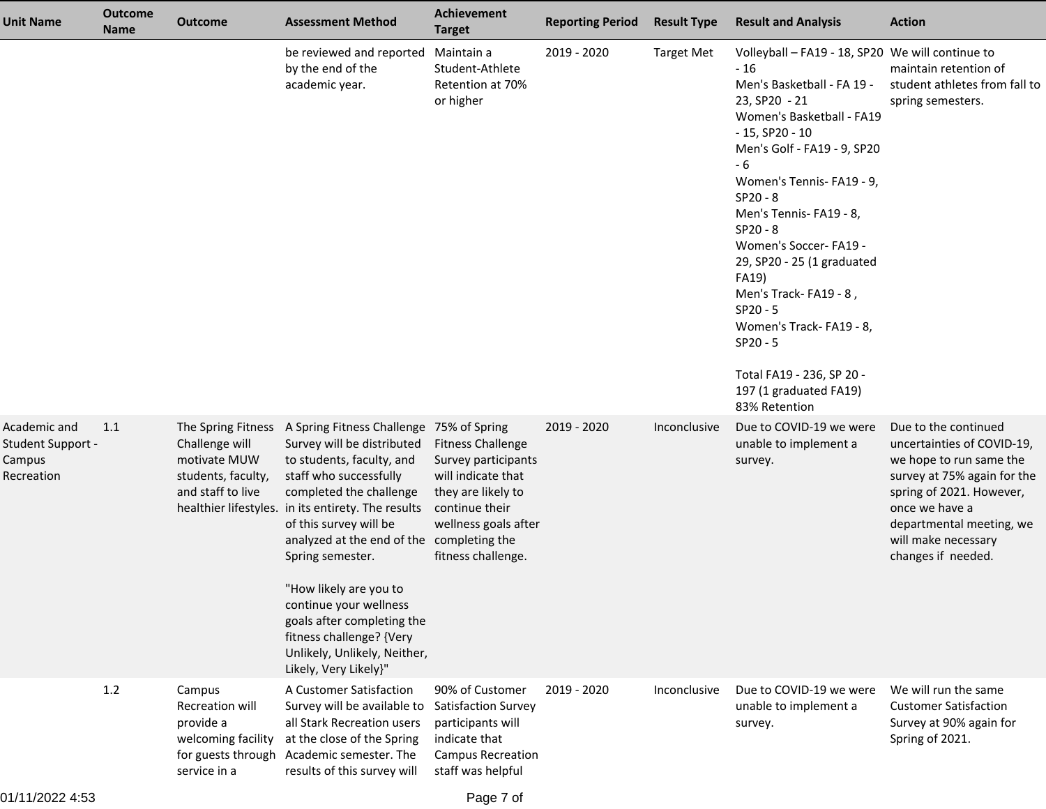| <b>Unit Name</b>                                                 | <b>Outcome</b><br><b>Name</b> | <b>Outcome</b>                                                               | <b>Assessment Method</b>                                                                                                                                                                                                                                                                                                                                                                                                                                                                            | <b>Achievement</b><br><b>Target</b>                                                                                                                         | <b>Reporting Period</b> | <b>Result Type</b> | <b>Result and Analysis</b>                                                                                                                                                                                                                                                                                                                                                                                                                                                                                    | <b>Action</b>                                                                                                                                                                                                                       |
|------------------------------------------------------------------|-------------------------------|------------------------------------------------------------------------------|-----------------------------------------------------------------------------------------------------------------------------------------------------------------------------------------------------------------------------------------------------------------------------------------------------------------------------------------------------------------------------------------------------------------------------------------------------------------------------------------------------|-------------------------------------------------------------------------------------------------------------------------------------------------------------|-------------------------|--------------------|---------------------------------------------------------------------------------------------------------------------------------------------------------------------------------------------------------------------------------------------------------------------------------------------------------------------------------------------------------------------------------------------------------------------------------------------------------------------------------------------------------------|-------------------------------------------------------------------------------------------------------------------------------------------------------------------------------------------------------------------------------------|
|                                                                  |                               |                                                                              | be reviewed and reported Maintain a<br>by the end of the<br>academic year.                                                                                                                                                                                                                                                                                                                                                                                                                          | Student-Athlete<br>Retention at 70%<br>or higher                                                                                                            | 2019 - 2020             | <b>Target Met</b>  | Volleyball - FA19 - 18, SP20 We will continue to<br>$-16$<br>Men's Basketball - FA 19 -<br>23, SP20 - 21<br>Women's Basketball - FA19<br>$-15$ , SP20 $-10$<br>Men's Golf - FA19 - 9, SP20<br>$-6$<br>Women's Tennis-FA19 - 9,<br>$SP20 - 8$<br>Men's Tennis-FA19 - 8,<br>$SP20 - 8$<br>Women's Soccer- FA19 -<br>29, SP20 - 25 (1 graduated<br>FA19)<br>Men's Track-FA19 - 8,<br>$SP20 - 5$<br>Women's Track-FA19 - 8,<br>$SP20 - 5$<br>Total FA19 - 236, SP 20 -<br>197 (1 graduated FA19)<br>83% Retention | maintain retention of<br>student athletes from fall to<br>spring semesters.                                                                                                                                                         |
| Academic and<br><b>Student Support -</b><br>Campus<br>Recreation | 1.1                           | Challenge will<br>motivate MUW<br>students, faculty,<br>and staff to live    | The Spring Fitness A Spring Fitness Challenge 75% of Spring<br>Survey will be distributed<br>to students, faculty, and<br>staff who successfully<br>completed the challenge<br>healthier lifestyles. in its entirety. The results<br>of this survey will be<br>analyzed at the end of the completing the<br>Spring semester.<br>"How likely are you to<br>continue your wellness<br>goals after completing the<br>fitness challenge? {Very<br>Unlikely, Unlikely, Neither,<br>Likely, Very Likely}" | <b>Fitness Challenge</b><br>Survey participants<br>will indicate that<br>they are likely to<br>continue their<br>wellness goals after<br>fitness challenge. | 2019 - 2020             | Inconclusive       | Due to COVID-19 we were<br>unable to implement a<br>survey.                                                                                                                                                                                                                                                                                                                                                                                                                                                   | Due to the continued<br>uncertainties of COVID-19,<br>we hope to run same the<br>survey at 75% again for the<br>spring of 2021. However,<br>once we have a<br>departmental meeting, we<br>will make necessary<br>changes if needed. |
|                                                                  | 1.2                           | Campus<br>Recreation will<br>provide a<br>welcoming facility<br>service in a | A Customer Satisfaction<br>Survey will be available to<br>all Stark Recreation users<br>at the close of the Spring<br>for guests through Academic semester. The<br>results of this survey will                                                                                                                                                                                                                                                                                                      | 90% of Customer<br><b>Satisfaction Survey</b><br>participants will<br>indicate that<br><b>Campus Recreation</b><br>staff was helpful                        | 2019 - 2020             | Inconclusive       | Due to COVID-19 we were<br>unable to implement a<br>survey.                                                                                                                                                                                                                                                                                                                                                                                                                                                   | We will run the same<br><b>Customer Satisfaction</b><br>Survey at 90% again for<br>Spring of 2021.                                                                                                                                  |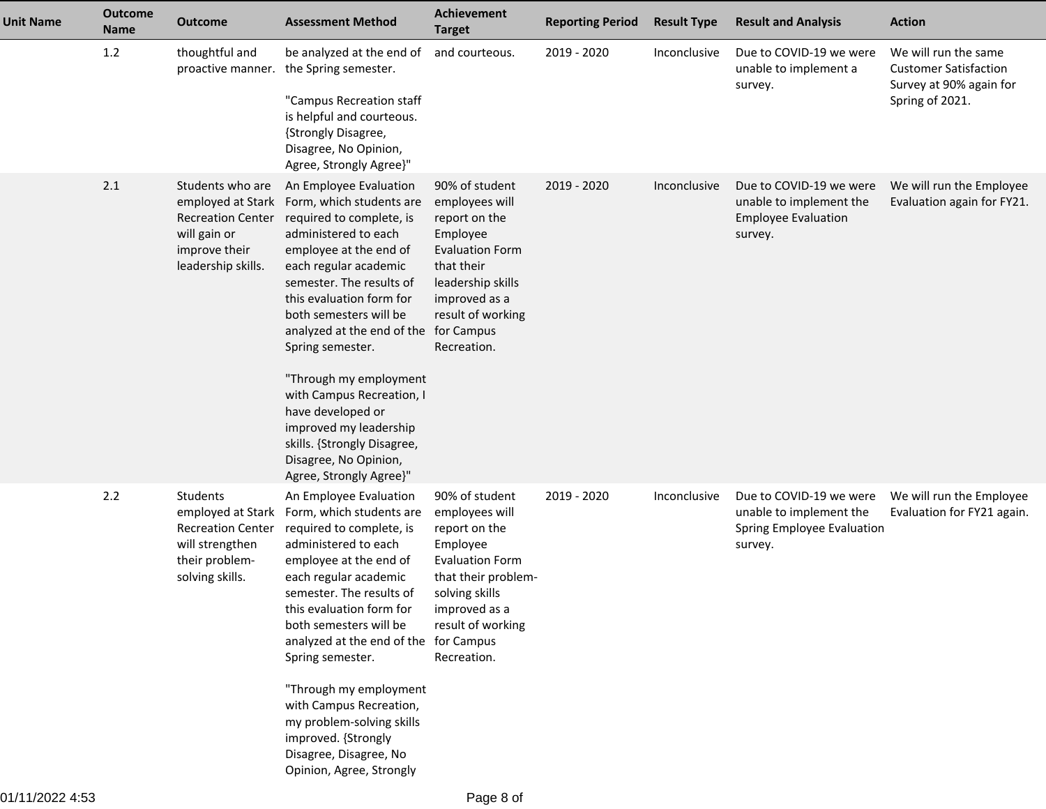| <b>Unit Name</b> | <b>Outcome</b><br><b>Name</b> | <b>Outcome</b>                                                                                                           | <b>Assessment Method</b>                                                                                                                                                                                                                                                                                                                                                                                                                                                                          | <b>Achievement</b><br><b>Target</b>                                                                                                                                                   | <b>Reporting Period</b> | <b>Result Type</b> | <b>Result and Analysis</b>                                                                  | <b>Action</b>                                                                                      |
|------------------|-------------------------------|--------------------------------------------------------------------------------------------------------------------------|---------------------------------------------------------------------------------------------------------------------------------------------------------------------------------------------------------------------------------------------------------------------------------------------------------------------------------------------------------------------------------------------------------------------------------------------------------------------------------------------------|---------------------------------------------------------------------------------------------------------------------------------------------------------------------------------------|-------------------------|--------------------|---------------------------------------------------------------------------------------------|----------------------------------------------------------------------------------------------------|
|                  | 1.2                           | thoughtful and<br>proactive manner.                                                                                      | be analyzed at the end of<br>the Spring semester.<br>"Campus Recreation staff<br>is helpful and courteous.<br>{Strongly Disagree,<br>Disagree, No Opinion,<br>Agree, Strongly Agree}"                                                                                                                                                                                                                                                                                                             | and courteous.                                                                                                                                                                        | 2019 - 2020             | Inconclusive       | Due to COVID-19 we were<br>unable to implement a<br>survey.                                 | We will run the same<br><b>Customer Satisfaction</b><br>Survey at 90% again for<br>Spring of 2021. |
|                  | 2.1                           | Students who are<br>employed at Stark<br><b>Recreation Center</b><br>will gain or<br>improve their<br>leadership skills. | An Employee Evaluation<br>Form, which students are<br>required to complete, is<br>administered to each<br>employee at the end of<br>each regular academic<br>semester. The results of<br>this evaluation form for<br>both semesters will be<br>analyzed at the end of the for Campus<br>Spring semester.<br>"Through my employment<br>with Campus Recreation, I<br>have developed or<br>improved my leadership<br>skills. {Strongly Disagree,<br>Disagree, No Opinion,<br>Agree, Strongly Agree}" | 90% of student<br>employees will<br>report on the<br>Employee<br><b>Evaluation Form</b><br>that their<br>leadership skills<br>improved as a<br>result of working<br>Recreation.       | 2019 - 2020             | Inconclusive       | Due to COVID-19 we were<br>unable to implement the<br><b>Employee Evaluation</b><br>survey. | We will run the Employee<br>Evaluation again for FY21.                                             |
|                  | 2.2                           | Students<br>employed at Stark<br><b>Recreation Center</b><br>will strengthen<br>their problem-<br>solving skills.        | An Employee Evaluation<br>Form, which students are<br>required to complete, is<br>administered to each<br>employee at the end of<br>each regular academic<br>semester. The results of<br>this evaluation form for<br>both semesters will be<br>analyzed at the end of the for Campus<br>Spring semester.<br>"Through my employment<br>with Campus Recreation,<br>my problem-solving skills<br>improved. {Strongly<br>Disagree, Disagree, No<br>Opinion, Agree, Strongly                           | 90% of student<br>employees will<br>report on the<br>Employee<br><b>Evaluation Form</b><br>that their problem-<br>solving skills<br>improved as a<br>result of working<br>Recreation. | 2019 - 2020             | Inconclusive       | Due to COVID-19 we were<br>unable to implement the<br>Spring Employee Evaluation<br>survey. | We will run the Employee<br>Evaluation for FY21 again.                                             |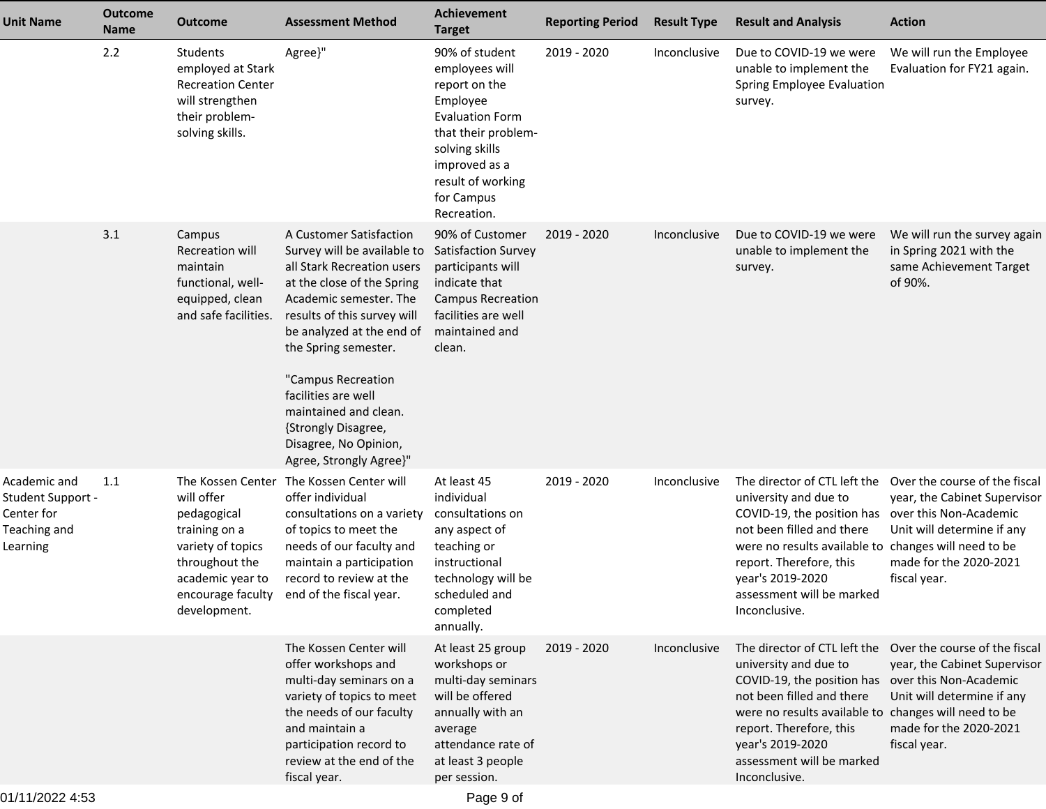| <b>Unit Name</b>                                                            | <b>Outcome</b><br><b>Name</b> | Outcome                                                                                                                                    | <b>Assessment Method</b>                                                                                                                                                                                                                                                                                                                                                          | <b>Achievement</b><br><b>Target</b>                                                                                                                                                                 | <b>Reporting Period</b> | <b>Result Type</b> | <b>Result and Analysis</b>                                                                                                                                                                                                                                   | <b>Action</b>                                                                                                                                                                              |
|-----------------------------------------------------------------------------|-------------------------------|--------------------------------------------------------------------------------------------------------------------------------------------|-----------------------------------------------------------------------------------------------------------------------------------------------------------------------------------------------------------------------------------------------------------------------------------------------------------------------------------------------------------------------------------|-----------------------------------------------------------------------------------------------------------------------------------------------------------------------------------------------------|-------------------------|--------------------|--------------------------------------------------------------------------------------------------------------------------------------------------------------------------------------------------------------------------------------------------------------|--------------------------------------------------------------------------------------------------------------------------------------------------------------------------------------------|
|                                                                             | 2.2                           | <b>Students</b><br>employed at Stark<br><b>Recreation Center</b><br>will strengthen<br>their problem-<br>solving skills.                   | Agree}"                                                                                                                                                                                                                                                                                                                                                                           | 90% of student<br>employees will<br>report on the<br>Employee<br><b>Evaluation Form</b><br>that their problem-<br>solving skills<br>improved as a<br>result of working<br>for Campus<br>Recreation. | 2019 - 2020             | Inconclusive       | Due to COVID-19 we were<br>unable to implement the<br>Spring Employee Evaluation<br>survey.                                                                                                                                                                  | We will run the Employee<br>Evaluation for FY21 again.                                                                                                                                     |
|                                                                             | 3.1                           | Campus<br>Recreation will<br>maintain<br>functional, well-<br>equipped, clean<br>and safe facilities.                                      | A Customer Satisfaction<br>Survey will be available to<br>all Stark Recreation users<br>at the close of the Spring<br>Academic semester. The<br>results of this survey will<br>be analyzed at the end of<br>the Spring semester.<br>"Campus Recreation<br>facilities are well<br>maintained and clean.<br>{Strongly Disagree,<br>Disagree, No Opinion,<br>Agree, Strongly Agree}" | 90% of Customer<br><b>Satisfaction Survey</b><br>participants will<br>indicate that<br><b>Campus Recreation</b><br>facilities are well<br>maintained and<br>clean.                                  | 2019 - 2020             | Inconclusive       | Due to COVID-19 we were<br>unable to implement the<br>survey.                                                                                                                                                                                                | We will run the survey again<br>in Spring 2021 with the<br>same Achievement Target<br>of 90%.                                                                                              |
| Academic and<br>Student Support -<br>Center for<br>Teaching and<br>Learning | 1.1                           | The Kossen Center<br>will offer<br>pedagogical<br>training on a<br>variety of topics<br>throughout the<br>academic year to<br>development. | The Kossen Center will<br>offer individual<br>consultations on a variety<br>of topics to meet the<br>needs of our faculty and<br>maintain a participation<br>record to review at the<br>encourage faculty end of the fiscal year.                                                                                                                                                 | At least 45<br>individual<br>consultations on<br>any aspect of<br>teaching or<br>instructional<br>technology will be<br>scheduled and<br>completed<br>annually.                                     | 2019 - 2020             | Inconclusive       | The director of CTL left the<br>university and due to<br>COVID-19, the position has<br>not been filled and there<br>were no results available to<br>report. Therefore, this<br>year's 2019-2020<br>assessment will be marked<br>Inconclusive.                | Over the course of the fiscal<br>year, the Cabinet Supervisor<br>over this Non-Academic<br>Unit will determine if any<br>changes will need to be<br>made for the 2020-2021<br>fiscal year. |
|                                                                             |                               |                                                                                                                                            | The Kossen Center will<br>offer workshops and<br>multi-day seminars on a<br>variety of topics to meet<br>the needs of our faculty<br>and maintain a<br>participation record to<br>review at the end of the<br>fiscal year.                                                                                                                                                        | At least 25 group<br>workshops or<br>multi-day seminars<br>will be offered<br>annually with an<br>average<br>attendance rate of<br>at least 3 people<br>per session.                                | 2019 - 2020             | Inconclusive       | university and due to<br>COVID-19, the position has over this Non-Academic<br>not been filled and there<br>were no results available to changes will need to be<br>report. Therefore, this<br>year's 2019-2020<br>assessment will be marked<br>Inconclusive. | The director of CTL left the Over the course of the fiscal<br>year, the Cabinet Supervisor<br>Unit will determine if any<br>made for the 2020-2021<br>fiscal year.                         |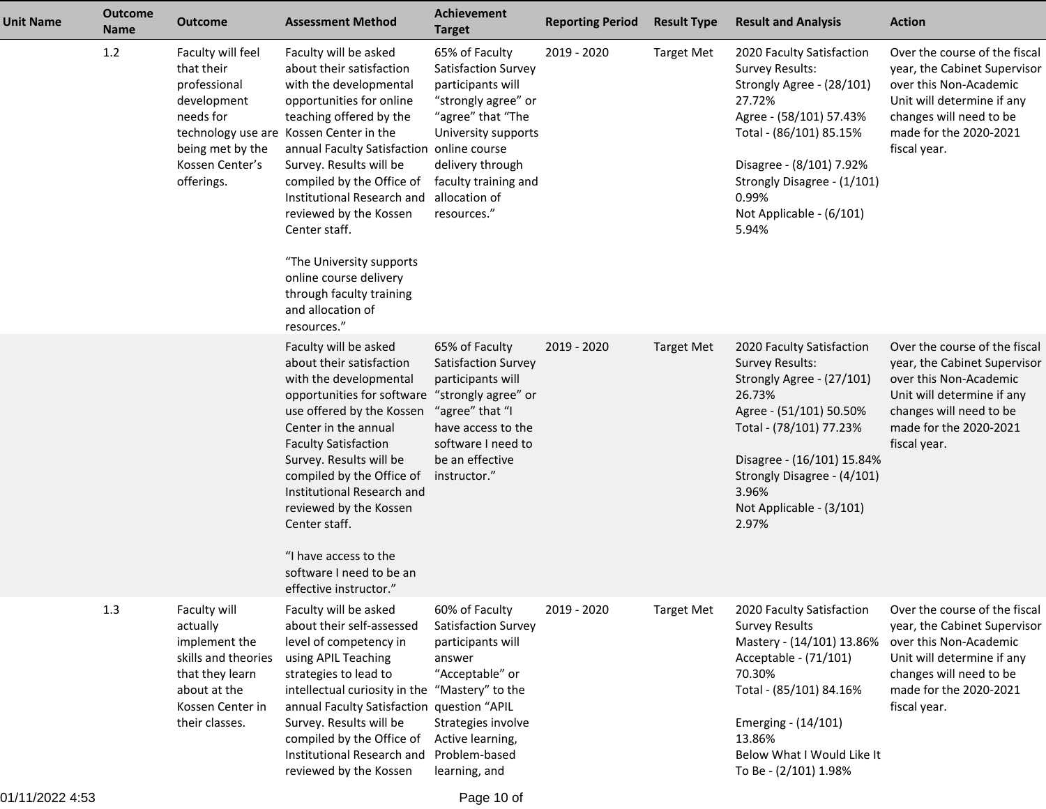| <b>Unit Name</b> | <b>Outcome</b><br><b>Name</b> | <b>Outcome</b>                                                                                                                            | <b>Assessment Method</b>                                                                                                                                                                                                                                                                                                                                                                                                                                                          | Achievement<br><b>Target</b>                                                                                                                                                                              | <b>Reporting Period</b> | <b>Result Type</b> | <b>Result and Analysis</b>                                                                                                                                                                                                                                  | <b>Action</b>                                                                                                                                                                              |
|------------------|-------------------------------|-------------------------------------------------------------------------------------------------------------------------------------------|-----------------------------------------------------------------------------------------------------------------------------------------------------------------------------------------------------------------------------------------------------------------------------------------------------------------------------------------------------------------------------------------------------------------------------------------------------------------------------------|-----------------------------------------------------------------------------------------------------------------------------------------------------------------------------------------------------------|-------------------------|--------------------|-------------------------------------------------------------------------------------------------------------------------------------------------------------------------------------------------------------------------------------------------------------|--------------------------------------------------------------------------------------------------------------------------------------------------------------------------------------------|
|                  | 1.2                           | Faculty will feel<br>that their<br>professional<br>development<br>needs for<br>being met by the<br>Kossen Center's<br>offerings.          | Faculty will be asked<br>about their satisfaction<br>with the developmental<br>opportunities for online<br>teaching offered by the<br>technology use are Kossen Center in the<br>annual Faculty Satisfaction online course<br>Survey. Results will be<br>compiled by the Office of<br>Institutional Research and<br>reviewed by the Kossen<br>Center staff.<br>"The University supports<br>online course delivery<br>through faculty training<br>and allocation of<br>resources." | 65% of Faculty<br>Satisfaction Survey<br>participants will<br>"strongly agree" or<br>"agree" that "The<br>University supports<br>delivery through<br>faculty training and<br>allocation of<br>resources." | 2019 - 2020             | <b>Target Met</b>  | 2020 Faculty Satisfaction<br><b>Survey Results:</b><br>Strongly Agree - (28/101)<br>27.72%<br>Agree - (58/101) 57.43%<br>Total - (86/101) 85.15%<br>Disagree - (8/101) 7.92%<br>Strongly Disagree - (1/101)<br>0.99%<br>Not Applicable - (6/101)<br>5.94%   | Over the course of the fiscal<br>year, the Cabinet Supervisor<br>over this Non-Academic<br>Unit will determine if any<br>changes will need to be<br>made for the 2020-2021<br>fiscal year. |
|                  |                               |                                                                                                                                           | Faculty will be asked<br>about their satisfaction<br>with the developmental<br>opportunities for software "strongly agree" or<br>use offered by the Kossen<br>Center in the annual<br><b>Faculty Satisfaction</b><br>Survey. Results will be<br>compiled by the Office of<br>Institutional Research and<br>reviewed by the Kossen<br>Center staff.<br>"I have access to the<br>software I need to be an<br>effective instructor."                                                 | 65% of Faculty<br>Satisfaction Survey<br>participants will<br>"agree" that "I<br>have access to the<br>software I need to<br>be an effective<br>instructor."                                              | 2019 - 2020             | <b>Target Met</b>  | 2020 Faculty Satisfaction<br><b>Survey Results:</b><br>Strongly Agree - (27/101)<br>26.73%<br>Agree - (51/101) 50.50%<br>Total - (78/101) 77.23%<br>Disagree - (16/101) 15.84%<br>Strongly Disagree - (4/101)<br>3.96%<br>Not Applicable - (3/101)<br>2.97% | Over the course of the fiscal<br>year, the Cabinet Supervisor<br>over this Non-Academic<br>Unit will determine if any<br>changes will need to be<br>made for the 2020-2021<br>fiscal year. |
|                  | 1.3                           | Faculty will<br>actually<br>implement the<br>skills and theories<br>that they learn<br>about at the<br>Kossen Center in<br>their classes. | Faculty will be asked<br>about their self-assessed<br>level of competency in<br>using APIL Teaching<br>strategies to lead to<br>intellectual curiosity in the<br>annual Faculty Satisfaction question "APIL<br>Survey. Results will be<br>compiled by the Office of<br>Institutional Research and<br>reviewed by the Kossen                                                                                                                                                       | 60% of Faculty<br>Satisfaction Survey<br>participants will<br>answer<br>"Acceptable" or<br>"Mastery" to the<br>Strategies involve<br>Active learning,<br>Problem-based<br>learning, and                   | 2019 - 2020             | <b>Target Met</b>  | 2020 Faculty Satisfaction<br><b>Survey Results</b><br>Mastery - (14/101) 13.86%<br>Acceptable - (71/101)<br>70.30%<br>Total - (85/101) 84.16%<br>Emerging - (14/101)<br>13.86%<br>Below What I Would Like It<br>To Be - (2/101) 1.98%                       | Over the course of the fiscal<br>year, the Cabinet Supervisor<br>over this Non-Academic<br>Unit will determine if any<br>changes will need to be<br>made for the 2020-2021<br>fiscal year. |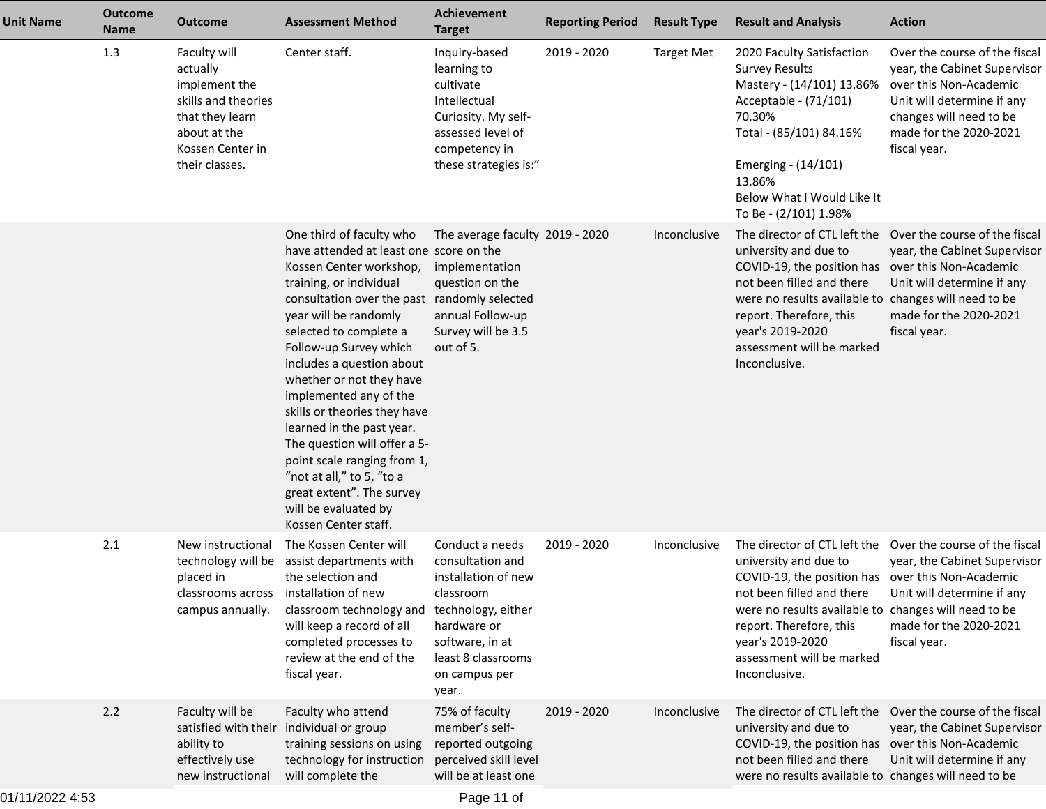| <b>Unit Name</b> | <b>Outcome</b><br>Name | <b>Outcome</b>                                                                                                                            | <b>Assessment Method</b>                                                                                                                                                                                                                                                                                                                                                                                                                                                                                                                                                        | <b>Achievement</b><br><b>Target</b>                                                                                                                                             | <b>Reporting Period</b> | <b>Result Type</b> | <b>Result and Analysis</b>                                                                                                                                                                                                                                                                   | <b>Action</b>                                                                                                                                                                              |
|------------------|------------------------|-------------------------------------------------------------------------------------------------------------------------------------------|---------------------------------------------------------------------------------------------------------------------------------------------------------------------------------------------------------------------------------------------------------------------------------------------------------------------------------------------------------------------------------------------------------------------------------------------------------------------------------------------------------------------------------------------------------------------------------|---------------------------------------------------------------------------------------------------------------------------------------------------------------------------------|-------------------------|--------------------|----------------------------------------------------------------------------------------------------------------------------------------------------------------------------------------------------------------------------------------------------------------------------------------------|--------------------------------------------------------------------------------------------------------------------------------------------------------------------------------------------|
|                  | 1.3                    | Faculty will<br>actually<br>implement the<br>skills and theories<br>that they learn<br>about at the<br>Kossen Center in<br>their classes. | Center staff.                                                                                                                                                                                                                                                                                                                                                                                                                                                                                                                                                                   | Inquiry-based<br>learning to<br>cultivate<br>Intellectual<br>Curiosity. My self-<br>assessed level of<br>competency in<br>these strategies is:"                                 | 2019 - 2020             | <b>Target Met</b>  | 2020 Faculty Satisfaction<br><b>Survey Results</b><br>Mastery - (14/101) 13.86%<br>Acceptable - (71/101)<br>70.30%<br>Total - (85/101) 84.16%<br>Emerging - (14/101)<br>13.86%<br>Below What I Would Like It<br>To Be - (2/101) 1.98%                                                        | Over the course of the fiscal<br>year, the Cabinet Supervisor<br>over this Non-Academic<br>Unit will determine if any<br>changes will need to be<br>made for the 2020-2021<br>fiscal year. |
|                  |                        |                                                                                                                                           | One third of faculty who<br>have attended at least one score on the<br>Kossen Center workshop,<br>training, or individual<br>consultation over the past randomly selected<br>year will be randomly<br>selected to complete a<br>Follow-up Survey which<br>includes a question about<br>whether or not they have<br>implemented any of the<br>skills or theories they have<br>learned in the past year.<br>The question will offer a 5-<br>point scale ranging from 1,<br>"not at all," to 5, "to a<br>great extent". The survey<br>will be evaluated by<br>Kossen Center staff. | The average faculty 2019 - 2020<br>implementation<br>question on the<br>annual Follow-up<br>Survey will be 3.5<br>out of 5.                                                     |                         | Inconclusive       | The director of CTL left the<br>university and due to<br>COVID-19, the position has over this Non-Academic<br>not been filled and there<br>were no results available to changes will need to be<br>report. Therefore, this<br>year's 2019-2020<br>assessment will be marked<br>Inconclusive. | Over the course of the fiscal<br>year, the Cabinet Supervisor<br>Unit will determine if any<br>made for the 2020-2021<br>fiscal year.                                                      |
|                  | 2.1                    | New instructional<br>placed in<br>classrooms across installation of new<br>campus annually.                                               | The Kossen Center will<br>technology will be assist departments with<br>the selection and<br>classroom technology and<br>will keep a record of all<br>completed processes to<br>review at the end of the<br>fiscal year.                                                                                                                                                                                                                                                                                                                                                        | Conduct a needs<br>consultation and<br>installation of new<br>classroom<br>technology, either<br>hardware or<br>software, in at<br>least 8 classrooms<br>on campus per<br>year. | 2019 - 2020             | Inconclusive       | The director of CTL left the<br>university and due to<br>COVID-19, the position has<br>not been filled and there<br>were no results available to changes will need to be<br>report. Therefore, this<br>year's 2019-2020<br>assessment will be marked<br>Inconclusive.                        | Over the course of the fiscal<br>year, the Cabinet Supervisor<br>over this Non-Academic<br>Unit will determine if any<br>made for the 2020-2021<br>fiscal year.                            |
|                  | 2.2                    | Faculty will be<br>ability to<br>effectively use<br>new instructional                                                                     | Faculty who attend<br>satisfied with their individual or group<br>training sessions on using<br>technology for instruction<br>will complete the                                                                                                                                                                                                                                                                                                                                                                                                                                 | 75% of faculty<br>member's self-<br>reported outgoing<br>perceived skill level<br>will be at least one                                                                          | 2019 - 2020             | Inconclusive       | The director of CTL left the<br>university and due to<br>COVID-19, the position has over this Non-Academic<br>not been filled and there<br>were no results available to changes will need to be                                                                                              | Over the course of the fiscal<br>year, the Cabinet Supervisor<br>Unit will determine if any                                                                                                |
|                  |                        |                                                                                                                                           |                                                                                                                                                                                                                                                                                                                                                                                                                                                                                                                                                                                 |                                                                                                                                                                                 |                         |                    |                                                                                                                                                                                                                                                                                              |                                                                                                                                                                                            |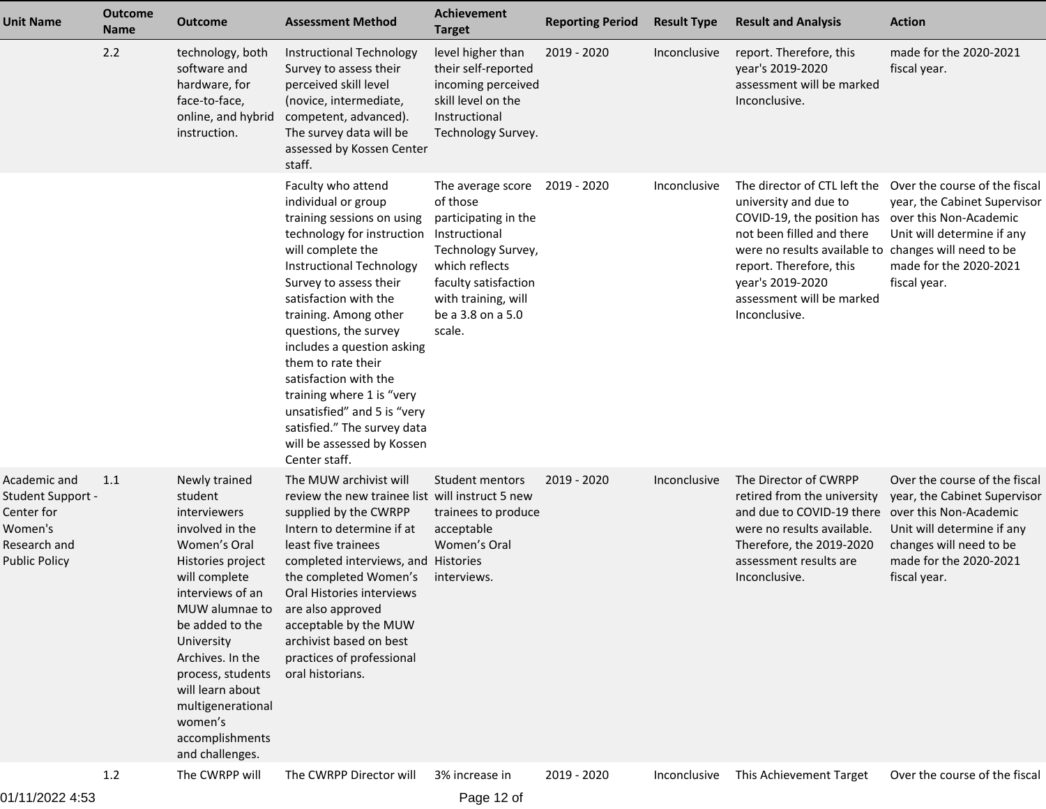| <b>Unit Name</b>                                                                            | <b>Outcome</b><br><b>Name</b> | <b>Outcome</b>                                                                                                                                                                                                                                                                                                              | <b>Assessment Method</b>                                                                                                                                                                                                                                                                                                                                                                                                                                                           | <b>Achievement</b><br><b>Target</b>                                                                                                                                                          | <b>Reporting Period</b> | <b>Result Type</b> | <b>Result and Analysis</b>                                                                                                                                                                                                                    | <b>Action</b>                                                                                                                                                                              |
|---------------------------------------------------------------------------------------------|-------------------------------|-----------------------------------------------------------------------------------------------------------------------------------------------------------------------------------------------------------------------------------------------------------------------------------------------------------------------------|------------------------------------------------------------------------------------------------------------------------------------------------------------------------------------------------------------------------------------------------------------------------------------------------------------------------------------------------------------------------------------------------------------------------------------------------------------------------------------|----------------------------------------------------------------------------------------------------------------------------------------------------------------------------------------------|-------------------------|--------------------|-----------------------------------------------------------------------------------------------------------------------------------------------------------------------------------------------------------------------------------------------|--------------------------------------------------------------------------------------------------------------------------------------------------------------------------------------------|
|                                                                                             | 2.2                           | technology, both<br>software and<br>hardware, for<br>face-to-face,<br>online, and hybrid<br>instruction.                                                                                                                                                                                                                    | Instructional Technology<br>Survey to assess their<br>perceived skill level<br>(novice, intermediate,<br>competent, advanced).<br>The survey data will be<br>assessed by Kossen Center<br>staff.                                                                                                                                                                                                                                                                                   | level higher than<br>their self-reported<br>incoming perceived<br>skill level on the<br>Instructional<br>Technology Survey.                                                                  | 2019 - 2020             | Inconclusive       | report. Therefore, this<br>year's 2019-2020<br>assessment will be marked<br>Inconclusive.                                                                                                                                                     | made for the 2020-2021<br>fiscal year.                                                                                                                                                     |
|                                                                                             |                               |                                                                                                                                                                                                                                                                                                                             | Faculty who attend<br>individual or group<br>training sessions on using<br>technology for instruction<br>will complete the<br>Instructional Technology<br>Survey to assess their<br>satisfaction with the<br>training. Among other<br>questions, the survey<br>includes a question asking<br>them to rate their<br>satisfaction with the<br>training where 1 is "very<br>unsatisfied" and 5 is "very<br>satisfied." The survey data<br>will be assessed by Kossen<br>Center staff. | The average score<br>of those<br>participating in the<br>Instructional<br>Technology Survey,<br>which reflects<br>faculty satisfaction<br>with training, will<br>be a 3.8 on a 5.0<br>scale. | 2019 - 2020             | Inconclusive       | The director of CTL left the<br>university and due to<br>COVID-19, the position has<br>not been filled and there<br>were no results available to<br>report. Therefore, this<br>year's 2019-2020<br>assessment will be marked<br>Inconclusive. | Over the course of the fiscal<br>year, the Cabinet Supervisor<br>over this Non-Academic<br>Unit will determine if any<br>changes will need to be<br>made for the 2020-2021<br>fiscal year. |
| Academic and<br>Student Support -<br>Center for<br>Women's<br>Research and<br>Public Policy | 1.1                           | Newly trained<br>student<br>interviewers<br>involved in the<br>Women's Oral<br>Histories project<br>will complete<br>interviews of an<br>MUW alumnae to<br>be added to the<br>University<br>Archives. In the<br>process, students<br>will learn about<br>multigenerational<br>women's<br>accomplishments<br>and challenges. | The MUW archivist will<br>review the new trainee list will instruct 5 new<br>supplied by the CWRPP<br>Intern to determine if at<br>least five trainees<br>completed interviews, and Histories<br>the completed Women's<br>Oral Histories interviews<br>are also approved<br>acceptable by the MUW<br>archivist based on best<br>practices of professional<br>oral historians.                                                                                                      | Student mentors<br>trainees to produce<br>acceptable<br>Women's Oral<br>interviews.                                                                                                          | 2019 - 2020             | Inconclusive       | The Director of CWRPP<br>retired from the university<br>and due to COVID-19 there<br>were no results available.<br>Therefore, the 2019-2020<br>assessment results are<br>Inconclusive.                                                        | Over the course of the fiscal<br>year, the Cabinet Supervisor<br>over this Non-Academic<br>Unit will determine if any<br>changes will need to be<br>made for the 2020-2021<br>fiscal year. |
|                                                                                             | 1.2                           | The CWRPP will                                                                                                                                                                                                                                                                                                              | The CWRPP Director will                                                                                                                                                                                                                                                                                                                                                                                                                                                            | 3% increase in                                                                                                                                                                               | 2019 - 2020             | Inconclusive       | This Achievement Target                                                                                                                                                                                                                       | Over the course of the fiscal                                                                                                                                                              |

Page 12 of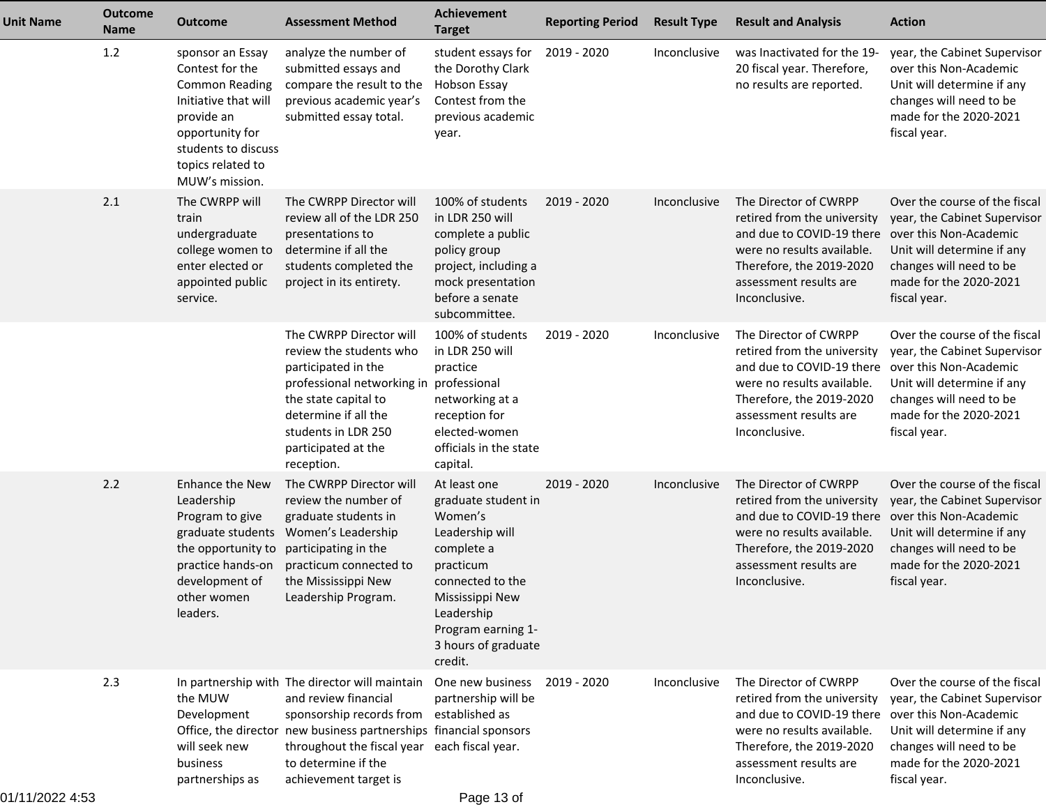| <b>Unit Name</b> | <b>Outcome</b><br><b>Name</b> | <b>Outcome</b>                                                                                                                                                                      | <b>Assessment Method</b>                                                                                                                                                                                                                                                                                            | <b>Achievement</b><br><b>Target</b>                                                                                                                                                                       | <b>Reporting Period</b> | <b>Result Type</b> | <b>Result and Analysis</b>                                                                                                                                                             | <b>Action</b>                                                                                                                                                                              |
|------------------|-------------------------------|-------------------------------------------------------------------------------------------------------------------------------------------------------------------------------------|---------------------------------------------------------------------------------------------------------------------------------------------------------------------------------------------------------------------------------------------------------------------------------------------------------------------|-----------------------------------------------------------------------------------------------------------------------------------------------------------------------------------------------------------|-------------------------|--------------------|----------------------------------------------------------------------------------------------------------------------------------------------------------------------------------------|--------------------------------------------------------------------------------------------------------------------------------------------------------------------------------------------|
|                  | 1.2                           | sponsor an Essay<br>Contest for the<br><b>Common Reading</b><br>Initiative that will<br>provide an<br>opportunity for<br>students to discuss<br>topics related to<br>MUW's mission. | analyze the number of<br>submitted essays and<br>compare the result to the<br>previous academic year's<br>submitted essay total.                                                                                                                                                                                    | student essays for<br>the Dorothy Clark<br><b>Hobson Essay</b><br>Contest from the<br>previous academic<br>year.                                                                                          | 2019 - 2020             | Inconclusive       | was Inactivated for the 19-<br>20 fiscal year. Therefore,<br>no results are reported.                                                                                                  | year, the Cabinet Supervisor<br>over this Non-Academic<br>Unit will determine if any<br>changes will need to be<br>made for the 2020-2021<br>fiscal year.                                  |
|                  | 2.1                           | The CWRPP will<br>train<br>undergraduate<br>college women to<br>enter elected or<br>appointed public<br>service.                                                                    | The CWRPP Director will<br>review all of the LDR 250<br>presentations to<br>determine if all the<br>students completed the<br>project in its entirety.                                                                                                                                                              | 100% of students<br>in LDR 250 will<br>complete a public<br>policy group<br>project, including a<br>mock presentation<br>before a senate<br>subcommittee.                                                 | 2019 - 2020             | Inconclusive       | The Director of CWRPP<br>retired from the university<br>and due to COVID-19 there<br>were no results available.<br>Therefore, the 2019-2020<br>assessment results are<br>Inconclusive. | Over the course of the fiscal<br>year, the Cabinet Supervisor<br>over this Non-Academic<br>Unit will determine if any<br>changes will need to be<br>made for the 2020-2021<br>fiscal year. |
|                  |                               |                                                                                                                                                                                     | The CWRPP Director will<br>review the students who<br>participated in the<br>professional networking in professional<br>the state capital to<br>determine if all the<br>students in LDR 250<br>participated at the<br>reception.                                                                                    | 100% of students<br>in LDR 250 will<br>practice<br>networking at a<br>reception for<br>elected-women<br>officials in the state<br>capital.                                                                | 2019 - 2020             | Inconclusive       | The Director of CWRPP<br>retired from the university<br>and due to COVID-19 there<br>were no results available.<br>Therefore, the 2019-2020<br>assessment results are<br>Inconclusive. | Over the course of the fiscal<br>year, the Cabinet Supervisor<br>over this Non-Academic<br>Unit will determine if any<br>changes will need to be<br>made for the 2020-2021<br>fiscal year. |
|                  | 2.2                           | <b>Enhance the New</b><br>Leadership<br>Program to give<br>graduate students<br>the opportunity to<br>practice hands-on<br>development of<br>other women<br>leaders.                | The CWRPP Director will<br>review the number of<br>graduate students in<br>Women's Leadership<br>participating in the<br>practicum connected to<br>the Mississippi New<br>Leadership Program.                                                                                                                       | At least one<br>graduate student in<br>Women's<br>Leadership will<br>complete a<br>practicum<br>connected to the<br>Mississippi New<br>Leadership<br>Program earning 1-<br>3 hours of graduate<br>credit. | 2019 - 2020             | Inconclusive       | The Director of CWRPP<br>retired from the university<br>and due to COVID-19 there<br>were no results available.<br>Therefore, the 2019-2020<br>assessment results are<br>Inconclusive. | Over the course of the fiscal<br>year, the Cabinet Supervisor<br>over this Non-Academic<br>Unit will determine if any<br>changes will need to be<br>made for the 2020-2021<br>fiscal year. |
|                  | 2.3                           | the MUW<br>Development<br>will seek new<br>business<br>partnerships as                                                                                                              | In partnership with The director will maintain One new business 2019 - 2020<br>and review financial<br>sponsorship records from established as<br>Office, the director new business partnerships financial sponsors<br>throughout the fiscal year each fiscal year.<br>to determine if the<br>achievement target is | partnership will be                                                                                                                                                                                       |                         | Inconclusive       | The Director of CWRPP<br>retired from the university<br>and due to COVID-19 there<br>were no results available.<br>Therefore, the 2019-2020<br>assessment results are<br>Inconclusive. | Over the course of the fiscal<br>year, the Cabinet Supervisor<br>over this Non-Academic<br>Unit will determine if any<br>changes will need to be<br>made for the 2020-2021<br>fiscal year. |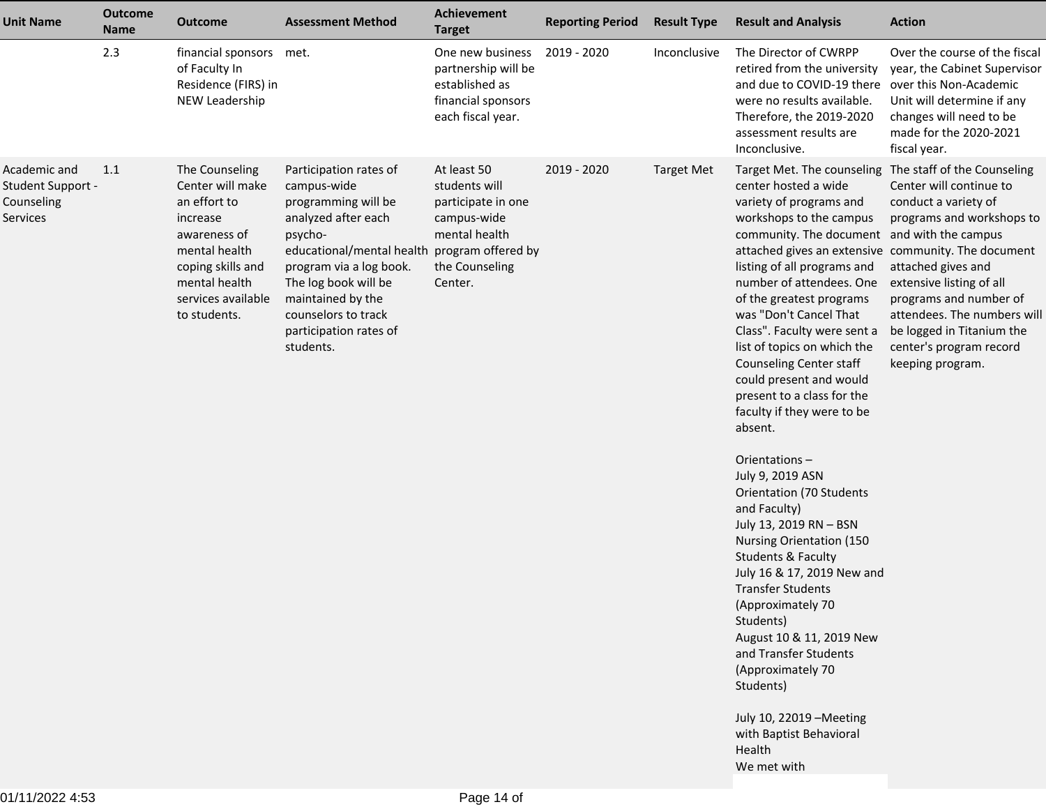| <b>Unit Name</b>                                            | <b>Outcome</b><br><b>Name</b> | <b>Outcome</b>                                                                                                                                                              | <b>Assessment Method</b>                                                                                                                                                                                                                                                             | <b>Achievement</b><br><b>Target</b>                                                                             | <b>Reporting Period</b> | <b>Result Type</b> | <b>Result and Analysis</b>                                                                                                                                                                                                                                                                                                                                                                                                                                                                                                                                                                                                                                                                                                                                                                                                                                                                                                                                                           | <b>Action</b>                                                                                                                                                                                                                                                                              |
|-------------------------------------------------------------|-------------------------------|-----------------------------------------------------------------------------------------------------------------------------------------------------------------------------|--------------------------------------------------------------------------------------------------------------------------------------------------------------------------------------------------------------------------------------------------------------------------------------|-----------------------------------------------------------------------------------------------------------------|-------------------------|--------------------|--------------------------------------------------------------------------------------------------------------------------------------------------------------------------------------------------------------------------------------------------------------------------------------------------------------------------------------------------------------------------------------------------------------------------------------------------------------------------------------------------------------------------------------------------------------------------------------------------------------------------------------------------------------------------------------------------------------------------------------------------------------------------------------------------------------------------------------------------------------------------------------------------------------------------------------------------------------------------------------|--------------------------------------------------------------------------------------------------------------------------------------------------------------------------------------------------------------------------------------------------------------------------------------------|
|                                                             | 2.3                           | financial sponsors<br>of Faculty In<br>Residence (FIRS) in<br>NEW Leadership                                                                                                | met.                                                                                                                                                                                                                                                                                 | One new business<br>partnership will be<br>established as<br>financial sponsors<br>each fiscal year.            | 2019 - 2020             | Inconclusive       | The Director of CWRPP<br>retired from the university<br>and due to COVID-19 there<br>were no results available.<br>Therefore, the 2019-2020<br>assessment results are<br>Inconclusive.                                                                                                                                                                                                                                                                                                                                                                                                                                                                                                                                                                                                                                                                                                                                                                                               | Over the course of the fiscal<br>year, the Cabinet Supervisor<br>over this Non-Academic<br>Unit will determine if any<br>changes will need to be<br>made for the 2020-2021<br>fiscal year.                                                                                                 |
| Academic and<br>Student Support -<br>Counseling<br>Services | 1.1                           | The Counseling<br>Center will make<br>an effort to<br>increase<br>awareness of<br>mental health<br>coping skills and<br>mental health<br>services available<br>to students. | Participation rates of<br>campus-wide<br>programming will be<br>analyzed after each<br>psycho-<br>educational/mental health program offered by<br>program via a log book.<br>The log book will be<br>maintained by the<br>counselors to track<br>participation rates of<br>students. | At least 50<br>students will<br>participate in one<br>campus-wide<br>mental health<br>the Counseling<br>Center. | 2019 - 2020             | <b>Target Met</b>  | Target Met. The counseling The staff of the Counseling<br>center hosted a wide<br>variety of programs and<br>workshops to the campus<br>community. The document<br>attached gives an extensive community. The document<br>listing of all programs and<br>number of attendees. One<br>of the greatest programs<br>was "Don't Cancel That<br>Class". Faculty were sent a<br>list of topics on which the<br>Counseling Center staff<br>could present and would<br>present to a class for the<br>faculty if they were to be<br>absent.<br>Orientations-<br>July 9, 2019 ASN<br><b>Orientation (70 Students</b><br>and Faculty)<br>July 13, 2019 RN - BSN<br>Nursing Orientation (150<br><b>Students &amp; Faculty</b><br>July 16 & 17, 2019 New and<br><b>Transfer Students</b><br>(Approximately 70<br>Students)<br>August 10 & 11, 2019 New<br>and Transfer Students<br>(Approximately 70<br>Students)<br>July 10, 22019 - Meeting<br>with Baptist Behavioral<br>Health<br>We met with | Center will continue to<br>conduct a variety of<br>programs and workshops to<br>and with the campus<br>attached gives and<br>extensive listing of all<br>programs and number of<br>attendees. The numbers will<br>be logged in Titanium the<br>center's program record<br>keeping program. |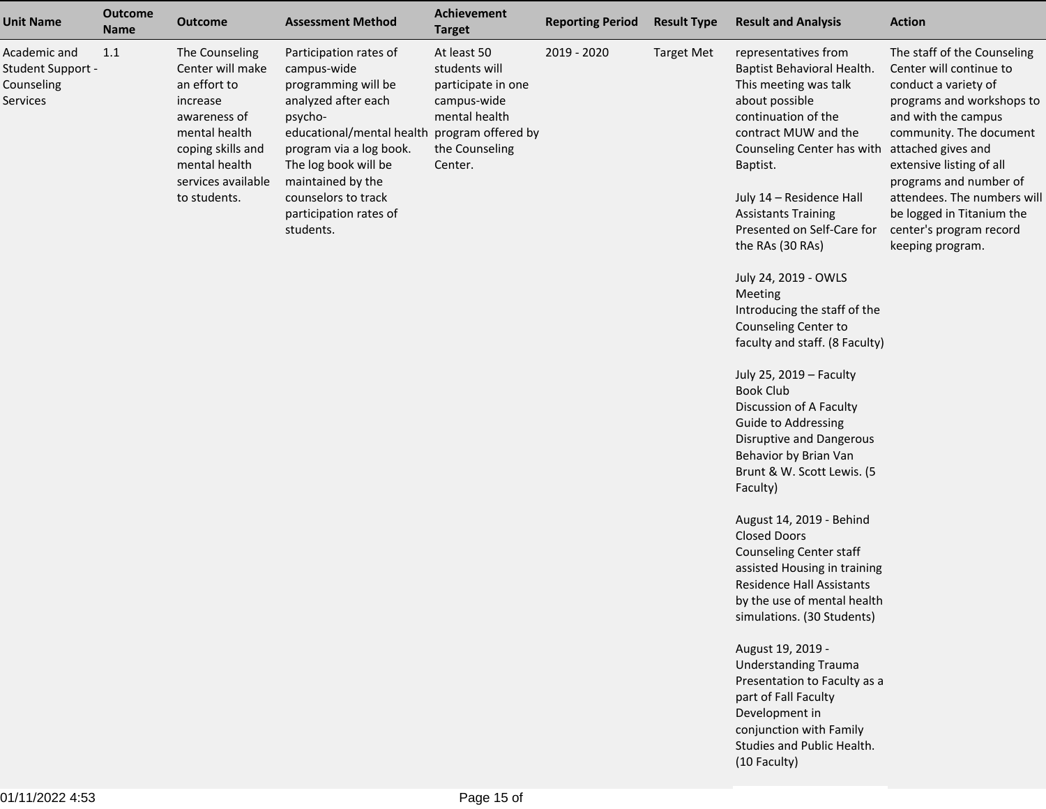| <b>Unit Name</b>                                            | <b>Outcome</b><br><b>Name</b> | <b>Outcome</b>                                                                                                                                                              | <b>Assessment Method</b>                                                                                                                                                                                                                                                             | Achievement<br><b>Target</b>                                                                                    | <b>Reporting Period</b> | <b>Result Type</b> | <b>Result and Analysis</b>                                                                                                                                                                                                                                                                                                                                                                                                                                                                                                                                                                                                             | <b>Action</b>                                                                                                                                                                                                                                                                                                                                        |
|-------------------------------------------------------------|-------------------------------|-----------------------------------------------------------------------------------------------------------------------------------------------------------------------------|--------------------------------------------------------------------------------------------------------------------------------------------------------------------------------------------------------------------------------------------------------------------------------------|-----------------------------------------------------------------------------------------------------------------|-------------------------|--------------------|----------------------------------------------------------------------------------------------------------------------------------------------------------------------------------------------------------------------------------------------------------------------------------------------------------------------------------------------------------------------------------------------------------------------------------------------------------------------------------------------------------------------------------------------------------------------------------------------------------------------------------------|------------------------------------------------------------------------------------------------------------------------------------------------------------------------------------------------------------------------------------------------------------------------------------------------------------------------------------------------------|
| Academic and<br>Student Support -<br>Counseling<br>Services | 1.1                           | The Counseling<br>Center will make<br>an effort to<br>increase<br>awareness of<br>mental health<br>coping skills and<br>mental health<br>services available<br>to students. | Participation rates of<br>campus-wide<br>programming will be<br>analyzed after each<br>psycho-<br>educational/mental health program offered by<br>program via a log book.<br>The log book will be<br>maintained by the<br>counselors to track<br>participation rates of<br>students. | At least 50<br>students will<br>participate in one<br>campus-wide<br>mental health<br>the Counseling<br>Center. | 2019 - 2020             | <b>Target Met</b>  | representatives from<br>Baptist Behavioral Health.<br>This meeting was talk<br>about possible<br>continuation of the<br>contract MUW and the<br>Counseling Center has with<br>Baptist.<br>July 14 - Residence Hall<br><b>Assistants Training</b><br>Presented on Self-Care for<br>the RAs (30 RAs)<br>July 24, 2019 - OWLS<br>Meeting<br>Introducing the staff of the<br>Counseling Center to<br>faculty and staff. (8 Faculty)<br>July 25, 2019 - Faculty<br><b>Book Club</b><br>Discussion of A Faculty<br><b>Guide to Addressing</b><br>Disruptive and Dangerous<br>Behavior by Brian Van<br>Brunt & W. Scott Lewis. (5<br>Faculty) | The staff of the Counseling<br>Center will continue to<br>conduct a variety of<br>programs and workshops to<br>and with the campus<br>community. The document<br>attached gives and<br>extensive listing of all<br>programs and number of<br>attendees. The numbers will<br>be logged in Titanium the<br>center's program record<br>keeping program. |
|                                                             |                               |                                                                                                                                                                             |                                                                                                                                                                                                                                                                                      |                                                                                                                 |                         |                    | August 14, 2019 - Behind<br><b>Closed Doors</b><br>Counseling Center staff<br>assisted Housing in training<br>Residence Hall Assistants<br>by the use of mental health<br>simulations. (30 Students)<br>August 19, 2019 -<br><b>Understanding Trauma</b>                                                                                                                                                                                                                                                                                                                                                                               |                                                                                                                                                                                                                                                                                                                                                      |
|                                                             |                               |                                                                                                                                                                             |                                                                                                                                                                                                                                                                                      |                                                                                                                 |                         |                    | Presentation to Faculty as a<br>part of Fall Faculty<br>Development in<br>conjunction with Family<br>Studies and Public Health.<br>(10 Faculty)                                                                                                                                                                                                                                                                                                                                                                                                                                                                                        |                                                                                                                                                                                                                                                                                                                                                      |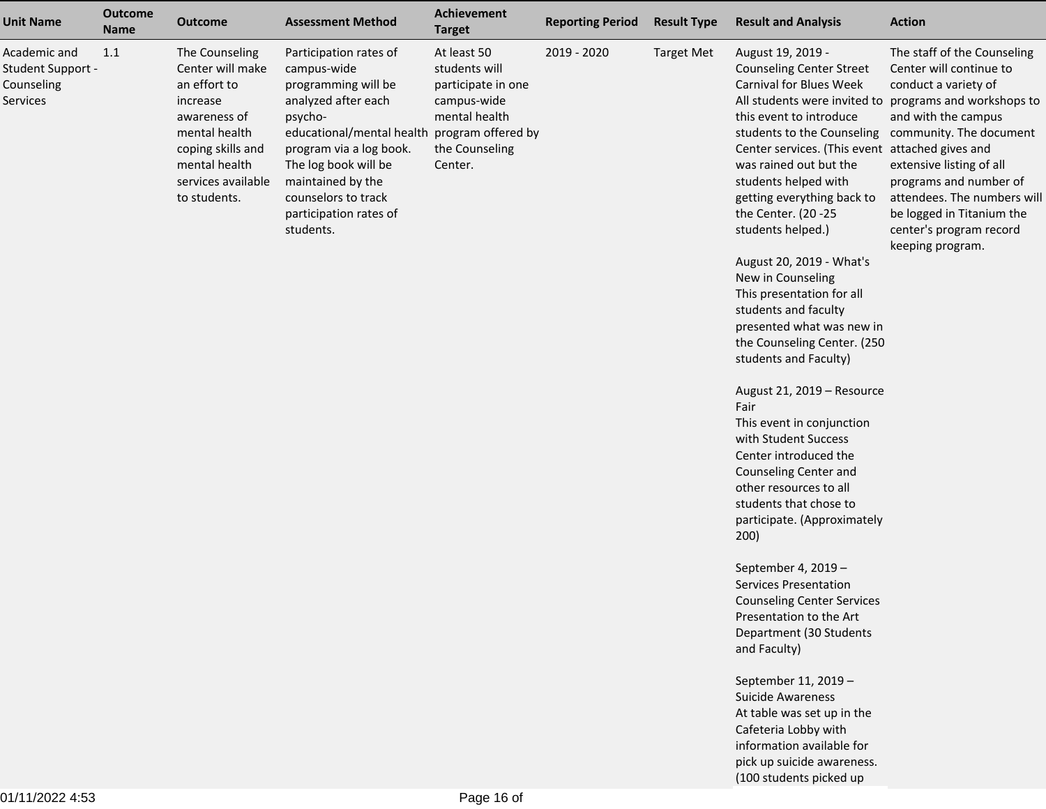| <b>Unit Name</b>                                            | <b>Outcome</b><br><b>Name</b> | <b>Outcome</b>                                                                                                                                                              | <b>Assessment Method</b>                                                                                                                                                                                                                                                             | Achievement<br><b>Target</b>                                                                                    | <b>Reporting Period</b> | <b>Result Type</b> | <b>Result and Analysis</b>                                                                                                                                                                                                                                                                                                                                                                                                                                                                                                                                                                                                                                                                                                                                                                                                                                                                                                                                                                   | <b>Action</b>                                                                                                                                                                                                                                                                                                                  |
|-------------------------------------------------------------|-------------------------------|-----------------------------------------------------------------------------------------------------------------------------------------------------------------------------|--------------------------------------------------------------------------------------------------------------------------------------------------------------------------------------------------------------------------------------------------------------------------------------|-----------------------------------------------------------------------------------------------------------------|-------------------------|--------------------|----------------------------------------------------------------------------------------------------------------------------------------------------------------------------------------------------------------------------------------------------------------------------------------------------------------------------------------------------------------------------------------------------------------------------------------------------------------------------------------------------------------------------------------------------------------------------------------------------------------------------------------------------------------------------------------------------------------------------------------------------------------------------------------------------------------------------------------------------------------------------------------------------------------------------------------------------------------------------------------------|--------------------------------------------------------------------------------------------------------------------------------------------------------------------------------------------------------------------------------------------------------------------------------------------------------------------------------|
| Academic and<br>Student Support -<br>Counseling<br>Services | 1.1                           | The Counseling<br>Center will make<br>an effort to<br>increase<br>awareness of<br>mental health<br>coping skills and<br>mental health<br>services available<br>to students. | Participation rates of<br>campus-wide<br>programming will be<br>analyzed after each<br>psycho-<br>educational/mental health program offered by<br>program via a log book.<br>The log book will be<br>maintained by the<br>counselors to track<br>participation rates of<br>students. | At least 50<br>students will<br>participate in one<br>campus-wide<br>mental health<br>the Counseling<br>Center. | 2019 - 2020             | <b>Target Met</b>  | August 19, 2019 -<br><b>Counseling Center Street</b><br><b>Carnival for Blues Week</b><br>All students were invited to<br>this event to introduce<br>students to the Counseling<br>Center services. (This event attached gives and<br>was rained out but the<br>students helped with<br>getting everything back to<br>the Center. (20 - 25<br>students helped.)<br>August 20, 2019 - What's<br>New in Counseling<br>This presentation for all<br>students and faculty<br>presented what was new in<br>the Counseling Center. (250<br>students and Faculty)<br>August 21, 2019 - Resource<br>Fair<br>This event in conjunction<br>with Student Success<br>Center introduced the<br>Counseling Center and<br>other resources to all<br>students that chose to<br>participate. (Approximately<br>200)<br>September 4, 2019 -<br><b>Services Presentation</b><br><b>Counseling Center Services</b><br>Presentation to the Art<br>Department (30 Students<br>and Faculty)<br>September 11, 2019 - | The staff of the Counseling<br>Center will continue to<br>conduct a variety of<br>programs and workshops to<br>and with the campus<br>community. The document<br>extensive listing of all<br>programs and number of<br>attendees. The numbers will<br>be logged in Titanium the<br>center's program record<br>keeping program. |
|                                                             |                               |                                                                                                                                                                             |                                                                                                                                                                                                                                                                                      |                                                                                                                 |                         |                    | <b>Suicide Awareness</b><br>At table was set up in the                                                                                                                                                                                                                                                                                                                                                                                                                                                                                                                                                                                                                                                                                                                                                                                                                                                                                                                                       |                                                                                                                                                                                                                                                                                                                                |
|                                                             |                               |                                                                                                                                                                             |                                                                                                                                                                                                                                                                                      |                                                                                                                 |                         |                    | Cafeteria Lobby with                                                                                                                                                                                                                                                                                                                                                                                                                                                                                                                                                                                                                                                                                                                                                                                                                                                                                                                                                                         |                                                                                                                                                                                                                                                                                                                                |
|                                                             |                               |                                                                                                                                                                             |                                                                                                                                                                                                                                                                                      |                                                                                                                 |                         |                    | information available for                                                                                                                                                                                                                                                                                                                                                                                                                                                                                                                                                                                                                                                                                                                                                                                                                                                                                                                                                                    |                                                                                                                                                                                                                                                                                                                                |
|                                                             |                               |                                                                                                                                                                             |                                                                                                                                                                                                                                                                                      |                                                                                                                 |                         |                    | pick up suicide awareness.                                                                                                                                                                                                                                                                                                                                                                                                                                                                                                                                                                                                                                                                                                                                                                                                                                                                                                                                                                   |                                                                                                                                                                                                                                                                                                                                |
|                                                             |                               |                                                                                                                                                                             |                                                                                                                                                                                                                                                                                      |                                                                                                                 |                         |                    | (100 students picked up                                                                                                                                                                                                                                                                                                                                                                                                                                                                                                                                                                                                                                                                                                                                                                                                                                                                                                                                                                      |                                                                                                                                                                                                                                                                                                                                |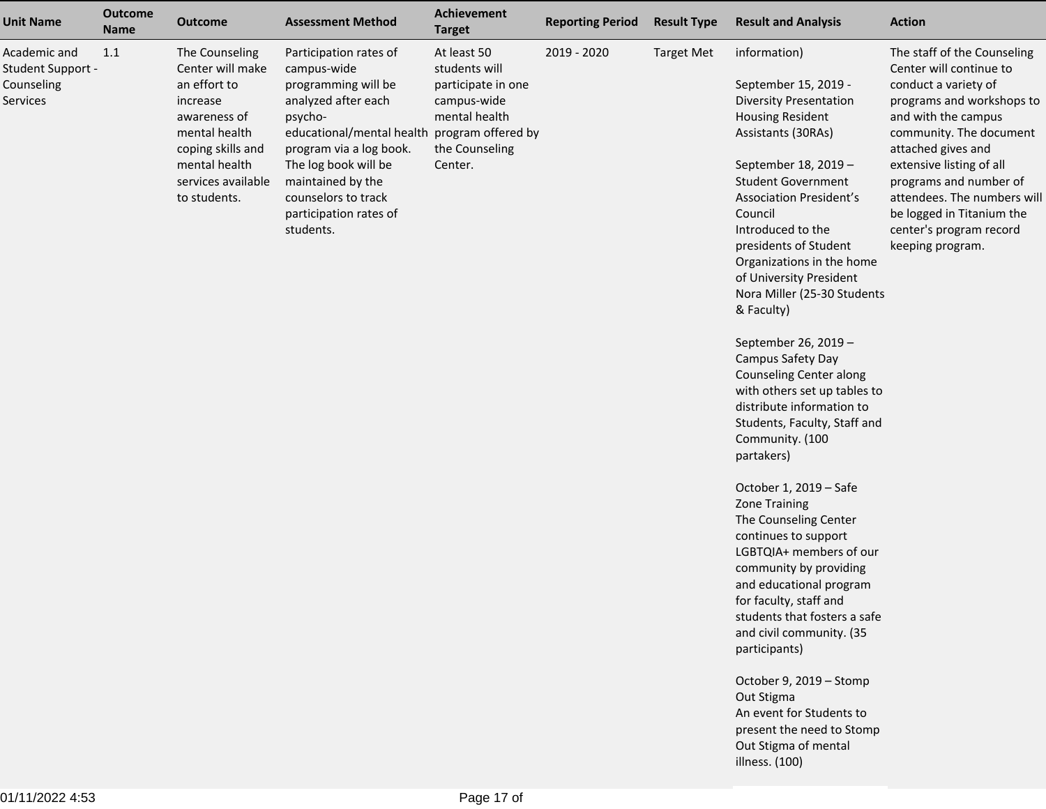| <b>Unit Name</b>                                            | <b>Outcome</b><br><b>Name</b> | <b>Outcome</b>                                                                                                                                                              | <b>Assessment Method</b>                                                                                                                                                                                                                                                             | Achievement<br><b>Target</b>                                                                                    | <b>Reporting Period</b> | <b>Result Type</b> | <b>Result and Analysis</b>                                                                                                                                                                                                                                                                                                                                                                                                                                                                                                                                                                                                                                                                                                                                                                                                                                                                                                                                                                                              | <b>Action</b>                                                                                                                                                                                                                                                                                                                                        |
|-------------------------------------------------------------|-------------------------------|-----------------------------------------------------------------------------------------------------------------------------------------------------------------------------|--------------------------------------------------------------------------------------------------------------------------------------------------------------------------------------------------------------------------------------------------------------------------------------|-----------------------------------------------------------------------------------------------------------------|-------------------------|--------------------|-------------------------------------------------------------------------------------------------------------------------------------------------------------------------------------------------------------------------------------------------------------------------------------------------------------------------------------------------------------------------------------------------------------------------------------------------------------------------------------------------------------------------------------------------------------------------------------------------------------------------------------------------------------------------------------------------------------------------------------------------------------------------------------------------------------------------------------------------------------------------------------------------------------------------------------------------------------------------------------------------------------------------|------------------------------------------------------------------------------------------------------------------------------------------------------------------------------------------------------------------------------------------------------------------------------------------------------------------------------------------------------|
| Academic and<br>Student Support -<br>Counseling<br>Services | 1.1                           | The Counseling<br>Center will make<br>an effort to<br>increase<br>awareness of<br>mental health<br>coping skills and<br>mental health<br>services available<br>to students. | Participation rates of<br>campus-wide<br>programming will be<br>analyzed after each<br>psycho-<br>educational/mental health program offered by<br>program via a log book.<br>The log book will be<br>maintained by the<br>counselors to track<br>participation rates of<br>students. | At least 50<br>students will<br>participate in one<br>campus-wide<br>mental health<br>the Counseling<br>Center. | 2019 - 2020             | <b>Target Met</b>  | information)<br>September 15, 2019 -<br><b>Diversity Presentation</b><br><b>Housing Resident</b><br>Assistants (30RAs)<br>September 18, 2019 -<br><b>Student Government</b><br><b>Association President's</b><br>Council<br>Introduced to the<br>presidents of Student<br>Organizations in the home<br>of University President<br>Nora Miller (25-30 Students<br>& Faculty)<br>September 26, 2019 -<br>Campus Safety Day<br><b>Counseling Center along</b><br>with others set up tables to<br>distribute information to<br>Students, Faculty, Staff and<br>Community. (100<br>partakers)<br>October 1, 2019 – Safe<br>Zone Training<br>The Counseling Center<br>continues to support<br>LGBTQIA+ members of our<br>community by providing<br>and educational program<br>for faculty, staff and<br>students that fosters a safe<br>and civil community. (35<br>participants)<br>October 9, 2019 - Stomp<br>Out Stigma<br>An event for Students to<br>present the need to Stomp<br>Out Stigma of mental<br>illness. (100) | The staff of the Counseling<br>Center will continue to<br>conduct a variety of<br>programs and workshops to<br>and with the campus<br>community. The document<br>attached gives and<br>extensive listing of all<br>programs and number of<br>attendees. The numbers will<br>be logged in Titanium the<br>center's program record<br>keeping program. |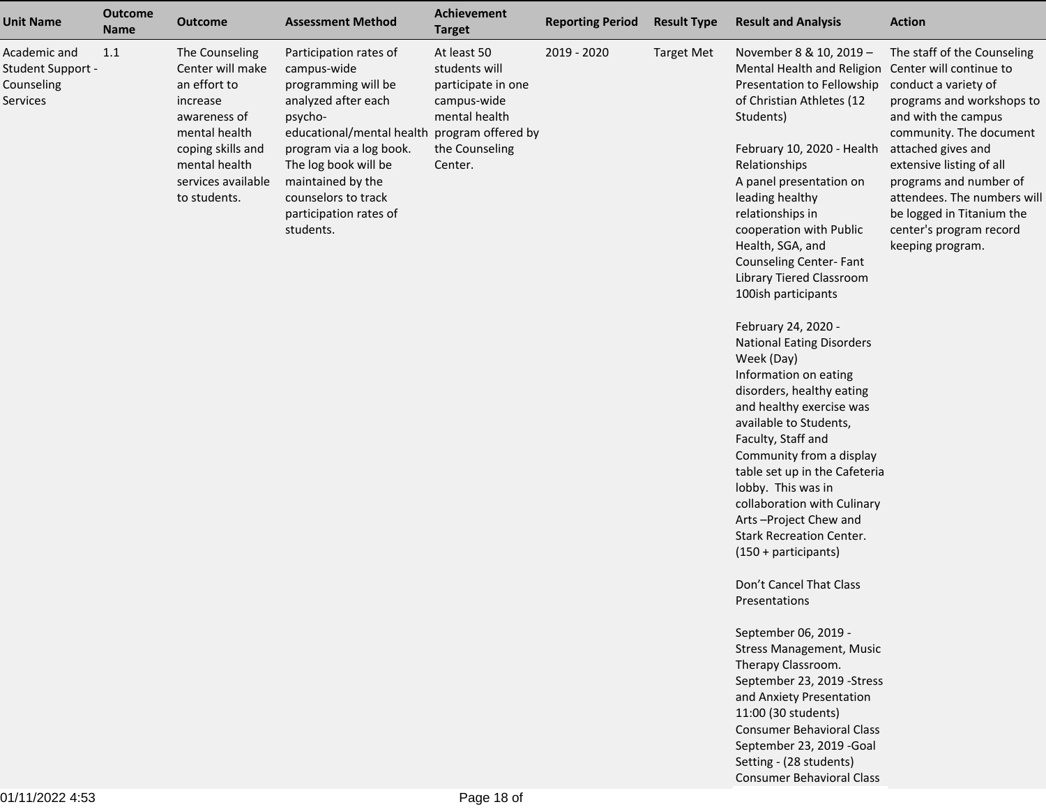| <b>Result and Analysis</b><br><b>Action</b>                                                                                                                                                                                                                                                                                                                                                                                                                                                                                                                                                                                                                                                                                                                                                                                                                                                                                |                                                                                                                                                                                                                                                                                                                           |
|----------------------------------------------------------------------------------------------------------------------------------------------------------------------------------------------------------------------------------------------------------------------------------------------------------------------------------------------------------------------------------------------------------------------------------------------------------------------------------------------------------------------------------------------------------------------------------------------------------------------------------------------------------------------------------------------------------------------------------------------------------------------------------------------------------------------------------------------------------------------------------------------------------------------------|---------------------------------------------------------------------------------------------------------------------------------------------------------------------------------------------------------------------------------------------------------------------------------------------------------------------------|
| November 8 & 10, 2019 -<br>Mental Health and Religion Center will continue to<br>Presentation to Fellowship<br>of Christian Athletes (12<br>Students)<br>February 10, 2020 - Health<br>Relationships<br>A panel presentation on<br>leading healthy<br>relationships in<br>cooperation with Public<br>Health, SGA, and<br>Counseling Center-Fant<br>Library Tiered Classroom<br>100ish participants<br>February 24, 2020 -<br><b>National Eating Disorders</b><br>Week (Day)<br>Information on eating<br>disorders, healthy eating<br>and healthy exercise was<br>available to Students,<br>Faculty, Staff and<br>Community from a display<br>table set up in the Cafeteria<br>lobby. This was in<br>collaboration with Culinary<br>Arts-Project Chew and<br><b>Stark Recreation Center.</b><br>(150 + participants)<br>Don't Cancel That Class<br>Presentations<br>September 06, 2019 -<br><b>Stress Management, Music</b> | The staff of the Counseling<br>conduct a variety of<br>programs and workshops to<br>and with the campus<br>community. The document<br>attached gives and<br>extensive listing of all<br>programs and number of<br>attendees. The numbers will<br>be logged in Titanium the<br>center's program record<br>keeping program. |
| Therapy Classroom.<br>September 23, 2019 -Stress<br>and Anxiety Presentation<br>11:00 (30 students)<br><b>Consumer Behavioral Class</b><br>September 23, 2019 - Goal                                                                                                                                                                                                                                                                                                                                                                                                                                                                                                                                                                                                                                                                                                                                                       |                                                                                                                                                                                                                                                                                                                           |
|                                                                                                                                                                                                                                                                                                                                                                                                                                                                                                                                                                                                                                                                                                                                                                                                                                                                                                                            | Setting - (28 students)                                                                                                                                                                                                                                                                                                   |

Consumer Behavioral Class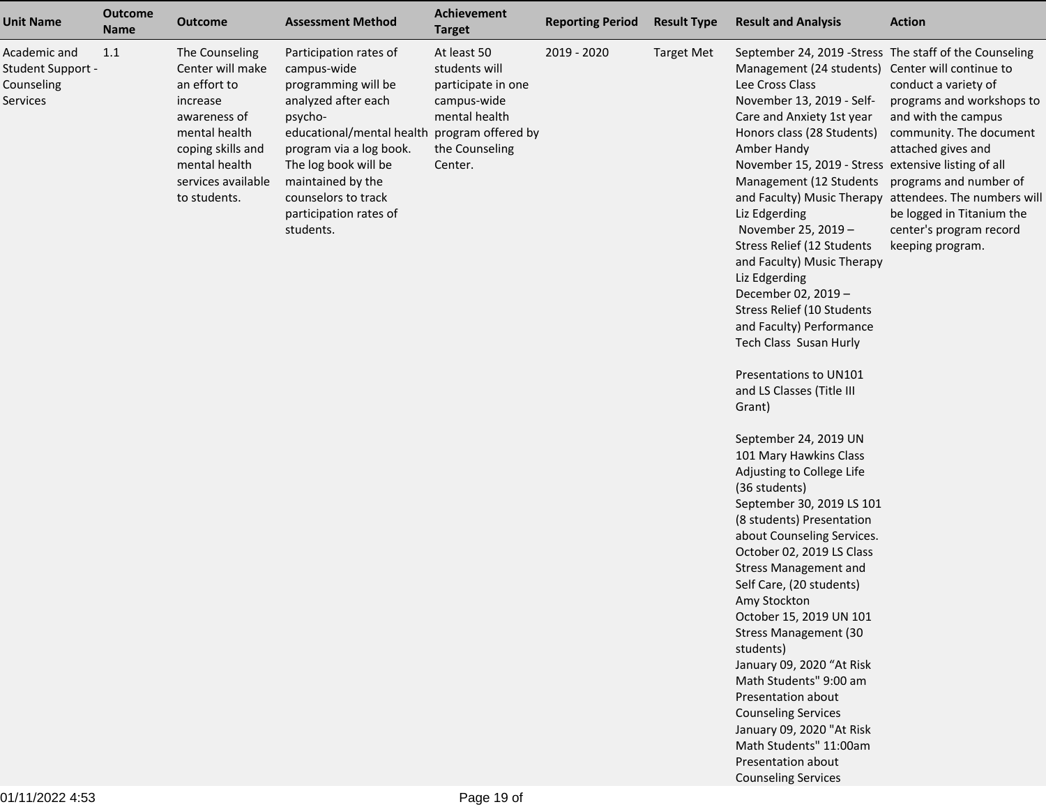| <b>Unit Name</b>                                            | <b>Outcome</b><br><b>Name</b> | <b>Outcome</b>                                                                                                                                                              | <b>Assessment Method</b>                                                                                                                                                                                                                                                             | Achievement<br><b>Target</b>                                                                                    | <b>Reporting Period</b> | <b>Result Type</b> | <b>Result and Analysis</b>                                                                                                                                                                                                                                                                                                                                                                                                                                                                                                                                                                                                                                                                                                                                                                                                                                                                                                                                                                                                                                                                                                                                                                                                                      | <b>Action</b>                                                                                                                                                                                                                                                   |
|-------------------------------------------------------------|-------------------------------|-----------------------------------------------------------------------------------------------------------------------------------------------------------------------------|--------------------------------------------------------------------------------------------------------------------------------------------------------------------------------------------------------------------------------------------------------------------------------------|-----------------------------------------------------------------------------------------------------------------|-------------------------|--------------------|-------------------------------------------------------------------------------------------------------------------------------------------------------------------------------------------------------------------------------------------------------------------------------------------------------------------------------------------------------------------------------------------------------------------------------------------------------------------------------------------------------------------------------------------------------------------------------------------------------------------------------------------------------------------------------------------------------------------------------------------------------------------------------------------------------------------------------------------------------------------------------------------------------------------------------------------------------------------------------------------------------------------------------------------------------------------------------------------------------------------------------------------------------------------------------------------------------------------------------------------------|-----------------------------------------------------------------------------------------------------------------------------------------------------------------------------------------------------------------------------------------------------------------|
| Academic and<br>Student Support -<br>Counseling<br>Services | 1.1                           | The Counseling<br>Center will make<br>an effort to<br>increase<br>awareness of<br>mental health<br>coping skills and<br>mental health<br>services available<br>to students. | Participation rates of<br>campus-wide<br>programming will be<br>analyzed after each<br>psycho-<br>educational/mental health program offered by<br>program via a log book.<br>The log book will be<br>maintained by the<br>counselors to track<br>participation rates of<br>students. | At least 50<br>students will<br>participate in one<br>campus-wide<br>mental health<br>the Counseling<br>Center. | 2019 - 2020             | <b>Target Met</b>  | September 24, 2019 - Stress The staff of the Counseling<br>Management (24 students) Center will continue to<br>Lee Cross Class<br>November 13, 2019 - Self-<br>Care and Anxiety 1st year<br>Honors class (28 Students)<br>Amber Handy<br>November 15, 2019 - Stress extensive listing of all<br>Management (12 Students programs and number of<br>Liz Edgerding<br>November 25, 2019 -<br>Stress Relief (12 Students<br>and Faculty) Music Therapy<br>Liz Edgerding<br>December 02, 2019 -<br>Stress Relief (10 Students<br>and Faculty) Performance<br>Tech Class Susan Hurly<br>Presentations to UN101<br>and LS Classes (Title III<br>Grant)<br>September 24, 2019 UN<br>101 Mary Hawkins Class<br>Adjusting to College Life<br>(36 students)<br>September 30, 2019 LS 101<br>(8 students) Presentation<br>about Counseling Services.<br>October 02, 2019 LS Class<br><b>Stress Management and</b><br>Self Care, (20 students)<br>Amy Stockton<br>October 15, 2019 UN 101<br><b>Stress Management (30</b><br>students)<br>January 09, 2020 "At Risk<br>Math Students" 9:00 am<br>Presentation about<br><b>Counseling Services</b><br>January 09, 2020 "At Risk<br>Math Students" 11:00am<br>Presentation about<br><b>Counseling Services</b> | conduct a variety of<br>programs and workshops to<br>and with the campus<br>community. The document<br>attached gives and<br>and Faculty) Music Therapy attendees. The numbers will<br>be logged in Titanium the<br>center's program record<br>keeping program. |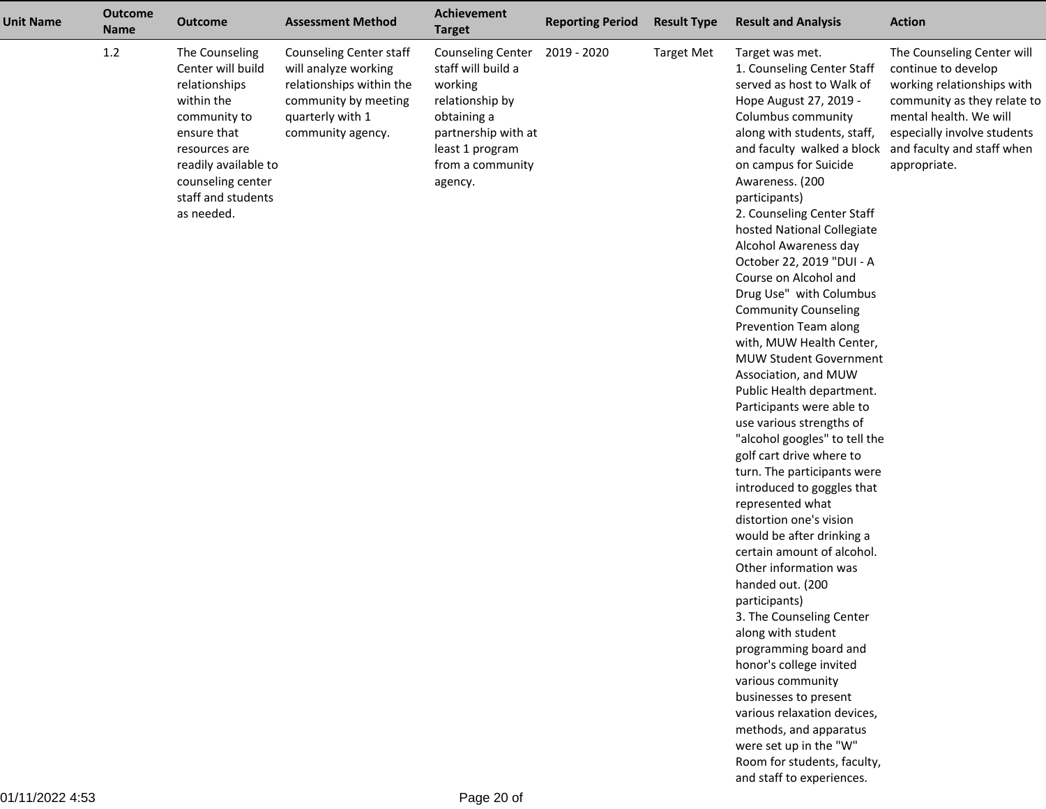| <b>Unit Name</b> | <b>Outcome</b><br><b>Name</b> | <b>Outcome</b>                                                                                                                                                                                      | <b>Assessment Method</b>                                                                                                                     | Achievement<br><b>Target</b>                                                                                                                                         | <b>Reporting Period</b> | <b>Result Type</b> | <b>Result and Analysis</b>                                                                                                                                                                                                                                                                                                                                                                                                                                                                                                                                                                                                                                                                                                                                                                                                                                                                                                                                                                                                                                                                                                                                                                                                                                         | <b>Action</b>                                                                                                                                                                                                         |
|------------------|-------------------------------|-----------------------------------------------------------------------------------------------------------------------------------------------------------------------------------------------------|----------------------------------------------------------------------------------------------------------------------------------------------|----------------------------------------------------------------------------------------------------------------------------------------------------------------------|-------------------------|--------------------|--------------------------------------------------------------------------------------------------------------------------------------------------------------------------------------------------------------------------------------------------------------------------------------------------------------------------------------------------------------------------------------------------------------------------------------------------------------------------------------------------------------------------------------------------------------------------------------------------------------------------------------------------------------------------------------------------------------------------------------------------------------------------------------------------------------------------------------------------------------------------------------------------------------------------------------------------------------------------------------------------------------------------------------------------------------------------------------------------------------------------------------------------------------------------------------------------------------------------------------------------------------------|-----------------------------------------------------------------------------------------------------------------------------------------------------------------------------------------------------------------------|
|                  | 1.2                           | The Counseling<br>Center will build<br>relationships<br>within the<br>community to<br>ensure that<br>resources are<br>readily available to<br>counseling center<br>staff and students<br>as needed. | Counseling Center staff<br>will analyze working<br>relationships within the<br>community by meeting<br>quarterly with 1<br>community agency. | <b>Counseling Center</b><br>staff will build a<br>working<br>relationship by<br>obtaining a<br>partnership with at<br>least 1 program<br>from a community<br>agency. | 2019 - 2020             | <b>Target Met</b>  | Target was met.<br>1. Counseling Center Staff<br>served as host to Walk of<br>Hope August 27, 2019 -<br>Columbus community<br>along with students, staff,<br>and faculty walked a block<br>on campus for Suicide<br>Awareness. (200<br>participants)<br>2. Counseling Center Staff<br>hosted National Collegiate<br>Alcohol Awareness day<br>October 22, 2019 "DUI - A<br>Course on Alcohol and<br>Drug Use" with Columbus<br><b>Community Counseling</b><br>Prevention Team along<br>with, MUW Health Center,<br><b>MUW Student Government</b><br>Association, and MUW<br>Public Health department.<br>Participants were able to<br>use various strengths of<br>"alcohol googles" to tell the<br>golf cart drive where to<br>turn. The participants were<br>introduced to goggles that<br>represented what<br>distortion one's vision<br>would be after drinking a<br>certain amount of alcohol.<br>Other information was<br>handed out. (200<br>participants)<br>3. The Counseling Center<br>along with student<br>programming board and<br>honor's college invited<br>various community<br>businesses to present<br>various relaxation devices,<br>methods, and apparatus<br>were set up in the "W"<br>Room for students, faculty,<br>and staff to experiences. | The Counseling Center will<br>continue to develop<br>working relationships with<br>community as they relate to<br>mental health. We will<br>especially involve students<br>and faculty and staff when<br>appropriate. |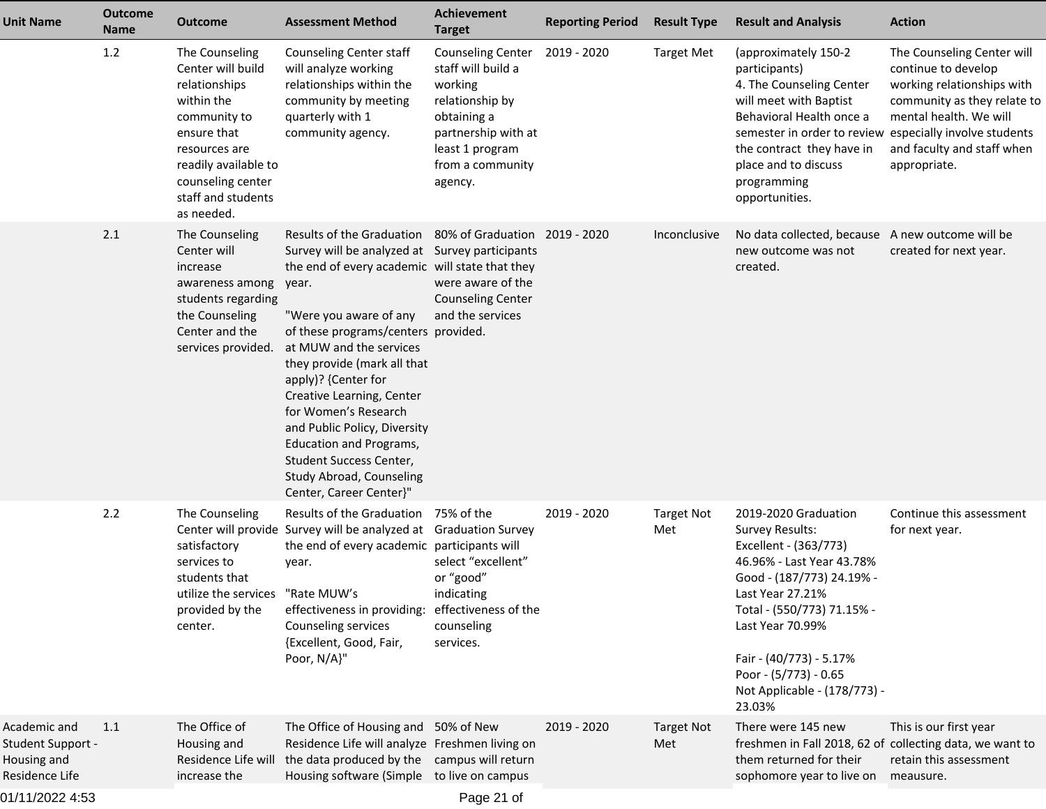| <b>Unit Name</b>                                                   | <b>Outcome</b><br><b>Name</b> | <b>Outcome</b>                                                                                                                                                                                      | <b>Assessment Method</b>                                                                                                                                                                                                                                                                                                                                                                                                                                                                                                        | Achievement<br><b>Target</b>                                                                                                                                              | <b>Reporting Period</b> | <b>Result Type</b>       | <b>Result and Analysis</b>                                                                                                                                                                                                                                                                            | <b>Action</b>                                                                                                                                                                          |
|--------------------------------------------------------------------|-------------------------------|-----------------------------------------------------------------------------------------------------------------------------------------------------------------------------------------------------|---------------------------------------------------------------------------------------------------------------------------------------------------------------------------------------------------------------------------------------------------------------------------------------------------------------------------------------------------------------------------------------------------------------------------------------------------------------------------------------------------------------------------------|---------------------------------------------------------------------------------------------------------------------------------------------------------------------------|-------------------------|--------------------------|-------------------------------------------------------------------------------------------------------------------------------------------------------------------------------------------------------------------------------------------------------------------------------------------------------|----------------------------------------------------------------------------------------------------------------------------------------------------------------------------------------|
|                                                                    | 1.2                           | The Counseling<br>Center will build<br>relationships<br>within the<br>community to<br>ensure that<br>resources are<br>readily available to<br>counseling center<br>staff and students<br>as needed. | Counseling Center staff<br>will analyze working<br>relationships within the<br>community by meeting<br>quarterly with 1<br>community agency.                                                                                                                                                                                                                                                                                                                                                                                    | Counseling Center 2019 - 2020<br>staff will build a<br>working<br>relationship by<br>obtaining a<br>partnership with at<br>least 1 program<br>from a community<br>agency. |                         | <b>Target Met</b>        | (approximately 150-2<br>participants)<br>4. The Counseling Center<br>will meet with Baptist<br>Behavioral Health once a<br>semester in order to review especially involve students<br>the contract they have in<br>place and to discuss<br>programming<br>opportunities.                              | The Counseling Center will<br>continue to develop<br>working relationships with<br>community as they relate to<br>mental health. We will<br>and faculty and staff when<br>appropriate. |
|                                                                    | 2.1                           | The Counseling<br>Center will<br>increase<br>awareness among<br>students regarding<br>the Counseling<br>Center and the<br>services provided.                                                        | Results of the Graduation 80% of Graduation 2019 - 2020<br>Survey will be analyzed at Survey participants<br>the end of every academic will state that they<br>year.<br>"Were you aware of any<br>of these programs/centers provided.<br>at MUW and the services<br>they provide (mark all that<br>apply)? {Center for<br>Creative Learning, Center<br>for Women's Research<br>and Public Policy, Diversity<br><b>Education and Programs,</b><br>Student Success Center,<br>Study Abroad, Counseling<br>Center, Career Center}" | were aware of the<br><b>Counseling Center</b><br>and the services                                                                                                         |                         | Inconclusive             | No data collected, because A new outcome will be<br>new outcome was not<br>created.                                                                                                                                                                                                                   | created for next year.                                                                                                                                                                 |
|                                                                    | 2.2                           | The Counseling<br>satisfactory<br>services to<br>students that<br>utilize the services "Rate MUW's<br>provided by the<br>center.                                                                    | Results of the Graduation 75% of the<br>Center will provide Survey will be analyzed at Graduation Survey<br>the end of every academic participants will<br>year.<br>effectiveness in providing:<br>Counseling services<br>{Excellent, Good, Fair,<br>Poor, N/A}"                                                                                                                                                                                                                                                                | select "excellent"<br>or "good"<br>indicating<br>effectiveness of the<br>counseling<br>services.                                                                          | 2019 - 2020             | <b>Target Not</b><br>Met | 2019-2020 Graduation<br><b>Survey Results:</b><br>Excellent - (363/773)<br>46.96% - Last Year 43.78%<br>Good - (187/773) 24.19% -<br>Last Year 27.21%<br>Total - (550/773) 71.15% -<br>Last Year 70.99%<br>Fair - (40/773) - 5.17%<br>Poor - (5/773) - 0.65<br>Not Applicable - (178/773) -<br>23.03% | Continue this assessment<br>for next year.                                                                                                                                             |
| Academic and<br>Student Support -<br>Housing and<br>Residence Life | 1.1                           | The Office of<br>Housing and<br>Residence Life will<br>increase the                                                                                                                                 | The Office of Housing and 50% of New<br>Residence Life will analyze Freshmen living on<br>the data produced by the campus will return<br>Housing software (Simple to live on campus                                                                                                                                                                                                                                                                                                                                             |                                                                                                                                                                           | 2019 - 2020             | <b>Target Not</b><br>Met | There were 145 new<br>freshmen in Fall 2018, 62 of collecting data, we want to<br>them returned for their<br>sophomore year to live on                                                                                                                                                                | This is our first year<br>retain this assessment<br>meausure.                                                                                                                          |
| 01/11/2022 4:53                                                    |                               |                                                                                                                                                                                                     |                                                                                                                                                                                                                                                                                                                                                                                                                                                                                                                                 | Page 21 of                                                                                                                                                                |                         |                          |                                                                                                                                                                                                                                                                                                       |                                                                                                                                                                                        |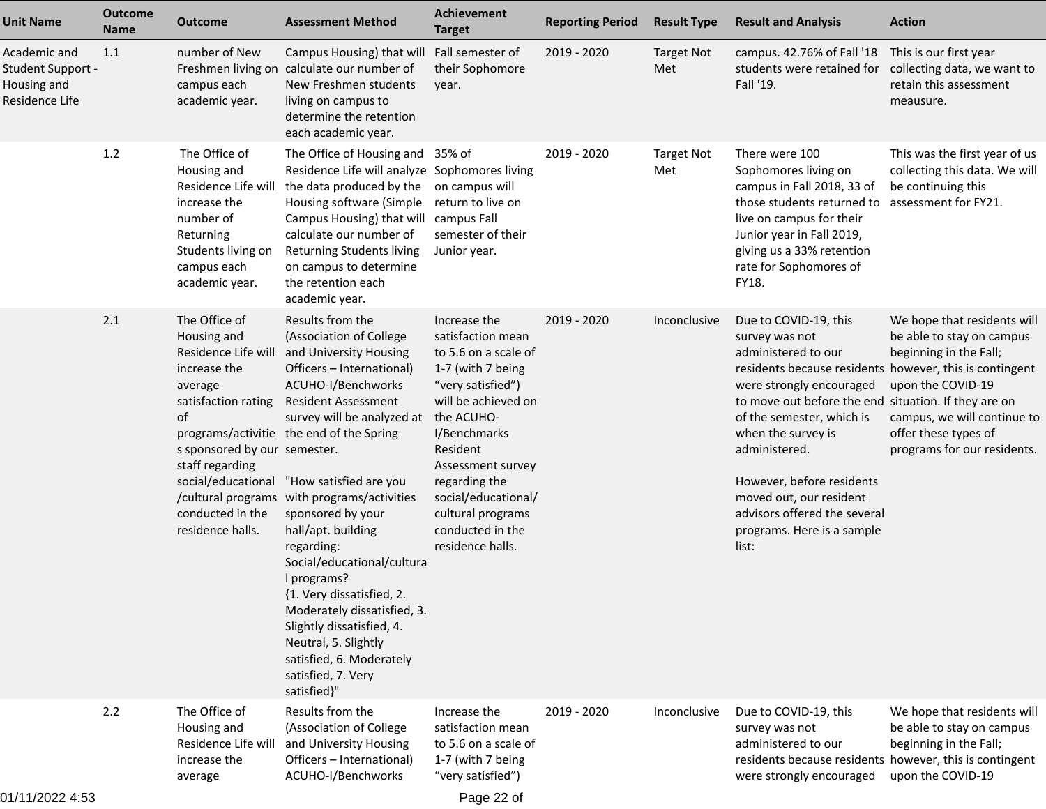| <b>Unit Name</b>                                                   | <b>Outcome</b><br><b>Name</b> | <b>Outcome</b>                                                                                                                                                                                         | <b>Assessment Method</b>                                                                                                                                                                                                                                                                                                                                                                                                                                                                                                                                                                                             | <b>Achievement</b><br><b>Target</b>                                                                                                                                                                                                                                                            | <b>Reporting Period</b> | <b>Result Type</b>       | <b>Result and Analysis</b>                                                                                                                                                                                                                                                                                                                                                                                       | <b>Action</b>                                                                                                                                                                                 |
|--------------------------------------------------------------------|-------------------------------|--------------------------------------------------------------------------------------------------------------------------------------------------------------------------------------------------------|----------------------------------------------------------------------------------------------------------------------------------------------------------------------------------------------------------------------------------------------------------------------------------------------------------------------------------------------------------------------------------------------------------------------------------------------------------------------------------------------------------------------------------------------------------------------------------------------------------------------|------------------------------------------------------------------------------------------------------------------------------------------------------------------------------------------------------------------------------------------------------------------------------------------------|-------------------------|--------------------------|------------------------------------------------------------------------------------------------------------------------------------------------------------------------------------------------------------------------------------------------------------------------------------------------------------------------------------------------------------------------------------------------------------------|-----------------------------------------------------------------------------------------------------------------------------------------------------------------------------------------------|
| Academic and<br>Student Support -<br>Housing and<br>Residence Life | 1.1                           | number of New<br>Freshmen living on<br>campus each<br>academic year.                                                                                                                                   | Campus Housing) that will Fall semester of<br>calculate our number of<br>New Freshmen students<br>living on campus to<br>determine the retention<br>each academic year.                                                                                                                                                                                                                                                                                                                                                                                                                                              | their Sophomore<br>year.                                                                                                                                                                                                                                                                       | 2019 - 2020             | <b>Target Not</b><br>Met | campus. 42.76% of Fall '18<br>students were retained for<br>Fall '19.                                                                                                                                                                                                                                                                                                                                            | This is our first year<br>collecting data, we want to<br>retain this assessment<br>meausure.                                                                                                  |
|                                                                    | 1.2                           | The Office of<br>Housing and<br>Residence Life will<br>increase the<br>number of<br>Returning<br>Students living on<br>campus each<br>academic year.                                                   | The Office of Housing and 35% of<br>Residence Life will analyze Sophomores living<br>the data produced by the<br>Housing software (Simple<br>Campus Housing) that will campus Fall<br>calculate our number of<br><b>Returning Students living</b><br>on campus to determine<br>the retention each<br>academic year.                                                                                                                                                                                                                                                                                                  | on campus will<br>return to live on<br>semester of their<br>Junior year.                                                                                                                                                                                                                       | 2019 - 2020             | <b>Target Not</b><br>Met | There were 100<br>Sophomores living on<br>campus in Fall 2018, 33 of<br>those students returned to<br>live on campus for their<br>Junior year in Fall 2019,<br>giving us a 33% retention<br>rate for Sophomores of<br>FY18.                                                                                                                                                                                      | This was the first year of us<br>collecting this data. We will<br>be continuing this<br>assessment for FY21.                                                                                  |
|                                                                    | 2.1                           | The Office of<br>Housing and<br>Residence Life will<br>increase the<br>average<br>satisfaction rating<br>of<br>s sponsored by our semester.<br>staff regarding<br>conducted in the<br>residence halls. | Results from the<br>(Association of College<br>and University Housing<br>Officers - International)<br>ACUHO-I/Benchworks<br><b>Resident Assessment</b><br>survey will be analyzed at<br>programs/activitie the end of the Spring<br>social/educational "How satisfied are you<br>/cultural programs with programs/activities<br>sponsored by your<br>hall/apt. building<br>regarding:<br>Social/educational/cultura<br>I programs?<br>{1. Very dissatisfied, 2.<br>Moderately dissatisfied, 3.<br>Slightly dissatisfied, 4.<br>Neutral, 5. Slightly<br>satisfied, 6. Moderately<br>satisfied, 7. Very<br>satisfied}" | Increase the<br>satisfaction mean<br>to 5.6 on a scale of<br>1-7 (with 7 being<br>"very satisfied")<br>will be achieved on<br>the ACUHO-<br>I/Benchmarks<br>Resident<br>Assessment survey<br>regarding the<br>social/educational/<br>cultural programs<br>conducted in the<br>residence halls. | 2019 - 2020             | Inconclusive             | Due to COVID-19, this<br>survey was not<br>administered to our<br>residents because residents however, this is contingent<br>were strongly encouraged<br>to move out before the end situation. If they are on<br>of the semester, which is<br>when the survey is<br>administered.<br>However, before residents<br>moved out, our resident<br>advisors offered the several<br>programs. Here is a sample<br>list: | We hope that residents will<br>be able to stay on campus<br>beginning in the Fall;<br>upon the COVID-19<br>campus, we will continue to<br>offer these types of<br>programs for our residents. |
|                                                                    | 2.2                           | The Office of<br>Housing and<br>Residence Life will<br>increase the<br>average                                                                                                                         | Results from the<br>(Association of College<br>and University Housing<br>Officers - International)<br>ACUHO-I/Benchworks                                                                                                                                                                                                                                                                                                                                                                                                                                                                                             | Increase the<br>satisfaction mean<br>to 5.6 on a scale of<br>1-7 (with 7 being<br>"very satisfied")                                                                                                                                                                                            | 2019 - 2020             | Inconclusive             | Due to COVID-19, this<br>survey was not<br>administered to our<br>residents because residents however, this is contingent<br>were strongly encouraged                                                                                                                                                                                                                                                            | We hope that residents will<br>be able to stay on campus<br>beginning in the Fall;<br>upon the COVID-19                                                                                       |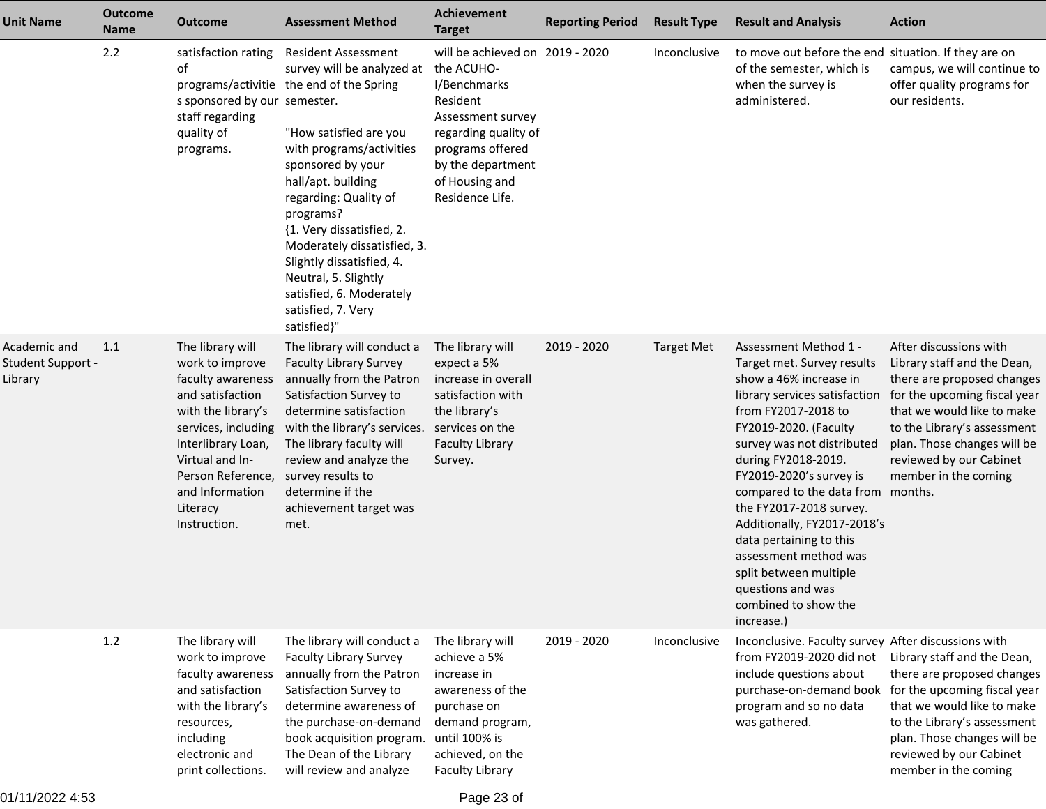| <b>Unit Name</b>                             | <b>Outcome</b><br><b>Name</b> | <b>Outcome</b>                                                                                                                                                                                                                         | <b>Assessment Method</b>                                                                                                                                                                                                                                                                                                                                                                                                      | <b>Achievement</b><br><b>Target</b>                                                                                                                                                                  | <b>Reporting Period</b> | <b>Result Type</b> | <b>Result and Analysis</b>                                                                                                                                                                                                                                                                                                                                                                                                                                                             | <b>Action</b>                                                                                                                                                                                                                                                      |
|----------------------------------------------|-------------------------------|----------------------------------------------------------------------------------------------------------------------------------------------------------------------------------------------------------------------------------------|-------------------------------------------------------------------------------------------------------------------------------------------------------------------------------------------------------------------------------------------------------------------------------------------------------------------------------------------------------------------------------------------------------------------------------|------------------------------------------------------------------------------------------------------------------------------------------------------------------------------------------------------|-------------------------|--------------------|----------------------------------------------------------------------------------------------------------------------------------------------------------------------------------------------------------------------------------------------------------------------------------------------------------------------------------------------------------------------------------------------------------------------------------------------------------------------------------------|--------------------------------------------------------------------------------------------------------------------------------------------------------------------------------------------------------------------------------------------------------------------|
|                                              | 2.2                           | satisfaction rating<br>0f<br>s sponsored by our semester.<br>staff regarding<br>quality of<br>programs.                                                                                                                                | <b>Resident Assessment</b><br>survey will be analyzed at<br>programs/activitie the end of the Spring<br>"How satisfied are you<br>with programs/activities<br>sponsored by your<br>hall/apt. building<br>regarding: Quality of<br>programs?<br>{1. Very dissatisfied, 2.<br>Moderately dissatisfied, 3.<br>Slightly dissatisfied, 4.<br>Neutral, 5. Slightly<br>satisfied, 6. Moderately<br>satisfied, 7. Very<br>satisfied}" | will be achieved on 2019 - 2020<br>the ACUHO-<br>I/Benchmarks<br>Resident<br>Assessment survey<br>regarding quality of<br>programs offered<br>by the department<br>of Housing and<br>Residence Life. |                         | Inconclusive       | to move out before the end situation. If they are on<br>of the semester, which is<br>when the survey is<br>administered.                                                                                                                                                                                                                                                                                                                                                               | campus, we will continue to<br>offer quality programs for<br>our residents.                                                                                                                                                                                        |
| Academic and<br>Student Support -<br>Library | 1.1                           | The library will<br>work to improve<br>faculty awareness<br>and satisfaction<br>with the library's<br>services, including<br>Interlibrary Loan,<br>Virtual and In-<br>Person Reference,<br>and Information<br>Literacy<br>Instruction. | The library will conduct a<br><b>Faculty Library Survey</b><br>annually from the Patron<br>Satisfaction Survey to<br>determine satisfaction<br>with the library's services.<br>The library faculty will<br>review and analyze the<br>survey results to<br>determine if the<br>achievement target was<br>met.                                                                                                                  | The library will<br>expect a 5%<br>increase in overall<br>satisfaction with<br>the library's<br>services on the<br><b>Faculty Library</b><br>Survey.                                                 | 2019 - 2020             | <b>Target Met</b>  | Assessment Method 1 -<br>Target met. Survey results<br>show a 46% increase in<br>library services satisfaction<br>from FY2017-2018 to<br>FY2019-2020. (Faculty<br>survey was not distributed<br>during FY2018-2019.<br>FY2019-2020's survey is<br>compared to the data from months.<br>the FY2017-2018 survey.<br>Additionally, FY2017-2018's<br>data pertaining to this<br>assessment method was<br>split between multiple<br>questions and was<br>combined to show the<br>increase.) | After discussions with<br>Library staff and the Dean,<br>there are proposed changes<br>for the upcoming fiscal year<br>that we would like to make<br>to the Library's assessment<br>plan. Those changes will be<br>reviewed by our Cabinet<br>member in the coming |
|                                              | $1.2$                         | The library will<br>work to improve<br>faculty awareness<br>and satisfaction<br>with the library's<br>resources,<br>including<br>electronic and<br>print collections.                                                                  | The library will conduct a<br><b>Faculty Library Survey</b><br>annually from the Patron<br>Satisfaction Survey to<br>determine awareness of<br>the purchase-on-demand<br>book acquisition program.<br>The Dean of the Library<br>will review and analyze                                                                                                                                                                      | The library will<br>achieve a 5%<br>increase in<br>awareness of the<br>purchase on<br>demand program,<br>until 100% is<br>achieved, on the<br><b>Faculty Library</b>                                 | 2019 - 2020             | Inconclusive       | Inconclusive. Faculty survey After discussions with<br>from FY2019-2020 did not<br>include questions about<br>purchase-on-demand book<br>program and so no data<br>was gathered.                                                                                                                                                                                                                                                                                                       | Library staff and the Dean,<br>there are proposed changes<br>for the upcoming fiscal year<br>that we would like to make<br>to the Library's assessment<br>plan. Those changes will be<br>reviewed by our Cabinet<br>member in the coming                           |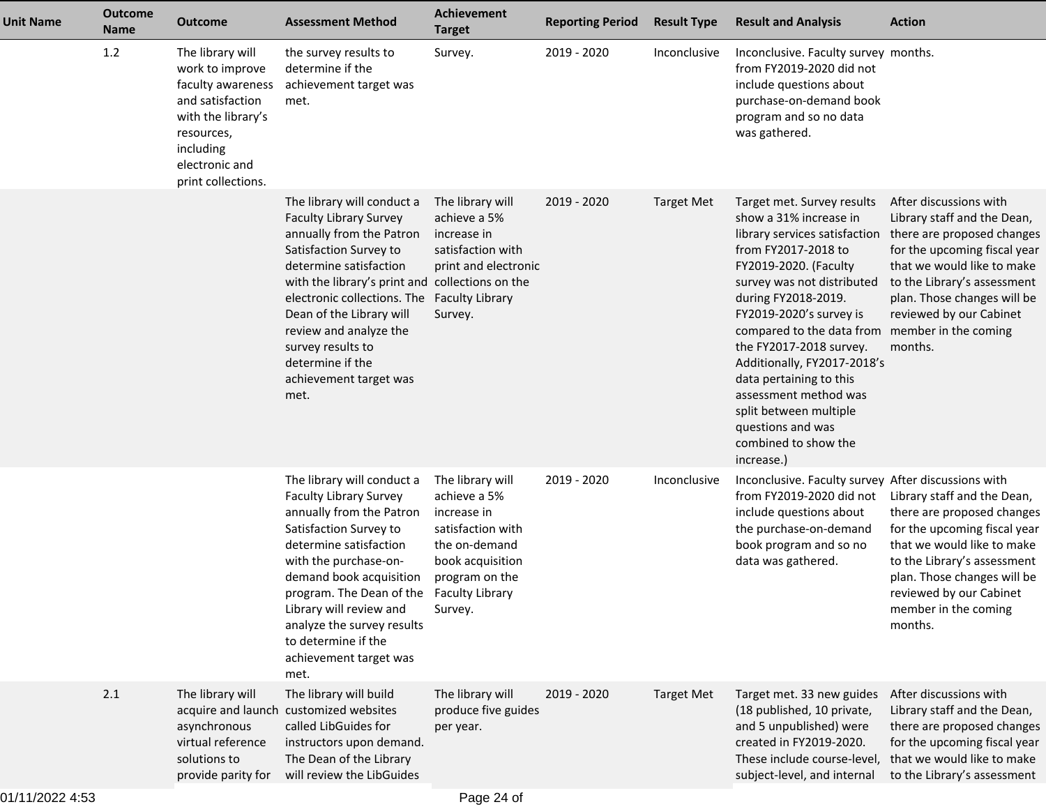| <b>Unit Name</b> | <b>Outcome</b><br><b>Name</b> | <b>Outcome</b>                                                                                                                                                        | <b>Assessment Method</b>                                                                                                                                                                                                                                                                                                                                                       | Achievement<br><b>Target</b>                                                                                                                                     | <b>Reporting Period</b> | <b>Result Type</b> | <b>Result and Analysis</b>                                                                                                                                                                                                                                                                                                                                                                                                                                                 | <b>Action</b>                                                                                                                                                                                                                                         |
|------------------|-------------------------------|-----------------------------------------------------------------------------------------------------------------------------------------------------------------------|--------------------------------------------------------------------------------------------------------------------------------------------------------------------------------------------------------------------------------------------------------------------------------------------------------------------------------------------------------------------------------|------------------------------------------------------------------------------------------------------------------------------------------------------------------|-------------------------|--------------------|----------------------------------------------------------------------------------------------------------------------------------------------------------------------------------------------------------------------------------------------------------------------------------------------------------------------------------------------------------------------------------------------------------------------------------------------------------------------------|-------------------------------------------------------------------------------------------------------------------------------------------------------------------------------------------------------------------------------------------------------|
|                  | 1.2                           | The library will<br>work to improve<br>faculty awareness<br>and satisfaction<br>with the library's<br>resources,<br>including<br>electronic and<br>print collections. | the survey results to<br>determine if the<br>achievement target was<br>met.                                                                                                                                                                                                                                                                                                    | Survey.                                                                                                                                                          | 2019 - 2020             | Inconclusive       | Inconclusive. Faculty survey months.<br>from FY2019-2020 did not<br>include questions about<br>purchase-on-demand book<br>program and so no data<br>was gathered.                                                                                                                                                                                                                                                                                                          |                                                                                                                                                                                                                                                       |
|                  |                               |                                                                                                                                                                       | The library will conduct a<br><b>Faculty Library Survey</b><br>annually from the Patron<br>Satisfaction Survey to<br>determine satisfaction<br>with the library's print and collections on the<br>electronic collections. The Faculty Library<br>Dean of the Library will<br>review and analyze the<br>survey results to<br>determine if the<br>achievement target was<br>met. | The library will<br>achieve a 5%<br>increase in<br>satisfaction with<br>print and electronic<br>Survey.                                                          | 2019 - 2020             | <b>Target Met</b>  | Target met. Survey results<br>show a 31% increase in<br>library services satisfaction<br>from FY2017-2018 to<br>FY2019-2020. (Faculty<br>survey was not distributed<br>during FY2018-2019.<br>FY2019-2020's survey is<br>compared to the data from member in the coming<br>the FY2017-2018 survey.<br>Additionally, FY2017-2018's<br>data pertaining to this<br>assessment method was<br>split between multiple<br>questions and was<br>combined to show the<br>increase.) | After discussions with<br>Library staff and the Dean,<br>there are proposed changes<br>for the upcoming fiscal year<br>that we would like to make<br>to the Library's assessment<br>plan. Those changes will be<br>reviewed by our Cabinet<br>months. |
|                  |                               |                                                                                                                                                                       | The library will conduct a<br>Faculty Library Survey<br>annually from the Patron<br>Satisfaction Survey to<br>determine satisfaction<br>with the purchase-on-<br>demand book acquisition<br>program. The Dean of the<br>Library will review and<br>analyze the survey results<br>to determine if the<br>achievement target was<br>met.                                         | The library will<br>achieve a 5%<br>increase in<br>satisfaction with<br>the on-demand<br>book acquisition<br>program on the<br><b>Faculty Library</b><br>Survey. | 2019 - 2020             | Inconclusive       | Inconclusive. Faculty survey After discussions with<br>from FY2019-2020 did not<br>include questions about<br>the purchase-on-demand<br>book program and so no<br>data was gathered.                                                                                                                                                                                                                                                                                       | Library staff and the Dean,<br>there are proposed changes<br>for the upcoming fiscal year<br>that we would like to make<br>to the Library's assessment<br>plan. Those changes will be<br>reviewed by our Cabinet<br>member in the coming<br>months.   |
|                  | 2.1                           | The library will<br>asynchronous<br>virtual reference<br>solutions to<br>provide parity for                                                                           | The library will build<br>acquire and launch customized websites<br>called LibGuides for<br>instructors upon demand.<br>The Dean of the Library<br>will review the LibGuides                                                                                                                                                                                                   | The library will<br>produce five guides<br>per year.                                                                                                             | 2019 - 2020             | <b>Target Met</b>  | Target met. 33 new guides<br>(18 published, 10 private,<br>and 5 unpublished) were<br>created in FY2019-2020.<br>These include course-level,<br>subject-level, and internal                                                                                                                                                                                                                                                                                                | After discussions with<br>Library staff and the Dean,<br>there are proposed changes<br>for the upcoming fiscal year<br>that we would like to make<br>to the Library's assessment                                                                      |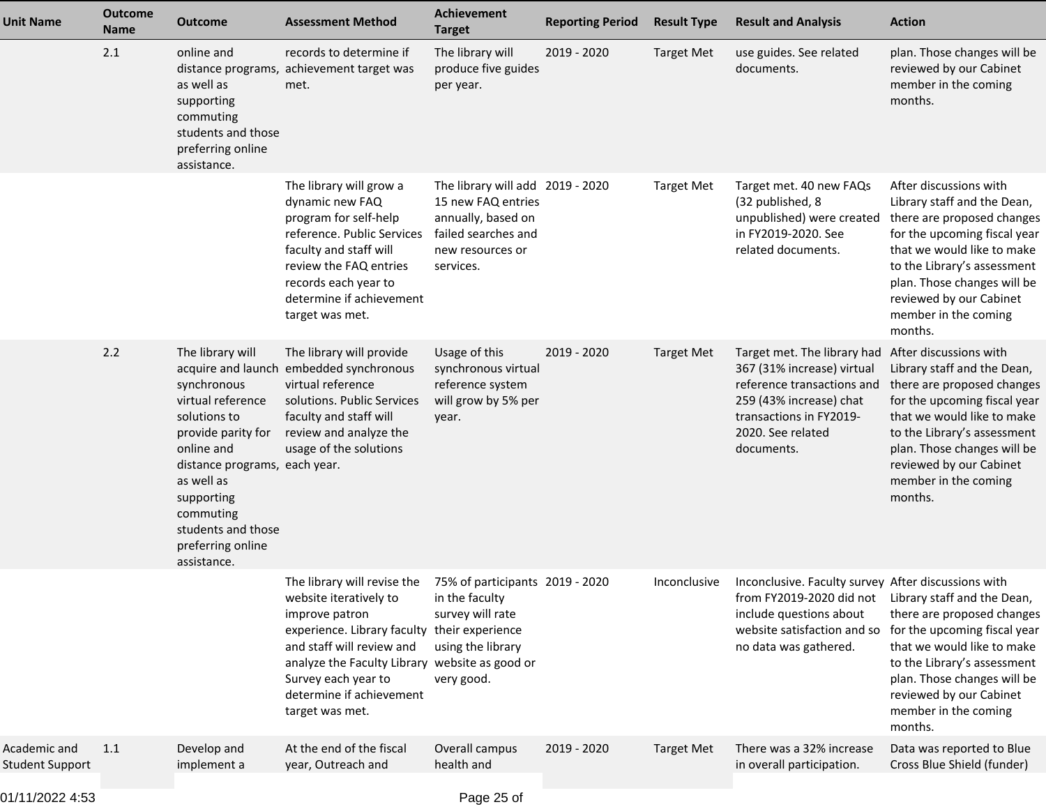| <b>Unit Name</b>                       | <b>Outcome</b><br><b>Name</b> | Outcome                                                                                                                                                                                                                                      | <b>Assessment Method</b>                                                                                                                                                                                                                                                     | Achievement<br><b>Target</b>                                                                                                         | <b>Reporting Period</b> | <b>Result Type</b> | <b>Result and Analysis</b>                                                                                                                                                                     | <b>Action</b>                                                                                                                                                                                                                                                                 |
|----------------------------------------|-------------------------------|----------------------------------------------------------------------------------------------------------------------------------------------------------------------------------------------------------------------------------------------|------------------------------------------------------------------------------------------------------------------------------------------------------------------------------------------------------------------------------------------------------------------------------|--------------------------------------------------------------------------------------------------------------------------------------|-------------------------|--------------------|------------------------------------------------------------------------------------------------------------------------------------------------------------------------------------------------|-------------------------------------------------------------------------------------------------------------------------------------------------------------------------------------------------------------------------------------------------------------------------------|
|                                        | 2.1                           | online and<br>as well as<br>supporting<br>commuting<br>students and those<br>preferring online<br>assistance.                                                                                                                                | records to determine if<br>distance programs, achievement target was<br>met.                                                                                                                                                                                                 | The library will<br>produce five guides<br>per year.                                                                                 | $2019 - 2020$           | <b>Target Met</b>  | use guides. See related<br>documents.                                                                                                                                                          | plan. Those changes will be<br>reviewed by our Cabinet<br>member in the coming<br>months.                                                                                                                                                                                     |
|                                        |                               |                                                                                                                                                                                                                                              | The library will grow a<br>dynamic new FAQ<br>program for self-help<br>reference. Public Services<br>faculty and staff will<br>review the FAQ entries<br>records each year to<br>determine if achievement<br>target was met.                                                 | The library will add 2019 - 2020<br>15 new FAQ entries<br>annually, based on<br>failed searches and<br>new resources or<br>services. |                         | <b>Target Met</b>  | Target met. 40 new FAQs<br>(32 published, 8<br>unpublished) were created<br>in FY2019-2020. See<br>related documents.                                                                          | After discussions with<br>Library staff and the Dean,<br>there are proposed changes<br>for the upcoming fiscal year<br>that we would like to make<br>to the Library's assessment<br>plan. Those changes will be<br>reviewed by our Cabinet<br>member in the coming<br>months. |
|                                        | 2.2                           | The library will<br>synchronous<br>virtual reference<br>solutions to<br>provide parity for<br>online and<br>distance programs, each year.<br>as well as<br>supporting<br>commuting<br>students and those<br>preferring online<br>assistance. | The library will provide<br>acquire and launch embedded synchronous<br>virtual reference<br>solutions. Public Services<br>faculty and staff will<br>review and analyze the<br>usage of the solutions                                                                         | Usage of this<br>synchronous virtual<br>reference system<br>will grow by 5% per<br>year.                                             | 2019 - 2020             | <b>Target Met</b>  | Target met. The library had<br>367 (31% increase) virtual<br>reference transactions and<br>259 (43% increase) chat<br>transactions in FY2019-<br>2020. See related<br>documents.               | After discussions with<br>Library staff and the Dean,<br>there are proposed changes<br>for the upcoming fiscal year<br>that we would like to make<br>to the Library's assessment<br>plan. Those changes will be<br>reviewed by our Cabinet<br>member in the coming<br>months. |
|                                        |                               |                                                                                                                                                                                                                                              | The library will revise the<br>website iteratively to<br>improve patron<br>experience. Library faculty their experience<br>and staff will review and<br>analyze the Faculty Library website as good or<br>Survey each year to<br>determine if achievement<br>target was met. | 75% of participants 2019 - 2020<br>in the faculty<br>survey will rate<br>using the library<br>very good.                             |                         | Inconclusive       | Inconclusive. Faculty survey After discussions with<br>from FY2019-2020 did not Library staff and the Dean,<br>include questions about<br>website satisfaction and so<br>no data was gathered. | there are proposed changes<br>for the upcoming fiscal year<br>that we would like to make<br>to the Library's assessment<br>plan. Those changes will be<br>reviewed by our Cabinet<br>member in the coming<br>months.                                                          |
| Academic and<br><b>Student Support</b> | 1.1                           | Develop and<br>implement a                                                                                                                                                                                                                   | At the end of the fiscal<br>year, Outreach and                                                                                                                                                                                                                               | Overall campus<br>health and                                                                                                         | 2019 - 2020             | <b>Target Met</b>  | There was a 32% increase<br>in overall participation.                                                                                                                                          | Data was reported to Blue<br>Cross Blue Shield (funder)                                                                                                                                                                                                                       |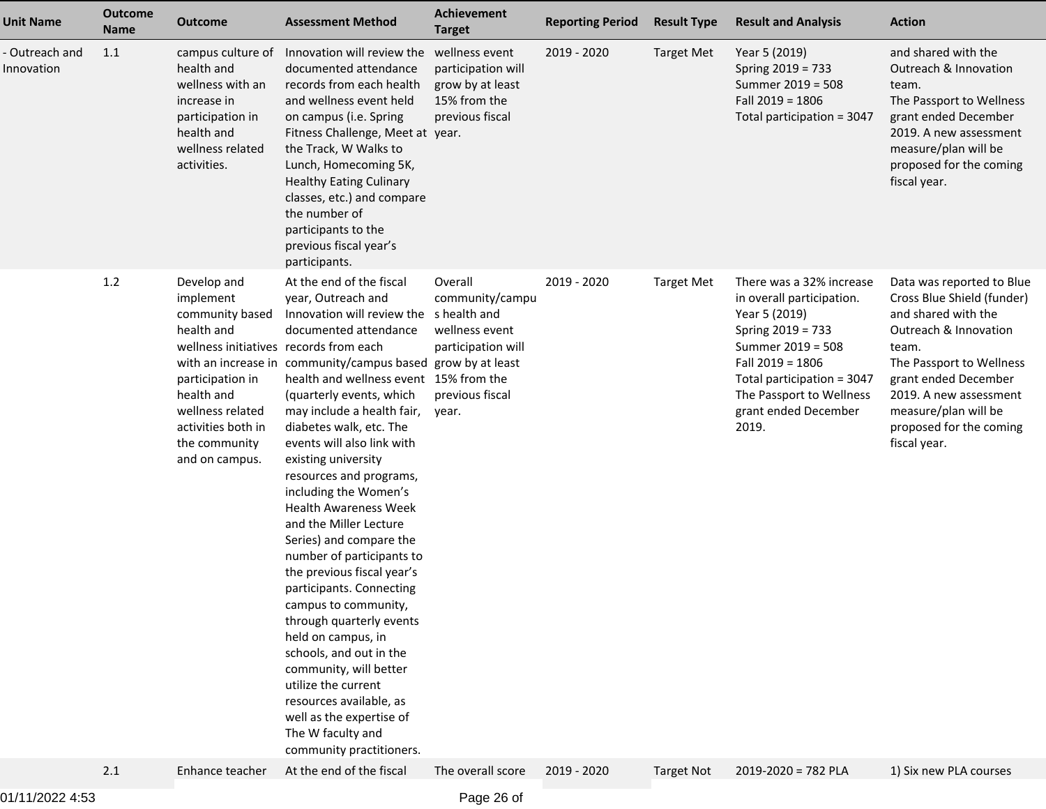| <b>Outcome</b><br><b>Name</b> | <b>Outcome</b>                                                                                                                                                           | <b>Assessment Method</b>                                                                                                                                                                                                                                                                                                                                                                                                                                                                                                                                                                                                                                                                                        | Achievement<br><b>Target</b>                                                                   | <b>Reporting Period</b>                                                                                                                                                                                                          | <b>Result Type</b> | <b>Result and Analysis</b>                                                                                                                                                                                                      | <b>Action</b>                                                                                                                                                                                                                                                     |
|-------------------------------|--------------------------------------------------------------------------------------------------------------------------------------------------------------------------|-----------------------------------------------------------------------------------------------------------------------------------------------------------------------------------------------------------------------------------------------------------------------------------------------------------------------------------------------------------------------------------------------------------------------------------------------------------------------------------------------------------------------------------------------------------------------------------------------------------------------------------------------------------------------------------------------------------------|------------------------------------------------------------------------------------------------|----------------------------------------------------------------------------------------------------------------------------------------------------------------------------------------------------------------------------------|--------------------|---------------------------------------------------------------------------------------------------------------------------------------------------------------------------------------------------------------------------------|-------------------------------------------------------------------------------------------------------------------------------------------------------------------------------------------------------------------------------------------------------------------|
| 1.1                           | campus culture of<br>health and<br>wellness with an<br>increase in<br>participation in<br>health and<br>wellness related<br>activities.                                  | documented attendance<br>records from each health<br>and wellness event held<br>on campus (i.e. Spring<br>the Track, W Walks to<br>Lunch, Homecoming 5K,<br><b>Healthy Eating Culinary</b><br>classes, etc.) and compare<br>the number of<br>participants to the<br>previous fiscal year's<br>participants.                                                                                                                                                                                                                                                                                                                                                                                                     | participation will<br>grow by at least<br>15% from the<br>previous fiscal                      | 2019 - 2020                                                                                                                                                                                                                      | <b>Target Met</b>  | Year 5 (2019)<br>Spring 2019 = 733<br>Summer 2019 = 508<br>Fall $2019 = 1806$<br>Total participation = 3047                                                                                                                     | and shared with the<br>Outreach & Innovation<br>team.<br>The Passport to Wellness<br>grant ended December<br>2019. A new assessment<br>measure/plan will be<br>proposed for the coming<br>fiscal year.                                                            |
| 1.2                           | Develop and<br>implement<br>community based<br>health and<br>participation in<br>health and<br>wellness related<br>activities both in<br>the community<br>and on campus. | At the end of the fiscal<br>year, Outreach and<br>documented attendance<br>(quarterly events, which<br>may include a health fair,<br>diabetes walk, etc. The<br>events will also link with<br>existing university<br>resources and programs,<br>including the Women's<br><b>Health Awareness Week</b><br>and the Miller Lecture<br>Series) and compare the<br>number of participants to<br>the previous fiscal year's<br>participants. Connecting<br>campus to community,<br>through quarterly events<br>held on campus, in<br>schools, and out in the<br>community, will better<br>utilize the current<br>resources available, as<br>well as the expertise of<br>The W faculty and<br>community practitioners. | Overall<br>community/campu<br>wellness event<br>participation will<br>previous fiscal<br>year. | 2019 - 2020                                                                                                                                                                                                                      | <b>Target Met</b>  | There was a 32% increase<br>in overall participation.<br>Year 5 (2019)<br>Spring 2019 = 733<br>Summer 2019 = 508<br>Fall 2019 = 1806<br>Total participation = 3047<br>The Passport to Wellness<br>grant ended December<br>2019. | Data was reported to Blue<br>Cross Blue Shield (funder)<br>and shared with the<br>Outreach & Innovation<br>team.<br>The Passport to Wellness<br>grant ended December<br>2019. A new assessment<br>measure/plan will be<br>proposed for the coming<br>fiscal year. |
| 2.1                           | Enhance teacher                                                                                                                                                          | At the end of the fiscal                                                                                                                                                                                                                                                                                                                                                                                                                                                                                                                                                                                                                                                                                        | The overall score                                                                              | 2019 - 2020                                                                                                                                                                                                                      | <b>Target Not</b>  | $2019 - 2020 = 782$ PLA                                                                                                                                                                                                         | 1) Six new PLA courses                                                                                                                                                                                                                                            |
|                               |                                                                                                                                                                          |                                                                                                                                                                                                                                                                                                                                                                                                                                                                                                                                                                                                                                                                                                                 | wellness initiatives records from each                                                         | Innovation will review the wellness event<br>Fitness Challenge, Meet at year.<br>Innovation will review the shealth and<br>with an increase in community/campus based grow by at least<br>health and wellness event 15% from the |                    |                                                                                                                                                                                                                                 |                                                                                                                                                                                                                                                                   |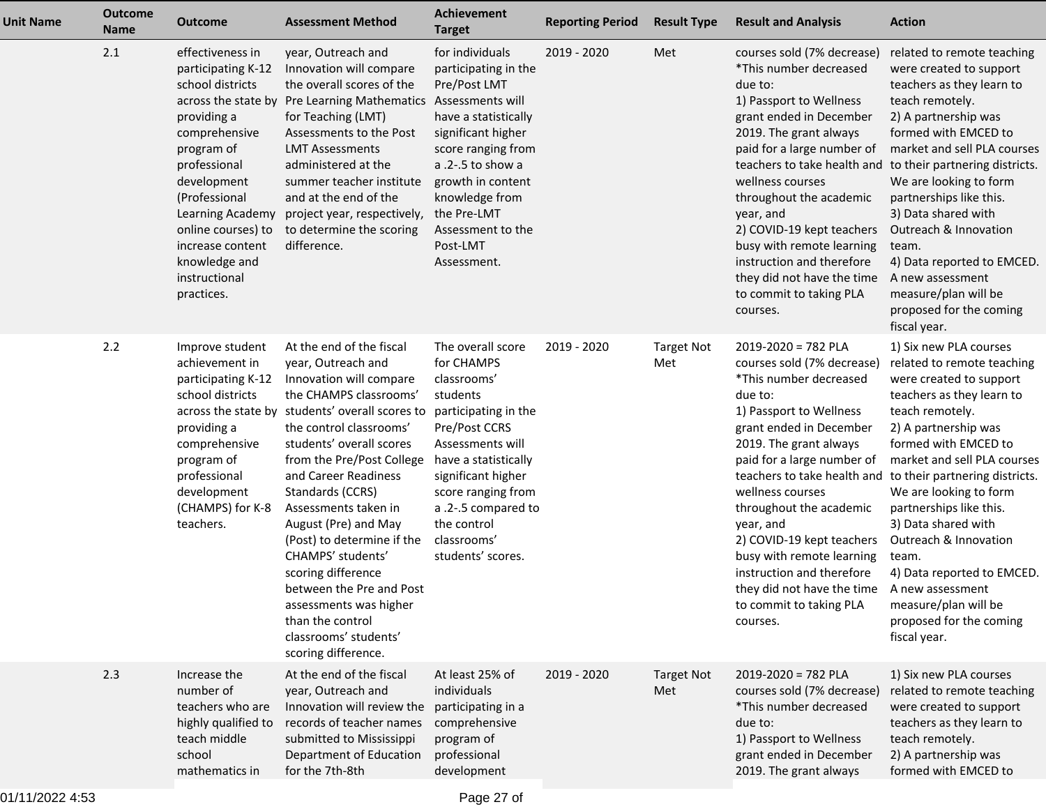| <b>Unit Name</b> | <b>Outcome</b><br><b>Name</b> | <b>Outcome</b>                                                                                                                                                                                                                                                                                | <b>Assessment Method</b>                                                                                                                                                                                                                                                                                                                                                                                                                                                                                                                  | <b>Achievement</b><br><b>Target</b>                                                                                                                                                                                                                                   | <b>Reporting Period</b> | <b>Result Type</b>       | <b>Result and Analysis</b>                                                                                                                                                                                                                                                                                                                                                                                                                                                                     | <b>Action</b>                                                                                                                                                                                                                                                                                                                                                                                                                                             |
|------------------|-------------------------------|-----------------------------------------------------------------------------------------------------------------------------------------------------------------------------------------------------------------------------------------------------------------------------------------------|-------------------------------------------------------------------------------------------------------------------------------------------------------------------------------------------------------------------------------------------------------------------------------------------------------------------------------------------------------------------------------------------------------------------------------------------------------------------------------------------------------------------------------------------|-----------------------------------------------------------------------------------------------------------------------------------------------------------------------------------------------------------------------------------------------------------------------|-------------------------|--------------------------|------------------------------------------------------------------------------------------------------------------------------------------------------------------------------------------------------------------------------------------------------------------------------------------------------------------------------------------------------------------------------------------------------------------------------------------------------------------------------------------------|-----------------------------------------------------------------------------------------------------------------------------------------------------------------------------------------------------------------------------------------------------------------------------------------------------------------------------------------------------------------------------------------------------------------------------------------------------------|
|                  | 2.1                           | effectiveness in<br>participating K-12<br>school districts<br>across the state by<br>providing a<br>comprehensive<br>program of<br>professional<br>development<br>(Professional<br>Learning Academy<br>online courses) to<br>increase content<br>knowledge and<br>instructional<br>practices. | year, Outreach and<br>Innovation will compare<br>the overall scores of the<br>Pre Learning Mathematics Assessments will<br>for Teaching (LMT)<br>Assessments to the Post<br><b>LMT Assessments</b><br>administered at the<br>summer teacher institute<br>and at the end of the<br>project year, respectively,<br>to determine the scoring<br>difference.                                                                                                                                                                                  | for individuals<br>participating in the<br>Pre/Post LMT<br>have a statistically<br>significant higher<br>score ranging from<br>a .2-.5 to show a<br>growth in content<br>knowledge from<br>the Pre-LMT<br>Assessment to the<br>Post-LMT<br>Assessment.                | 2019 - 2020             | Met                      | courses sold (7% decrease)<br>*This number decreased<br>due to:<br>1) Passport to Wellness<br>grant ended in December<br>2019. The grant always<br>paid for a large number of<br>teachers to take health and<br>wellness courses<br>throughout the academic<br>year, and<br>2) COVID-19 kept teachers<br>busy with remote learning<br>instruction and therefore<br>they did not have the time<br>to commit to taking PLA<br>courses.                                                           | related to remote teaching<br>were created to support<br>teachers as they learn to<br>teach remotely.<br>2) A partnership was<br>formed with EMCED to<br>market and sell PLA courses<br>to their partnering districts.<br>We are looking to form<br>partnerships like this.<br>3) Data shared with<br>Outreach & Innovation<br>team.<br>4) Data reported to EMCED.<br>A new assessment<br>measure/plan will be<br>proposed for the coming<br>fiscal year. |
|                  | 2.2                           | Improve student<br>achievement in<br>participating K-12<br>school districts<br>providing a<br>comprehensive<br>program of<br>professional<br>development<br>(CHAMPS) for K-8<br>teachers.                                                                                                     | At the end of the fiscal<br>year, Outreach and<br>Innovation will compare<br>the CHAMPS classrooms'<br>across the state by students' overall scores to<br>the control classrooms'<br>students' overall scores<br>from the Pre/Post College<br>and Career Readiness<br>Standards (CCRS)<br>Assessments taken in<br>August (Pre) and May<br>(Post) to determine if the<br>CHAMPS' students'<br>scoring difference<br>between the Pre and Post<br>assessments was higher<br>than the control<br>classrooms' students'<br>scoring difference. | The overall score<br>for CHAMPS<br>classrooms'<br>students<br>participating in the<br>Pre/Post CCRS<br>Assessments will<br>have a statistically<br>significant higher<br>score ranging from<br>a .2-.5 compared to<br>the control<br>classrooms'<br>students' scores. | 2019 - 2020             | <b>Target Not</b><br>Met | $2019 - 2020 = 782$ PLA<br>courses sold (7% decrease)<br>*This number decreased<br>due to:<br>1) Passport to Wellness<br>grant ended in December<br>2019. The grant always<br>paid for a large number of<br>teachers to take health and to their partnering districts.<br>wellness courses<br>throughout the academic<br>year, and<br>2) COVID-19 kept teachers<br>busy with remote learning<br>instruction and therefore<br>they did not have the time<br>to commit to taking PLA<br>courses. | 1) Six new PLA courses<br>related to remote teaching<br>were created to support<br>teachers as they learn to<br>teach remotely.<br>2) A partnership was<br>formed with EMCED to<br>market and sell PLA courses<br>We are looking to form<br>partnerships like this.<br>3) Data shared with<br>Outreach & Innovation<br>team.<br>4) Data reported to EMCED.<br>A new assessment<br>measure/plan will be<br>proposed for the coming<br>fiscal year.         |
|                  | 2.3                           | Increase the<br>number of<br>teachers who are<br>highly qualified to<br>teach middle<br>school<br>mathematics in                                                                                                                                                                              | At the end of the fiscal<br>year, Outreach and<br>Innovation will review the<br>records of teacher names<br>submitted to Mississippi<br>Department of Education<br>for the 7th-8th                                                                                                                                                                                                                                                                                                                                                        | At least 25% of<br>individuals<br>participating in a<br>comprehensive<br>program of<br>professional<br>development                                                                                                                                                    | 2019 - 2020             | <b>Target Not</b><br>Met | $2019 - 2020 = 782$ PLA<br>courses sold (7% decrease)<br>*This number decreased<br>due to:<br>1) Passport to Wellness<br>grant ended in December<br>2019. The grant always                                                                                                                                                                                                                                                                                                                     | 1) Six new PLA courses<br>related to remote teaching<br>were created to support<br>teachers as they learn to<br>teach remotely.<br>2) A partnership was<br>formed with EMCED to                                                                                                                                                                                                                                                                           |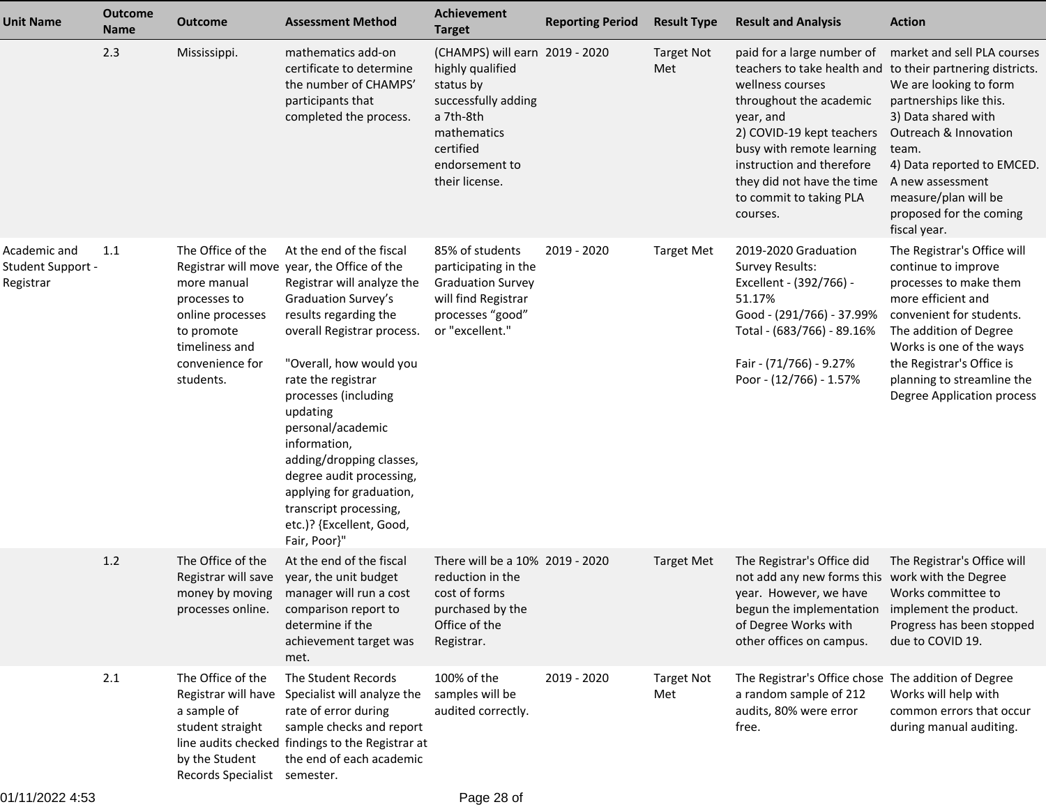| Unit Name                                             | <b>Outcome</b><br><b>Name</b> | <b>Outcome</b>                                                                                                                       | <b>Assessment Method</b>                                                                                                                                                                                                                                                                                                                                                                                                                                                | <b>Achievement</b><br><b>Target</b>                                                                                                                                 | <b>Reporting Period</b> | <b>Result Type</b>       | <b>Result and Analysis</b>                                                                                                                                                                                                                                                                                       | <b>Action</b>                                                                                                                                                                                                                                                                        |
|-------------------------------------------------------|-------------------------------|--------------------------------------------------------------------------------------------------------------------------------------|-------------------------------------------------------------------------------------------------------------------------------------------------------------------------------------------------------------------------------------------------------------------------------------------------------------------------------------------------------------------------------------------------------------------------------------------------------------------------|---------------------------------------------------------------------------------------------------------------------------------------------------------------------|-------------------------|--------------------------|------------------------------------------------------------------------------------------------------------------------------------------------------------------------------------------------------------------------------------------------------------------------------------------------------------------|--------------------------------------------------------------------------------------------------------------------------------------------------------------------------------------------------------------------------------------------------------------------------------------|
|                                                       | 2.3                           | Mississippi.                                                                                                                         | mathematics add-on<br>certificate to determine<br>the number of CHAMPS'<br>participants that<br>completed the process.                                                                                                                                                                                                                                                                                                                                                  | (CHAMPS) will earn 2019 - 2020<br>highly qualified<br>status by<br>successfully adding<br>a 7th-8th<br>mathematics<br>certified<br>endorsement to<br>their license. |                         | <b>Target Not</b><br>Met | paid for a large number of<br>teachers to take health and to their partnering districts.<br>wellness courses<br>throughout the academic<br>year, and<br>2) COVID-19 kept teachers<br>busy with remote learning<br>instruction and therefore<br>they did not have the time<br>to commit to taking PLA<br>courses. | market and sell PLA courses<br>We are looking to form<br>partnerships like this.<br>3) Data shared with<br>Outreach & Innovation<br>team.<br>4) Data reported to EMCED.<br>A new assessment<br>measure/plan will be<br>proposed for the coming<br>fiscal year.                       |
| Academic and<br><b>Student Support -</b><br>Registrar | 1.1                           | The Office of the<br>more manual<br>processes to<br>online processes<br>to promote<br>timeliness and<br>convenience for<br>students. | At the end of the fiscal<br>Registrar will move year, the Office of the<br>Registrar will analyze the<br>Graduation Survey's<br>results regarding the<br>overall Registrar process.<br>"Overall, how would you<br>rate the registrar<br>processes (including<br>updating<br>personal/academic<br>information,<br>adding/dropping classes,<br>degree audit processing,<br>applying for graduation,<br>transcript processing,<br>etc.)? {Excellent, Good,<br>Fair, Poor}" | 85% of students<br>participating in the<br><b>Graduation Survey</b><br>will find Registrar<br>processes "good"<br>or "excellent."                                   | 2019 - 2020             | <b>Target Met</b>        | 2019-2020 Graduation<br><b>Survey Results:</b><br>Excellent - (392/766) -<br>51.17%<br>Good - (291/766) - 37.99%<br>Total - (683/766) - 89.16%<br>Fair - (71/766) - 9.27%<br>Poor - (12/766) - 1.57%                                                                                                             | The Registrar's Office will<br>continue to improve<br>processes to make them<br>more efficient and<br>convenient for students.<br>The addition of Degree<br>Works is one of the ways<br>the Registrar's Office is<br>planning to streamline the<br><b>Degree Application process</b> |
|                                                       | $1.2$                         | The Office of the<br>Registrar will save<br>money by moving<br>processes online.                                                     | At the end of the fiscal<br>year, the unit budget<br>manager will run a cost<br>comparison report to<br>determine if the<br>achievement target was<br>met.                                                                                                                                                                                                                                                                                                              | There will be a 10% 2019 - 2020<br>reduction in the<br>cost of forms<br>purchased by the<br>Office of the<br>Registrar.                                             |                         | <b>Target Met</b>        | The Registrar's Office did<br>not add any new forms this work with the Degree<br>year. However, we have<br>begun the implementation<br>of Degree Works with<br>other offices on campus.                                                                                                                          | The Registrar's Office will<br>Works committee to<br>implement the product.<br>Progress has been stopped<br>due to COVID 19.                                                                                                                                                         |
|                                                       | 2.1                           | The Office of the<br>Registrar will have<br>a sample of<br>student straight<br>by the Student<br>Records Specialist semester.        | The Student Records<br>Specialist will analyze the<br>rate of error during<br>sample checks and report<br>line audits checked findings to the Registrar at<br>the end of each academic                                                                                                                                                                                                                                                                                  | 100% of the<br>samples will be<br>audited correctly.                                                                                                                | 2019 - 2020             | <b>Target Not</b><br>Met | The Registrar's Office chose The addition of Degree<br>a random sample of 212<br>audits, 80% were error<br>free.                                                                                                                                                                                                 | Works will help with<br>common errors that occur<br>during manual auditing.                                                                                                                                                                                                          |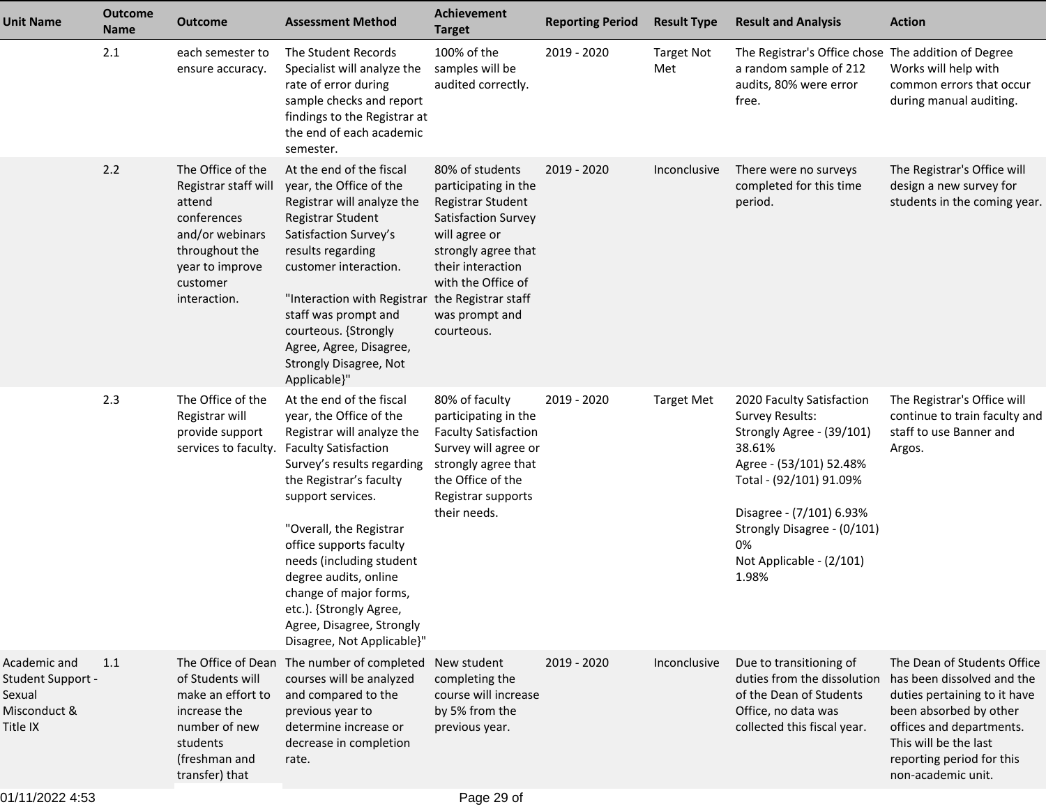| <b>Unit Name</b>                                                        | <b>Outcome</b><br><b>Name</b> | <b>Outcome</b>                                                                                                                                         | <b>Assessment Method</b>                                                                                                                                                                                                                                                                                                                                                                                                  | <b>Achievement</b><br><b>Target</b>                                                                                                                                                                    | <b>Reporting Period</b> | <b>Result Type</b>       | <b>Result and Analysis</b>                                                                                                                                                                                                                      | <b>Action</b>                                                                                                                                                                                                               |
|-------------------------------------------------------------------------|-------------------------------|--------------------------------------------------------------------------------------------------------------------------------------------------------|---------------------------------------------------------------------------------------------------------------------------------------------------------------------------------------------------------------------------------------------------------------------------------------------------------------------------------------------------------------------------------------------------------------------------|--------------------------------------------------------------------------------------------------------------------------------------------------------------------------------------------------------|-------------------------|--------------------------|-------------------------------------------------------------------------------------------------------------------------------------------------------------------------------------------------------------------------------------------------|-----------------------------------------------------------------------------------------------------------------------------------------------------------------------------------------------------------------------------|
|                                                                         | 2.1                           | each semester to<br>ensure accuracy.                                                                                                                   | The Student Records<br>Specialist will analyze the<br>rate of error during<br>sample checks and report<br>findings to the Registrar at<br>the end of each academic<br>semester.                                                                                                                                                                                                                                           | 100% of the<br>samples will be<br>audited correctly.                                                                                                                                                   | 2019 - 2020             | <b>Target Not</b><br>Met | The Registrar's Office chose The addition of Degree<br>a random sample of 212<br>audits, 80% were error<br>free.                                                                                                                                | Works will help with<br>common errors that occur<br>during manual auditing.                                                                                                                                                 |
|                                                                         | 2.2                           | The Office of the<br>Registrar staff will<br>attend<br>conferences<br>and/or webinars<br>throughout the<br>year to improve<br>customer<br>interaction. | At the end of the fiscal<br>year, the Office of the<br>Registrar will analyze the<br>Registrar Student<br>Satisfaction Survey's<br>results regarding<br>customer interaction.<br>"Interaction with Registrar the Registrar staff<br>staff was prompt and<br>courteous. {Strongly<br>Agree, Agree, Disagree,<br>Strongly Disagree, Not<br>Applicable}"                                                                     | 80% of students<br>participating in the<br>Registrar Student<br>Satisfaction Survey<br>will agree or<br>strongly agree that<br>their interaction<br>with the Office of<br>was prompt and<br>courteous. | 2019 - 2020             | Inconclusive             | There were no surveys<br>completed for this time<br>period.                                                                                                                                                                                     | The Registrar's Office will<br>design a new survey for<br>students in the coming year.                                                                                                                                      |
|                                                                         | 2.3                           | The Office of the<br>Registrar will<br>provide support<br>services to faculty.                                                                         | At the end of the fiscal<br>year, the Office of the<br>Registrar will analyze the<br><b>Faculty Satisfaction</b><br>Survey's results regarding<br>the Registrar's faculty<br>support services.<br>"Overall, the Registrar<br>office supports faculty<br>needs (including student<br>degree audits, online<br>change of major forms,<br>etc.). {Strongly Agree,<br>Agree, Disagree, Strongly<br>Disagree, Not Applicable}" | 80% of faculty<br>participating in the<br><b>Faculty Satisfaction</b><br>Survey will agree or<br>strongly agree that<br>the Office of the<br>Registrar supports<br>their needs.                        | 2019 - 2020             | <b>Target Met</b>        | 2020 Faculty Satisfaction<br>Survey Results:<br>Strongly Agree - (39/101)<br>38.61%<br>Agree - (53/101) 52.48%<br>Total - (92/101) 91.09%<br>Disagree - (7/101) 6.93%<br>Strongly Disagree - (0/101)<br>0%<br>Not Applicable - (2/101)<br>1.98% | The Registrar's Office will<br>continue to train faculty and<br>staff to use Banner and<br>Argos.                                                                                                                           |
| Academic and<br>Student Support -<br>Sexual<br>Misconduct &<br>Title IX | 1.1                           | of Students will<br>make an effort to<br>increase the<br>number of new<br>students<br>(freshman and<br>transfer) that                                  | The Office of Dean The number of completed New student<br>courses will be analyzed<br>and compared to the<br>previous year to<br>determine increase or<br>decrease in completion<br>rate.                                                                                                                                                                                                                                 | completing the<br>course will increase<br>by 5% from the<br>previous year.                                                                                                                             | 2019 - 2020             | Inconclusive             | Due to transitioning of<br>duties from the dissolution<br>of the Dean of Students<br>Office, no data was<br>collected this fiscal year.                                                                                                         | The Dean of Students Office<br>has been dissolved and the<br>duties pertaining to it have<br>been absorbed by other<br>offices and departments.<br>This will be the last<br>reporting period for this<br>non-academic unit. |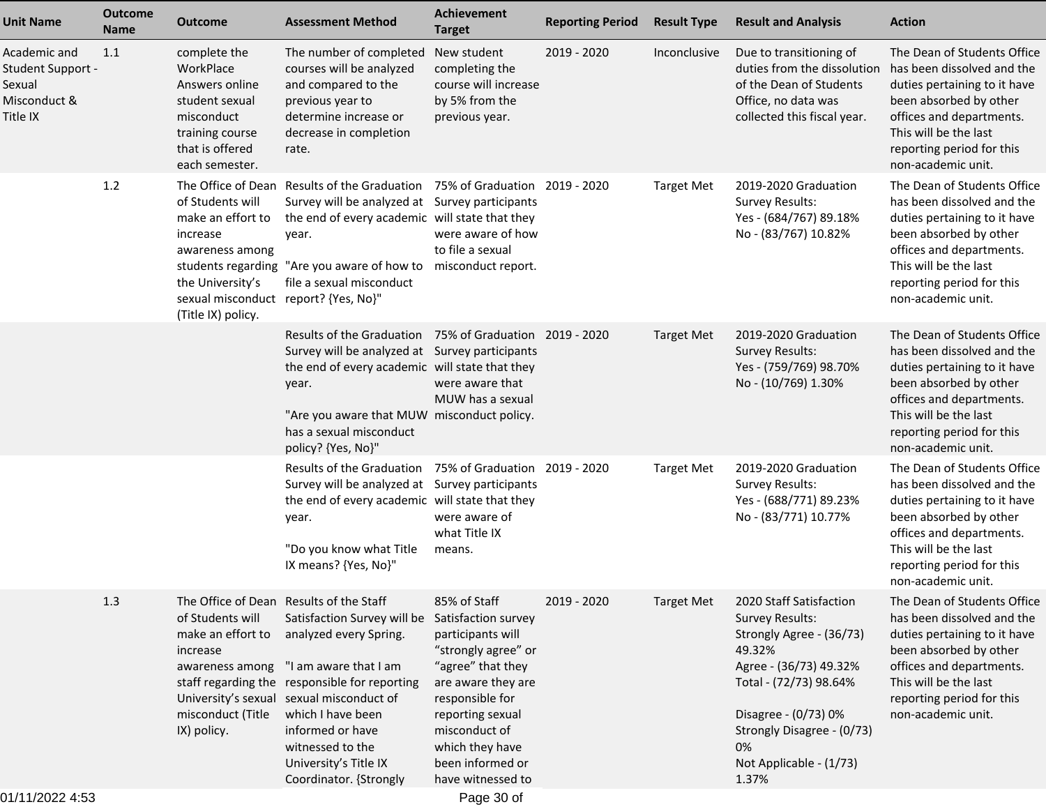| <b>Unit Name</b>                                                        | <b>Outcome</b><br><b>Name</b> | <b>Outcome</b>                                                                                                                                         | <b>Assessment Method</b>                                                                                                                                                                                                                                                                                                               | <b>Achievement</b><br><b>Target</b>                                                                                                                                                                                                            | <b>Reporting Period</b> | <b>Result Type</b> | <b>Result and Analysis</b>                                                                                                                                                                                                                  | <b>Action</b>                                                                                                                                                                                                               |
|-------------------------------------------------------------------------|-------------------------------|--------------------------------------------------------------------------------------------------------------------------------------------------------|----------------------------------------------------------------------------------------------------------------------------------------------------------------------------------------------------------------------------------------------------------------------------------------------------------------------------------------|------------------------------------------------------------------------------------------------------------------------------------------------------------------------------------------------------------------------------------------------|-------------------------|--------------------|---------------------------------------------------------------------------------------------------------------------------------------------------------------------------------------------------------------------------------------------|-----------------------------------------------------------------------------------------------------------------------------------------------------------------------------------------------------------------------------|
| Academic and<br>Student Support -<br>Sexual<br>Misconduct &<br>Title IX | 1.1                           | complete the<br>WorkPlace<br>Answers online<br>student sexual<br>misconduct<br>training course<br>that is offered<br>each semester.                    | The number of completed<br>courses will be analyzed<br>and compared to the<br>previous year to<br>determine increase or<br>decrease in completion<br>rate.                                                                                                                                                                             | New student<br>completing the<br>course will increase<br>by 5% from the<br>previous year.                                                                                                                                                      | 2019 - 2020             | Inconclusive       | Due to transitioning of<br>duties from the dissolution<br>of the Dean of Students<br>Office, no data was<br>collected this fiscal year.                                                                                                     | The Dean of Students Office<br>has been dissolved and the<br>duties pertaining to it have<br>been absorbed by other<br>offices and departments.<br>This will be the last<br>reporting period for this<br>non-academic unit. |
|                                                                         | $1.2$                         | of Students will<br>make an effort to<br>increase<br>awareness among<br>the University's<br>sexual misconduct report? {Yes, No}"<br>(Title IX) policy. | The Office of Dean Results of the Graduation<br>Survey will be analyzed at Survey participants<br>the end of every academic will state that they<br>year.<br>students regarding "Are you aware of how to misconduct report.<br>file a sexual misconduct                                                                                | 75% of Graduation 2019 - 2020<br>were aware of how<br>to file a sexual                                                                                                                                                                         |                         | <b>Target Met</b>  | 2019-2020 Graduation<br><b>Survey Results:</b><br>Yes - (684/767) 89.18%<br>No - (83/767) 10.82%                                                                                                                                            | The Dean of Students Office<br>has been dissolved and the<br>duties pertaining to it have<br>been absorbed by other<br>offices and departments.<br>This will be the last<br>reporting period for this<br>non-academic unit. |
|                                                                         |                               |                                                                                                                                                        | Results of the Graduation 75% of Graduation 2019 - 2020<br>Survey will be analyzed at Survey participants<br>the end of every academic will state that they<br>year.<br>"Are you aware that MUW misconduct policy.<br>has a sexual misconduct<br>policy? {Yes, No}"                                                                    | were aware that<br>MUW has a sexual                                                                                                                                                                                                            |                         | <b>Target Met</b>  | 2019-2020 Graduation<br><b>Survey Results:</b><br>Yes - (759/769) 98.70%<br>No - (10/769) 1.30%                                                                                                                                             | The Dean of Students Office<br>has been dissolved and the<br>duties pertaining to it have<br>been absorbed by other<br>offices and departments.<br>This will be the last<br>reporting period for this<br>non-academic unit. |
|                                                                         |                               |                                                                                                                                                        | Results of the Graduation 75% of Graduation 2019 - 2020<br>Survey will be analyzed at Survey participants<br>the end of every academic will state that they<br>year.<br>"Do you know what Title<br>IX means? {Yes, No}"                                                                                                                | were aware of<br>what Title IX<br>means.                                                                                                                                                                                                       |                         | <b>Target Met</b>  | 2019-2020 Graduation<br><b>Survey Results:</b><br>Yes - (688/771) 89.23%<br>No - (83/771) 10.77%                                                                                                                                            | The Dean of Students Office<br>has been dissolved and the<br>duties pertaining to it have<br>been absorbed by other<br>offices and departments.<br>This will be the last<br>reporting period for this<br>non-academic unit. |
|                                                                         | 1.3                           | of Students will<br>make an effort to<br>increase<br>awareness among<br>misconduct (Title<br>IX) policy.                                               | The Office of Dean Results of the Staff<br>Satisfaction Survey will be<br>analyzed every Spring.<br>"I am aware that I am<br>staff regarding the responsible for reporting<br>University's sexual sexual misconduct of<br>which I have been<br>informed or have<br>witnessed to the<br>University's Title IX<br>Coordinator. {Strongly | 85% of Staff<br>Satisfaction survey<br>participants will<br>"strongly agree" or<br>"agree" that they<br>are aware they are<br>responsible for<br>reporting sexual<br>misconduct of<br>which they have<br>been informed or<br>have witnessed to | 2019 - 2020             | Target Met         | 2020 Staff Satisfaction<br><b>Survey Results:</b><br>Strongly Agree - (36/73)<br>49.32%<br>Agree - (36/73) 49.32%<br>Total - (72/73) 98.64%<br>Disagree - (0/73) 0%<br>Strongly Disagree - (0/73)<br>0%<br>Not Applicable - (1/73)<br>1.37% | The Dean of Students Office<br>has been dissolved and the<br>duties pertaining to it have<br>been absorbed by other<br>offices and departments.<br>This will be the last<br>reporting period for this<br>non-academic unit. |

Page 30 of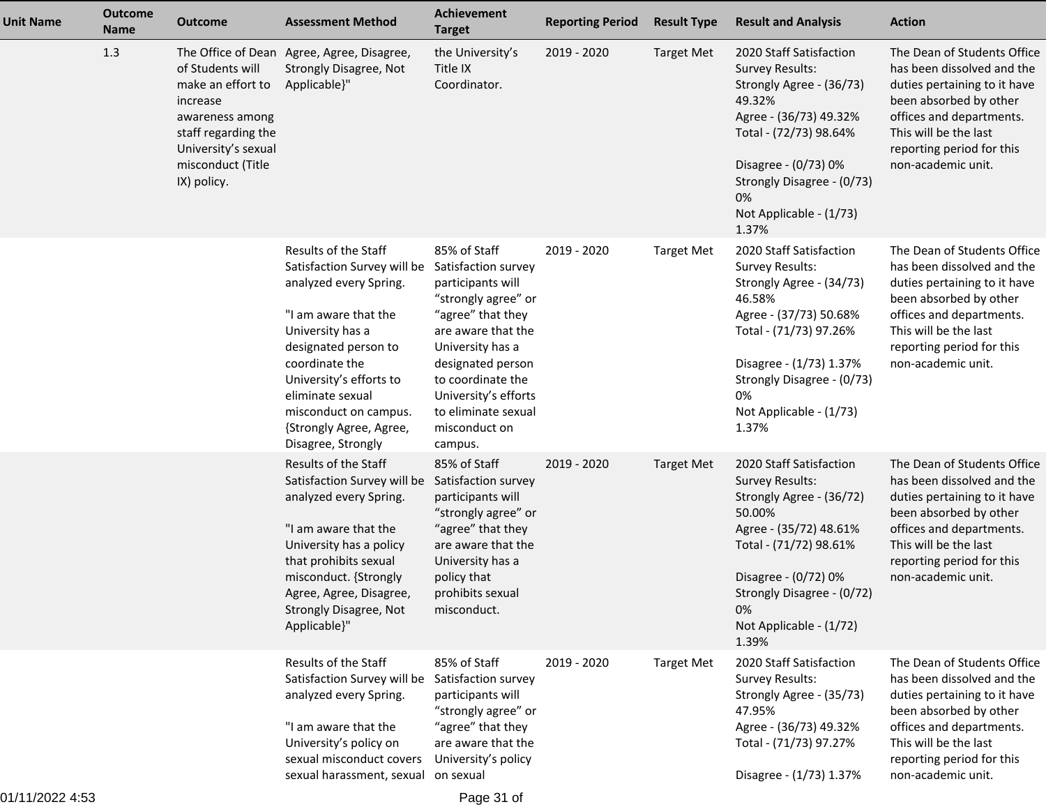| <b>Unit Name</b> | <b>Outcome</b><br><b>Name</b> | <b>Outcome</b>                                                                                                                                         | <b>Assessment Method</b>                                                                                                                                                                                                                                                                                         | <b>Achievement</b><br><b>Target</b>                                                                                                                                                                                                          | <b>Reporting Period</b> | <b>Result Type</b> | <b>Result and Analysis</b>                                                                                                                                                                                                                  | <b>Action</b>                                                                                                                                                                                                               |
|------------------|-------------------------------|--------------------------------------------------------------------------------------------------------------------------------------------------------|------------------------------------------------------------------------------------------------------------------------------------------------------------------------------------------------------------------------------------------------------------------------------------------------------------------|----------------------------------------------------------------------------------------------------------------------------------------------------------------------------------------------------------------------------------------------|-------------------------|--------------------|---------------------------------------------------------------------------------------------------------------------------------------------------------------------------------------------------------------------------------------------|-----------------------------------------------------------------------------------------------------------------------------------------------------------------------------------------------------------------------------|
|                  | 1.3                           | of Students will<br>make an effort to<br>increase<br>awareness among<br>staff regarding the<br>University's sexual<br>misconduct (Title<br>IX) policy. | The Office of Dean Agree, Agree, Disagree,<br>Strongly Disagree, Not<br>Applicable}"                                                                                                                                                                                                                             | the University's<br>Title IX<br>Coordinator.                                                                                                                                                                                                 | 2019 - 2020             | <b>Target Met</b>  | 2020 Staff Satisfaction<br><b>Survey Results:</b><br>Strongly Agree - (36/73)<br>49.32%<br>Agree - (36/73) 49.32%<br>Total - (72/73) 98.64%<br>Disagree - (0/73) 0%<br>Strongly Disagree - (0/73)<br>0%<br>Not Applicable - (1/73)<br>1.37% | The Dean of Students Office<br>has been dissolved and the<br>duties pertaining to it have<br>been absorbed by other<br>offices and departments.<br>This will be the last<br>reporting period for this<br>non-academic unit. |
|                  |                               |                                                                                                                                                        | Results of the Staff<br>Satisfaction Survey will be Satisfaction survey<br>analyzed every Spring.<br>"I am aware that the<br>University has a<br>designated person to<br>coordinate the<br>University's efforts to<br>eliminate sexual<br>misconduct on campus.<br>{Strongly Agree, Agree,<br>Disagree, Strongly | 85% of Staff<br>participants will<br>"strongly agree" or<br>"agree" that they<br>are aware that the<br>University has a<br>designated person<br>to coordinate the<br>University's efforts<br>to eliminate sexual<br>misconduct on<br>campus. | 2019 - 2020             | <b>Target Met</b>  | 2020 Staff Satisfaction<br>Survey Results:<br>Strongly Agree - (34/73)<br>46.58%<br>Agree - (37/73) 50.68%<br>Total - (71/73) 97.26%<br>Disagree - (1/73) 1.37%<br>Strongly Disagree - (0/73)<br>0%<br>Not Applicable - (1/73)<br>1.37%     | The Dean of Students Office<br>has been dissolved and the<br>duties pertaining to it have<br>been absorbed by other<br>offices and departments.<br>This will be the last<br>reporting period for this<br>non-academic unit. |
|                  |                               |                                                                                                                                                        | Results of the Staff<br>Satisfaction Survey will be<br>analyzed every Spring.<br>"I am aware that the<br>University has a policy<br>that prohibits sexual<br>misconduct. {Strongly<br>Agree, Agree, Disagree,<br>Strongly Disagree, Not<br>Applicable}"                                                          | 85% of Staff<br>Satisfaction survey<br>participants will<br>"strongly agree" or<br>"agree" that they<br>are aware that the<br>University has a<br>policy that<br>prohibits sexual<br>misconduct.                                             | 2019 - 2020             | <b>Target Met</b>  | 2020 Staff Satisfaction<br><b>Survey Results:</b><br>Strongly Agree - (36/72)<br>50.00%<br>Agree - (35/72) 48.61%<br>Total - (71/72) 98.61%<br>Disagree - (0/72) 0%<br>Strongly Disagree - (0/72)<br>0%<br>Not Applicable - (1/72)<br>1.39% | The Dean of Students Office<br>has been dissolved and the<br>duties pertaining to it have<br>been absorbed by other<br>offices and departments.<br>This will be the last<br>reporting period for this<br>non-academic unit. |
|                  |                               |                                                                                                                                                        | Results of the Staff<br>Satisfaction Survey will be<br>analyzed every Spring.<br>"I am aware that the<br>University's policy on<br>sexual misconduct covers<br>sexual harassment, sexual on sexual                                                                                                               | 85% of Staff<br>Satisfaction survey<br>participants will<br>"strongly agree" or<br>"agree" that they<br>are aware that the<br>University's policy                                                                                            | 2019 - 2020             | <b>Target Met</b>  | 2020 Staff Satisfaction<br><b>Survey Results:</b><br>Strongly Agree - (35/73)<br>47.95%<br>Agree - (36/73) 49.32%<br>Total - (71/73) 97.27%<br>Disagree - (1/73) 1.37%                                                                      | The Dean of Students Office<br>has been dissolved and the<br>duties pertaining to it have<br>been absorbed by other<br>offices and departments.<br>This will be the last<br>reporting period for this<br>non-academic unit. |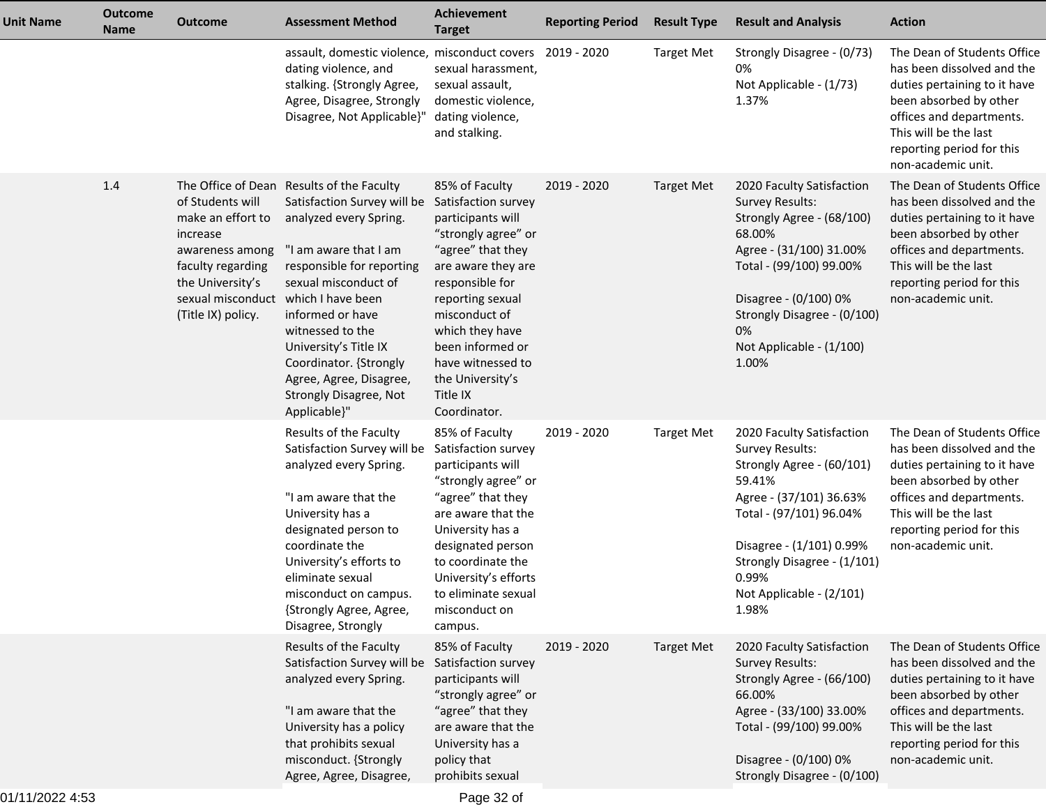| <b>Unit Name</b> | <b>Outcome</b><br><b>Name</b> | <b>Outcome</b>                                                                                                                                                             | <b>Assessment Method</b>                                                                                                                                                                                                                                                                                                                         | Achievement<br><b>Target</b>                                                                                                                                                                                                                                                                     | <b>Reporting Period</b> | <b>Result Type</b> | <b>Result and Analysis</b>                                                                                                                                                                                                                          | <b>Action</b>                                                                                                                                                                                                               |
|------------------|-------------------------------|----------------------------------------------------------------------------------------------------------------------------------------------------------------------------|--------------------------------------------------------------------------------------------------------------------------------------------------------------------------------------------------------------------------------------------------------------------------------------------------------------------------------------------------|--------------------------------------------------------------------------------------------------------------------------------------------------------------------------------------------------------------------------------------------------------------------------------------------------|-------------------------|--------------------|-----------------------------------------------------------------------------------------------------------------------------------------------------------------------------------------------------------------------------------------------------|-----------------------------------------------------------------------------------------------------------------------------------------------------------------------------------------------------------------------------|
|                  |                               |                                                                                                                                                                            | assault, domestic violence, misconduct covers 2019 - 2020<br>dating violence, and<br>stalking. {Strongly Agree,<br>Agree, Disagree, Strongly<br>Disagree, Not Applicable}"                                                                                                                                                                       | sexual harassment,<br>sexual assault,<br>domestic violence,<br>dating violence,<br>and stalking.                                                                                                                                                                                                 |                         | <b>Target Met</b>  | Strongly Disagree - (0/73)<br>0%<br>Not Applicable - (1/73)<br>1.37%                                                                                                                                                                                | The Dean of Students Office<br>has been dissolved and the<br>duties pertaining to it have<br>been absorbed by other<br>offices and departments.<br>This will be the last<br>reporting period for this<br>non-academic unit. |
|                  | 1.4                           | of Students will<br>make an effort to<br>increase<br>awareness among<br>faculty regarding<br>the University's<br>sexual misconduct which I have been<br>(Title IX) policy. | The Office of Dean Results of the Faculty<br>Satisfaction Survey will be<br>analyzed every Spring.<br>"I am aware that I am<br>responsible for reporting<br>sexual misconduct of<br>informed or have<br>witnessed to the<br>University's Title IX<br>Coordinator. {Strongly<br>Agree, Agree, Disagree,<br>Strongly Disagree, Not<br>Applicable}" | 85% of Faculty<br>Satisfaction survey<br>participants will<br>"strongly agree" or<br>"agree" that they<br>are aware they are<br>responsible for<br>reporting sexual<br>misconduct of<br>which they have<br>been informed or<br>have witnessed to<br>the University's<br>Title IX<br>Coordinator. | 2019 - 2020             | <b>Target Met</b>  | 2020 Faculty Satisfaction<br><b>Survey Results:</b><br>Strongly Agree - (68/100)<br>68.00%<br>Agree - (31/100) 31.00%<br>Total - (99/100) 99.00%<br>Disagree - (0/100) 0%<br>Strongly Disagree - (0/100)<br>0%<br>Not Applicable - (1/100)<br>1.00% | The Dean of Students Office<br>has been dissolved and the<br>duties pertaining to it have<br>been absorbed by other<br>offices and departments.<br>This will be the last<br>reporting period for this<br>non-academic unit. |
|                  |                               |                                                                                                                                                                            | Results of the Faculty<br>Satisfaction Survey will be<br>analyzed every Spring.<br>"I am aware that the<br>University has a<br>designated person to<br>coordinate the<br>University's efforts to<br>eliminate sexual<br>misconduct on campus.<br>{Strongly Agree, Agree,<br>Disagree, Strongly                                                   | 85% of Faculty<br>Satisfaction survey<br>participants will<br>"strongly agree" or<br>"agree" that they<br>are aware that the<br>University has a<br>designated person<br>to coordinate the<br>University's efforts<br>to eliminate sexual<br>misconduct on<br>campus.                            | 2019 - 2020             | <b>Target Met</b>  | 2020 Faculty Satisfaction<br>Survey Results:<br>Strongly Agree - (60/101)<br>59.41%<br>Agree - (37/101) 36.63%<br>Total - (97/101) 96.04%<br>Disagree - (1/101) 0.99%<br>Strongly Disagree - (1/101)<br>0.99%<br>Not Applicable - (2/101)<br>1.98%  | The Dean of Students Office<br>has been dissolved and the<br>duties pertaining to it have<br>been absorbed by other<br>offices and departments.<br>This will be the last<br>reporting period for this<br>non-academic unit. |
|                  |                               |                                                                                                                                                                            | Results of the Faculty<br>Satisfaction Survey will be<br>analyzed every Spring.<br>"I am aware that the<br>University has a policy<br>that prohibits sexual<br>misconduct. {Strongly<br>Agree, Agree, Disagree,                                                                                                                                  | 85% of Faculty<br>Satisfaction survey<br>participants will<br>"strongly agree" or<br>"agree" that they<br>are aware that the<br>University has a<br>policy that<br>prohibits sexual                                                                                                              | 2019 - 2020             | <b>Target Met</b>  | 2020 Faculty Satisfaction<br><b>Survey Results:</b><br>Strongly Agree - (66/100)<br>66.00%<br>Agree - (33/100) 33.00%<br>Total - (99/100) 99.00%<br>Disagree - (0/100) 0%<br>Strongly Disagree - (0/100)                                            | The Dean of Students Office<br>has been dissolved and the<br>duties pertaining to it have<br>been absorbed by other<br>offices and departments.<br>This will be the last<br>reporting period for this<br>non-academic unit. |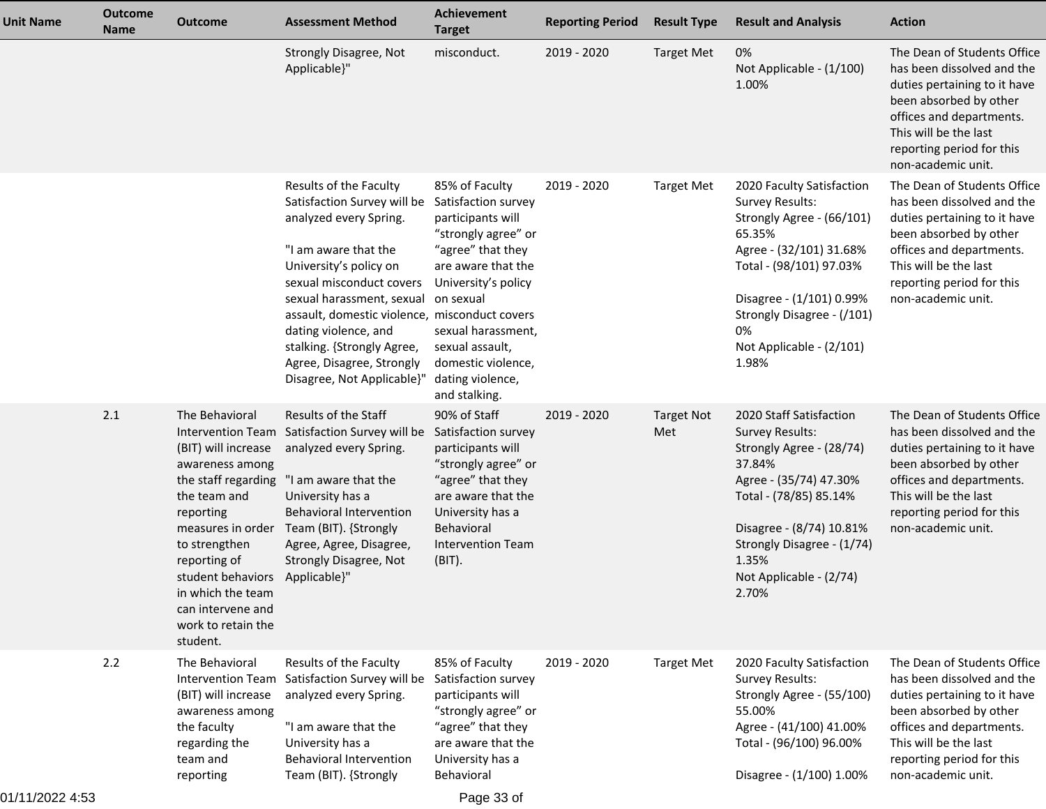| <b>Unit Name</b> | <b>Outcome</b><br><b>Name</b> | <b>Outcome</b>                                                                                                                                                                                                                                                                           | <b>Assessment Method</b>                                                                                                                                                                                                                                                                                                                                     | Achievement<br><b>Target</b>                                                                                                                                                                                                                                         | <b>Reporting Period</b> | <b>Result Type</b>       | <b>Result and Analysis</b>                                                                                                                                                                                                                            | <b>Action</b>                                                                                                                                                                                                               |
|------------------|-------------------------------|------------------------------------------------------------------------------------------------------------------------------------------------------------------------------------------------------------------------------------------------------------------------------------------|--------------------------------------------------------------------------------------------------------------------------------------------------------------------------------------------------------------------------------------------------------------------------------------------------------------------------------------------------------------|----------------------------------------------------------------------------------------------------------------------------------------------------------------------------------------------------------------------------------------------------------------------|-------------------------|--------------------------|-------------------------------------------------------------------------------------------------------------------------------------------------------------------------------------------------------------------------------------------------------|-----------------------------------------------------------------------------------------------------------------------------------------------------------------------------------------------------------------------------|
|                  |                               |                                                                                                                                                                                                                                                                                          | <b>Strongly Disagree, Not</b><br>Applicable}"                                                                                                                                                                                                                                                                                                                | misconduct.                                                                                                                                                                                                                                                          | 2019 - 2020             | <b>Target Met</b>        | 0%<br>Not Applicable - (1/100)<br>1.00%                                                                                                                                                                                                               | The Dean of Students Office<br>has been dissolved and the<br>duties pertaining to it have<br>been absorbed by other<br>offices and departments.<br>This will be the last<br>reporting period for this<br>non-academic unit. |
|                  |                               |                                                                                                                                                                                                                                                                                          | Results of the Faculty<br>Satisfaction Survey will be<br>analyzed every Spring.<br>"I am aware that the<br>University's policy on<br>sexual misconduct covers<br>sexual harassment, sexual<br>assault, domestic violence, misconduct covers<br>dating violence, and<br>stalking. {Strongly Agree,<br>Agree, Disagree, Strongly<br>Disagree, Not Applicable}" | 85% of Faculty<br>Satisfaction survey<br>participants will<br>"strongly agree" or<br>"agree" that they<br>are aware that the<br>University's policy<br>on sexual<br>sexual harassment,<br>sexual assault,<br>domestic violence,<br>dating violence,<br>and stalking. | 2019 - 2020             | <b>Target Met</b>        | 2020 Faculty Satisfaction<br><b>Survey Results:</b><br>Strongly Agree - (66/101)<br>65.35%<br>Agree - (32/101) 31.68%<br>Total - (98/101) 97.03%<br>Disagree - (1/101) 0.99%<br>Strongly Disagree - (/101)<br>0%<br>Not Applicable - (2/101)<br>1.98% | The Dean of Students Office<br>has been dissolved and the<br>duties pertaining to it have<br>been absorbed by other<br>offices and departments.<br>This will be the last<br>reporting period for this<br>non-academic unit. |
|                  | 2.1                           | The Behavioral<br>Intervention Team<br>(BIT) will increase<br>awareness among<br>the staff regarding<br>the team and<br>reporting<br>measures in order<br>to strengthen<br>reporting of<br>student behaviors<br>in which the team<br>can intervene and<br>work to retain the<br>student. | Results of the Staff<br>Satisfaction Survey will be<br>analyzed every Spring.<br>"I am aware that the<br>University has a<br><b>Behavioral Intervention</b><br>Team (BIT). {Strongly<br>Agree, Agree, Disagree,<br>Strongly Disagree, Not<br>Applicable}"                                                                                                    | 90% of Staff<br>Satisfaction survey<br>participants will<br>"strongly agree" or<br>"agree" that they<br>are aware that the<br>University has a<br>Behavioral<br><b>Intervention Team</b><br>(BIT).                                                                   | 2019 - 2020             | <b>Target Not</b><br>Met | 2020 Staff Satisfaction<br><b>Survey Results:</b><br>Strongly Agree - (28/74)<br>37.84%<br>Agree - (35/74) 47.30%<br>Total - (78/85) 85.14%<br>Disagree - (8/74) 10.81%<br>Strongly Disagree - (1/74)<br>1.35%<br>Not Applicable - (2/74)<br>2.70%    | The Dean of Students Office<br>has been dissolved and the<br>duties pertaining to it have<br>been absorbed by other<br>offices and departments.<br>This will be the last<br>reporting period for this<br>non-academic unit. |
|                  | 2.2                           | The Behavioral<br>(BIT) will increase<br>awareness among<br>the faculty<br>regarding the<br>team and<br>reporting                                                                                                                                                                        | Results of the Faculty<br>Intervention Team Satisfaction Survey will be<br>analyzed every Spring.<br>"I am aware that the<br>University has a<br><b>Behavioral Intervention</b><br>Team (BIT). {Strongly                                                                                                                                                     | 85% of Faculty<br>Satisfaction survey<br>participants will<br>"strongly agree" or<br>"agree" that they<br>are aware that the<br>University has a<br>Behavioral                                                                                                       | 2019 - 2020             | <b>Target Met</b>        | 2020 Faculty Satisfaction<br><b>Survey Results:</b><br>Strongly Agree - (55/100)<br>55.00%<br>Agree - (41/100) 41.00%<br>Total - (96/100) 96.00%<br>Disagree - (1/100) 1.00%                                                                          | The Dean of Students Office<br>has been dissolved and the<br>duties pertaining to it have<br>been absorbed by other<br>offices and departments.<br>This will be the last<br>reporting period for this<br>non-academic unit. |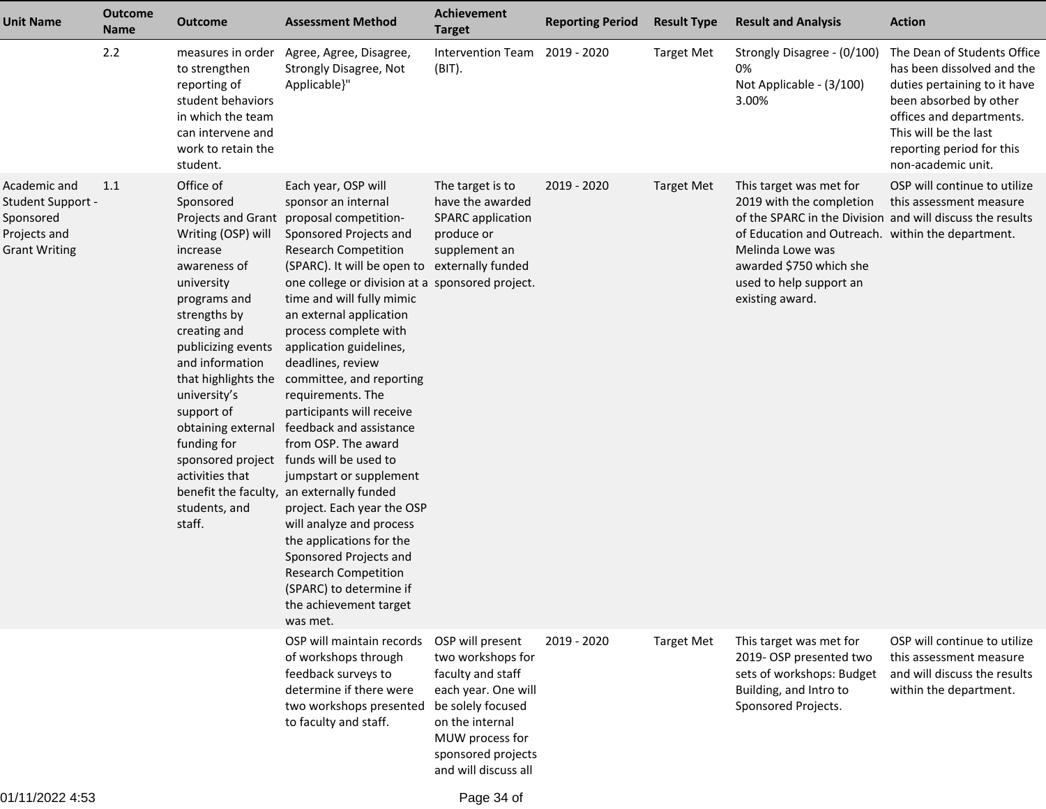| <b>Unit Name</b>                                                                       | <b>Outcome</b><br><b>Name</b> | <b>Outcome</b>                                                                                                                                                                                                                                                                                                                               | <b>Assessment Method</b>                                                                                                                                                                                                                                                                                                                                                                                                                                                                                                                                                                                                                                                                                                                                                                                                              | <b>Achievement</b><br><b>Target</b>                                                                                                                                                        | <b>Reporting Period</b> | <b>Result Type</b> | <b>Result and Analysis</b>                                                                                                                                                                                                                                         | <b>Action</b>                                                                                                                                                                                                               |
|----------------------------------------------------------------------------------------|-------------------------------|----------------------------------------------------------------------------------------------------------------------------------------------------------------------------------------------------------------------------------------------------------------------------------------------------------------------------------------------|---------------------------------------------------------------------------------------------------------------------------------------------------------------------------------------------------------------------------------------------------------------------------------------------------------------------------------------------------------------------------------------------------------------------------------------------------------------------------------------------------------------------------------------------------------------------------------------------------------------------------------------------------------------------------------------------------------------------------------------------------------------------------------------------------------------------------------------|--------------------------------------------------------------------------------------------------------------------------------------------------------------------------------------------|-------------------------|--------------------|--------------------------------------------------------------------------------------------------------------------------------------------------------------------------------------------------------------------------------------------------------------------|-----------------------------------------------------------------------------------------------------------------------------------------------------------------------------------------------------------------------------|
|                                                                                        | 2.2                           | to strengthen<br>reporting of<br>student behaviors<br>in which the team<br>can intervene and<br>work to retain the<br>student.                                                                                                                                                                                                               | measures in order Agree, Agree, Disagree,<br>Strongly Disagree, Not<br>Applicable}"                                                                                                                                                                                                                                                                                                                                                                                                                                                                                                                                                                                                                                                                                                                                                   | Intervention Team 2019 - 2020<br>(BIT).                                                                                                                                                    |                         | <b>Target Met</b>  | Strongly Disagree - (0/100)<br>0%<br>Not Applicable - (3/100)<br>3.00%                                                                                                                                                                                             | The Dean of Students Office<br>has been dissolved and the<br>duties pertaining to it have<br>been absorbed by other<br>offices and departments.<br>This will be the last<br>reporting period for this<br>non-academic unit. |
| Academic and<br>Student Support -<br>Sponsored<br>Projects and<br><b>Grant Writing</b> | 1.1                           | Office of<br>Sponsored<br>Writing (OSP) will<br>increase<br>awareness of<br>university<br>programs and<br>strengths by<br>creating and<br>publicizing events<br>and information<br>that highlights the<br>university's<br>support of<br>obtaining external<br>funding for<br>sponsored project<br>activities that<br>students, and<br>staff. | Each year, OSP will<br>sponsor an internal<br>Projects and Grant proposal competition-<br>Sponsored Projects and<br><b>Research Competition</b><br>(SPARC). It will be open to externally funded<br>one college or division at a sponsored project.<br>time and will fully mimic<br>an external application<br>process complete with<br>application guidelines,<br>deadlines, review<br>committee, and reporting<br>requirements. The<br>participants will receive<br>feedback and assistance<br>from OSP. The award<br>funds will be used to<br>jumpstart or supplement<br>benefit the faculty, an externally funded<br>project. Each year the OSP<br>will analyze and process<br>the applications for the<br>Sponsored Projects and<br><b>Research Competition</b><br>(SPARC) to determine if<br>the achievement target<br>was met. | The target is to<br>have the awarded<br><b>SPARC</b> application<br>produce or<br>supplement an                                                                                            | 2019 - 2020             | <b>Target Met</b>  | This target was met for<br>2019 with the completion<br>of the SPARC in the Division and will discuss the results<br>of Education and Outreach. within the department.<br>Melinda Lowe was<br>awarded \$750 which she<br>used to help support an<br>existing award. | OSP will continue to utilize<br>this assessment measure                                                                                                                                                                     |
|                                                                                        |                               |                                                                                                                                                                                                                                                                                                                                              | OSP will maintain records<br>of workshops through<br>feedback surveys to<br>determine if there were<br>two workshops presented<br>to faculty and staff.                                                                                                                                                                                                                                                                                                                                                                                                                                                                                                                                                                                                                                                                               | OSP will present<br>two workshops for<br>faculty and staff<br>each year. One will<br>be solely focused<br>on the internal<br>MUW process for<br>sponsored projects<br>and will discuss all | 2019 - 2020             | <b>Target Met</b>  | This target was met for<br>2019-OSP presented two<br>sets of workshops: Budget<br>Building, and Intro to<br>Sponsored Projects.                                                                                                                                    | OSP will continue to utilize<br>this assessment measure<br>and will discuss the results<br>within the department.                                                                                                           |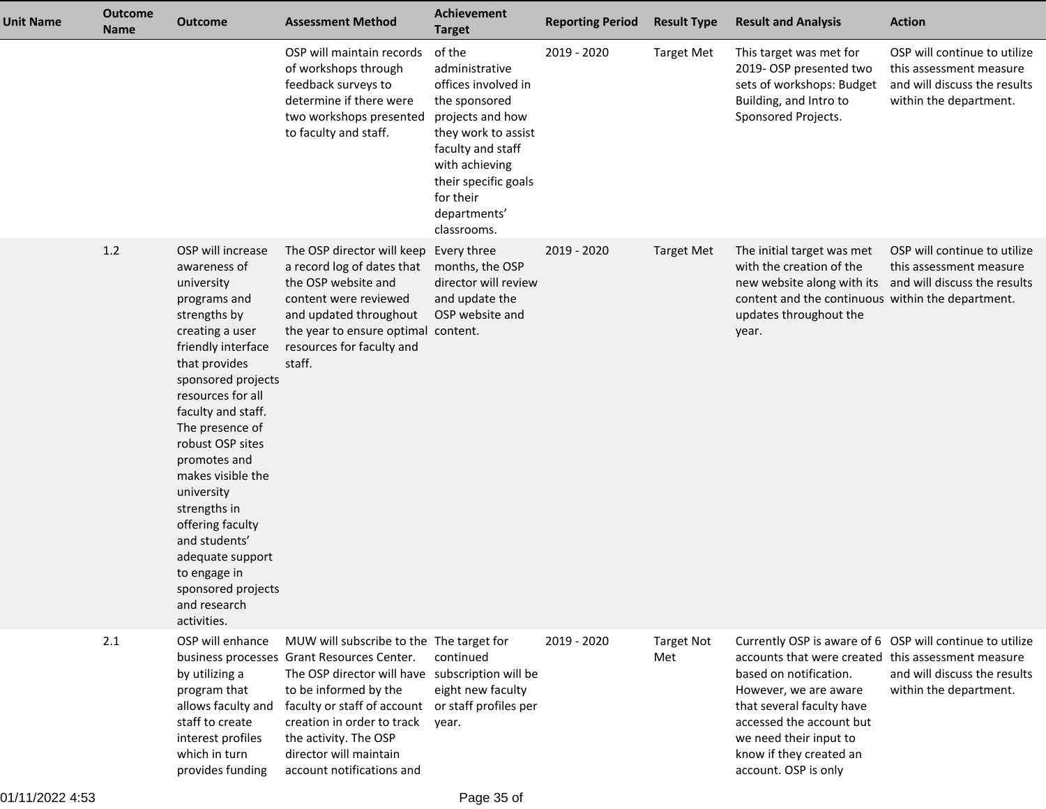| <b>Unit Name</b> | <b>Outcome</b><br><b>Name</b> | <b>Outcome</b>                                                                                                                                                                                                                                                                                                                                                                                                                                     | <b>Assessment Method</b>                                                                                                                                                                                                                                                                                                              | Achievement<br><b>Target</b>                                                                                                                                                                                           | <b>Reporting Period</b> | <b>Result Type</b>       | <b>Result and Analysis</b>                                                                                                                                                                                                                                                                              | <b>Action</b>                                                                                                     |
|------------------|-------------------------------|----------------------------------------------------------------------------------------------------------------------------------------------------------------------------------------------------------------------------------------------------------------------------------------------------------------------------------------------------------------------------------------------------------------------------------------------------|---------------------------------------------------------------------------------------------------------------------------------------------------------------------------------------------------------------------------------------------------------------------------------------------------------------------------------------|------------------------------------------------------------------------------------------------------------------------------------------------------------------------------------------------------------------------|-------------------------|--------------------------|---------------------------------------------------------------------------------------------------------------------------------------------------------------------------------------------------------------------------------------------------------------------------------------------------------|-------------------------------------------------------------------------------------------------------------------|
|                  |                               |                                                                                                                                                                                                                                                                                                                                                                                                                                                    | OSP will maintain records<br>of workshops through<br>feedback surveys to<br>determine if there were<br>two workshops presented<br>to faculty and staff.                                                                                                                                                                               | of the<br>administrative<br>offices involved in<br>the sponsored<br>projects and how<br>they work to assist<br>faculty and staff<br>with achieving<br>their specific goals<br>for their<br>departments'<br>classrooms. | 2019 - 2020             | <b>Target Met</b>        | This target was met for<br>2019- OSP presented two<br>sets of workshops: Budget<br>Building, and Intro to<br>Sponsored Projects.                                                                                                                                                                        | OSP will continue to utilize<br>this assessment measure<br>and will discuss the results<br>within the department. |
|                  | 1.2                           | OSP will increase<br>awareness of<br>university<br>programs and<br>strengths by<br>creating a user<br>friendly interface<br>that provides<br>sponsored projects<br>resources for all<br>faculty and staff.<br>The presence of<br>robust OSP sites<br>promotes and<br>makes visible the<br>university<br>strengths in<br>offering faculty<br>and students'<br>adequate support<br>to engage in<br>sponsored projects<br>and research<br>activities. | The OSP director will keep Every three<br>a record log of dates that<br>the OSP website and<br>content were reviewed<br>and updated throughout<br>the year to ensure optimal content.<br>resources for faculty and<br>staff.                                                                                                          | months, the OSP<br>director will review<br>and update the<br>OSP website and                                                                                                                                           | 2019 - 2020             | <b>Target Met</b>        | The initial target was met<br>with the creation of the<br>new website along with its and will discuss the results<br>content and the continuous within the department.<br>updates throughout the<br>year.                                                                                               | OSP will continue to utilize<br>this assessment measure                                                           |
|                  | 2.1                           | OSP will enhance<br>by utilizing a<br>program that<br>allows faculty and<br>staff to create<br>interest profiles<br>which in turn<br>provides funding                                                                                                                                                                                                                                                                                              | MUW will subscribe to the The target for<br>business processes Grant Resources Center.<br>The OSP director will have subscription will be<br>to be informed by the<br>faculty or staff of account or staff profiles per<br>creation in order to track<br>the activity. The OSP<br>director will maintain<br>account notifications and | continued<br>eight new faculty<br>year.                                                                                                                                                                                | 2019 - 2020             | <b>Target Not</b><br>Met | Currently OSP is aware of 6 OSP will continue to utilize<br>accounts that were created this assessment measure<br>based on notification.<br>However, we are aware<br>that several faculty have<br>accessed the account but<br>we need their input to<br>know if they created an<br>account. OSP is only | and will discuss the results<br>within the department.                                                            |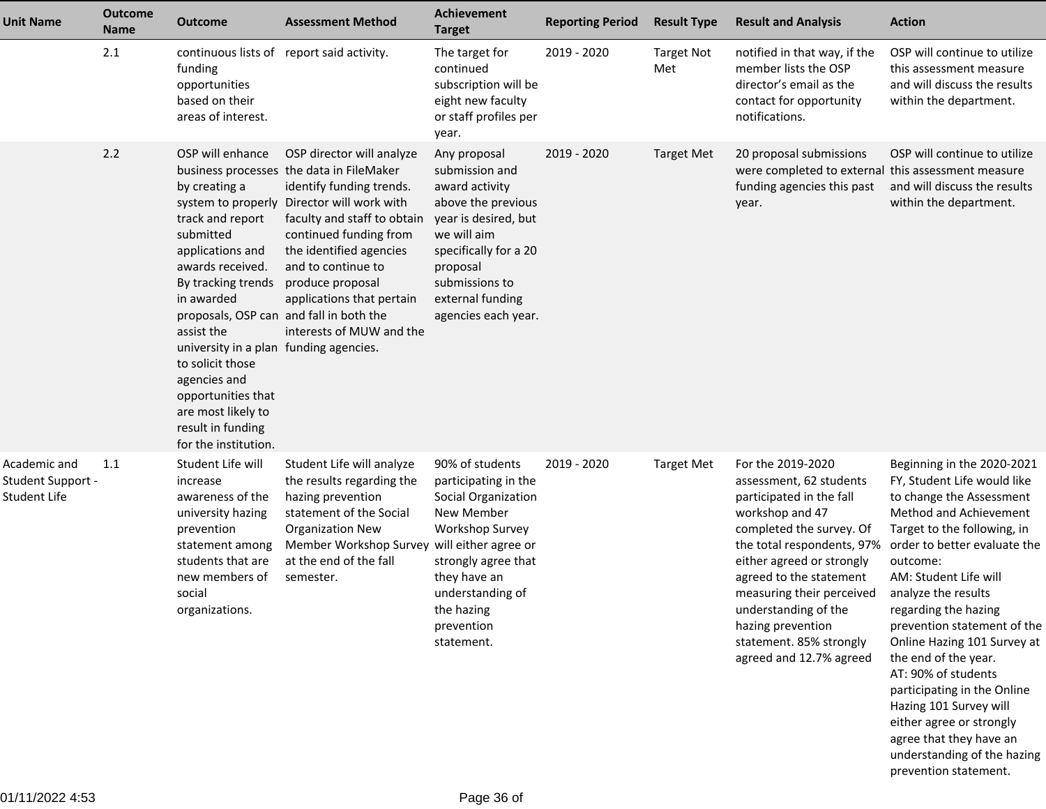| <b>Unit Name</b>                                  | <b>Outcome</b><br>Name | <b>Outcome</b>                                                                                                                                                                                                                                                                                                                                                                 | <b>Assessment Method</b>                                                                                                                                                                                                                                                                                                               | Achievement<br><b>Target</b>                                                                                                                                                                                    | <b>Reporting Period</b> | <b>Result Type</b>       | <b>Result and Analysis</b>                                                                                                                                                                                                                                                                                                                    | <b>Action</b>                                                                                                                                                                                                                                                                                                                                                                                                                                                                                                                                           |
|---------------------------------------------------|------------------------|--------------------------------------------------------------------------------------------------------------------------------------------------------------------------------------------------------------------------------------------------------------------------------------------------------------------------------------------------------------------------------|----------------------------------------------------------------------------------------------------------------------------------------------------------------------------------------------------------------------------------------------------------------------------------------------------------------------------------------|-----------------------------------------------------------------------------------------------------------------------------------------------------------------------------------------------------------------|-------------------------|--------------------------|-----------------------------------------------------------------------------------------------------------------------------------------------------------------------------------------------------------------------------------------------------------------------------------------------------------------------------------------------|---------------------------------------------------------------------------------------------------------------------------------------------------------------------------------------------------------------------------------------------------------------------------------------------------------------------------------------------------------------------------------------------------------------------------------------------------------------------------------------------------------------------------------------------------------|
|                                                   | 2.1                    | funding<br>opportunities<br>based on their<br>areas of interest.                                                                                                                                                                                                                                                                                                               | continuous lists of report said activity.                                                                                                                                                                                                                                                                                              | The target for<br>continued<br>subscription will be<br>eight new faculty<br>or staff profiles per<br>year.                                                                                                      | 2019 - 2020             | <b>Target Not</b><br>Met | notified in that way, if the<br>member lists the OSP<br>director's email as the<br>contact for opportunity<br>notifications.                                                                                                                                                                                                                  | OSP will continue to utilize<br>this assessment measure<br>and will discuss the results<br>within the department.                                                                                                                                                                                                                                                                                                                                                                                                                                       |
|                                                   | 2.2                    | OSP will enhance<br>by creating a<br>track and report<br>submitted<br>applications and<br>awards received.<br>By tracking trends<br>in awarded<br>proposals, OSP can and fall in both the<br>assist the<br>university in a plan funding agencies.<br>to solicit those<br>agencies and<br>opportunities that<br>are most likely to<br>result in funding<br>for the institution. | OSP director will analyze<br>business processes the data in FileMaker<br>identify funding trends.<br>system to properly Director will work with<br>faculty and staff to obtain<br>continued funding from<br>the identified agencies<br>and to continue to<br>produce proposal<br>applications that pertain<br>interests of MUW and the | Any proposal<br>submission and<br>award activity<br>above the previous<br>year is desired, but<br>we will aim<br>specifically for a 20<br>proposal<br>submissions to<br>external funding<br>agencies each year. | 2019 - 2020             | <b>Target Met</b>        | 20 proposal submissions<br>were completed to external this assessment measure<br>funding agencies this past<br>year.                                                                                                                                                                                                                          | OSP will continue to utilize<br>and will discuss the results<br>within the department.                                                                                                                                                                                                                                                                                                                                                                                                                                                                  |
| Academic and<br>Student Support -<br>Student Life | 1.1                    | Student Life will<br>increase<br>awareness of the<br>university hazing<br>prevention<br>statement among<br>students that are<br>new members of<br>social<br>organizations.                                                                                                                                                                                                     | Student Life will analyze<br>the results regarding the<br>hazing prevention<br>statement of the Social<br><b>Organization New</b><br>Member Workshop Survey will either agree or<br>at the end of the fall<br>semester.                                                                                                                | 90% of students<br>participating in the<br>Social Organization<br>New Member<br>Workshop Survey<br>strongly agree that<br>they have an<br>understanding of<br>the hazing<br>prevention<br>statement.            | 2019 - 2020             | <b>Target Met</b>        | For the 2019-2020<br>assessment, 62 students<br>participated in the fall<br>workshop and 47<br>completed the survey. Of<br>the total respondents, 97%<br>either agreed or strongly<br>agreed to the statement<br>measuring their perceived<br>understanding of the<br>hazing prevention<br>statement. 85% strongly<br>agreed and 12.7% agreed | Beginning in the 2020-2021<br>FY, Student Life would like<br>to change the Assessment<br>Method and Achievement<br>Target to the following, in<br>order to better evaluate the<br>outcome:<br>AM: Student Life will<br>analyze the results<br>regarding the hazing<br>prevention statement of the<br>Online Hazing 101 Survey at<br>the end of the year.<br>AT: 90% of students<br>participating in the Online<br>Hazing 101 Survey will<br>either agree or strongly<br>agree that they have an<br>understanding of the hazing<br>prevention statement. |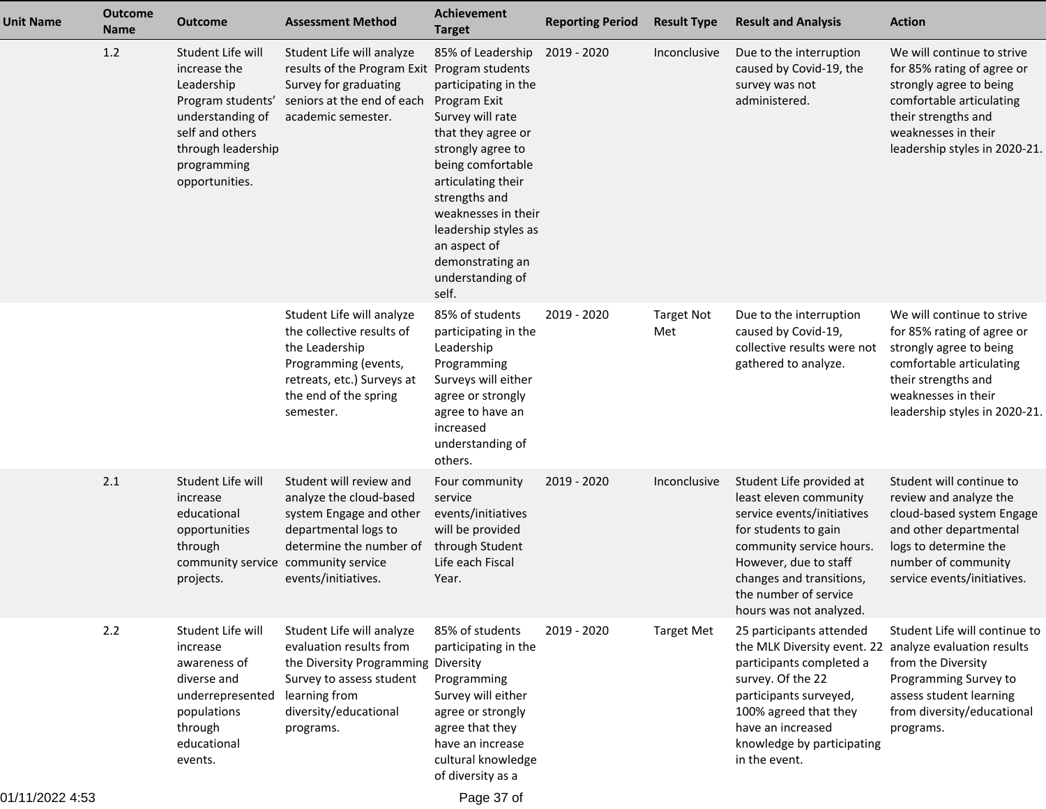| <b>Unit Name</b> | <b>Outcome</b><br><b>Name</b> | <b>Outcome</b>                                                                                                                                                     | <b>Assessment Method</b>                                                                                                                                                       | <b>Achievement</b><br><b>Target</b>                                                                                                                                                                                                                                                                  | <b>Reporting Period</b> | <b>Result Type</b>       | <b>Result and Analysis</b>                                                                                                                                                                                                                                 | <b>Action</b>                                                                                                                                                                                  |
|------------------|-------------------------------|--------------------------------------------------------------------------------------------------------------------------------------------------------------------|--------------------------------------------------------------------------------------------------------------------------------------------------------------------------------|------------------------------------------------------------------------------------------------------------------------------------------------------------------------------------------------------------------------------------------------------------------------------------------------------|-------------------------|--------------------------|------------------------------------------------------------------------------------------------------------------------------------------------------------------------------------------------------------------------------------------------------------|------------------------------------------------------------------------------------------------------------------------------------------------------------------------------------------------|
|                  | 1.2                           | Student Life will<br>increase the<br>Leadership<br>Program students'<br>understanding of<br>self and others<br>through leadership<br>programming<br>opportunities. | Student Life will analyze<br>results of the Program Exit Program students<br>Survey for graduating<br>seniors at the end of each<br>academic semester.                         | 85% of Leadership<br>participating in the<br>Program Exit<br>Survey will rate<br>that they agree or<br>strongly agree to<br>being comfortable<br>articulating their<br>strengths and<br>weaknesses in their<br>leadership styles as<br>an aspect of<br>demonstrating an<br>understanding of<br>self. | 2019 - 2020             | Inconclusive             | Due to the interruption<br>caused by Covid-19, the<br>survey was not<br>administered.                                                                                                                                                                      | We will continue to strive<br>for 85% rating of agree or<br>strongly agree to being<br>comfortable articulating<br>their strengths and<br>weaknesses in their<br>leadership styles in 2020-21. |
|                  |                               |                                                                                                                                                                    | Student Life will analyze<br>the collective results of<br>the Leadership<br>Programming (events,<br>retreats, etc.) Surveys at<br>the end of the spring<br>semester.           | 85% of students<br>participating in the<br>Leadership<br>Programming<br>Surveys will either<br>agree or strongly<br>agree to have an<br>increased<br>understanding of<br>others.                                                                                                                     | 2019 - 2020             | <b>Target Not</b><br>Met | Due to the interruption<br>caused by Covid-19,<br>collective results were not<br>gathered to analyze.                                                                                                                                                      | We will continue to strive<br>for 85% rating of agree or<br>strongly agree to being<br>comfortable articulating<br>their strengths and<br>weaknesses in their<br>leadership styles in 2020-21. |
|                  | 2.1                           | Student Life will<br>increase<br>educational<br>opportunities<br>through<br>community service community service<br>projects.                                       | Student will review and<br>analyze the cloud-based<br>system Engage and other<br>departmental logs to<br>determine the number of<br>events/initiatives.                        | Four community<br>service<br>events/initiatives<br>will be provided<br>through Student<br>Life each Fiscal<br>Year.                                                                                                                                                                                  | 2019 - 2020             | Inconclusive             | Student Life provided at<br>least eleven community<br>service events/initiatives<br>for students to gain<br>community service hours.<br>However, due to staff<br>changes and transitions,<br>the number of service<br>hours was not analyzed.              | Student will continue to<br>review and analyze the<br>cloud-based system Engage<br>and other departmental<br>logs to determine the<br>number of community<br>service events/initiatives.       |
|                  | 2.2                           | Student Life will<br>increase<br>awareness of<br>diverse and<br>underrepresented<br>populations<br>through<br>educational<br>events.                               | Student Life will analyze<br>evaluation results from<br>the Diversity Programming Diversity<br>Survey to assess student<br>learning from<br>diversity/educational<br>programs. | 85% of students<br>participating in the<br>Programming<br>Survey will either<br>agree or strongly<br>agree that they<br>have an increase<br>cultural knowledge<br>of diversity as a                                                                                                                  | 2019 - 2020             | <b>Target Met</b>        | 25 participants attended<br>the MLK Diversity event. 22 analyze evaluation results<br>participants completed a<br>survey. Of the 22<br>participants surveyed,<br>100% agreed that they<br>have an increased<br>knowledge by participating<br>in the event. | Student Life will continue to<br>from the Diversity<br>Programming Survey to<br>assess student learning<br>from diversity/educational<br>programs.                                             |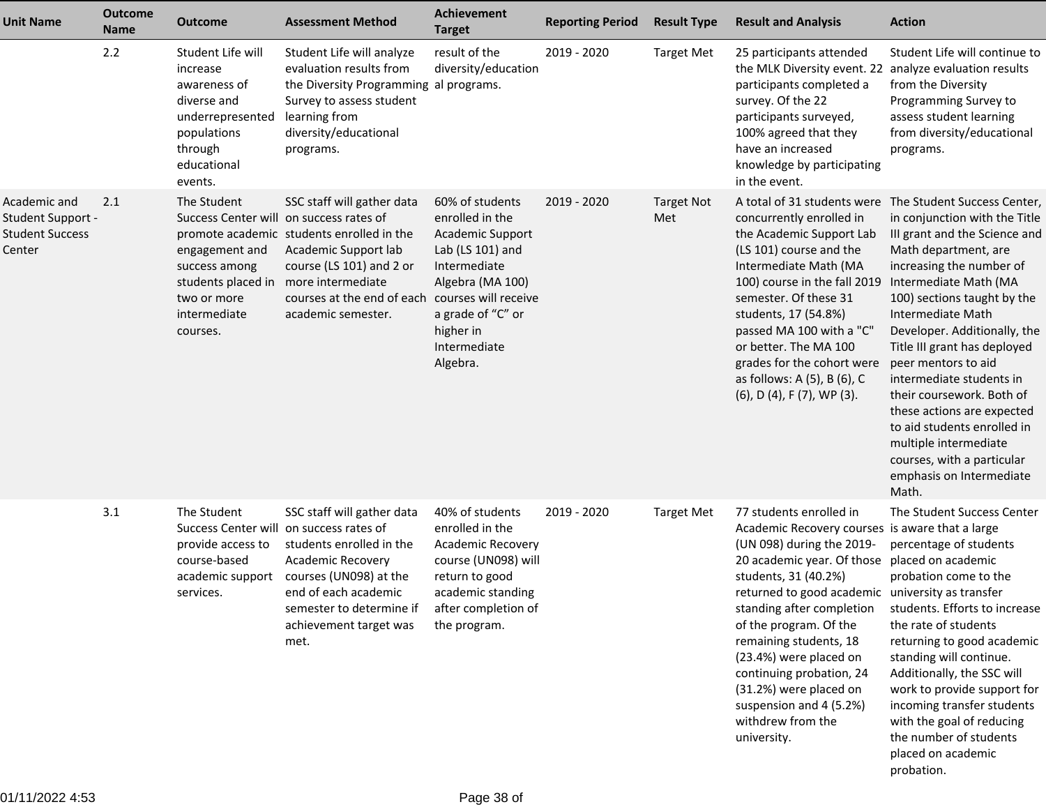| <b>Unit Name</b>                                                      | <b>Outcome</b><br><b>Name</b> | <b>Outcome</b>                                                                                                                                             | <b>Assessment Method</b>                                                                                                                                                                                                  | Achievement<br><b>Target</b>                                                                                                                                                 | <b>Reporting Period</b> | <b>Result Type</b>       | <b>Result and Analysis</b>                                                                                                                                                                                                                                                                                                                                                                                                                        | <b>Action</b>                                                                                                                                                                                                                                                                                                                                                                                                                                                                                                                                                       |
|-----------------------------------------------------------------------|-------------------------------|------------------------------------------------------------------------------------------------------------------------------------------------------------|---------------------------------------------------------------------------------------------------------------------------------------------------------------------------------------------------------------------------|------------------------------------------------------------------------------------------------------------------------------------------------------------------------------|-------------------------|--------------------------|---------------------------------------------------------------------------------------------------------------------------------------------------------------------------------------------------------------------------------------------------------------------------------------------------------------------------------------------------------------------------------------------------------------------------------------------------|---------------------------------------------------------------------------------------------------------------------------------------------------------------------------------------------------------------------------------------------------------------------------------------------------------------------------------------------------------------------------------------------------------------------------------------------------------------------------------------------------------------------------------------------------------------------|
|                                                                       | 2.2                           | Student Life will<br>increase<br>awareness of<br>diverse and<br>underrepresented<br>populations<br>through<br>educational<br>events.                       | Student Life will analyze<br>evaluation results from<br>the Diversity Programming al programs.<br>Survey to assess student<br>learning from<br>diversity/educational<br>programs.                                         | result of the<br>diversity/education                                                                                                                                         | 2019 - 2020             | <b>Target Met</b>        | 25 participants attended<br>the MLK Diversity event. 22 analyze evaluation results<br>participants completed a<br>survey. Of the 22<br>participants surveyed,<br>100% agreed that they<br>have an increased<br>knowledge by participating<br>in the event.                                                                                                                                                                                        | Student Life will continue to<br>from the Diversity<br>Programming Survey to<br>assess student learning<br>from diversity/educational<br>programs.                                                                                                                                                                                                                                                                                                                                                                                                                  |
| Academic and<br>Student Support -<br><b>Student Success</b><br>Center | 2.1                           | The Student<br>Success Center will on success rates of<br>engagement and<br>success among<br>students placed in<br>two or more<br>intermediate<br>courses. | SSC staff will gather data<br>promote academic students enrolled in the<br>Academic Support lab<br>course (LS 101) and 2 or<br>more intermediate<br>courses at the end of each courses will receive<br>academic semester. | 60% of students<br>enrolled in the<br>Academic Support<br>Lab (LS 101) and<br>Intermediate<br>Algebra (MA 100)<br>a grade of "C" or<br>higher in<br>Intermediate<br>Algebra. | 2019 - 2020             | <b>Target Not</b><br>Met | concurrently enrolled in<br>the Academic Support Lab<br>(LS 101) course and the<br>Intermediate Math (MA<br>100) course in the fall 2019<br>semester. Of these 31<br>students, 17 (54.8%)<br>passed MA 100 with a "C"<br>or better. The MA 100<br>grades for the cohort were<br>as follows: A (5), B (6), C<br>$(6)$ , D $(4)$ , F $(7)$ , WP $(3)$ .                                                                                             | A total of 31 students were The Student Success Center,<br>in conjunction with the Title<br>III grant and the Science and<br>Math department, are<br>increasing the number of<br>Intermediate Math (MA<br>100) sections taught by the<br>Intermediate Math<br>Developer. Additionally, the<br>Title III grant has deployed<br>peer mentors to aid<br>intermediate students in<br>their coursework. Both of<br>these actions are expected<br>to aid students enrolled in<br>multiple intermediate<br>courses, with a particular<br>emphasis on Intermediate<br>Math. |
|                                                                       | 3.1                           | The Student<br>Success Center will on success rates of<br>provide access to<br>course-based<br>academic support<br>services.                               | SSC staff will gather data<br>students enrolled in the<br><b>Academic Recovery</b><br>courses (UN098) at the<br>end of each academic<br>semester to determine if<br>achievement target was<br>met.                        | 40% of students<br>enrolled in the<br><b>Academic Recovery</b><br>course (UN098) will<br>return to good<br>academic standing<br>after completion of<br>the program.          | 2019 - 2020             | <b>Target Met</b>        | 77 students enrolled in<br>Academic Recovery courses is aware that a large<br>(UN 098) during the 2019-<br>20 academic year. Of those<br>students, 31 (40.2%)<br>returned to good academic university as transfer<br>standing after completion<br>of the program. Of the<br>remaining students, 18<br>(23.4%) were placed on<br>continuing probation, 24<br>(31.2%) were placed on<br>suspension and 4 (5.2%)<br>withdrew from the<br>university. | The Student Success Center<br>percentage of students<br>placed on academic<br>probation come to the<br>students. Efforts to increase<br>the rate of students<br>returning to good academic<br>standing will continue.<br>Additionally, the SSC will<br>work to provide support for<br>incoming transfer students<br>with the goal of reducing<br>the number of students<br>placed on academic<br>probation.                                                                                                                                                         |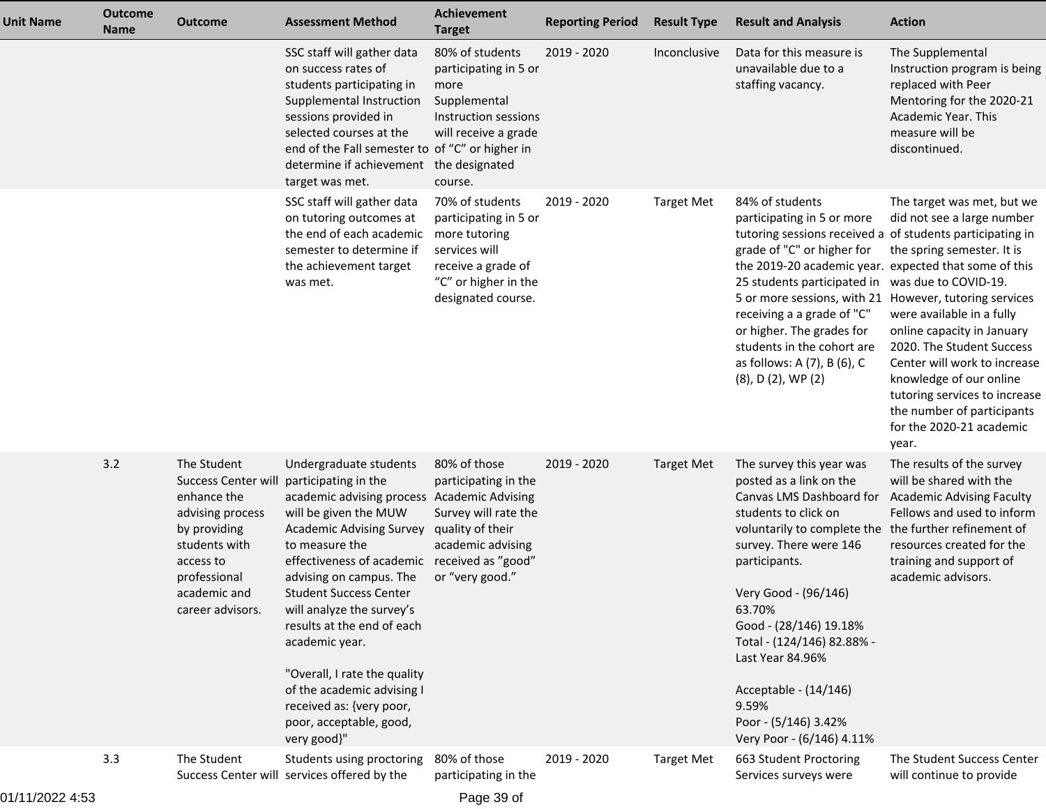| <b>Unit Name</b> | <b>Outcome</b><br><b>Name</b> | <b>Outcome</b>                                                                                                                                                        | <b>Assessment Method</b>                                                                                                                                                                                                                                                                                                                                                                                                                                                              | <b>Achievement</b><br><b>Target</b>                                                                                                            | <b>Reporting Period</b> | <b>Result Type</b> | <b>Result and Analysis</b>                                                                                                                                                                                                                                                                                                                                                                                                         | <b>Action</b>                                                                                                                                                                                                                                                                                                                                                               |
|------------------|-------------------------------|-----------------------------------------------------------------------------------------------------------------------------------------------------------------------|---------------------------------------------------------------------------------------------------------------------------------------------------------------------------------------------------------------------------------------------------------------------------------------------------------------------------------------------------------------------------------------------------------------------------------------------------------------------------------------|------------------------------------------------------------------------------------------------------------------------------------------------|-------------------------|--------------------|------------------------------------------------------------------------------------------------------------------------------------------------------------------------------------------------------------------------------------------------------------------------------------------------------------------------------------------------------------------------------------------------------------------------------------|-----------------------------------------------------------------------------------------------------------------------------------------------------------------------------------------------------------------------------------------------------------------------------------------------------------------------------------------------------------------------------|
|                  |                               |                                                                                                                                                                       | SSC staff will gather data<br>on success rates of<br>students participating in<br>Supplemental Instruction<br>sessions provided in<br>selected courses at the<br>end of the Fall semester to of "C" or higher in<br>determine if achievement the designated<br>target was met.                                                                                                                                                                                                        | 80% of students<br>participating in 5 or<br>more<br>Supplemental<br>Instruction sessions<br>will receive a grade<br>course.                    | 2019 - 2020             | Inconclusive       | Data for this measure is<br>unavailable due to a<br>staffing vacancy.                                                                                                                                                                                                                                                                                                                                                              | The Supplemental<br>Instruction program is being<br>replaced with Peer<br>Mentoring for the 2020-21<br>Academic Year. This<br>measure will be<br>discontinued.                                                                                                                                                                                                              |
|                  |                               |                                                                                                                                                                       | SSC staff will gather data<br>on tutoring outcomes at<br>the end of each academic<br>semester to determine if<br>the achievement target<br>was met.                                                                                                                                                                                                                                                                                                                                   | 70% of students<br>participating in 5 or<br>more tutoring<br>services will<br>receive a grade of<br>"C" or higher in the<br>designated course. | 2019 - 2020             | <b>Target Met</b>  | 84% of students<br>participating in 5 or more<br>tutoring sessions received a of students participating in<br>grade of "C" or higher for<br>the 2019-20 academic year. expected that some of this<br>25 students participated in was due to COVID-19.<br>5 or more sessions, with 21<br>receiving a a grade of "C"<br>or higher. The grades for<br>students in the cohort are<br>as follows: A (7), B (6), C<br>(8), D (2), WP (2) | The target was met, but we<br>did not see a large number<br>the spring semester. It is<br>However, tutoring services<br>were available in a fully<br>online capacity in January<br>2020. The Student Success<br>Center will work to increase<br>knowledge of our online<br>tutoring services to increase<br>the number of participants<br>for the 2020-21 academic<br>year. |
|                  | 3.2                           | The Student<br>Success Center wi<br>enhance the<br>advising process<br>by providing<br>students with<br>access to<br>professional<br>academic and<br>career advisors. | Undergraduate students<br>participating in the<br>academic advising process Academic Advising<br>will be given the MUW<br><b>Academic Advising Survey</b><br>to measure the<br>effectiveness of academic<br>advising on campus. The<br><b>Student Success Center</b><br>will analyze the survey's<br>results at the end of each<br>academic year.<br>"Overall, I rate the quality<br>of the academic advising I<br>received as: {very poor,<br>poor, acceptable, good,<br>very good}" | 80% of those<br>participating in the<br>Survey will rate the<br>quality of their<br>academic advising<br>received as "good"<br>or "very good." | 2019 - 2020             | <b>Target Met</b>  | The survey this year was<br>posted as a link on the<br>Canvas LMS Dashboard for<br>students to click on<br>voluntarily to complete the<br>survey. There were 146<br>participants.<br>Very Good - (96/146)<br>63.70%<br>Good - (28/146) 19.18%<br>Total - (124/146) 82.88% -<br>Last Year 84.96%<br>Acceptable - (14/146)<br>9.59%<br>Poor - (5/146) 3.42%<br>Very Poor - (6/146) 4.11%                                             | The results of the survey<br>will be shared with the<br><b>Academic Advising Faculty</b><br>Fellows and used to inform<br>the further refinement of<br>resources created for the<br>training and support of<br>academic advisors.                                                                                                                                           |
|                  | 3.3                           | The Student                                                                                                                                                           | Students using proctoring<br>Success Center will services offered by the                                                                                                                                                                                                                                                                                                                                                                                                              | 80% of those<br>participating in the                                                                                                           | 2019 - 2020             | <b>Target Met</b>  | 663 Student Proctoring<br>Services surveys were                                                                                                                                                                                                                                                                                                                                                                                    | The Student Success Center<br>will continue to provide                                                                                                                                                                                                                                                                                                                      |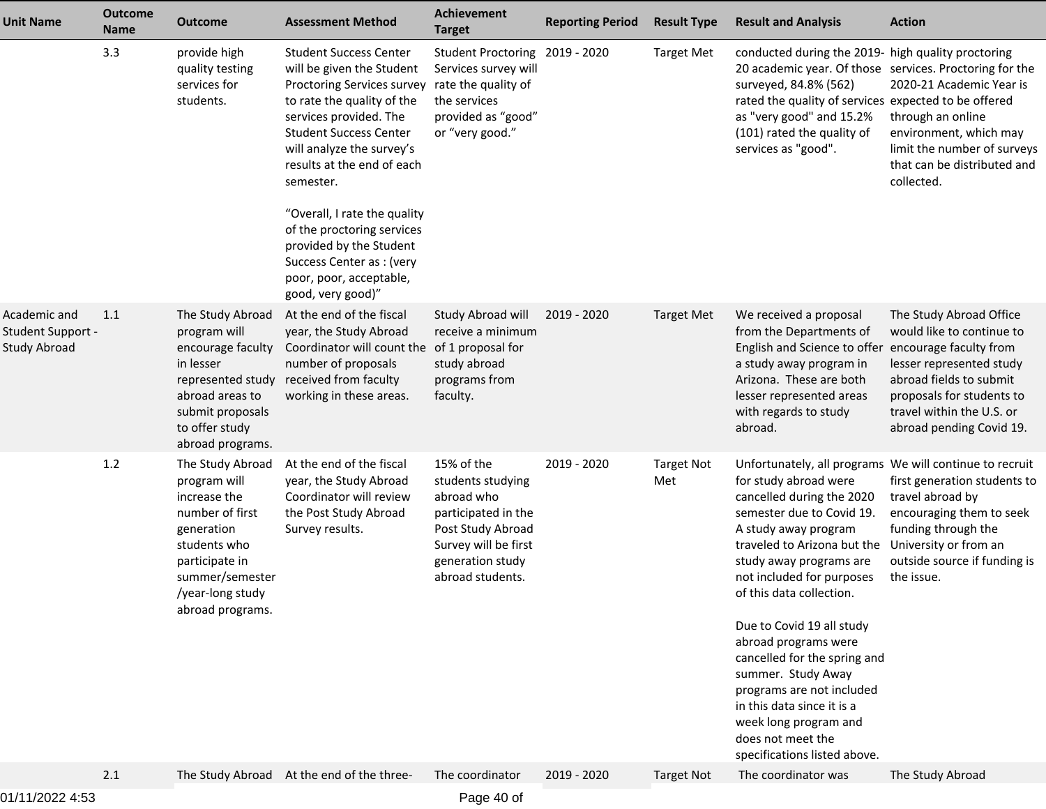| <b>Unit Name</b>                                                | <b>Outcome</b><br><b>Name</b> | <b>Outcome</b>                                                                                                                                                                 | <b>Assessment Method</b>                                                                                                                                                                                                                                                                                                                                                                                                        | <b>Achievement</b><br><b>Target</b>                                                                                                                       | <b>Reporting Period</b> | <b>Result Type</b>       | <b>Result and Analysis</b>                                                                                                                                                                                                                                                                                                                                                                                                                                                                                                                | <b>Action</b>                                                                                                                                                                                                               |
|-----------------------------------------------------------------|-------------------------------|--------------------------------------------------------------------------------------------------------------------------------------------------------------------------------|---------------------------------------------------------------------------------------------------------------------------------------------------------------------------------------------------------------------------------------------------------------------------------------------------------------------------------------------------------------------------------------------------------------------------------|-----------------------------------------------------------------------------------------------------------------------------------------------------------|-------------------------|--------------------------|-------------------------------------------------------------------------------------------------------------------------------------------------------------------------------------------------------------------------------------------------------------------------------------------------------------------------------------------------------------------------------------------------------------------------------------------------------------------------------------------------------------------------------------------|-----------------------------------------------------------------------------------------------------------------------------------------------------------------------------------------------------------------------------|
|                                                                 | 3.3                           | provide high<br>quality testing<br>services for<br>students.                                                                                                                   | <b>Student Success Center</b><br>will be given the Student<br>Proctoring Services survey<br>to rate the quality of the<br>services provided. The<br><b>Student Success Center</b><br>will analyze the survey's<br>results at the end of each<br>semester.<br>"Overall, I rate the quality<br>of the proctoring services<br>provided by the Student<br>Success Center as : (very<br>poor, poor, acceptable,<br>good, very good)" | Student Proctoring 2019 - 2020<br>Services survey will<br>rate the quality of<br>the services<br>provided as "good"<br>or "very good."                    |                         | <b>Target Met</b>        | conducted during the 2019- high quality proctoring<br>20 academic year. Of those services. Proctoring for the<br>surveyed, 84.8% (562)<br>rated the quality of services expected to be offered<br>as "very good" and 15.2%<br>(101) rated the quality of<br>services as "good".                                                                                                                                                                                                                                                           | 2020-21 Academic Year is<br>through an online<br>environment, which may<br>limit the number of surveys<br>that can be distributed and<br>collected.                                                                         |
| Academic and<br><b>Student Support -</b><br><b>Study Abroad</b> | 1.1                           | The Study Abroad<br>program will<br>encourage faculty<br>in lesser<br>represented study<br>abroad areas to<br>submit proposals<br>to offer study<br>abroad programs.           | At the end of the fiscal<br>year, the Study Abroad<br>Coordinator will count the<br>number of proposals<br>received from faculty<br>working in these areas.                                                                                                                                                                                                                                                                     | Study Abroad will<br>receive a minimum<br>of 1 proposal for<br>study abroad<br>programs from<br>faculty.                                                  | 2019 - 2020             | <b>Target Met</b>        | We received a proposal<br>from the Departments of<br>English and Science to offer<br>a study away program in<br>Arizona. These are both<br>lesser represented areas<br>with regards to study<br>abroad.                                                                                                                                                                                                                                                                                                                                   | The Study Abroad Office<br>would like to continue to<br>encourage faculty from<br>lesser represented study<br>abroad fields to submit<br>proposals for students to<br>travel within the U.S. or<br>abroad pending Covid 19. |
|                                                                 | 1.2                           | The Study Abroad<br>program will<br>increase the<br>number of first<br>generation<br>students who<br>participate in<br>summer/semester<br>/year-long study<br>abroad programs. | At the end of the fiscal<br>year, the Study Abroad<br>Coordinator will review<br>the Post Study Abroad<br>Survey results.                                                                                                                                                                                                                                                                                                       | 15% of the<br>students studying<br>abroad who<br>participated in the<br>Post Study Abroad<br>Survey will be first<br>generation study<br>abroad students. | 2019 - 2020             | <b>Target Not</b><br>Met | Unfortunately, all programs We will continue to recruit<br>for study abroad were<br>cancelled during the 2020<br>semester due to Covid 19.<br>A study away program<br>traveled to Arizona but the<br>study away programs are<br>not included for purposes<br>of this data collection.<br>Due to Covid 19 all study<br>abroad programs were<br>cancelled for the spring and<br>summer. Study Away<br>programs are not included<br>in this data since it is a<br>week long program and<br>does not meet the<br>specifications listed above. | first generation students to<br>travel abroad by<br>encouraging them to seek<br>funding through the<br>University or from an<br>outside source if funding is<br>the issue.                                                  |
|                                                                 | 2.1                           |                                                                                                                                                                                | The Study Abroad At the end of the three-                                                                                                                                                                                                                                                                                                                                                                                       | The coordinator                                                                                                                                           | 2019 - 2020             | <b>Target Not</b>        | The coordinator was                                                                                                                                                                                                                                                                                                                                                                                                                                                                                                                       | The Study Abroad                                                                                                                                                                                                            |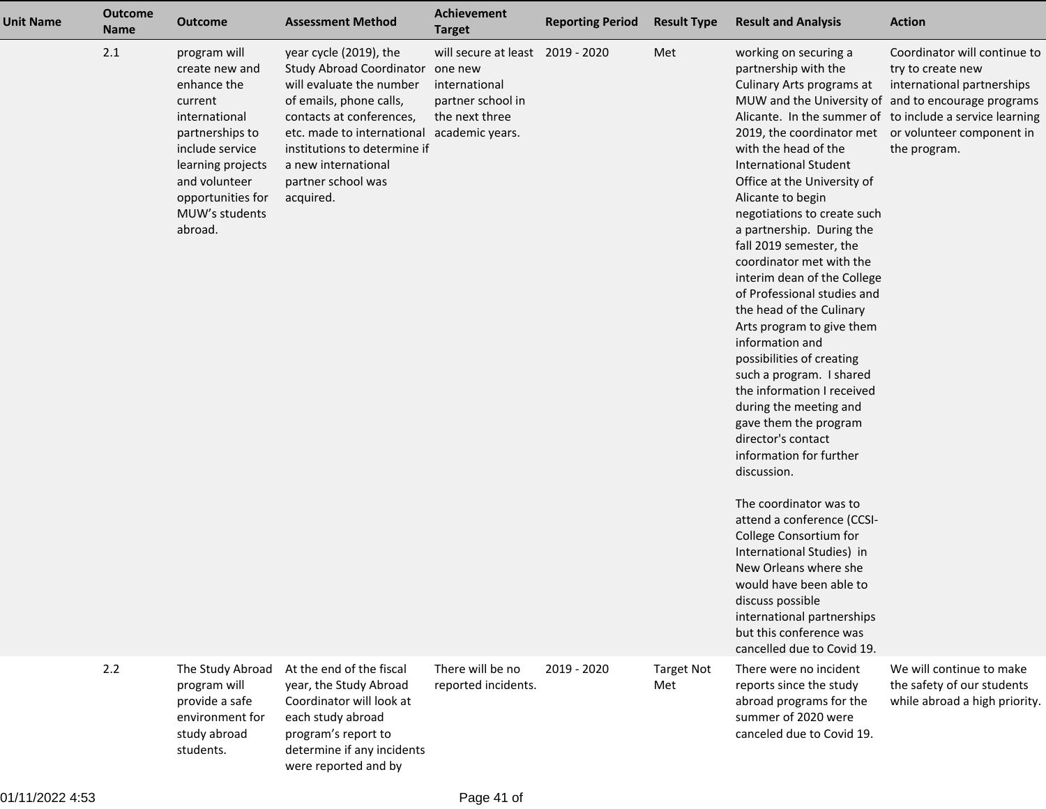| Unit Name | <b>Outcome</b><br><b>Name</b> | <b>Outcome</b>                                                                                                                                                                                          | <b>Assessment Method</b>                                                                                                                                                                                                                                                             | Achievement<br><b>Target</b>                                                                        | <b>Reporting Period</b> | <b>Result Type</b>       | <b>Result and Analysis</b>                                                                                                                                                                                                                                                                                                                                                                                                                                                                                                                                                                                                                                                                                                                                                                                                                                                                                                                                               | <b>Action</b>                                                                                                                                                                                                                                   |
|-----------|-------------------------------|---------------------------------------------------------------------------------------------------------------------------------------------------------------------------------------------------------|--------------------------------------------------------------------------------------------------------------------------------------------------------------------------------------------------------------------------------------------------------------------------------------|-----------------------------------------------------------------------------------------------------|-------------------------|--------------------------|--------------------------------------------------------------------------------------------------------------------------------------------------------------------------------------------------------------------------------------------------------------------------------------------------------------------------------------------------------------------------------------------------------------------------------------------------------------------------------------------------------------------------------------------------------------------------------------------------------------------------------------------------------------------------------------------------------------------------------------------------------------------------------------------------------------------------------------------------------------------------------------------------------------------------------------------------------------------------|-------------------------------------------------------------------------------------------------------------------------------------------------------------------------------------------------------------------------------------------------|
|           | 2.1                           | program will<br>create new and<br>enhance the<br>current<br>international<br>partnerships to<br>include service<br>learning projects<br>and volunteer<br>opportunities for<br>MUW's students<br>abroad. | year cycle (2019), the<br><b>Study Abroad Coordinator</b><br>will evaluate the number<br>of emails, phone calls,<br>contacts at conferences,<br>etc. made to international academic years.<br>institutions to determine if<br>a new international<br>partner school was<br>acquired. | will secure at least 2019 - 2020<br>one new<br>international<br>partner school in<br>the next three |                         | Met                      | working on securing a<br>partnership with the<br>Culinary Arts programs at<br>2019, the coordinator met<br>with the head of the<br><b>International Student</b><br>Office at the University of<br>Alicante to begin<br>negotiations to create such<br>a partnership. During the<br>fall 2019 semester, the<br>coordinator met with the<br>interim dean of the College<br>of Professional studies and<br>the head of the Culinary<br>Arts program to give them<br>information and<br>possibilities of creating<br>such a program. I shared<br>the information I received<br>during the meeting and<br>gave them the program<br>director's contact<br>information for further<br>discussion.<br>The coordinator was to<br>attend a conference (CCSI-<br>College Consortium for<br>International Studies) in<br>New Orleans where she<br>would have been able to<br>discuss possible<br>international partnerships<br>but this conference was<br>cancelled due to Covid 19. | Coordinator will continue to<br>try to create new<br>international partnerships<br>MUW and the University of and to encourage programs<br>Alicante. In the summer of to include a service learning<br>or volunteer component in<br>the program. |
|           | 2.2                           | The Study Abroad<br>program will<br>provide a safe<br>environment for<br>study abroad<br>students.                                                                                                      | At the end of the fiscal<br>year, the Study Abroad<br>Coordinator will look at<br>each study abroad<br>program's report to<br>determine if any incidents<br>were reported and by                                                                                                     | There will be no<br>reported incidents.                                                             | 2019 - 2020             | <b>Target Not</b><br>Met | There were no incident<br>reports since the study<br>abroad programs for the<br>summer of 2020 were<br>canceled due to Covid 19.                                                                                                                                                                                                                                                                                                                                                                                                                                                                                                                                                                                                                                                                                                                                                                                                                                         | We will continue to make<br>the safety of our students<br>while abroad a high priority.                                                                                                                                                         |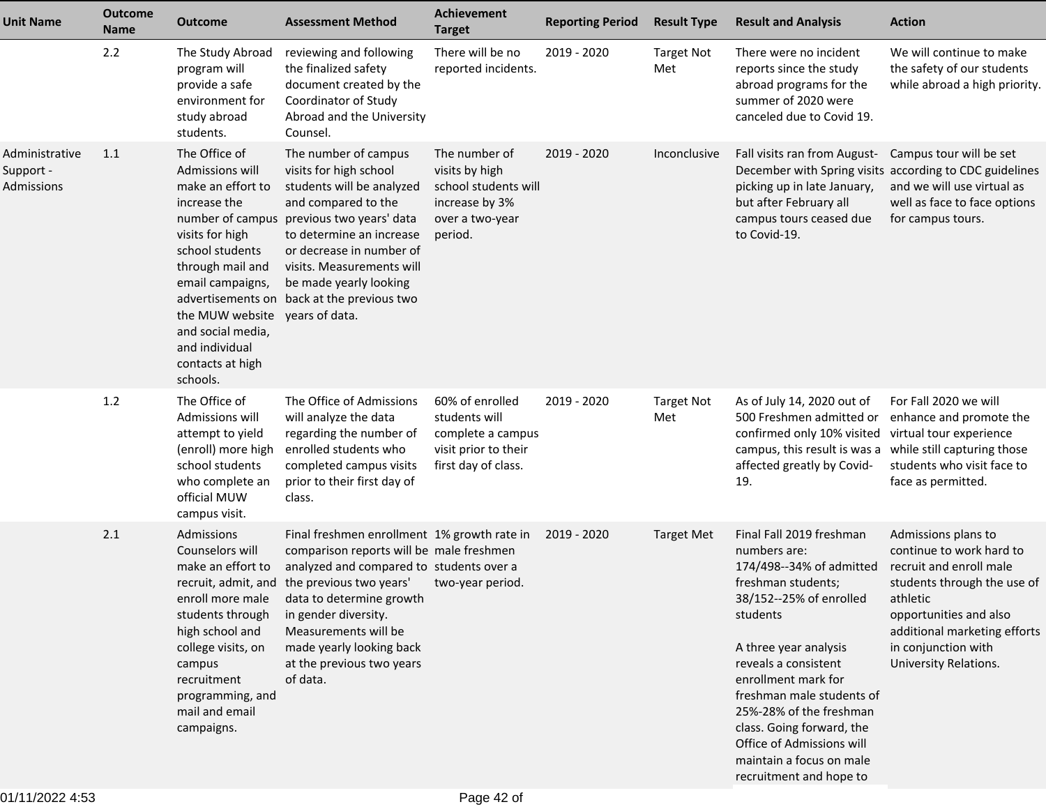| <b>Unit Name</b>                          | <b>Outcome</b><br><b>Name</b> | <b>Outcome</b>                                                                                                                                                                                                                                               | <b>Assessment Method</b>                                                                                                                                                                                                                                                                                                                             | <b>Achievement</b><br><b>Target</b>                                                                     | <b>Reporting Period</b> | <b>Result Type</b>       | <b>Result and Analysis</b>                                                                                                                                                                                                                                                                                                                                                         | <b>Action</b>                                                                                                                                                                                                                          |
|-------------------------------------------|-------------------------------|--------------------------------------------------------------------------------------------------------------------------------------------------------------------------------------------------------------------------------------------------------------|------------------------------------------------------------------------------------------------------------------------------------------------------------------------------------------------------------------------------------------------------------------------------------------------------------------------------------------------------|---------------------------------------------------------------------------------------------------------|-------------------------|--------------------------|------------------------------------------------------------------------------------------------------------------------------------------------------------------------------------------------------------------------------------------------------------------------------------------------------------------------------------------------------------------------------------|----------------------------------------------------------------------------------------------------------------------------------------------------------------------------------------------------------------------------------------|
|                                           | 2.2                           | The Study Abroad<br>program will<br>provide a safe<br>environment for<br>study abroad<br>students.                                                                                                                                                           | reviewing and following<br>the finalized safety<br>document created by the<br>Coordinator of Study<br>Abroad and the University<br>Counsel.                                                                                                                                                                                                          | There will be no<br>reported incidents.                                                                 | 2019 - 2020             | <b>Target Not</b><br>Met | There were no incident<br>reports since the study<br>abroad programs for the<br>summer of 2020 were<br>canceled due to Covid 19.                                                                                                                                                                                                                                                   | We will continue to make<br>the safety of our students<br>while abroad a high priority.                                                                                                                                                |
| Administrative<br>Support -<br>Admissions | 1.1                           | The Office of<br>Admissions will<br>make an effort to<br>increase the<br>visits for high<br>school students<br>through mail and<br>email campaigns,<br>the MUW website years of data.<br>and social media,<br>and individual<br>contacts at high<br>schools. | The number of campus<br>visits for high school<br>students will be analyzed<br>and compared to the<br>number of campus previous two years' data<br>to determine an increase<br>or decrease in number of<br>visits. Measurements will<br>be made yearly looking<br>advertisements on back at the previous two                                         | The number of<br>visits by high<br>school students will<br>increase by 3%<br>over a two-year<br>period. | 2019 - 2020             | Inconclusive             | Fall visits ran from August-<br>picking up in late January,<br>but after February all<br>campus tours ceased due<br>to Covid-19.                                                                                                                                                                                                                                                   | Campus tour will be set<br>December with Spring visits according to CDC guidelines<br>and we will use virtual as<br>well as face to face options<br>for campus tours.                                                                  |
|                                           | 1.2                           | The Office of<br>Admissions will<br>attempt to yield<br>(enroll) more high<br>school students<br>who complete an<br>official MUW<br>campus visit.                                                                                                            | The Office of Admissions<br>will analyze the data<br>regarding the number of<br>enrolled students who<br>completed campus visits<br>prior to their first day of<br>class.                                                                                                                                                                            | 60% of enrolled<br>students will<br>complete a campus<br>visit prior to their<br>first day of class.    | 2019 - 2020             | <b>Target Not</b><br>Met | As of July 14, 2020 out of<br>500 Freshmen admitted or<br>confirmed only 10% visited virtual tour experience<br>campus, this result is was a while still capturing those<br>affected greatly by Covid-<br>19.                                                                                                                                                                      | For Fall 2020 we will<br>enhance and promote the<br>students who visit face to<br>face as permitted.                                                                                                                                   |
|                                           | 2.1                           | Admissions<br>Counselors will<br>make an effort to<br>students through<br>high school and<br>college visits, on<br>campus<br>recruitment<br>programming, and<br>mail and email<br>campaigns.                                                                 | Final freshmen enrollment 1% growth rate in<br>comparison reports will be male freshmen<br>analyzed and compared to students over a<br>recruit, admit, and the previous two years'<br>enroll more male data to determine growth<br>in gender diversity.<br>Measurements will be<br>made yearly looking back<br>at the previous two years<br>of data. | two-year period.                                                                                        | 2019 - 2020             | <b>Target Met</b>        | Final Fall 2019 freshman<br>numbers are:<br>174/498--34% of admitted<br>freshman students;<br>38/152--25% of enrolled<br>students<br>A three year analysis<br>reveals a consistent<br>enrollment mark for<br>freshman male students of<br>25%-28% of the freshman<br>class. Going forward, the<br>Office of Admissions will<br>maintain a focus on male<br>recruitment and hope to | Admissions plans to<br>continue to work hard to<br>recruit and enroll male<br>students through the use of<br>athletic<br>opportunities and also<br>additional marketing efforts<br>in conjunction with<br><b>University Relations.</b> |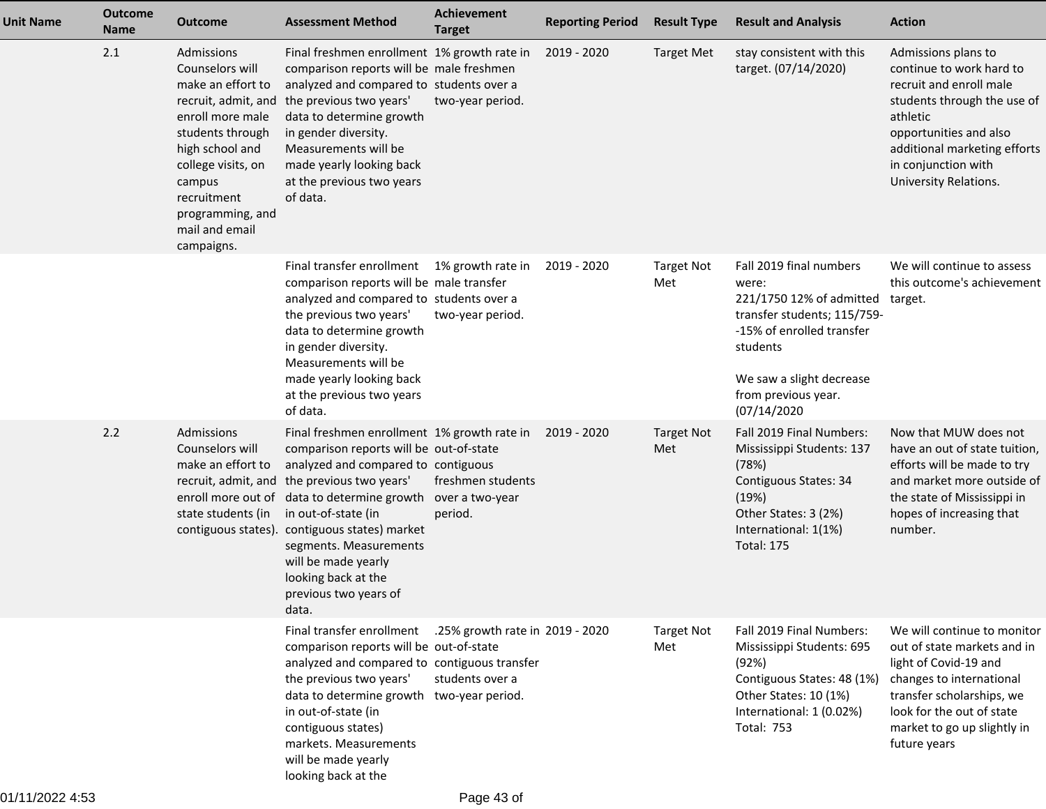| <b>Unit Name</b> | <b>Outcome</b><br><b>Name</b> | <b>Outcome</b>                                                                                                                                                                                                   | <b>Assessment Method</b>                                                                                                                                                                                                                                                                                                                                                                                                      | Achievement<br><b>Target</b>                       | <b>Reporting Period</b> | <b>Result Type</b>       | <b>Result and Analysis</b>                                                                                                                                                                             | <b>Action</b>                                                                                                                                                                                                                   |
|------------------|-------------------------------|------------------------------------------------------------------------------------------------------------------------------------------------------------------------------------------------------------------|-------------------------------------------------------------------------------------------------------------------------------------------------------------------------------------------------------------------------------------------------------------------------------------------------------------------------------------------------------------------------------------------------------------------------------|----------------------------------------------------|-------------------------|--------------------------|--------------------------------------------------------------------------------------------------------------------------------------------------------------------------------------------------------|---------------------------------------------------------------------------------------------------------------------------------------------------------------------------------------------------------------------------------|
|                  | 2.1                           | Admissions<br>Counselors will<br>make an effort to<br>enroll more male<br>students through<br>high school and<br>college visits, on<br>campus<br>recruitment<br>programming, and<br>mail and email<br>campaigns. | Final freshmen enrollment 1% growth rate in<br>comparison reports will be male freshmen<br>analyzed and compared to students over a<br>recruit, admit, and the previous two years'<br>data to determine growth<br>in gender diversity.<br>Measurements will be<br>made yearly looking back<br>at the previous two years<br>of data.                                                                                           | two-year period.                                   | 2019 - 2020             | <b>Target Met</b>        | stay consistent with this<br>target. (07/14/2020)                                                                                                                                                      | Admissions plans to<br>continue to work hard to<br>recruit and enroll male<br>students through the use of<br>athletic<br>opportunities and also<br>additional marketing efforts<br>in conjunction with<br>University Relations. |
|                  |                               |                                                                                                                                                                                                                  | Final transfer enrollment 1% growth rate in<br>comparison reports will be male transfer<br>analyzed and compared to students over a<br>the previous two years'<br>data to determine growth<br>in gender diversity.<br>Measurements will be<br>made yearly looking back<br>at the previous two years<br>of data.                                                                                                               | two-year period.                                   | 2019 - 2020             | <b>Target Not</b><br>Met | Fall 2019 final numbers<br>were:<br>221/1750 12% of admitted<br>transfer students; 115/759-<br>-15% of enrolled transfer<br>students<br>We saw a slight decrease<br>from previous year.<br>(07/14/2020 | We will continue to assess<br>this outcome's achievement<br>target.                                                                                                                                                             |
|                  | 2.2                           | Admissions<br>Counselors will<br>make an effort to<br>state students (in                                                                                                                                         | Final freshmen enrollment 1% growth rate in<br>comparison reports will be out-of-state<br>analyzed and compared to contiguous<br>recruit, admit, and the previous two years'<br>enroll more out of data to determine growth over a two-year<br>in out-of-state (in<br>contiguous states). contiguous states) market<br>segments. Measurements<br>will be made yearly<br>looking back at the<br>previous two years of<br>data. | freshmen students<br>period.                       | 2019 - 2020             | <b>Target Not</b><br>Met | Fall 2019 Final Numbers:<br>Mississippi Students: 137<br>(78%)<br>Contiguous States: 34<br>(19%)<br>Other States: 3 (2%)<br>International: 1(1%)<br><b>Total: 175</b>                                  | Now that MUW does not<br>have an out of state tuition,<br>efforts will be made to try<br>and market more outside of<br>the state of Mississippi in<br>hopes of increasing that<br>number.                                       |
|                  |                               |                                                                                                                                                                                                                  | Final transfer enrollment<br>comparison reports will be out-of-state<br>analyzed and compared to contiguous transfer<br>the previous two years'<br>data to determine growth two-year period.<br>in out-of-state (in<br>contiguous states)<br>markets. Measurements<br>will be made yearly<br>looking back at the                                                                                                              | .25% growth rate in 2019 - 2020<br>students over a |                         | <b>Target Not</b><br>Met | Fall 2019 Final Numbers:<br>Mississippi Students: 695<br>(92%)<br>Contiguous States: 48 (1%)<br>Other States: 10 (1%)<br>International: 1 (0.02%)<br><b>Total: 753</b>                                 | We will continue to monitor<br>out of state markets and in<br>light of Covid-19 and<br>changes to international<br>transfer scholarships, we<br>look for the out of state<br>market to go up slightly in<br>future years        |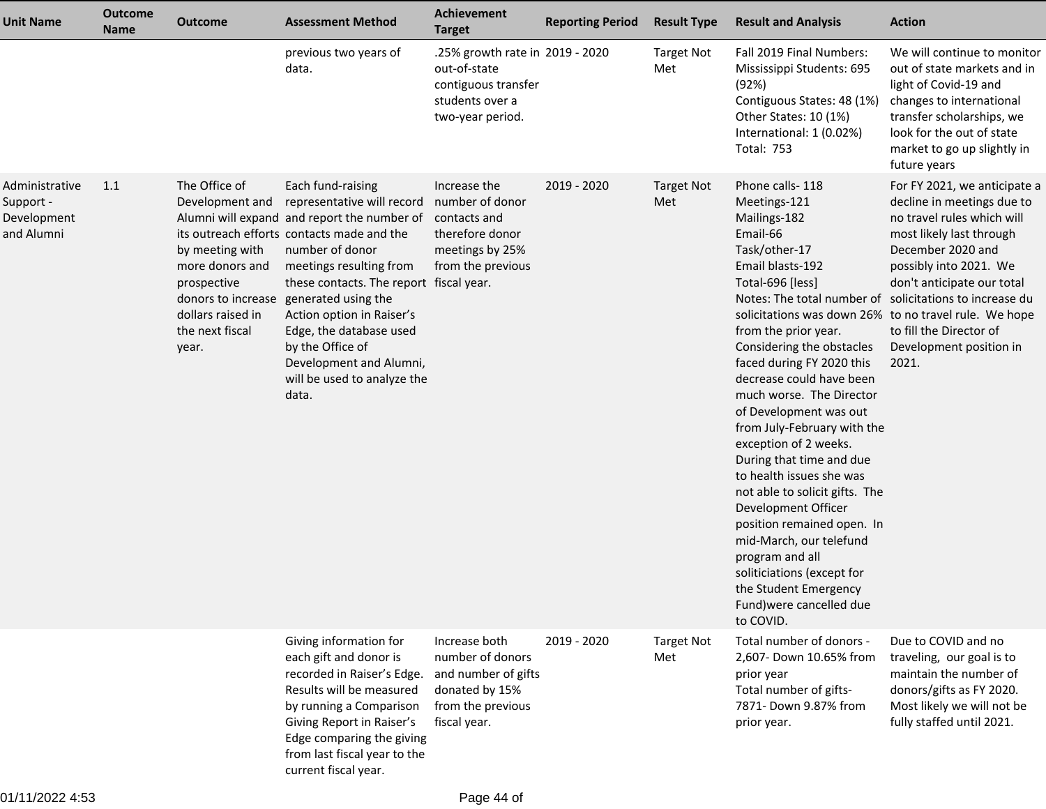| <b>Unit Name</b>                                         | <b>Outcome</b><br><b>Name</b> | <b>Outcome</b>                                                                                                                                               | <b>Assessment Method</b>                                                                                                                                                                                                                                                                                                                                                                                    | Achievement<br><b>Target</b>                                                                                    | <b>Reporting Period</b> | <b>Result Type</b>       | <b>Result and Analysis</b>                                                                                                                                                                                                                                                                                                                                                                                                                                                                                                                                                                                                                                                                                                                                        | <b>Action</b>                                                                                                                                                                                                                                                    |
|----------------------------------------------------------|-------------------------------|--------------------------------------------------------------------------------------------------------------------------------------------------------------|-------------------------------------------------------------------------------------------------------------------------------------------------------------------------------------------------------------------------------------------------------------------------------------------------------------------------------------------------------------------------------------------------------------|-----------------------------------------------------------------------------------------------------------------|-------------------------|--------------------------|-------------------------------------------------------------------------------------------------------------------------------------------------------------------------------------------------------------------------------------------------------------------------------------------------------------------------------------------------------------------------------------------------------------------------------------------------------------------------------------------------------------------------------------------------------------------------------------------------------------------------------------------------------------------------------------------------------------------------------------------------------------------|------------------------------------------------------------------------------------------------------------------------------------------------------------------------------------------------------------------------------------------------------------------|
|                                                          |                               |                                                                                                                                                              | previous two years of<br>data.                                                                                                                                                                                                                                                                                                                                                                              | .25% growth rate in 2019 - 2020<br>out-of-state<br>contiguous transfer<br>students over a<br>two-year period.   |                         | <b>Target Not</b><br>Met | Fall 2019 Final Numbers:<br>Mississippi Students: 695<br>(92%)<br>Contiguous States: 48 (1%)<br>Other States: 10 (1%)<br>International: 1 (0.02%)<br><b>Total: 753</b>                                                                                                                                                                                                                                                                                                                                                                                                                                                                                                                                                                                            | We will continue to monitor<br>out of state markets and in<br>light of Covid-19 and<br>changes to international<br>transfer scholarships, we<br>look for the out of state<br>market to go up slightly in<br>future years                                         |
| Administrative<br>Support -<br>Development<br>and Alumni | 1.1                           | The Office of<br>Development and<br>by meeting with<br>more donors and<br>prospective<br>donors to increase<br>dollars raised in<br>the next fiscal<br>year. | Each fund-raising<br>representative will record<br>Alumni will expand and report the number of<br>its outreach efforts contacts made and the<br>number of donor<br>meetings resulting from<br>these contacts. The report fiscal year.<br>generated using the<br>Action option in Raiser's<br>Edge, the database used<br>by the Office of<br>Development and Alumni,<br>will be used to analyze the<br>data. | Increase the<br>number of donor<br>contacts and<br>therefore donor<br>meetings by 25%<br>from the previous      | 2019 - 2020             | <b>Target Not</b><br>Met | Phone calls-118<br>Meetings-121<br>Mailings-182<br>Email-66<br>Task/other-17<br>Email blasts-192<br>Total-696 [less]<br>Notes: The total number of solicitations to increase du<br>solicitations was down 26% to no travel rule. We hope<br>from the prior year.<br>Considering the obstacles<br>faced during FY 2020 this<br>decrease could have been<br>much worse. The Director<br>of Development was out<br>from July-February with the<br>exception of 2 weeks.<br>During that time and due<br>to health issues she was<br>not able to solicit gifts. The<br>Development Officer<br>position remained open. In<br>mid-March, our telefund<br>program and all<br>soliticiations (except for<br>the Student Emergency<br>Fund) were cancelled due<br>to COVID. | For FY 2021, we anticipate a<br>decline in meetings due to<br>no travel rules which will<br>most likely last through<br>December 2020 and<br>possibly into 2021. We<br>don't anticipate our total<br>to fill the Director of<br>Development position in<br>2021. |
|                                                          |                               |                                                                                                                                                              | Giving information for<br>each gift and donor is<br>recorded in Raiser's Edge.<br>Results will be measured<br>by running a Comparison<br>Giving Report in Raiser's<br>Edge comparing the giving<br>from last fiscal year to the<br>current fiscal year.                                                                                                                                                     | Increase both<br>number of donors<br>and number of gifts<br>donated by 15%<br>from the previous<br>fiscal year. | 2019 - 2020             | <b>Target Not</b><br>Met | Total number of donors -<br>2,607- Down 10.65% from<br>prior year<br>Total number of gifts-<br>7871- Down 9.87% from<br>prior year.                                                                                                                                                                                                                                                                                                                                                                                                                                                                                                                                                                                                                               | Due to COVID and no<br>traveling, our goal is to<br>maintain the number of<br>donors/gifts as FY 2020.<br>Most likely we will not be<br>fully staffed until 2021.                                                                                                |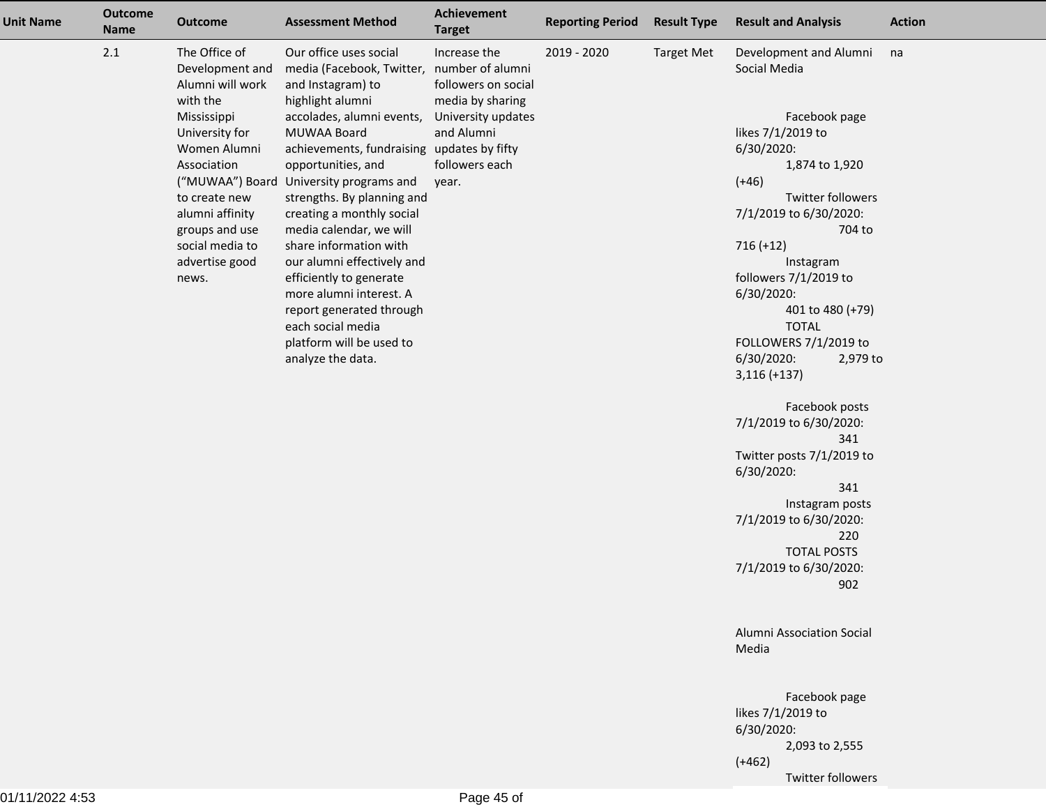| Unit Name | <b>Outcome</b><br><b>Name</b> | <b>Outcome</b>                                                                                                                                                                                                                       | <b>Assessment Method</b>                                                                                                                                                                                                                                                                                                                                                                                                                                                                                                                     | Achievement<br><b>Target</b>                                                                                                                                   | <b>Reporting Period</b> | <b>Result Type</b> | <b>Result and Analysis</b>                                                                                                                                                                                                                                                                                                                                                                                                                                                                                                                                                          | <b>Action</b> |
|-----------|-------------------------------|--------------------------------------------------------------------------------------------------------------------------------------------------------------------------------------------------------------------------------------|----------------------------------------------------------------------------------------------------------------------------------------------------------------------------------------------------------------------------------------------------------------------------------------------------------------------------------------------------------------------------------------------------------------------------------------------------------------------------------------------------------------------------------------------|----------------------------------------------------------------------------------------------------------------------------------------------------------------|-------------------------|--------------------|-------------------------------------------------------------------------------------------------------------------------------------------------------------------------------------------------------------------------------------------------------------------------------------------------------------------------------------------------------------------------------------------------------------------------------------------------------------------------------------------------------------------------------------------------------------------------------------|---------------|
|           | 2.1                           | The Office of<br>Development and<br>Alumni will work<br>with the<br>Mississippi<br>University for<br>Women Alumni<br>Association<br>to create new<br>alumni affinity<br>groups and use<br>social media to<br>advertise good<br>news. | Our office uses social<br>media (Facebook, Twitter,<br>and Instagram) to<br>highlight alumni<br>accolades, alumni events,<br>MUWAA Board<br>achievements, fundraising<br>opportunities, and<br>("MUWAA") Board University programs and<br>strengths. By planning and<br>creating a monthly social<br>media calendar, we will<br>share information with<br>our alumni effectively and<br>efficiently to generate<br>more alumni interest. A<br>report generated through<br>each social media<br>platform will be used to<br>analyze the data. | Increase the<br>number of alumni<br>followers on social<br>media by sharing<br>University updates<br>and Alumni<br>updates by fifty<br>followers each<br>year. | 2019 - 2020             | <b>Target Met</b>  | Development and Alumni<br>Social Media<br>Facebook page<br>likes 7/1/2019 to<br>6/30/2020:<br>1,874 to 1,920<br>$(+46)$<br><b>Twitter followers</b><br>7/1/2019 to 6/30/2020:<br>704 to<br>$716 (+12)$<br>Instagram<br>followers 7/1/2019 to<br>6/30/2020:<br>401 to 480 (+79)<br><b>TOTAL</b><br>FOLLOWERS 7/1/2019 to<br>6/30/2020:<br>2,979 to<br>$3,116 (+137)$<br>Facebook posts<br>7/1/2019 to 6/30/2020:<br>341<br>Twitter posts 7/1/2019 to<br>6/30/2020:<br>341<br>Instagram posts<br>7/1/2019 to 6/30/2020:<br>220<br><b>TOTAL POSTS</b><br>7/1/2019 to 6/30/2020:<br>902 | na            |
|           |                               |                                                                                                                                                                                                                                      |                                                                                                                                                                                                                                                                                                                                                                                                                                                                                                                                              |                                                                                                                                                                |                         |                    | Alumni Association Social<br>Media                                                                                                                                                                                                                                                                                                                                                                                                                                                                                                                                                  |               |
|           |                               |                                                                                                                                                                                                                                      |                                                                                                                                                                                                                                                                                                                                                                                                                                                                                                                                              |                                                                                                                                                                |                         |                    | Facebook page<br>likes 7/1/2019 to<br>6/30/2020:<br>2,093 to 2,555<br>$(+462)$                                                                                                                                                                                                                                                                                                                                                                                                                                                                                                      |               |
|           |                               |                                                                                                                                                                                                                                      |                                                                                                                                                                                                                                                                                                                                                                                                                                                                                                                                              |                                                                                                                                                                |                         |                    | <b>Twitter followers</b>                                                                                                                                                                                                                                                                                                                                                                                                                                                                                                                                                            |               |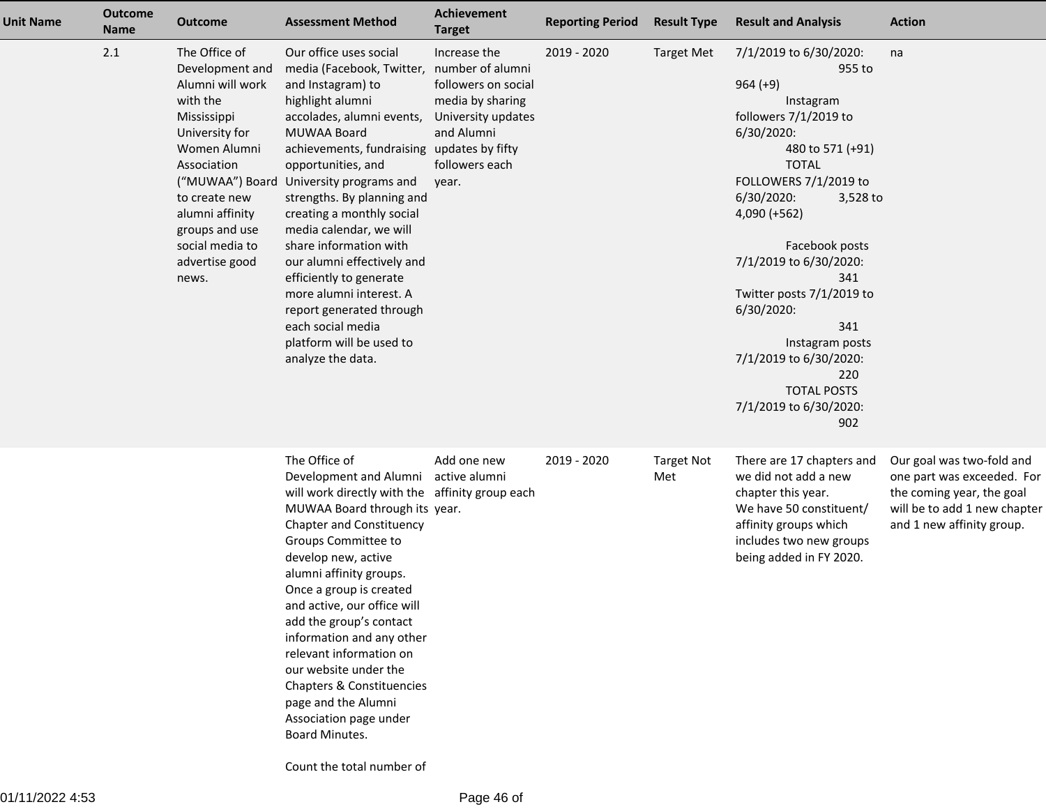| <b>Unit Name</b> | <b>Outcome</b><br><b>Name</b> | <b>Outcome</b>                                                                                                                                                                                                                       | <b>Assessment Method</b>                                                                                                                                                                                                                                                                                                                                                                                                                                                                                                                                                       | Achievement<br><b>Target</b>                                                                                           | <b>Reporting Period</b> | <b>Result Type</b>       | <b>Result and Analysis</b>                                                                                                                                                                                                                                                                                                                                                                                                  | <b>Action</b>                                                                                                                                     |
|------------------|-------------------------------|--------------------------------------------------------------------------------------------------------------------------------------------------------------------------------------------------------------------------------------|--------------------------------------------------------------------------------------------------------------------------------------------------------------------------------------------------------------------------------------------------------------------------------------------------------------------------------------------------------------------------------------------------------------------------------------------------------------------------------------------------------------------------------------------------------------------------------|------------------------------------------------------------------------------------------------------------------------|-------------------------|--------------------------|-----------------------------------------------------------------------------------------------------------------------------------------------------------------------------------------------------------------------------------------------------------------------------------------------------------------------------------------------------------------------------------------------------------------------------|---------------------------------------------------------------------------------------------------------------------------------------------------|
|                  | 2.1                           | The Office of<br>Development and<br>Alumni will work<br>with the<br>Mississippi<br>University for<br>Women Alumni<br>Association<br>to create new<br>alumni affinity<br>groups and use<br>social media to<br>advertise good<br>news. | Our office uses social<br>media (Facebook, Twitter, number of alumni<br>and Instagram) to<br>highlight alumni<br>accolades, alumni events,<br>MUWAA Board<br>achievements, fundraising updates by fifty<br>opportunities, and<br>("MUWAA") Board University programs and<br>strengths. By planning and<br>creating a monthly social<br>media calendar, we will<br>share information with<br>our alumni effectively and<br>efficiently to generate<br>more alumni interest. A<br>report generated through<br>each social media<br>platform will be used to<br>analyze the data. | Increase the<br>followers on social<br>media by sharing<br>University updates<br>and Alumni<br>followers each<br>year. | 2019 - 2020             | <b>Target Met</b>        | 7/1/2019 to 6/30/2020:<br>955 to<br>$964 (+9)$<br>Instagram<br>followers 7/1/2019 to<br>6/30/2020:<br>480 to 571 (+91)<br><b>TOTAL</b><br>FOLLOWERS 7/1/2019 to<br>6/30/2020:<br>3,528 to<br>$4,090 (+562)$<br>Facebook posts<br>7/1/2019 to 6/30/2020:<br>341<br>Twitter posts 7/1/2019 to<br>6/30/2020:<br>341<br>Instagram posts<br>7/1/2019 to 6/30/2020:<br>220<br><b>TOTAL POSTS</b><br>7/1/2019 to 6/30/2020:<br>902 | na                                                                                                                                                |
|                  |                               |                                                                                                                                                                                                                                      | The Office of<br>Development and Alumni<br>will work directly with the affinity group each<br>MUWAA Board through its year.<br><b>Chapter and Constituency</b><br>Groups Committee to<br>develop new, active<br>alumni affinity groups.<br>Once a group is created<br>and active, our office will<br>add the group's contact<br>information and any other<br>relevant information on<br>our website under the<br>Chapters & Constituencies<br>page and the Alumni<br>Association page under<br>Board Minutes.                                                                  | Add one new<br>active alumni                                                                                           | 2019 - 2020             | <b>Target Not</b><br>Met | There are 17 chapters and<br>we did not add a new<br>chapter this year.<br>We have 50 constituent/<br>affinity groups which<br>includes two new groups<br>being added in FY 2020.                                                                                                                                                                                                                                           | Our goal was two-fold and<br>one part was exceeded. For<br>the coming year, the goal<br>will be to add 1 new chapter<br>and 1 new affinity group. |

Count the total number of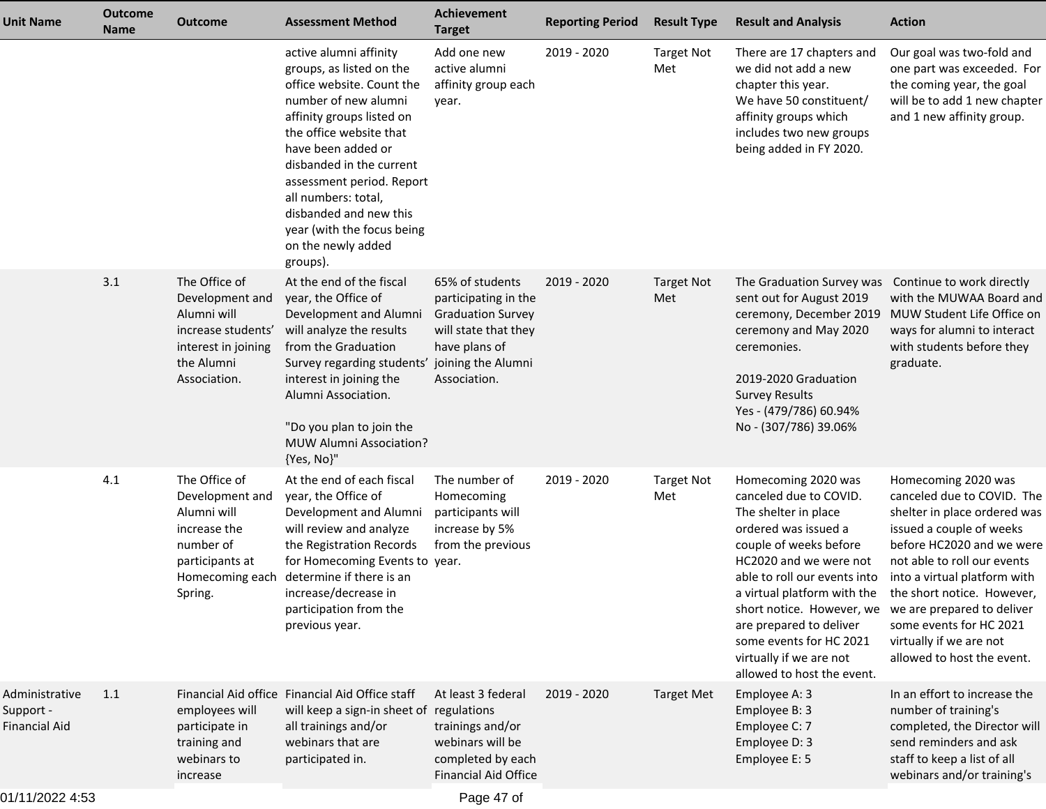| <b>Unit Name</b>                             | <b>Outcome</b><br><b>Name</b> | <b>Outcome</b>                                                                                                                | <b>Assessment Method</b>                                                                                                                                                                                                                                                                                                                                        | Achievement<br><b>Target</b>                                                                                                  | <b>Reporting Period</b> | <b>Result Type</b>       | <b>Result and Analysis</b>                                                                                                                                                                                                                                                                                                                                   | <b>Action</b>                                                                                                                                                                                                                                                                                                                                             |
|----------------------------------------------|-------------------------------|-------------------------------------------------------------------------------------------------------------------------------|-----------------------------------------------------------------------------------------------------------------------------------------------------------------------------------------------------------------------------------------------------------------------------------------------------------------------------------------------------------------|-------------------------------------------------------------------------------------------------------------------------------|-------------------------|--------------------------|--------------------------------------------------------------------------------------------------------------------------------------------------------------------------------------------------------------------------------------------------------------------------------------------------------------------------------------------------------------|-----------------------------------------------------------------------------------------------------------------------------------------------------------------------------------------------------------------------------------------------------------------------------------------------------------------------------------------------------------|
|                                              |                               |                                                                                                                               | active alumni affinity<br>groups, as listed on the<br>office website. Count the<br>number of new alumni<br>affinity groups listed on<br>the office website that<br>have been added or<br>disbanded in the current<br>assessment period. Report<br>all numbers: total,<br>disbanded and new this<br>year (with the focus being<br>on the newly added<br>groups). | Add one new<br>active alumni<br>affinity group each<br>year.                                                                  | 2019 - 2020             | <b>Target Not</b><br>Met | There are 17 chapters and<br>we did not add a new<br>chapter this year.<br>We have 50 constituent/<br>affinity groups which<br>includes two new groups<br>being added in FY 2020.                                                                                                                                                                            | Our goal was two-fold and<br>one part was exceeded. For<br>the coming year, the goal<br>will be to add 1 new chapter<br>and 1 new affinity group.                                                                                                                                                                                                         |
|                                              | 3.1                           | The Office of<br>Development and<br>Alumni will<br>increase students'<br>interest in joining<br>the Alumni<br>Association.    | At the end of the fiscal<br>year, the Office of<br>Development and Alumni<br>will analyze the results<br>from the Graduation<br>Survey regarding students' joining the Alumni<br>interest in joining the<br>Alumni Association.<br>"Do you plan to join the<br>MUW Alumni Association?<br>{Yes, No}"                                                            | 65% of students<br>participating in the<br><b>Graduation Survey</b><br>will state that they<br>have plans of<br>Association.  | 2019 - 2020             | <b>Target Not</b><br>Met | The Graduation Survey was Continue to work directly<br>sent out for August 2019<br>ceremony, December 2019<br>ceremony and May 2020<br>ceremonies.<br>2019-2020 Graduation<br><b>Survey Results</b><br>Yes - (479/786) 60.94%<br>No - (307/786) 39.06%                                                                                                       | with the MUWAA Board and<br>MUW Student Life Office on<br>ways for alumni to interact<br>with students before they<br>graduate.                                                                                                                                                                                                                           |
|                                              | 4.1                           | The Office of<br>Development and<br>Alumni will<br>increase the<br>number of<br>participants at<br>Homecoming each<br>Spring. | At the end of each fiscal<br>year, the Office of<br>Development and Alumni<br>will review and analyze<br>the Registration Records<br>for Homecoming Events to year.<br>determine if there is an<br>increase/decrease in<br>participation from the<br>previous year.                                                                                             | The number of<br>Homecoming<br>participants will<br>increase by 5%<br>from the previous                                       | 2019 - 2020             | <b>Target Not</b><br>Met | Homecoming 2020 was<br>canceled due to COVID.<br>The shelter in place<br>ordered was issued a<br>couple of weeks before<br>HC2020 and we were not<br>able to roll our events into<br>a virtual platform with the<br>short notice. However, we<br>are prepared to deliver<br>some events for HC 2021<br>virtually if we are not<br>allowed to host the event. | Homecoming 2020 was<br>canceled due to COVID. The<br>shelter in place ordered was<br>issued a couple of weeks<br>before HC2020 and we were<br>not able to roll our events<br>into a virtual platform with<br>the short notice. However,<br>we are prepared to deliver<br>some events for HC 2021<br>virtually if we are not<br>allowed to host the event. |
| Administrative<br>Support -<br>Financial Aid | 1.1                           | employees will<br>participate in<br>training and<br>webinars to<br>increase                                                   | Financial Aid office Financial Aid Office staff<br>will keep a sign-in sheet of<br>all trainings and/or<br>webinars that are<br>participated in.                                                                                                                                                                                                                | At least 3 federal<br>regulations<br>trainings and/or<br>webinars will be<br>completed by each<br><b>Financial Aid Office</b> | 2019 - 2020             | <b>Target Met</b>        | Employee A: 3<br>Employee B: 3<br>Employee C: 7<br>Employee D: 3<br>Employee E: 5                                                                                                                                                                                                                                                                            | In an effort to increase the<br>number of training's<br>completed, the Director will<br>send reminders and ask<br>staff to keep a list of all<br>webinars and/or training's                                                                                                                                                                               |
|                                              |                               |                                                                                                                               |                                                                                                                                                                                                                                                                                                                                                                 |                                                                                                                               |                         |                          |                                                                                                                                                                                                                                                                                                                                                              |                                                                                                                                                                                                                                                                                                                                                           |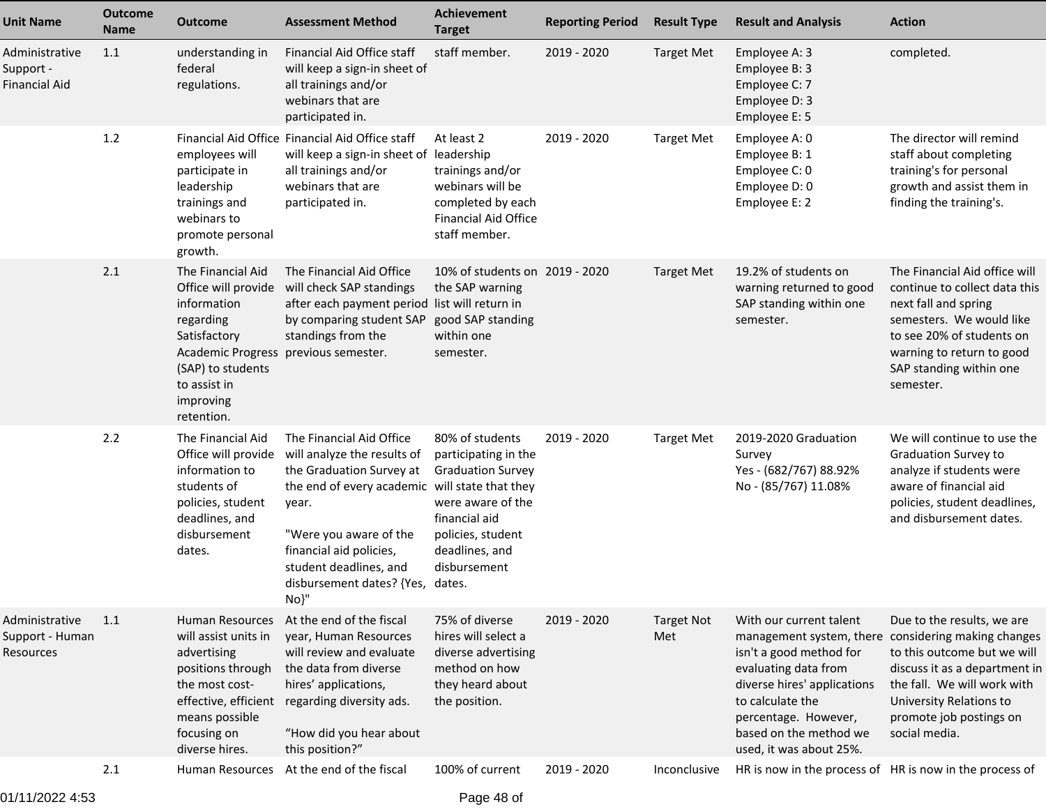| <b>Unit Name</b>                               | <b>Outcome</b><br><b>Name</b> | <b>Outcome</b>                                                                                                                                                                   | <b>Assessment Method</b>                                                                                                                                                                                                                                                  | <b>Achievement</b><br><b>Target</b>                                                                                                                              | <b>Reporting Period</b> | <b>Result Type</b>       | <b>Result and Analysis</b>                                                                                                                                                                                 | <b>Action</b>                                                                                                                                                                                                                                           |
|------------------------------------------------|-------------------------------|----------------------------------------------------------------------------------------------------------------------------------------------------------------------------------|---------------------------------------------------------------------------------------------------------------------------------------------------------------------------------------------------------------------------------------------------------------------------|------------------------------------------------------------------------------------------------------------------------------------------------------------------|-------------------------|--------------------------|------------------------------------------------------------------------------------------------------------------------------------------------------------------------------------------------------------|---------------------------------------------------------------------------------------------------------------------------------------------------------------------------------------------------------------------------------------------------------|
| Administrative<br>Support -<br>Financial Aid   | 1.1                           | understanding in<br>federal<br>regulations.                                                                                                                                      | Financial Aid Office staff<br>will keep a sign-in sheet of<br>all trainings and/or<br>webinars that are<br>participated in.                                                                                                                                               | staff member.                                                                                                                                                    | 2019 - 2020             | <b>Target Met</b>        | Employee A: 3<br>Employee B: 3<br>Employee C: 7<br>Employee D: 3<br>Employee E: 5                                                                                                                          | completed.                                                                                                                                                                                                                                              |
|                                                | 1.2                           | employees will<br>participate in<br>leadership<br>trainings and<br>webinars to<br>promote personal<br>growth.                                                                    | Financial Aid Office Financial Aid Office staff<br>will keep a sign-in sheet of leadership<br>all trainings and/or<br>webinars that are<br>participated in.                                                                                                               | At least 2<br>trainings and/or<br>webinars will be<br>completed by each<br><b>Financial Aid Office</b><br>staff member.                                          | 2019 - 2020             | <b>Target Met</b>        | Employee A: 0<br>Employee B: 1<br>Employee C: 0<br>Employee D: 0<br>Employee E: 2                                                                                                                          | The director will remind<br>staff about completing<br>training's for personal<br>growth and assist them in<br>finding the training's.                                                                                                                   |
|                                                | 2.1                           | The Financial Aid<br>Office will provide<br>information<br>regarding<br>Satisfactory<br><b>Academic Progress</b><br>(SAP) to students<br>to assist in<br>improving<br>retention. | The Financial Aid Office<br>will check SAP standings<br>after each payment period list will return in<br>by comparing student SAP<br>standings from the<br>previous semester.                                                                                             | 10% of students on 2019 - 2020<br>the SAP warning<br>good SAP standing<br>within one<br>semester.                                                                |                         | <b>Target Met</b>        | 19.2% of students on<br>warning returned to good<br>SAP standing within one<br>semester.                                                                                                                   | The Financial Aid office will<br>continue to collect data this<br>next fall and spring<br>semesters. We would like<br>to see 20% of students on<br>warning to return to good<br>SAP standing within one<br>semester.                                    |
|                                                | 2.2                           | The Financial Aid<br>Office will provide<br>information to<br>students of<br>policies, student<br>deadlines, and<br>disbursement<br>dates.                                       | The Financial Aid Office<br>will analyze the results of<br>the Graduation Survey at<br>the end of every academic will state that they<br>year.<br>"Were you aware of the<br>financial aid policies,<br>student deadlines, and<br>disbursement dates? {Yes, dates.<br>No}" | 80% of students<br>participating in the<br><b>Graduation Survey</b><br>were aware of the<br>financial aid<br>policies, student<br>deadlines, and<br>disbursement | 2019 - 2020             | <b>Target Met</b>        | 2019-2020 Graduation<br>Survey<br>Yes - (682/767) 88.92%<br>No - (85/767) 11.08%                                                                                                                           | We will continue to use the<br>Graduation Survey to<br>analyze if students were<br>aware of financial aid<br>policies, student deadlines,<br>and disbursement dates.                                                                                    |
| Administrative<br>Support - Human<br>Resources | 1.1                           | Human Resources<br>will assist units in<br>advertising<br>positions through<br>the most cost-<br>effective, efficient<br>means possible<br>focusing on<br>diverse hires.         | At the end of the fiscal<br>year, Human Resources<br>will review and evaluate<br>the data from diverse<br>hires' applications,<br>regarding diversity ads.<br>"How did you hear about<br>this position?"                                                                  | 75% of diverse<br>hires will select a<br>diverse advertising<br>method on how<br>they heard about<br>the position.                                               | 2019 - 2020             | <b>Target Not</b><br>Met | With our current talent<br>isn't a good method for<br>evaluating data from<br>diverse hires' applications<br>to calculate the<br>percentage. However,<br>based on the method we<br>used, it was about 25%. | Due to the results, we are<br>management system, there considering making changes<br>to this outcome but we will<br>discuss it as a department in<br>the fall. We will work with<br>University Relations to<br>promote job postings on<br>social media. |
|                                                | 2.1                           |                                                                                                                                                                                  | Human Resources At the end of the fiscal                                                                                                                                                                                                                                  | 100% of current                                                                                                                                                  | 2019 - 2020             | Inconclusive             | HR is now in the process of HR is now in the process of                                                                                                                                                    |                                                                                                                                                                                                                                                         |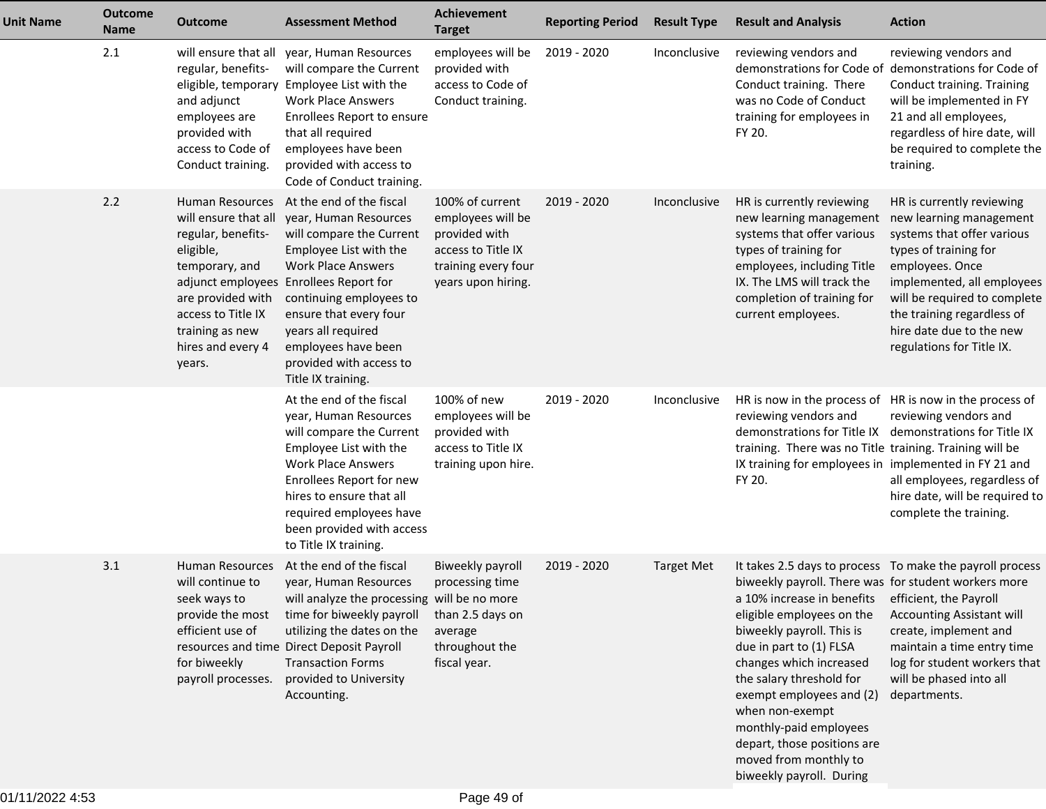| <b>Unit Name</b> | <b>Outcome</b><br><b>Name</b> | <b>Outcome</b>                                                                                                                                                                                   | <b>Assessment Method</b>                                                                                                                                                                                                                                                                                                          | <b>Achievement</b><br><b>Target</b>                                                                                      | <b>Reporting Period</b> | <b>Result Type</b> | <b>Result and Analysis</b>                                                                                                                                                                                                                                                                                                                                                                                         | <b>Action</b>                                                                                                                                                                                                                                                                       |
|------------------|-------------------------------|--------------------------------------------------------------------------------------------------------------------------------------------------------------------------------------------------|-----------------------------------------------------------------------------------------------------------------------------------------------------------------------------------------------------------------------------------------------------------------------------------------------------------------------------------|--------------------------------------------------------------------------------------------------------------------------|-------------------------|--------------------|--------------------------------------------------------------------------------------------------------------------------------------------------------------------------------------------------------------------------------------------------------------------------------------------------------------------------------------------------------------------------------------------------------------------|-------------------------------------------------------------------------------------------------------------------------------------------------------------------------------------------------------------------------------------------------------------------------------------|
|                  | 2.1                           | will ensure that all<br>regular, benefits-<br>eligible, temporary<br>and adjunct<br>employees are<br>provided with<br>access to Code of<br>Conduct training.                                     | year, Human Resources<br>will compare the Current<br>Employee List with the<br><b>Work Place Answers</b><br>Enrollees Report to ensure<br>that all required<br>employees have been<br>provided with access to<br>Code of Conduct training.                                                                                        | employees will be<br>provided with<br>access to Code of<br>Conduct training.                                             | 2019 - 2020             | Inconclusive       | reviewing vendors and<br>Conduct training. There<br>was no Code of Conduct<br>training for employees in<br>FY 20.                                                                                                                                                                                                                                                                                                  | reviewing vendors and<br>demonstrations for Code of demonstrations for Code of<br>Conduct training. Training<br>will be implemented in FY<br>21 and all employees,<br>regardless of hire date, will<br>be required to complete the<br>training.                                     |
|                  | 2.2                           | <b>Human Resources</b><br>will ensure that all<br>regular, benefits-<br>eligible,<br>temporary, and<br>are provided with<br>access to Title IX<br>training as new<br>hires and every 4<br>years. | At the end of the fiscal<br>year, Human Resources<br>will compare the Current<br>Employee List with the<br><b>Work Place Answers</b><br>adjunct employees Enrollees Report for<br>continuing employees to<br>ensure that every four<br>years all required<br>employees have been<br>provided with access to<br>Title IX training. | 100% of current<br>employees will be<br>provided with<br>access to Title IX<br>training every four<br>years upon hiring. | $2019 - 2020$           | Inconclusive       | HR is currently reviewing<br>new learning management<br>systems that offer various<br>types of training for<br>employees, including Title<br>IX. The LMS will track the<br>completion of training for<br>current employees.                                                                                                                                                                                        | HR is currently reviewing<br>new learning management<br>systems that offer various<br>types of training for<br>employees. Once<br>implemented, all employees<br>will be required to complete<br>the training regardless of<br>hire date due to the new<br>regulations for Title IX. |
|                  |                               |                                                                                                                                                                                                  | At the end of the fiscal<br>year, Human Resources<br>will compare the Current<br>Employee List with the<br><b>Work Place Answers</b><br>Enrollees Report for new<br>hires to ensure that all<br>required employees have<br>been provided with access<br>to Title IX training.                                                     | 100% of new<br>employees will be<br>provided with<br>access to Title IX<br>training upon hire.                           | 2019 - 2020             | Inconclusive       | HR is now in the process of HR is now in the process of<br>reviewing vendors and<br>demonstrations for Title IX<br>training. There was no Title training. Training will be<br>IX training for employees in implemented in FY 21 and<br>FY 20.                                                                                                                                                                      | reviewing vendors and<br>demonstrations for Title IX<br>all employees, regardless of<br>hire date, will be required to<br>complete the training.                                                                                                                                    |
|                  | 3.1                           | Human Resources<br>will continue to<br>seek ways to<br>provide the most<br>efficient use of<br>for biweekly<br>payroll processes.                                                                | At the end of the fiscal<br>year, Human Resources<br>will analyze the processing will be no more<br>time for biweekly payroll<br>utilizing the dates on the<br>resources and time Direct Deposit Payroll<br><b>Transaction Forms</b><br>provided to University<br>Accounting.                                                     | Biweekly payroll<br>processing time<br>than 2.5 days on<br>average<br>throughout the<br>fiscal year.                     | 2019 - 2020             | <b>Target Met</b>  | biweekly payroll. There was for student workers more<br>a 10% increase in benefits efficient, the Payroll<br>eligible employees on the<br>biweekly payroll. This is<br>due in part to (1) FLSA<br>changes which increased<br>the salary threshold for<br>exempt employees and (2)<br>when non-exempt<br>monthly-paid employees<br>depart, those positions are<br>moved from monthly to<br>biweekly payroll. During | It takes 2.5 days to process To make the payroll process<br>Accounting Assistant will<br>create, implement and<br>maintain a time entry time<br>log for student workers that<br>will be phased into all<br>departments.                                                             |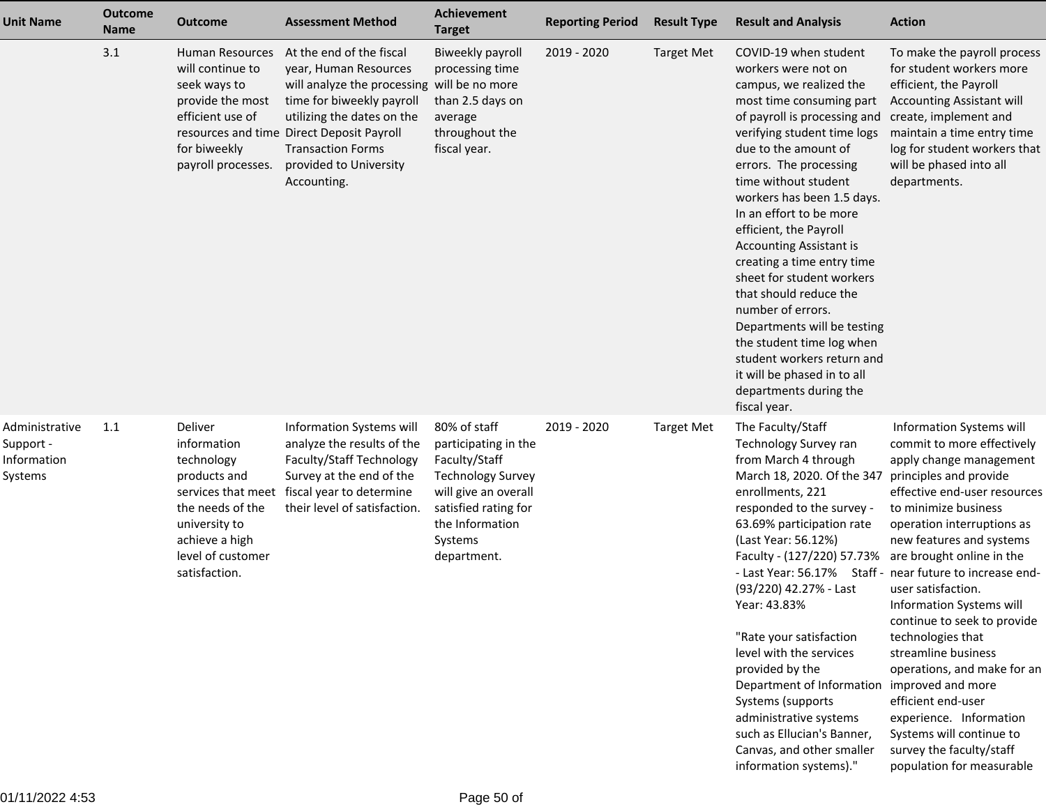| <b>Unit Name</b>                                      | <b>Outcome</b><br><b>Name</b> | <b>Outcome</b>                                                                                                                                                          | <b>Assessment Method</b>                                                                                                                                                                                                                                                      | Achievement<br><b>Target</b>                                                                                                                                                   | <b>Reporting Period</b> | <b>Result Type</b> | <b>Result and Analysis</b>                                                                                                                                                                                                                                                                                                                                                                                                                                                                                                                                                                                                                     | <b>Action</b>                                                                                                                                                                                                                                                                                                                                                                                                                                                                                                                                                                                                                   |
|-------------------------------------------------------|-------------------------------|-------------------------------------------------------------------------------------------------------------------------------------------------------------------------|-------------------------------------------------------------------------------------------------------------------------------------------------------------------------------------------------------------------------------------------------------------------------------|--------------------------------------------------------------------------------------------------------------------------------------------------------------------------------|-------------------------|--------------------|------------------------------------------------------------------------------------------------------------------------------------------------------------------------------------------------------------------------------------------------------------------------------------------------------------------------------------------------------------------------------------------------------------------------------------------------------------------------------------------------------------------------------------------------------------------------------------------------------------------------------------------------|---------------------------------------------------------------------------------------------------------------------------------------------------------------------------------------------------------------------------------------------------------------------------------------------------------------------------------------------------------------------------------------------------------------------------------------------------------------------------------------------------------------------------------------------------------------------------------------------------------------------------------|
|                                                       | 3.1                           | Human Resources<br>will continue to<br>seek ways to<br>provide the most<br>efficient use of<br>for biweekly<br>payroll processes.                                       | At the end of the fiscal<br>year, Human Resources<br>will analyze the processing will be no more<br>time for biweekly payroll<br>utilizing the dates on the<br>resources and time Direct Deposit Payroll<br><b>Transaction Forms</b><br>provided to University<br>Accounting. | Biweekly payroll<br>processing time<br>than 2.5 days on<br>average<br>throughout the<br>fiscal year.                                                                           | 2019 - 2020             | <b>Target Met</b>  | COVID-19 when student<br>workers were not on<br>campus, we realized the<br>most time consuming part<br>of payroll is processing and<br>verifying student time logs<br>due to the amount of<br>errors. The processing<br>time without student<br>workers has been 1.5 days.<br>In an effort to be more<br>efficient, the Payroll<br><b>Accounting Assistant is</b><br>creating a time entry time<br>sheet for student workers<br>that should reduce the<br>number of errors.<br>Departments will be testing<br>the student time log when<br>student workers return and<br>it will be phased in to all<br>departments during the<br>fiscal year. | To make the payroll process<br>for student workers more<br>efficient, the Payroll<br>Accounting Assistant will<br>create, implement and<br>maintain a time entry time<br>log for student workers that<br>will be phased into all<br>departments.                                                                                                                                                                                                                                                                                                                                                                                |
| Administrative<br>Support -<br>Information<br>Systems | 1.1                           | Deliver<br>information<br>technology<br>products and<br>services that meet<br>the needs of the<br>university to<br>achieve a high<br>level of customer<br>satisfaction. | Information Systems will<br>analyze the results of the<br>Faculty/Staff Technology<br>Survey at the end of the<br>fiscal year to determine<br>their level of satisfaction.                                                                                                    | 80% of staff<br>participating in the<br>Faculty/Staff<br><b>Technology Survey</b><br>will give an overall<br>satisfied rating for<br>the Information<br>Systems<br>department. | 2019 - 2020             | <b>Target Met</b>  | The Faculty/Staff<br>Technology Survey ran<br>from March 4 through<br>March 18, 2020. Of the 347<br>enrollments, 221<br>responded to the survey -<br>63.69% participation rate<br>(Last Year: 56.12%)<br>Faculty - (127/220) 57.73%<br>(93/220) 42.27% - Last<br>Year: 43.83%<br>"Rate your satisfaction<br>level with the services<br>provided by the<br>Department of Information improved and more<br>Systems (supports<br>administrative systems<br>such as Ellucian's Banner,<br>Canvas, and other smaller<br>information systems)."                                                                                                      | Information Systems will<br>commit to more effectively<br>apply change management<br>principles and provide<br>effective end-user resources<br>to minimize business<br>operation interruptions as<br>new features and systems<br>are brought online in the<br>- Last Year: 56.17% Staff - near future to increase end-<br>user satisfaction.<br><b>Information Systems will</b><br>continue to seek to provide<br>technologies that<br>streamline business<br>operations, and make for an<br>efficient end-user<br>experience. Information<br>Systems will continue to<br>survey the faculty/staff<br>population for measurable |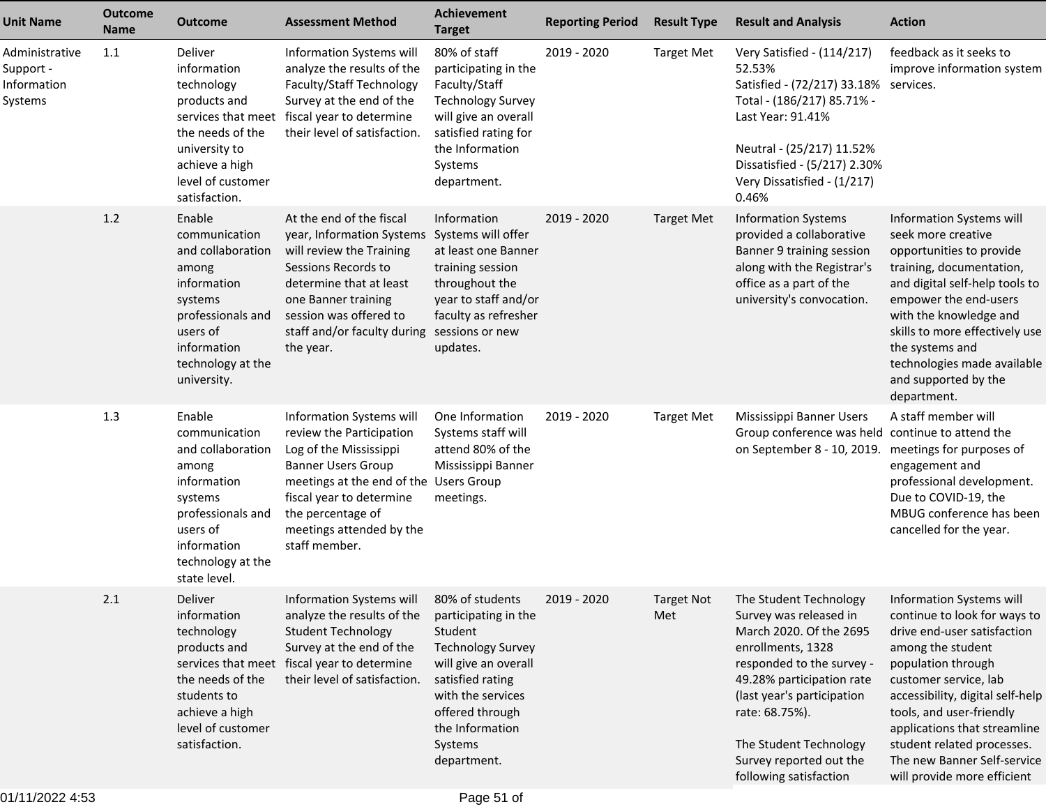| <b>Unit Name</b>                                      | <b>Outcome</b><br>Name | <b>Outcome</b>                                                                                                                                                       | <b>Assessment Method</b>                                                                                                                                                                                                                            | <b>Achievement</b><br><b>Target</b>                                                                                                                                                          | <b>Reporting Period</b> | <b>Result Type</b>       | <b>Result and Analysis</b>                                                                                                                                                                                                                                                                | <b>Action</b>                                                                                                                                                                                                                                                                                                                                           |
|-------------------------------------------------------|------------------------|----------------------------------------------------------------------------------------------------------------------------------------------------------------------|-----------------------------------------------------------------------------------------------------------------------------------------------------------------------------------------------------------------------------------------------------|----------------------------------------------------------------------------------------------------------------------------------------------------------------------------------------------|-------------------------|--------------------------|-------------------------------------------------------------------------------------------------------------------------------------------------------------------------------------------------------------------------------------------------------------------------------------------|---------------------------------------------------------------------------------------------------------------------------------------------------------------------------------------------------------------------------------------------------------------------------------------------------------------------------------------------------------|
| Administrative<br>Support -<br>Information<br>Systems | 1.1                    | Deliver<br>information<br>technology<br>products and<br>the needs of the<br>university to<br>achieve a high<br>level of customer<br>satisfaction.                    | Information Systems will<br>analyze the results of the<br>Faculty/Staff Technology<br>Survey at the end of the<br>services that meet fiscal year to determine<br>their level of satisfaction.                                                       | 80% of staff<br>participating in the<br>Faculty/Staff<br><b>Technology Survey</b><br>will give an overall<br>satisfied rating for<br>the Information<br>Systems<br>department.               | 2019 - 2020             | <b>Target Met</b>        | Very Satisfied - (114/217)<br>52.53%<br>Satisfied - (72/217) 33.18% services.<br>Total - (186/217) 85.71% -<br>Last Year: 91.41%<br>Neutral - (25/217) 11.52%<br>Dissatisfied - (5/217) 2.30%<br>Very Dissatisfied - (1/217)<br>0.46%                                                     | feedback as it seeks to<br>improve information system                                                                                                                                                                                                                                                                                                   |
|                                                       | 1.2                    | Enable<br>communication<br>and collaboration<br>among<br>information<br>systems<br>professionals and<br>users of<br>information<br>technology at the<br>university.  | At the end of the fiscal<br>year, Information Systems<br>will review the Training<br>Sessions Records to<br>determine that at least<br>one Banner training<br>session was offered to<br>staff and/or faculty during sessions or new<br>the year.    | Information<br>Systems will offer<br>at least one Banner<br>training session<br>throughout the<br>year to staff and/or<br>faculty as refresher<br>updates.                                   | 2019 - 2020             | <b>Target Met</b>        | <b>Information Systems</b><br>provided a collaborative<br>Banner 9 training session<br>along with the Registrar's<br>office as a part of the<br>university's convocation.                                                                                                                 | Information Systems will<br>seek more creative<br>opportunities to provide<br>training, documentation,<br>and digital self-help tools to<br>empower the end-users<br>with the knowledge and<br>skills to more effectively use<br>the systems and<br>technologies made available<br>and supported by the<br>department.                                  |
|                                                       | 1.3                    | Enable<br>communication<br>and collaboration<br>among<br>information<br>systems<br>professionals and<br>users of<br>information<br>technology at the<br>state level. | Information Systems will<br>review the Participation<br>Log of the Mississippi<br><b>Banner Users Group</b><br>meetings at the end of the Users Group<br>fiscal year to determine<br>the percentage of<br>meetings attended by the<br>staff member. | One Information<br>Systems staff will<br>attend 80% of the<br>Mississippi Banner<br>meetings.                                                                                                | 2019 - 2020             | <b>Target Met</b>        | Mississippi Banner Users<br>Group conference was held continue to attend the<br>on September 8 - 10, 2019.                                                                                                                                                                                | A staff member will<br>meetings for purposes of<br>engagement and<br>professional development.<br>Due to COVID-19, the<br>MBUG conference has been<br>cancelled for the year.                                                                                                                                                                           |
|                                                       | 2.1                    | Deliver<br>information<br>technology<br>products and<br>the needs of the<br>students to<br>achieve a high<br>level of customer<br>satisfaction.                      | Information Systems will 80% of students<br>analyze the results of the<br><b>Student Technology</b><br>Survey at the end of the<br>services that meet fiscal year to determine<br>their level of satisfaction.                                      | participating in the<br>Student<br><b>Technology Survey</b><br>will give an overall<br>satisfied rating<br>with the services<br>offered through<br>the Information<br>Systems<br>department. | 2019 - 2020             | <b>Target Not</b><br>Met | The Student Technology<br>Survey was released in<br>March 2020. Of the 2695<br>enrollments, 1328<br>responded to the survey -<br>49.28% participation rate<br>(last year's participation<br>rate: 68.75%).<br>The Student Technology<br>Survey reported out the<br>following satisfaction | Information Systems will<br>continue to look for ways to<br>drive end-user satisfaction<br>among the student<br>population through<br>customer service, lab<br>accessibility, digital self-help<br>tools, and user-friendly<br>applications that streamline<br>student related processes.<br>The new Banner Self-service<br>will provide more efficient |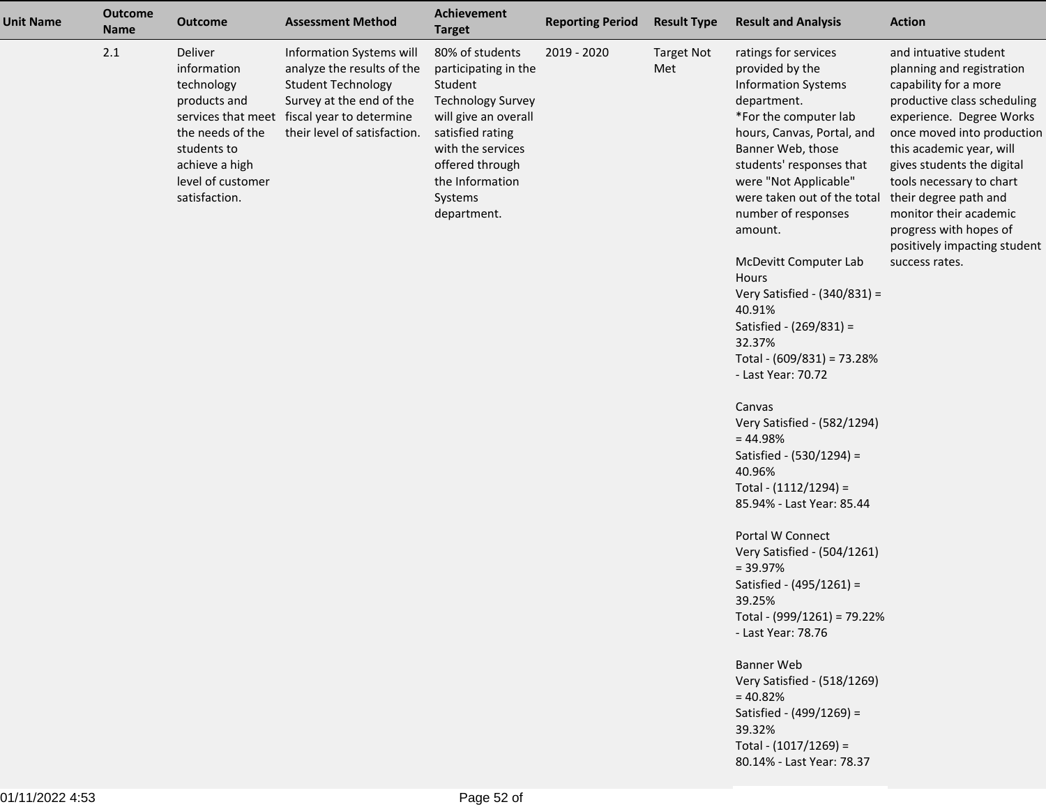| <b>Unit Name</b> | <b>Outcome</b><br><b>Name</b> | <b>Outcome</b>                                                                                                                                  | <b>Assessment Method</b>                                                                                                                                                                       | <b>Achievement</b><br><b>Target</b>                                                                                                                                                                             | <b>Reporting Period</b> | <b>Result Type</b>       | <b>Result and Analysis</b>                                                                                                                                                                                                                                                             | <b>Action</b>                                                                                                                                                                                                                                                                                                                                                           |
|------------------|-------------------------------|-------------------------------------------------------------------------------------------------------------------------------------------------|------------------------------------------------------------------------------------------------------------------------------------------------------------------------------------------------|-----------------------------------------------------------------------------------------------------------------------------------------------------------------------------------------------------------------|-------------------------|--------------------------|----------------------------------------------------------------------------------------------------------------------------------------------------------------------------------------------------------------------------------------------------------------------------------------|-------------------------------------------------------------------------------------------------------------------------------------------------------------------------------------------------------------------------------------------------------------------------------------------------------------------------------------------------------------------------|
|                  | 2.1                           | Deliver<br>information<br>technology<br>products and<br>the needs of the<br>students to<br>achieve a high<br>level of customer<br>satisfaction. | Information Systems will<br>analyze the results of the<br><b>Student Technology</b><br>Survey at the end of the<br>services that meet fiscal year to determine<br>their level of satisfaction. | 80% of students<br>participating in the<br>Student<br><b>Technology Survey</b><br>will give an overall<br>satisfied rating<br>with the services<br>offered through<br>the Information<br>Systems<br>department. | 2019 - 2020             | <b>Target Not</b><br>Met | ratings for services<br>provided by the<br><b>Information Systems</b><br>department.<br>*For the computer lab<br>hours, Canvas, Portal, and<br>Banner Web, those<br>students' responses that<br>were "Not Applicable"<br>were taken out of the total<br>number of responses<br>amount. | and intuative student<br>planning and registration<br>capability for a more<br>productive class scheduling<br>experience. Degree Works<br>once moved into production<br>this academic year, will<br>gives students the digital<br>tools necessary to chart<br>their degree path and<br>monitor their academic<br>progress with hopes of<br>positively impacting student |
|                  |                               |                                                                                                                                                 |                                                                                                                                                                                                |                                                                                                                                                                                                                 |                         |                          | McDevitt Computer Lab<br>Hours<br>Very Satisfied - (340/831) =<br>40.91%<br>Satisfied - (269/831) =<br>32.37%                                                                                                                                                                          | success rates.                                                                                                                                                                                                                                                                                                                                                          |
|                  |                               |                                                                                                                                                 |                                                                                                                                                                                                |                                                                                                                                                                                                                 |                         |                          | Total - (609/831) = 73.28%<br>- Last Year: 70.72                                                                                                                                                                                                                                       |                                                                                                                                                                                                                                                                                                                                                                         |
|                  |                               |                                                                                                                                                 |                                                                                                                                                                                                |                                                                                                                                                                                                                 |                         |                          | Canvas<br>Very Satisfied - (582/1294)<br>$= 44.98%$                                                                                                                                                                                                                                    |                                                                                                                                                                                                                                                                                                                                                                         |
|                  |                               |                                                                                                                                                 |                                                                                                                                                                                                |                                                                                                                                                                                                                 |                         |                          | Satisfied - (530/1294) =<br>40.96%<br>Total - (1112/1294) =<br>85.94% - Last Year: 85.44                                                                                                                                                                                               |                                                                                                                                                                                                                                                                                                                                                                         |
|                  |                               |                                                                                                                                                 |                                                                                                                                                                                                |                                                                                                                                                                                                                 |                         |                          | Portal W Connect<br>Very Satisfied - (504/1261)<br>$= 39.97%$<br>Satisfied - (495/1261) =<br>39.25%                                                                                                                                                                                    |                                                                                                                                                                                                                                                                                                                                                                         |
|                  |                               |                                                                                                                                                 |                                                                                                                                                                                                |                                                                                                                                                                                                                 |                         |                          | Total - (999/1261) = 79.22%<br>- Last Year: 78.76                                                                                                                                                                                                                                      |                                                                                                                                                                                                                                                                                                                                                                         |
|                  |                               |                                                                                                                                                 |                                                                                                                                                                                                |                                                                                                                                                                                                                 |                         |                          | <b>Banner Web</b><br>Very Satisfied - (518/1269)<br>$= 40.82%$<br>Satisfied - (499/1269) =                                                                                                                                                                                             |                                                                                                                                                                                                                                                                                                                                                                         |
|                  |                               |                                                                                                                                                 |                                                                                                                                                                                                |                                                                                                                                                                                                                 |                         |                          | 39.32%<br>Total - (1017/1269) =<br>80.14% - Last Year: 78.37                                                                                                                                                                                                                           |                                                                                                                                                                                                                                                                                                                                                                         |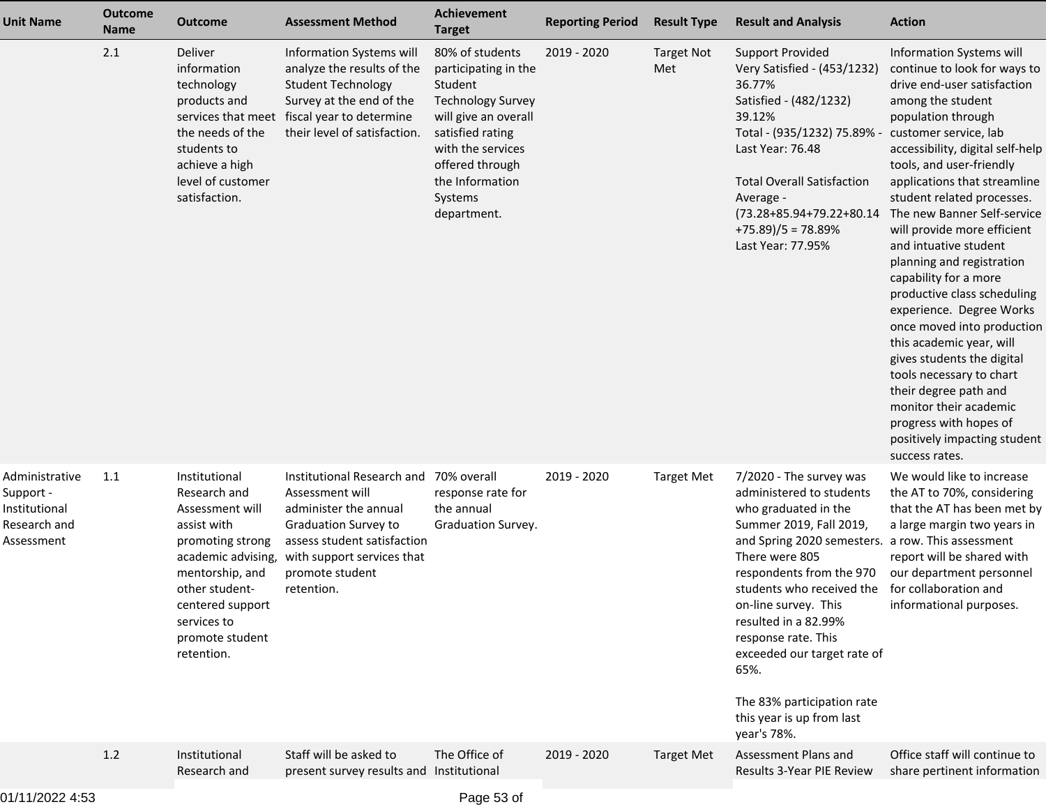| <b>Unit Name</b>                                                           | <b>Outcome</b><br><b>Name</b> | <b>Outcome</b>                                                                                                                                                                                                     | <b>Assessment Method</b>                                                                                                                                                                                 | <b>Achievement</b><br><b>Target</b>                                                                                                                                                                             | <b>Reporting Period</b> | <b>Result Type</b>       | <b>Result and Analysis</b>                                                                                                                                                                                                                                                                                                                                                                              | <b>Action</b>                                                                                                                                                                                                                                                                                                                                                                                                                                                                                                                                                                                                                                                                                                                                        |
|----------------------------------------------------------------------------|-------------------------------|--------------------------------------------------------------------------------------------------------------------------------------------------------------------------------------------------------------------|----------------------------------------------------------------------------------------------------------------------------------------------------------------------------------------------------------|-----------------------------------------------------------------------------------------------------------------------------------------------------------------------------------------------------------------|-------------------------|--------------------------|---------------------------------------------------------------------------------------------------------------------------------------------------------------------------------------------------------------------------------------------------------------------------------------------------------------------------------------------------------------------------------------------------------|------------------------------------------------------------------------------------------------------------------------------------------------------------------------------------------------------------------------------------------------------------------------------------------------------------------------------------------------------------------------------------------------------------------------------------------------------------------------------------------------------------------------------------------------------------------------------------------------------------------------------------------------------------------------------------------------------------------------------------------------------|
|                                                                            | 2.1                           | Deliver<br>information<br>technology<br>products and<br>the needs of the<br>students to<br>achieve a high<br>level of customer<br>satisfaction.                                                                    | <b>Information Systems will</b><br>analyze the results of the<br><b>Student Technology</b><br>Survey at the end of the<br>services that meet fiscal year to determine<br>their level of satisfaction.    | 80% of students<br>participating in the<br>Student<br><b>Technology Survey</b><br>will give an overall<br>satisfied rating<br>with the services<br>offered through<br>the Information<br>Systems<br>department. | 2019 - 2020             | <b>Target Not</b><br>Met | <b>Support Provided</b><br>Very Satisfied - (453/1232)<br>36.77%<br>Satisfied - (482/1232)<br>39.12%<br>Total - (935/1232) 75.89% -<br>Last Year: 76.48<br><b>Total Overall Satisfaction</b><br>Average -<br>(73.28+85.94+79.22+80.14<br>$+75.89$ )/5 = 78.89%<br>Last Year: 77.95%                                                                                                                     | Information Systems will<br>continue to look for ways to<br>drive end-user satisfaction<br>among the student<br>population through<br>customer service, lab<br>accessibility, digital self-help<br>tools, and user-friendly<br>applications that streamline<br>student related processes.<br>The new Banner Self-service<br>will provide more efficient<br>and intuative student<br>planning and registration<br>capability for a more<br>productive class scheduling<br>experience. Degree Works<br>once moved into production<br>this academic year, will<br>gives students the digital<br>tools necessary to chart<br>their degree path and<br>monitor their academic<br>progress with hopes of<br>positively impacting student<br>success rates. |
| Administrative<br>Support -<br>Institutional<br>Research and<br>Assessment | 1.1                           | Institutional<br>Research and<br>Assessment will<br>assist with<br>promoting strong<br>academic advising,<br>mentorship, and<br>other student-<br>centered support<br>services to<br>promote student<br>retention. | Institutional Research and 70% overall<br>Assessment will<br>administer the annual<br>Graduation Survey to<br>assess student satisfaction<br>with support services that<br>promote student<br>retention. | response rate for<br>the annual<br>Graduation Survey.                                                                                                                                                           | 2019 - 2020             | <b>Target Met</b>        | 7/2020 - The survey was<br>administered to students<br>who graduated in the<br>Summer 2019, Fall 2019,<br>and Spring 2020 semesters.<br>There were 805<br>respondents from the 970<br>students who received the<br>on-line survey. This<br>resulted in a 82.99%<br>response rate. This<br>exceeded our target rate of<br>65%.<br>The 83% participation rate<br>this year is up from last<br>year's 78%. | We would like to increase<br>the AT to 70%, considering<br>that the AT has been met by<br>a large margin two years in<br>a row. This assessment<br>report will be shared with<br>our department personnel<br>for collaboration and<br>informational purposes.                                                                                                                                                                                                                                                                                                                                                                                                                                                                                        |
|                                                                            | 1.2                           | Institutional<br>Research and                                                                                                                                                                                      | Staff will be asked to<br>present survey results and Institutional                                                                                                                                       | The Office of                                                                                                                                                                                                   | 2019 - 2020             | <b>Target Met</b>        | Assessment Plans and<br>Results 3-Year PIE Review                                                                                                                                                                                                                                                                                                                                                       | Office staff will continue to<br>share pertinent information                                                                                                                                                                                                                                                                                                                                                                                                                                                                                                                                                                                                                                                                                         |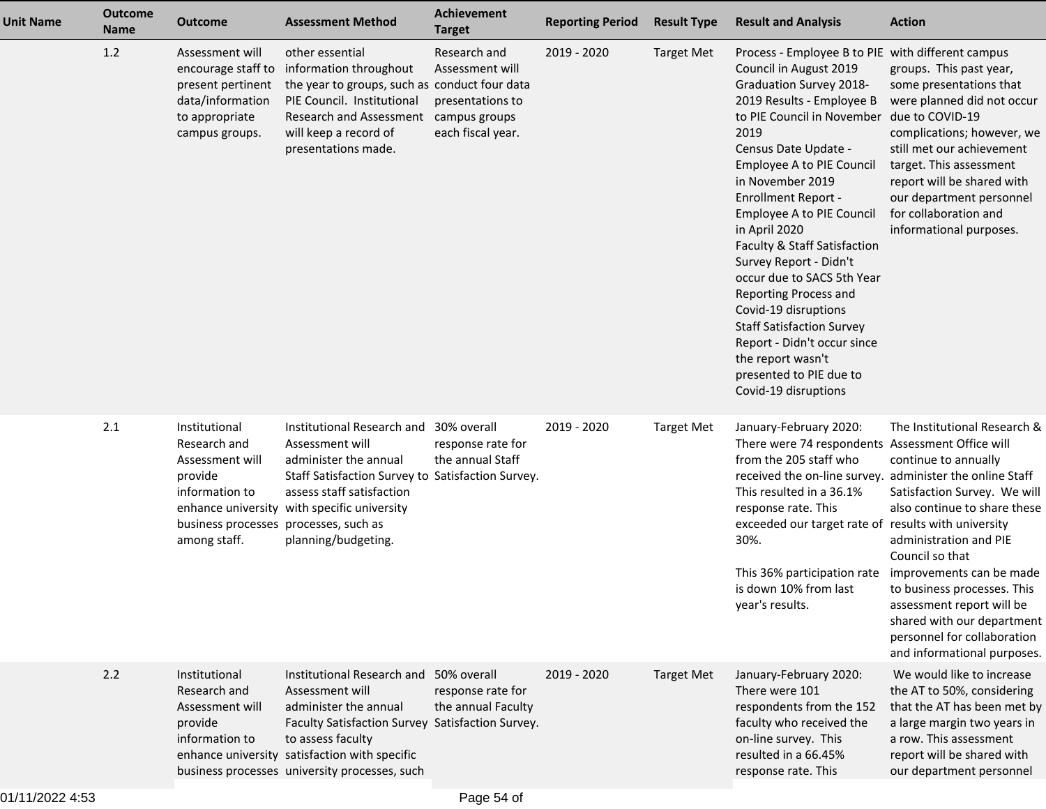| <b>Unit Name</b> | <b>Outcome</b><br><b>Name</b> | <b>Outcome</b>                                                                                                                         | <b>Assessment Method</b>                                                                                                                                                                                                                                      | <b>Achievement</b><br><b>Target</b>                                      | <b>Reporting Period</b> | <b>Result Type</b> | <b>Result and Analysis</b>                                                                                                                                                                                                                                                                                                                                                                                                                                                                                                                                                                                                | <b>Action</b>                                                                                                                                                                                                                                                                                                                                                                        |
|------------------|-------------------------------|----------------------------------------------------------------------------------------------------------------------------------------|---------------------------------------------------------------------------------------------------------------------------------------------------------------------------------------------------------------------------------------------------------------|--------------------------------------------------------------------------|-------------------------|--------------------|---------------------------------------------------------------------------------------------------------------------------------------------------------------------------------------------------------------------------------------------------------------------------------------------------------------------------------------------------------------------------------------------------------------------------------------------------------------------------------------------------------------------------------------------------------------------------------------------------------------------------|--------------------------------------------------------------------------------------------------------------------------------------------------------------------------------------------------------------------------------------------------------------------------------------------------------------------------------------------------------------------------------------|
|                  | 1.2                           | Assessment will<br>encourage staff to<br>present pertinent<br>data/information<br>to appropriate<br>campus groups.                     | other essential<br>information throughout<br>the year to groups, such as conduct four data<br>PIE Council. Institutional<br>Research and Assessment campus groups<br>will keep a record of<br>presentations made.                                             | Research and<br>Assessment will<br>presentations to<br>each fiscal year. | 2019 - 2020             | <b>Target Met</b>  | Process - Employee B to PIE with different campus<br>Council in August 2019<br><b>Graduation Survey 2018-</b><br>2019 Results - Employee B<br>to PIE Council in November<br>2019<br>Census Date Update -<br>Employee A to PIE Council<br>in November 2019<br><b>Enrollment Report -</b><br>Employee A to PIE Council<br>in April 2020<br>Faculty & Staff Satisfaction<br>Survey Report - Didn't<br>occur due to SACS 5th Year<br>Reporting Process and<br>Covid-19 disruptions<br><b>Staff Satisfaction Survey</b><br>Report - Didn't occur since<br>the report wasn't<br>presented to PIE due to<br>Covid-19 disruptions | groups. This past year,<br>some presentations that<br>were planned did not occur<br>due to COVID-19<br>complications; however, we<br>still met our achievement<br>target. This assessment<br>report will be shared with<br>our department personnel<br>for collaboration and<br>informational purposes.                                                                              |
|                  | 2.1                           | Institutional<br>Research and<br>Assessment will<br>provide<br>information to<br>business processes processes, such as<br>among staff. | Institutional Research and 30% overall<br>Assessment will<br>administer the annual<br>Staff Satisfaction Survey to Satisfaction Survey.<br>assess staff satisfaction<br>enhance university with specific university<br>planning/budgeting.                    | response rate for<br>the annual Staff                                    | 2019 - 2020             | <b>Target Met</b>  | January-February 2020:<br>There were 74 respondents Assessment Office will<br>from the 205 staff who<br>received the on-line survey.<br>This resulted in a 36.1%<br>response rate. This<br>exceeded our target rate of results with university<br>30%.<br>This 36% participation rate<br>is down 10% from last<br>year's results.                                                                                                                                                                                                                                                                                         | The Institutional Research &<br>continue to annually<br>administer the online Staff<br>Satisfaction Survey. We will<br>also continue to share these<br>administration and PIE<br>Council so that<br>improvements can be made<br>to business processes. This<br>assessment report will be<br>shared with our department<br>personnel for collaboration<br>and informational purposes. |
|                  | 2.2                           | Institutional<br>Research and<br>Assessment will<br>provide<br>information to                                                          | Institutional Research and 50% overall<br>Assessment will<br>administer the annual<br>Faculty Satisfaction Survey Satisfaction Survey.<br>to assess faculty<br>enhance university satisfaction with specific<br>business processes university processes, such | response rate for<br>the annual Faculty                                  | 2019 - 2020             | <b>Target Met</b>  | January-February 2020:<br>There were 101<br>respondents from the 152<br>faculty who received the<br>on-line survey. This<br>resulted in a 66.45%<br>response rate. This                                                                                                                                                                                                                                                                                                                                                                                                                                                   | We would like to increase<br>the AT to 50%, considering<br>that the AT has been met by<br>a large margin two years in<br>a row. This assessment<br>report will be shared with<br>our department personnel                                                                                                                                                                            |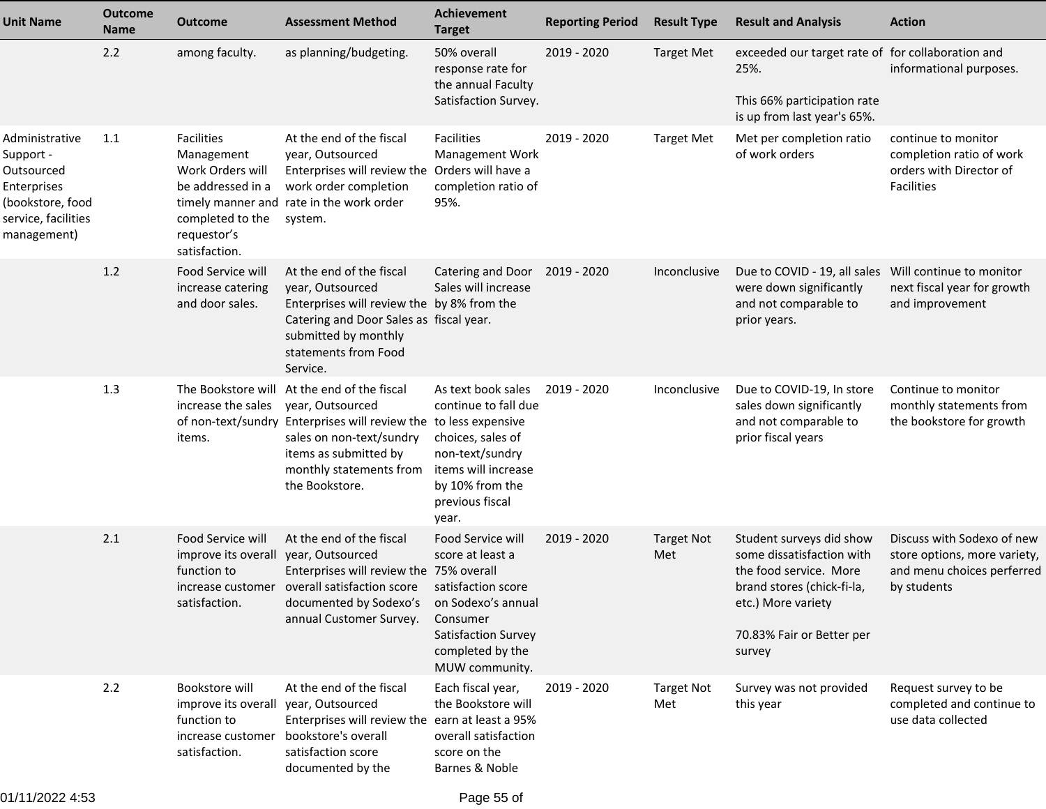| <b>Unit Name</b>                                                                                                   | <b>Outcome</b><br><b>Name</b> | <b>Outcome</b>                                                                                                        | <b>Assessment Method</b>                                                                                                                                                                                                              | Achievement<br><b>Target</b>                                                                                                                                      | <b>Reporting Period</b> | <b>Result Type</b>       | <b>Result and Analysis</b>                                                                                                                                                 | <b>Action</b>                                                                                           |
|--------------------------------------------------------------------------------------------------------------------|-------------------------------|-----------------------------------------------------------------------------------------------------------------------|---------------------------------------------------------------------------------------------------------------------------------------------------------------------------------------------------------------------------------------|-------------------------------------------------------------------------------------------------------------------------------------------------------------------|-------------------------|--------------------------|----------------------------------------------------------------------------------------------------------------------------------------------------------------------------|---------------------------------------------------------------------------------------------------------|
|                                                                                                                    | 2.2                           | among faculty.                                                                                                        | as planning/budgeting.                                                                                                                                                                                                                | 50% overall<br>response rate for<br>the annual Faculty<br>Satisfaction Survey.                                                                                    | $2019 - 2020$           | <b>Target Met</b>        | exceeded our target rate of for collaboration and<br>25%.<br>This 66% participation rate<br>is up from last year's 65%.                                                    | informational purposes.                                                                                 |
| Administrative<br>Support -<br>Outsourced<br>Enterprises<br>(bookstore, food<br>service, facilities<br>management) | 1.1                           | Facilities<br>Management<br>Work Orders will<br>be addressed in a<br>completed to the<br>requestor's<br>satisfaction. | At the end of the fiscal<br>year, Outsourced<br>Enterprises will review the Orders will have a<br>work order completion<br>timely manner and rate in the work order<br>system.                                                        | Facilities<br>Management Work<br>completion ratio of<br>95%.                                                                                                      | 2019 - 2020             | <b>Target Met</b>        | Met per completion ratio<br>of work orders                                                                                                                                 | continue to monitor<br>completion ratio of work<br>orders with Director of<br>Facilities                |
|                                                                                                                    | 1.2                           | Food Service will<br>increase catering<br>and door sales.                                                             | At the end of the fiscal<br>year, Outsourced<br>Enterprises will review the by 8% from the<br>Catering and Door Sales as fiscal year.<br>submitted by monthly<br>statements from Food<br>Service.                                     | Catering and Door 2019 - 2020<br>Sales will increase                                                                                                              |                         | Inconclusive             | Due to COVID - 19, all sales Will continue to monitor<br>were down significantly<br>and not comparable to<br>prior years.                                                  | next fiscal year for growth<br>and improvement                                                          |
|                                                                                                                    | 1.3                           | increase the sales<br>items.                                                                                          | The Bookstore will At the end of the fiscal<br>year, Outsourced<br>of non-text/sundry Enterprises will review the to less expensive<br>sales on non-text/sundry<br>items as submitted by<br>monthly statements from<br>the Bookstore. | As text book sales<br>continue to fall due<br>choices, sales of<br>non-text/sundry<br>items will increase<br>by 10% from the<br>previous fiscal<br>year.          | 2019 - 2020             | Inconclusive             | Due to COVID-19, In store<br>sales down significantly<br>and not comparable to<br>prior fiscal years                                                                       | Continue to monitor<br>monthly statements from<br>the bookstore for growth                              |
|                                                                                                                    | 2.1                           | Food Service will<br>improve its overall<br>function to<br>satisfaction.                                              | At the end of the fiscal<br>year, Outsourced<br>Enterprises will review the 75% overall<br>increase customer overall satisfaction score<br>documented by Sodexo's<br>annual Customer Survey.                                          | Food Service will<br>score at least a<br>satisfaction score<br>on Sodexo's annual<br>Consumer<br><b>Satisfaction Survey</b><br>completed by the<br>MUW community. | $2019 - 2020$           | <b>Target Not</b><br>Met | Student surveys did show<br>some dissatisfaction with<br>the food service. More<br>brand stores (chick-fi-la,<br>etc.) More variety<br>70.83% Fair or Better per<br>survey | Discuss with Sodexo of new<br>store options, more variety,<br>and menu choices perferred<br>by students |
|                                                                                                                    | 2.2                           | Bookstore will<br>improve its overall<br>function to<br>increase customer<br>satisfaction.                            | At the end of the fiscal<br>year, Outsourced<br>Enterprises will review the earn at least a 95%<br>bookstore's overall<br>satisfaction score<br>documented by the                                                                     | Each fiscal year,<br>the Bookstore will<br>overall satisfaction<br>score on the<br>Barnes & Noble                                                                 | 2019 - 2020             | <b>Target Not</b><br>Met | Survey was not provided<br>this year                                                                                                                                       | Request survey to be<br>completed and continue to<br>use data collected                                 |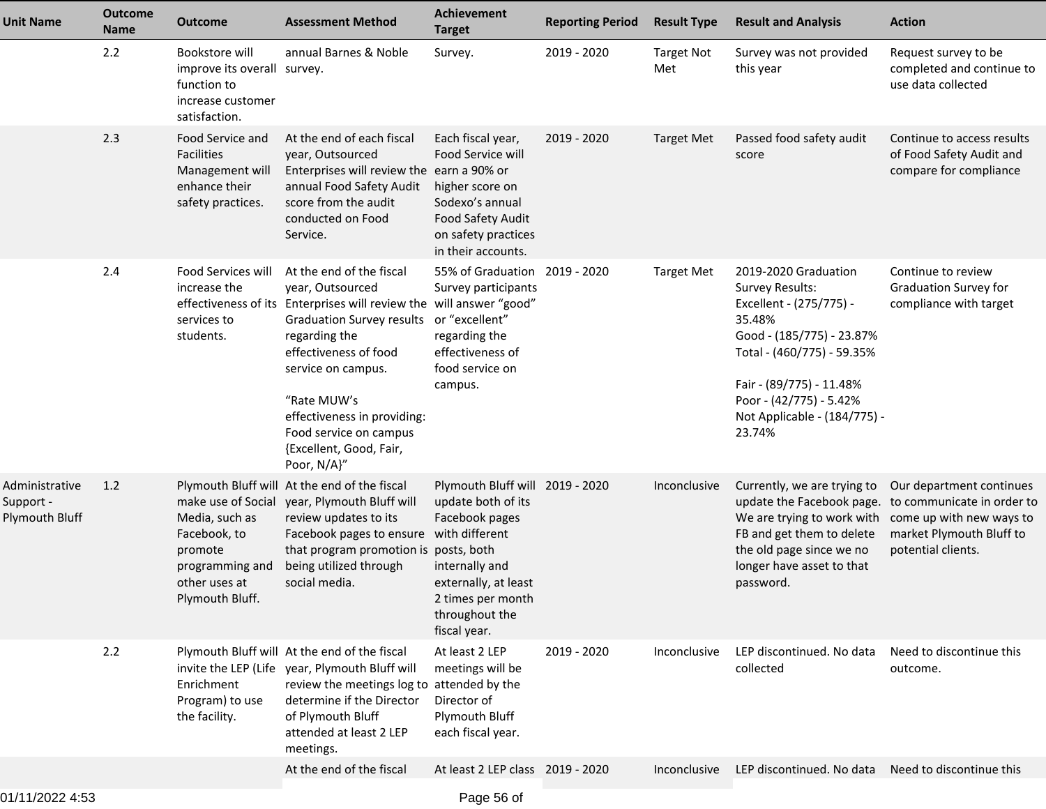| <b>Unit Name</b>                              | <b>Outcome</b><br><b>Name</b> | <b>Outcome</b>                                                                                                         | <b>Assessment Method</b>                                                                                                                                                                                                                                                                                                                          | <b>Achievement</b><br><b>Target</b>                                                                                                                                      | <b>Reporting Period</b> | <b>Result Type</b>       | <b>Result and Analysis</b>                                                                                                                                                                                                                      | <b>Action</b>                                                                    |
|-----------------------------------------------|-------------------------------|------------------------------------------------------------------------------------------------------------------------|---------------------------------------------------------------------------------------------------------------------------------------------------------------------------------------------------------------------------------------------------------------------------------------------------------------------------------------------------|--------------------------------------------------------------------------------------------------------------------------------------------------------------------------|-------------------------|--------------------------|-------------------------------------------------------------------------------------------------------------------------------------------------------------------------------------------------------------------------------------------------|----------------------------------------------------------------------------------|
|                                               | 2.2                           | Bookstore will<br>improve its overall survey.<br>function to<br>increase customer<br>satisfaction.                     | annual Barnes & Noble                                                                                                                                                                                                                                                                                                                             | Survey.                                                                                                                                                                  | 2019 - 2020             | <b>Target Not</b><br>Met | Survey was not provided<br>this year                                                                                                                                                                                                            | Request survey to be<br>completed and continue to<br>use data collected          |
|                                               | 2.3                           | Food Service and<br>Facilities<br>Management will<br>enhance their<br>safety practices.                                | At the end of each fiscal<br>year, Outsourced<br>Enterprises will review the earn a 90% or<br>annual Food Safety Audit<br>score from the audit<br>conducted on Food<br>Service.                                                                                                                                                                   | Each fiscal year,<br>Food Service will<br>higher score on<br>Sodexo's annual<br>Food Safety Audit<br>on safety practices<br>in their accounts.                           | 2019 - 2020             | <b>Target Met</b>        | Passed food safety audit<br>score                                                                                                                                                                                                               | Continue to access results<br>of Food Safety Audit and<br>compare for compliance |
|                                               | 2.4                           | Food Services will<br>increase the<br>services to<br>students.                                                         | At the end of the fiscal<br>year, Outsourced<br>effectiveness of its Enterprises will review the will answer "good"<br>Graduation Survey results or "excellent"<br>regarding the<br>effectiveness of food<br>service on campus.<br>"Rate MUW's<br>effectiveness in providing:<br>Food service on campus<br>{Excellent, Good, Fair,<br>Poor, N/A}" | 55% of Graduation 2019 - 2020<br>Survey participants<br>regarding the<br>effectiveness of<br>food service on<br>campus.                                                  |                         | <b>Target Met</b>        | 2019-2020 Graduation<br><b>Survey Results:</b><br>Excellent - (275/775) -<br>35.48%<br>Good - (185/775) - 23.87%<br>Total - (460/775) - 59.35%<br>Fair - (89/775) - 11.48%<br>Poor - (42/775) - 5.42%<br>Not Applicable - (184/775) -<br>23.74% | Continue to review<br><b>Graduation Survey for</b><br>compliance with target     |
| Administrative<br>Support -<br>Plymouth Bluff | 1.2                           | make use of Social<br>Media, such as<br>Facebook, to<br>promote<br>programming and<br>other uses at<br>Plymouth Bluff. | Plymouth Bluff will At the end of the fiscal<br>year, Plymouth Bluff will<br>review updates to its<br>Facebook pages to ensure with different<br>that program promotion is posts, both<br>being utilized through<br>social media.                                                                                                                 | Plymouth Bluff will 2019 - 2020<br>update both of its<br>Facebook pages<br>internally and<br>externally, at least<br>2 times per month<br>throughout the<br>fiscal year. |                         | Inconclusive             | Currently, we are trying to<br>update the Facebook page. to communicate in order to<br>We are trying to work with come up with new ways to<br>FB and get them to delete<br>the old page since we no<br>longer have asset to that<br>password.   | Our department continues<br>market Plymouth Bluff to<br>potential clients.       |
|                                               | 2.2                           | Enrichment<br>Program) to use<br>the facility.                                                                         | Plymouth Bluff will At the end of the fiscal<br>invite the LEP (Life year, Plymouth Bluff will<br>review the meetings log to attended by the<br>determine if the Director<br>of Plymouth Bluff<br>attended at least 2 LEP<br>meetings.                                                                                                            | At least 2 LEP<br>meetings will be<br>Director of<br>Plymouth Bluff<br>each fiscal year.                                                                                 | 2019 - 2020             | Inconclusive             | LEP discontinued. No data<br>collected                                                                                                                                                                                                          | Need to discontinue this<br>outcome.                                             |
|                                               |                               |                                                                                                                        | At the end of the fiscal                                                                                                                                                                                                                                                                                                                          | At least 2 LEP class 2019 - 2020                                                                                                                                         |                         | Inconclusive             | LEP discontinued. No data                                                                                                                                                                                                                       | Need to discontinue this                                                         |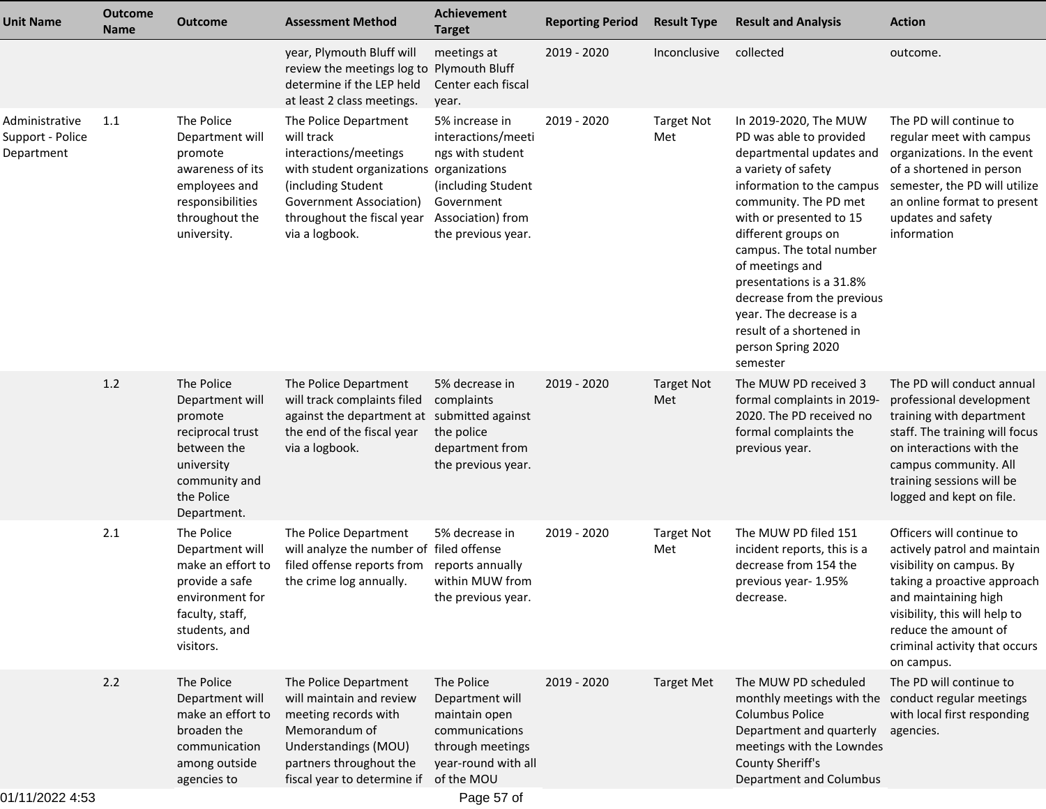| <b>Unit Name</b>                                 | <b>Outcome</b><br><b>Name</b> | <b>Outcome</b>                                                                                                                           | <b>Assessment Method</b>                                                                                                                                                                                  | <b>Achievement</b><br><b>Target</b>                                                                                                     | <b>Reporting Period</b> | <b>Result Type</b>       | <b>Result and Analysis</b>                                                                                                                                                                                                                                                                                                                                                                                    | <b>Action</b>                                                                                                                                                                                                                                        |
|--------------------------------------------------|-------------------------------|------------------------------------------------------------------------------------------------------------------------------------------|-----------------------------------------------------------------------------------------------------------------------------------------------------------------------------------------------------------|-----------------------------------------------------------------------------------------------------------------------------------------|-------------------------|--------------------------|---------------------------------------------------------------------------------------------------------------------------------------------------------------------------------------------------------------------------------------------------------------------------------------------------------------------------------------------------------------------------------------------------------------|------------------------------------------------------------------------------------------------------------------------------------------------------------------------------------------------------------------------------------------------------|
|                                                  |                               |                                                                                                                                          | year, Plymouth Bluff will<br>review the meetings log to<br>determine if the LEP held<br>at least 2 class meetings.                                                                                        | meetings at<br><b>Plymouth Bluff</b><br>Center each fiscal<br>year.                                                                     | 2019 - 2020             | Inconclusive             | collected                                                                                                                                                                                                                                                                                                                                                                                                     | outcome.                                                                                                                                                                                                                                             |
| Administrative<br>Support - Police<br>Department | 1.1                           | The Police<br>Department will<br>promote<br>awareness of its<br>employees and<br>responsibilities<br>throughout the<br>university.       | The Police Department<br>will track<br>interactions/meetings<br>with student organizations organizations<br>(including Student<br>Government Association)<br>throughout the fiscal year<br>via a logbook. | 5% increase in<br>interactions/meeti<br>ngs with student<br>(including Student<br>Government<br>Association) from<br>the previous year. | 2019 - 2020             | <b>Target Not</b><br>Met | In 2019-2020, The MUW<br>PD was able to provided<br>departmental updates and<br>a variety of safety<br>information to the campus<br>community. The PD met<br>with or presented to 15<br>different groups on<br>campus. The total number<br>of meetings and<br>presentations is a 31.8%<br>decrease from the previous<br>year. The decrease is a<br>result of a shortened in<br>person Spring 2020<br>semester | The PD will continue to<br>regular meet with campus<br>organizations. In the event<br>of a shortened in person<br>semester, the PD will utilize<br>an online format to present<br>updates and safety<br>information                                  |
|                                                  | 1.2                           | The Police<br>Department will<br>promote<br>reciprocal trust<br>between the<br>university<br>community and<br>the Police<br>Department.  | The Police Department<br>will track complaints filed<br>against the department at submitted against<br>the end of the fiscal year<br>via a logbook.                                                       | 5% decrease in<br>complaints<br>the police<br>department from<br>the previous year.                                                     | 2019 - 2020             | <b>Target Not</b><br>Met | The MUW PD received 3<br>formal complaints in 2019-<br>2020. The PD received no<br>formal complaints the<br>previous year.                                                                                                                                                                                                                                                                                    | The PD will conduct annual<br>professional development<br>training with department<br>staff. The training will focus<br>on interactions with the<br>campus community. All<br>training sessions will be<br>logged and kept on file.                   |
|                                                  | 2.1                           | The Police<br>Department will<br>make an effort to<br>provide a safe<br>environment for<br>faculty, staff,<br>students, and<br>visitors. | The Police Department<br>will analyze the number of filed offense<br>filed offense reports from<br>the crime log annually.                                                                                | 5% decrease in<br>reports annually<br>within MUW from<br>the previous year.                                                             | 2019 - 2020             | <b>Target Not</b><br>Met | The MUW PD filed 151<br>incident reports, this is a<br>decrease from 154 the<br>previous year- 1.95%<br>decrease.                                                                                                                                                                                                                                                                                             | Officers will continue to<br>actively patrol and maintain<br>visibility on campus. By<br>taking a proactive approach<br>and maintaining high<br>visibility, this will help to<br>reduce the amount of<br>criminal activity that occurs<br>on campus. |
|                                                  | 2.2                           | The Police<br>Department will<br>make an effort to<br>broaden the<br>communication<br>among outside<br>agencies to                       | The Police Department<br>will maintain and review<br>meeting records with<br>Memorandum of<br>Understandings (MOU)<br>partners throughout the<br>fiscal year to determine if                              | The Police<br>Department will<br>maintain open<br>communications<br>through meetings<br>year-round with all<br>of the MOU               | 2019 - 2020             | <b>Target Met</b>        | The MUW PD scheduled<br>monthly meetings with the<br><b>Columbus Police</b><br>Department and quarterly<br>meetings with the Lowndes<br><b>County Sheriff's</b><br>Department and Columbus                                                                                                                                                                                                                    | The PD will continue to<br>conduct regular meetings<br>with local first responding<br>agencies.                                                                                                                                                      |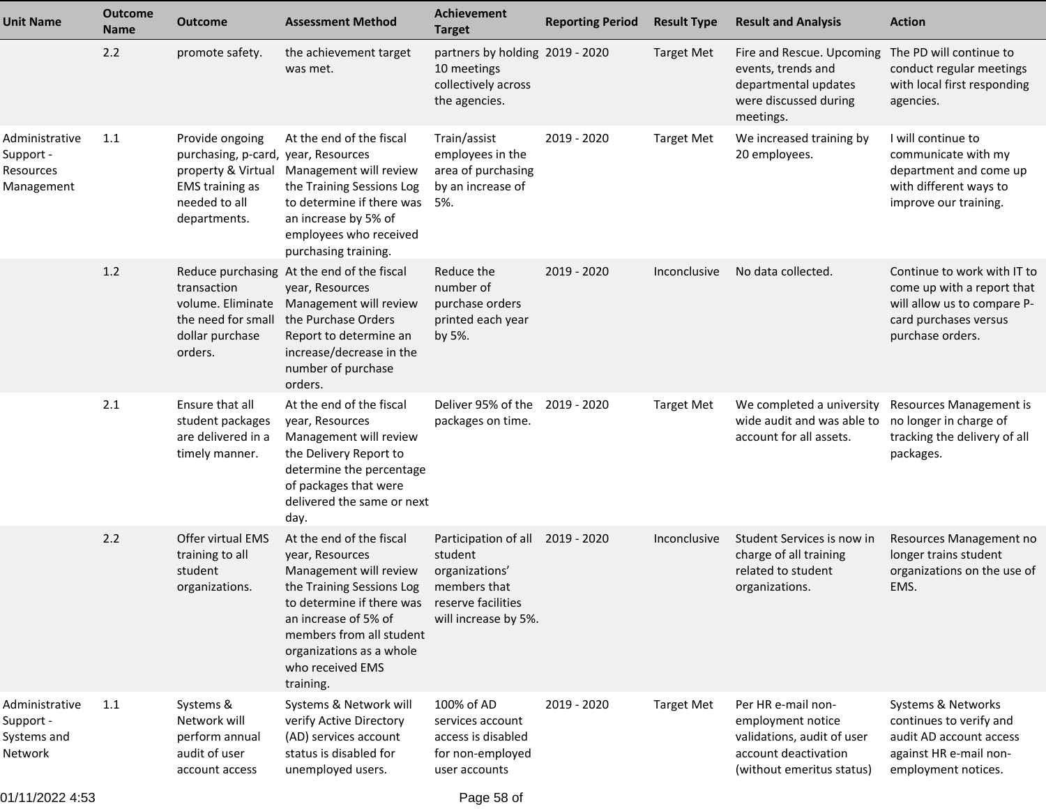| <b>Unit Name</b>                                       | <b>Outcome</b><br><b>Name</b> | <b>Outcome</b>                                                                                                    | <b>Assessment Method</b>                                                                                                                                                                                                                         | <b>Achievement</b><br><b>Target</b>                                                                                         | <b>Reporting Period</b> | <b>Result Type</b> | <b>Result and Analysis</b>                                                                                                 | <b>Action</b>                                                                                                                         |
|--------------------------------------------------------|-------------------------------|-------------------------------------------------------------------------------------------------------------------|--------------------------------------------------------------------------------------------------------------------------------------------------------------------------------------------------------------------------------------------------|-----------------------------------------------------------------------------------------------------------------------------|-------------------------|--------------------|----------------------------------------------------------------------------------------------------------------------------|---------------------------------------------------------------------------------------------------------------------------------------|
|                                                        | 2.2                           | promote safety.                                                                                                   | the achievement target<br>was met.                                                                                                                                                                                                               | partners by holding 2019 - 2020<br>10 meetings<br>collectively across<br>the agencies.                                      |                         | <b>Target Met</b>  | Fire and Rescue. Upcoming<br>events, trends and<br>departmental updates<br>were discussed during<br>meetings.              | The PD will continue to<br>conduct regular meetings<br>with local first responding<br>agencies.                                       |
| Administrative<br>Support -<br>Resources<br>Management | 1.1                           | Provide ongoing<br>purchasing, p-card, year, Resources<br><b>EMS</b> training as<br>needed to all<br>departments. | At the end of the fiscal<br>property & Virtual Management will review<br>the Training Sessions Log<br>to determine if there was<br>an increase by 5% of<br>employees who received<br>purchasing training.                                        | Train/assist<br>employees in the<br>area of purchasing<br>by an increase of<br>5%.                                          | 2019 - 2020             | <b>Target Met</b>  | We increased training by<br>20 employees.                                                                                  | I will continue to<br>communicate with my<br>department and come up<br>with different ways to<br>improve our training.                |
|                                                        | 1.2                           | transaction<br>volume. Eliminate<br>the need for small<br>dollar purchase<br>orders.                              | Reduce purchasing At the end of the fiscal<br>year, Resources<br>Management will review<br>the Purchase Orders<br>Report to determine an<br>increase/decrease in the<br>number of purchase<br>orders.                                            | Reduce the<br>number of<br>purchase orders<br>printed each year<br>by 5%.                                                   | 2019 - 2020             | Inconclusive       | No data collected.                                                                                                         | Continue to work with IT to<br>come up with a report that<br>will allow us to compare P-<br>card purchases versus<br>purchase orders. |
|                                                        | 2.1                           | Ensure that all<br>student packages<br>are delivered in a<br>timely manner.                                       | At the end of the fiscal<br>year, Resources<br>Management will review<br>the Delivery Report to<br>determine the percentage<br>of packages that were<br>delivered the same or next<br>day.                                                       | Deliver 95% of the<br>packages on time.                                                                                     | 2019 - 2020             | <b>Target Met</b>  | We completed a university<br>wide audit and was able to<br>account for all assets.                                         | Resources Management is<br>no longer in charge of<br>tracking the delivery of all<br>packages.                                        |
|                                                        | 2.2                           | Offer virtual EMS<br>training to all<br>student<br>organizations.                                                 | At the end of the fiscal<br>year, Resources<br>Management will review<br>the Training Sessions Log<br>to determine if there was<br>an increase of 5% of<br>members from all student<br>organizations as a whole<br>who received EMS<br>training. | Participation of all 2019 - 2020<br>student<br>organizations'<br>members that<br>reserve facilities<br>will increase by 5%. |                         | Inconclusive       | Student Services is now in<br>charge of all training<br>related to student<br>organizations.                               | Resources Management no<br>longer trains student<br>organizations on the use of<br>EMS.                                               |
| Administrative<br>Support -<br>Systems and<br>Network  | 1.1                           | Systems &<br>Network will<br>perform annual<br>audit of user<br>account access                                    | Systems & Network will<br>verify Active Directory<br>(AD) services account<br>status is disabled for<br>unemployed users.                                                                                                                        | 100% of AD<br>services account<br>access is disabled<br>for non-employed<br>user accounts                                   | 2019 - 2020             | <b>Target Met</b>  | Per HR e-mail non-<br>employment notice<br>validations, audit of user<br>account deactivation<br>(without emeritus status) | Systems & Networks<br>continues to verify and<br>audit AD account access<br>against HR e-mail non-<br>employment notices.             |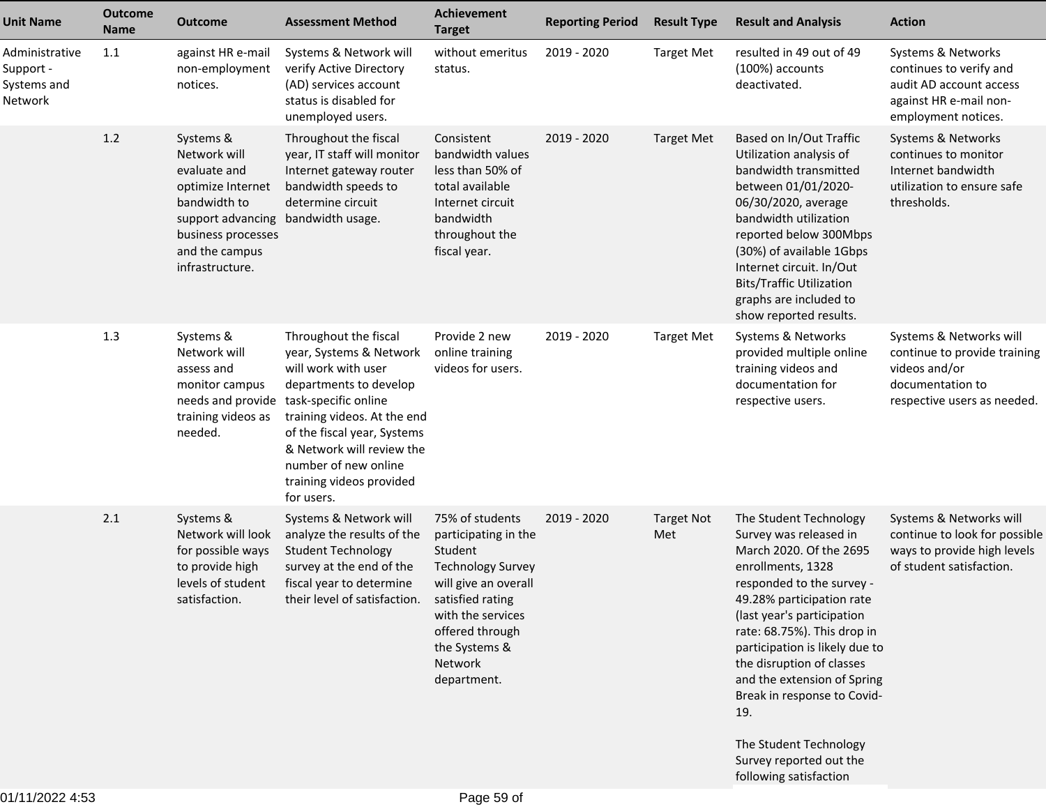| <b>Unit Name</b>                                      | <b>Outcome</b><br><b>Name</b> | <b>Outcome</b>                                                                                                                                                 | <b>Assessment Method</b>                                                                                                                                                                                                                                       | Achievement<br><b>Target</b>                                                                                                                                                              | <b>Reporting Period</b> | <b>Result Type</b>       | <b>Result and Analysis</b>                                                                                                                                                                                                                                                                                                                                                                                                                 | <b>Action</b>                                                                                                               |
|-------------------------------------------------------|-------------------------------|----------------------------------------------------------------------------------------------------------------------------------------------------------------|----------------------------------------------------------------------------------------------------------------------------------------------------------------------------------------------------------------------------------------------------------------|-------------------------------------------------------------------------------------------------------------------------------------------------------------------------------------------|-------------------------|--------------------------|--------------------------------------------------------------------------------------------------------------------------------------------------------------------------------------------------------------------------------------------------------------------------------------------------------------------------------------------------------------------------------------------------------------------------------------------|-----------------------------------------------------------------------------------------------------------------------------|
| Administrative<br>Support -<br>Systems and<br>Network | 1.1                           | against HR e-mail<br>non-employment<br>notices.                                                                                                                | Systems & Network will<br>verify Active Directory<br>(AD) services account<br>status is disabled for<br>unemployed users.                                                                                                                                      | without emeritus<br>status.                                                                                                                                                               | 2019 - 2020             | <b>Target Met</b>        | resulted in 49 out of 49<br>(100%) accounts<br>deactivated.                                                                                                                                                                                                                                                                                                                                                                                | Systems & Networks<br>continues to verify and<br>audit AD account access<br>against HR e-mail non-<br>employment notices.   |
|                                                       | 1.2                           | Systems &<br>Network will<br>evaluate and<br>optimize Internet<br>bandwidth to<br>support advancing<br>business processes<br>and the campus<br>infrastructure. | Throughout the fiscal<br>year, IT staff will monitor<br>Internet gateway router<br>bandwidth speeds to<br>determine circuit<br>bandwidth usage.                                                                                                                | Consistent<br>bandwidth values<br>less than 50% of<br>total available<br>Internet circuit<br>bandwidth<br>throughout the<br>fiscal year.                                                  | 2019 - 2020             | <b>Target Met</b>        | Based on In/Out Traffic<br>Utilization analysis of<br>bandwidth transmitted<br>between 01/01/2020-<br>06/30/2020, average<br>bandwidth utilization<br>reported below 300Mbps<br>(30%) of available 1Gbps<br>Internet circuit. In/Out<br><b>Bits/Traffic Utilization</b><br>graphs are included to<br>show reported results.                                                                                                                | Systems & Networks<br>continues to monitor<br>Internet bandwidth<br>utilization to ensure safe<br>thresholds.               |
|                                                       | 1.3                           | Systems &<br>Network will<br>assess and<br>monitor campus<br>needs and provide task-specific online<br>training videos as<br>needed.                           | Throughout the fiscal<br>year, Systems & Network<br>will work with user<br>departments to develop<br>training videos. At the end<br>of the fiscal year, Systems<br>& Network will review the<br>number of new online<br>training videos provided<br>for users. | Provide 2 new<br>online training<br>videos for users.                                                                                                                                     | 2019 - 2020             | <b>Target Met</b>        | Systems & Networks<br>provided multiple online<br>training videos and<br>documentation for<br>respective users.                                                                                                                                                                                                                                                                                                                            | Systems & Networks will<br>continue to provide training<br>videos and/or<br>documentation to<br>respective users as needed. |
|                                                       | 2.1                           | Systems &<br>Network will look<br>for possible ways<br>to provide high<br>levels of student<br>satisfaction.                                                   | Systems & Network will<br>analyze the results of the<br><b>Student Technology</b><br>survey at the end of the<br>fiscal year to determine<br>their level of satisfaction. satisfied rating                                                                     | 75% of students<br>participating in the<br>Student<br><b>Technology Survey</b><br>will give an overall<br>with the services<br>offered through<br>the Systems &<br>Network<br>department. | 2019 - 2020             | <b>Target Not</b><br>Met | The Student Technology<br>Survey was released in<br>March 2020. Of the 2695<br>enrollments, 1328<br>responded to the survey -<br>49.28% participation rate<br>(last year's participation<br>rate: 68.75%). This drop in<br>participation is likely due to<br>the disruption of classes<br>and the extension of Spring<br>Break in response to Covid-<br>19.<br>The Student Technology<br>Survey reported out the<br>following satisfaction | Systems & Networks will<br>continue to look for possible<br>ways to provide high levels<br>of student satisfaction.         |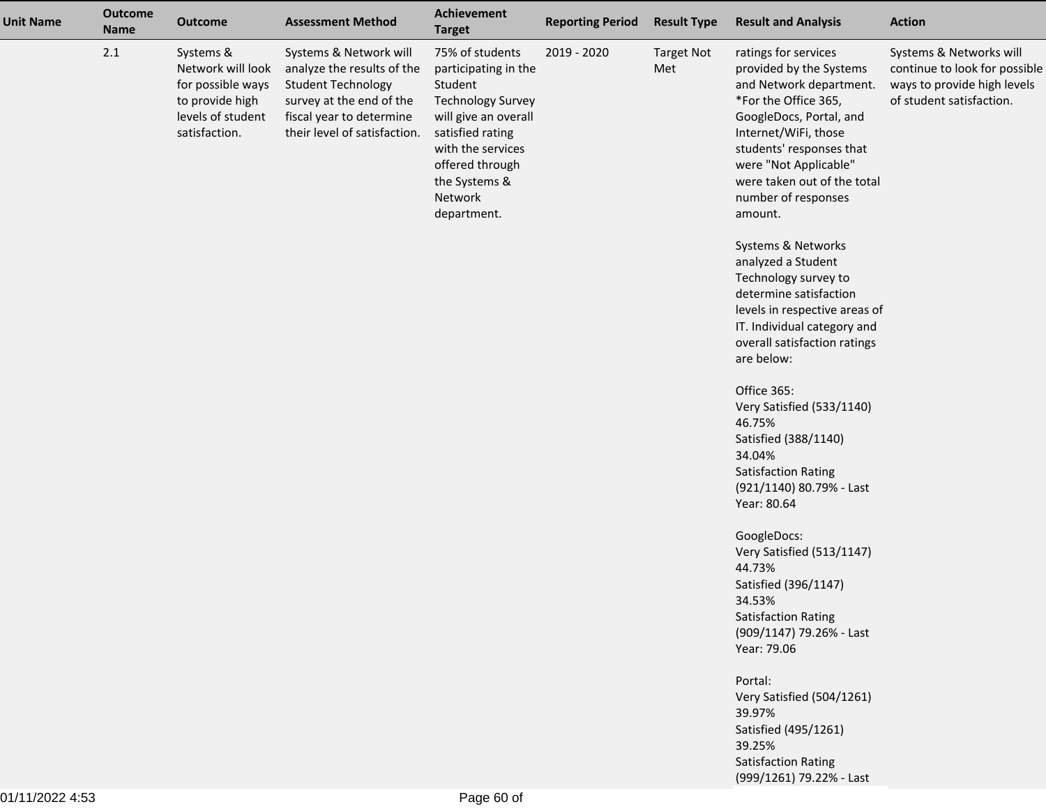| <b>Unit Name</b> | <b>Outcome</b><br><b>Name</b> | <b>Outcome</b>                                                                                               | <b>Assessment Method</b>                                                                                                                                                  | Achievement<br><b>Target</b>                                                                                                                                                                                  | <b>Reporting Period</b> | <b>Result Type</b>       | <b>Result and Analysis</b>                                                                                                                                                                                                                                                  | <b>Action</b>                                                                                                       |
|------------------|-------------------------------|--------------------------------------------------------------------------------------------------------------|---------------------------------------------------------------------------------------------------------------------------------------------------------------------------|---------------------------------------------------------------------------------------------------------------------------------------------------------------------------------------------------------------|-------------------------|--------------------------|-----------------------------------------------------------------------------------------------------------------------------------------------------------------------------------------------------------------------------------------------------------------------------|---------------------------------------------------------------------------------------------------------------------|
|                  | 2.1                           | Systems &<br>Network will look<br>for possible ways<br>to provide high<br>levels of student<br>satisfaction. | Systems & Network will<br>analyze the results of the<br><b>Student Technology</b><br>survey at the end of the<br>fiscal year to determine<br>their level of satisfaction. | 75% of students<br>participating in the<br>Student<br><b>Technology Survey</b><br>will give an overall<br>satisfied rating<br>with the services<br>offered through<br>the Systems &<br>Network<br>department. | 2019 - 2020             | <b>Target Not</b><br>Met | ratings for services<br>provided by the Systems<br>and Network department.<br>*For the Office 365,<br>GoogleDocs, Portal, and<br>Internet/WiFi, those<br>students' responses that<br>were "Not Applicable"<br>were taken out of the total<br>number of responses<br>amount. | Systems & Networks will<br>continue to look for possible<br>ways to provide high levels<br>of student satisfaction. |
|                  |                               |                                                                                                              |                                                                                                                                                                           |                                                                                                                                                                                                               |                         |                          | Systems & Networks<br>analyzed a Student<br>Technology survey to<br>determine satisfaction<br>levels in respective areas of<br>IT. Individual category and<br>overall satisfaction ratings<br>are below:                                                                    |                                                                                                                     |
|                  |                               |                                                                                                              |                                                                                                                                                                           |                                                                                                                                                                                                               |                         |                          | Office 365:<br>Very Satisfied (533/1140)<br>46.75%<br>Satisfied (388/1140)<br>34.04%<br><b>Satisfaction Rating</b><br>(921/1140) 80.79% - Last<br>Year: 80.64                                                                                                               |                                                                                                                     |
|                  |                               |                                                                                                              |                                                                                                                                                                           |                                                                                                                                                                                                               |                         |                          | GoogleDocs:<br>Very Satisfied (513/1147)<br>44.73%<br>Satisfied (396/1147)<br>34.53%<br>Satisfaction Rating<br>(909/1147) 79.26% - Last<br>Year: 79.06                                                                                                                      |                                                                                                                     |
|                  |                               |                                                                                                              |                                                                                                                                                                           |                                                                                                                                                                                                               |                         |                          | Portal:<br>Very Satisfied (504/1261)<br>39.97%<br>Satisfied (495/1261)<br>39.25%<br><b>Satisfaction Rating</b><br>(999/1261) 79.22% - Last                                                                                                                                  |                                                                                                                     |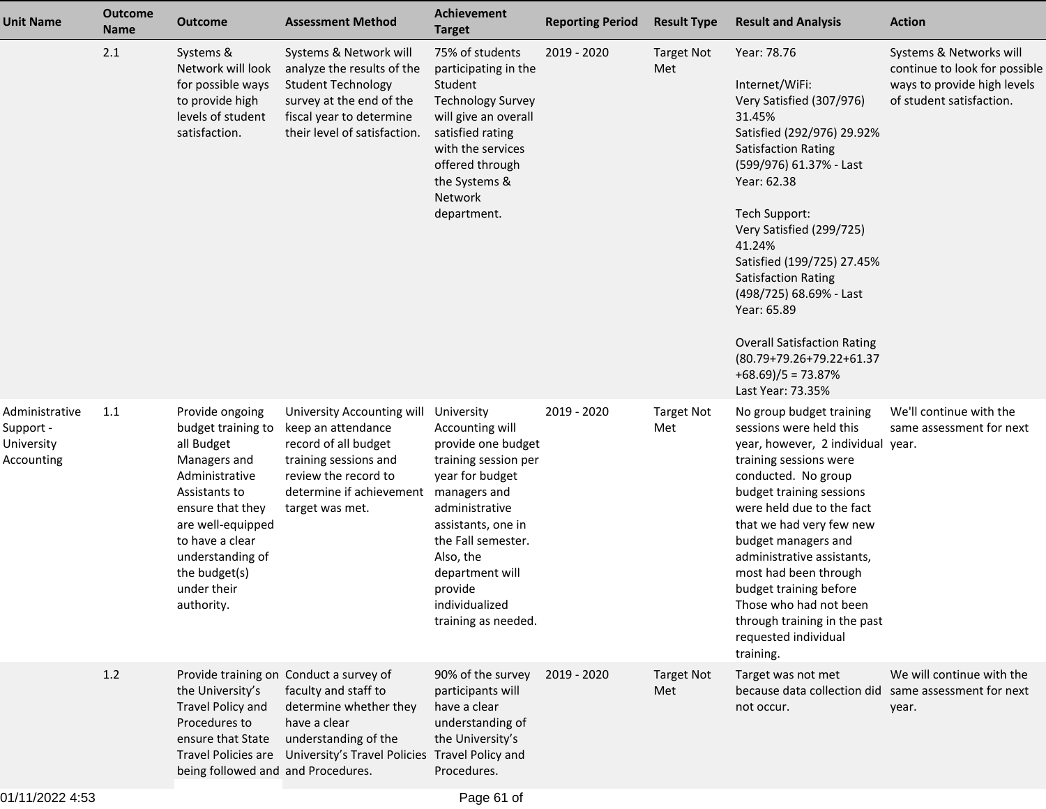| <b>Unit Name</b>                                        | <b>Outcome</b><br><b>Name</b> | <b>Outcome</b>                                                                                                                                                                                                                       | <b>Assessment Method</b>                                                                                                                                                                                | Achievement<br><b>Target</b>                                                                                                                                                                                                                                     | <b>Reporting Period</b> | <b>Result Type</b>       | <b>Result and Analysis</b>                                                                                                                                                                                                                                                                                                                                                                                                                                    | <b>Action</b>                                                                                                       |
|---------------------------------------------------------|-------------------------------|--------------------------------------------------------------------------------------------------------------------------------------------------------------------------------------------------------------------------------------|---------------------------------------------------------------------------------------------------------------------------------------------------------------------------------------------------------|------------------------------------------------------------------------------------------------------------------------------------------------------------------------------------------------------------------------------------------------------------------|-------------------------|--------------------------|---------------------------------------------------------------------------------------------------------------------------------------------------------------------------------------------------------------------------------------------------------------------------------------------------------------------------------------------------------------------------------------------------------------------------------------------------------------|---------------------------------------------------------------------------------------------------------------------|
|                                                         | 2.1                           | Systems &<br>Network will look<br>for possible ways<br>to provide high<br>levels of student<br>satisfaction.                                                                                                                         | Systems & Network will<br>analyze the results of the<br><b>Student Technology</b><br>survey at the end of the<br>fiscal year to determine<br>their level of satisfaction.                               | 75% of students<br>participating in the<br>Student<br><b>Technology Survey</b><br>will give an overall<br>satisfied rating<br>with the services<br>offered through<br>the Systems &<br>Network<br>department.                                                    | 2019 - 2020             | <b>Target Not</b><br>Met | Year: 78.76<br>Internet/WiFi:<br>Very Satisfied (307/976)<br>31.45%<br>Satisfied (292/976) 29.92%<br><b>Satisfaction Rating</b><br>(599/976) 61.37% - Last<br>Year: 62.38<br><b>Tech Support:</b><br>Very Satisfied (299/725)<br>41.24%<br>Satisfied (199/725) 27.45%<br><b>Satisfaction Rating</b><br>(498/725) 68.69% - Last<br>Year: 65.89<br><b>Overall Satisfaction Rating</b><br>(80.79+79.26+79.22+61.37<br>$+68.69$ )/5 = 73.87%<br>Last Year: 73.35% | Systems & Networks will<br>continue to look for possible<br>ways to provide high levels<br>of student satisfaction. |
| Administrative<br>Support -<br>University<br>Accounting | 1.1                           | Provide ongoing<br>budget training to<br>all Budget<br>Managers and<br>Administrative<br>Assistants to<br>ensure that they<br>are well-equipped<br>to have a clear<br>understanding of<br>the budget(s)<br>under their<br>authority. | University Accounting will<br>keep an attendance<br>record of all budget<br>training sessions and<br>review the record to<br>determine if achievement<br>target was met.                                | University<br>Accounting will<br>provide one budget<br>training session per<br>year for budget<br>managers and<br>administrative<br>assistants, one in<br>the Fall semester.<br>Also, the<br>department will<br>provide<br>individualized<br>training as needed. | 2019 - 2020             | <b>Target Not</b><br>Met | No group budget training<br>sessions were held this<br>year, however, 2 individual year.<br>training sessions were<br>conducted. No group<br>budget training sessions<br>were held due to the fact<br>that we had very few new<br>budget managers and<br>administrative assistants,<br>most had been through<br>budget training before<br>Those who had not been<br>through training in the past<br>requested individual<br>training.                         | We'll continue with the<br>same assessment for next                                                                 |
|                                                         | 1.2                           | the University's<br>Travel Policy and<br>Procedures to<br>ensure that State<br>being followed and and Procedures.                                                                                                                    | Provide training on Conduct a survey of<br>faculty and staff to<br>determine whether they<br>have a clear<br>understanding of the<br>Travel Policies are University's Travel Policies Travel Policy and | 90% of the survey<br>participants will<br>have a clear<br>understanding of<br>the University's<br>Procedures.                                                                                                                                                    | 2019 - 2020             | <b>Target Not</b><br>Met | Target was not met<br>because data collection did<br>not occur.                                                                                                                                                                                                                                                                                                                                                                                               | We will continue with the<br>same assessment for next<br>year.                                                      |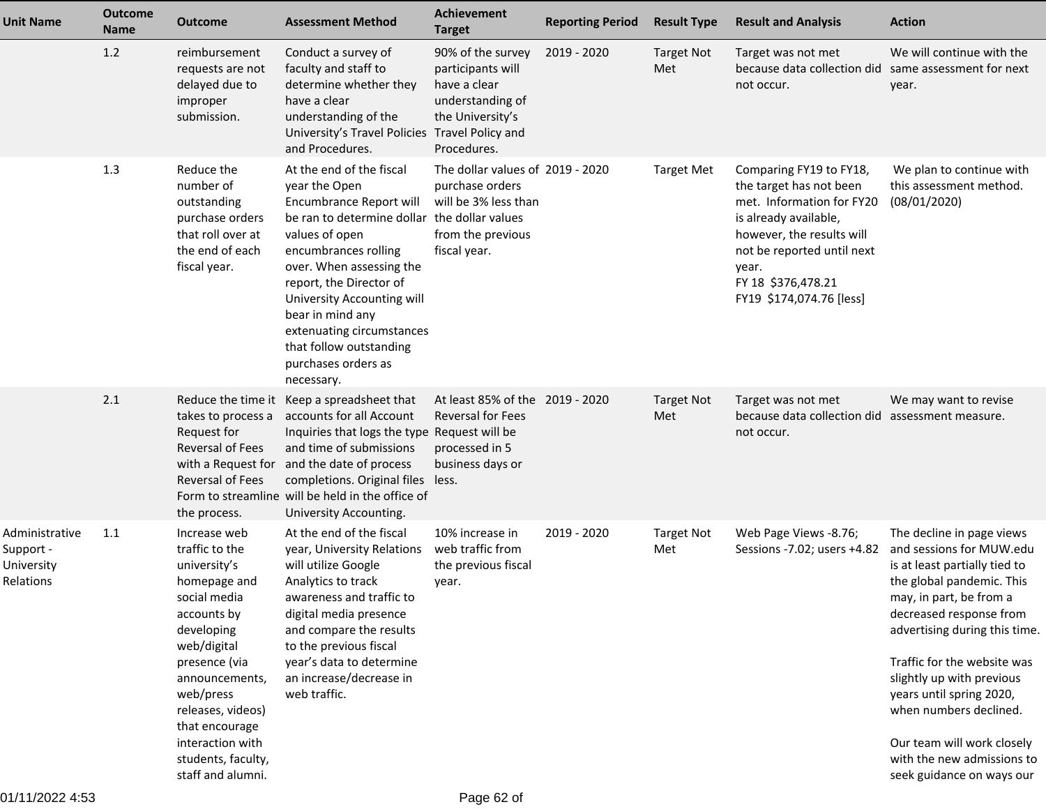| <b>Unit Name</b>                                       | <b>Outcome</b><br><b>Name</b> | <b>Outcome</b>                                                                                                                                                                                                                                                                   | <b>Assessment Method</b>                                                                                                                                                                                                                                                                                                                                             | <b>Achievement</b><br><b>Target</b>                                                                              | <b>Reporting Period</b> | <b>Result Type</b>       | <b>Result and Analysis</b>                                                                                                                                                                                                     | <b>Action</b>                                                                                                                                                                                                                                                                                                                                                                                                         |
|--------------------------------------------------------|-------------------------------|----------------------------------------------------------------------------------------------------------------------------------------------------------------------------------------------------------------------------------------------------------------------------------|----------------------------------------------------------------------------------------------------------------------------------------------------------------------------------------------------------------------------------------------------------------------------------------------------------------------------------------------------------------------|------------------------------------------------------------------------------------------------------------------|-------------------------|--------------------------|--------------------------------------------------------------------------------------------------------------------------------------------------------------------------------------------------------------------------------|-----------------------------------------------------------------------------------------------------------------------------------------------------------------------------------------------------------------------------------------------------------------------------------------------------------------------------------------------------------------------------------------------------------------------|
|                                                        | 1.2                           | reimbursement<br>requests are not<br>delayed due to<br>improper<br>submission.                                                                                                                                                                                                   | Conduct a survey of<br>faculty and staff to<br>determine whether they<br>have a clear<br>understanding of the<br>University's Travel Policies Travel Policy and<br>and Procedures.                                                                                                                                                                                   | 90% of the survey<br>participants will<br>have a clear<br>understanding of<br>the University's<br>Procedures.    | 2019 - 2020             | <b>Target Not</b><br>Met | Target was not met<br>because data collection did<br>not occur.                                                                                                                                                                | We will continue with the<br>same assessment for next<br>year.                                                                                                                                                                                                                                                                                                                                                        |
|                                                        | 1.3                           | Reduce the<br>number of<br>outstanding<br>purchase orders<br>that roll over at<br>the end of each<br>fiscal year.                                                                                                                                                                | At the end of the fiscal<br>year the Open<br>Encumbrance Report will<br>be ran to determine dollar the dollar values<br>values of open<br>encumbrances rolling<br>over. When assessing the<br>report, the Director of<br>University Accounting will<br>bear in mind any<br>extenuating circumstances<br>that follow outstanding<br>purchases orders as<br>necessary. | The dollar values of 2019 - 2020<br>purchase orders<br>will be 3% less than<br>from the previous<br>fiscal year. |                         | <b>Target Met</b>        | Comparing FY19 to FY18,<br>the target has not been<br>met. Information for FY20<br>is already available,<br>however, the results will<br>not be reported until next<br>year.<br>FY 18 \$376,478.21<br>FY19 \$174,074.76 [less] | We plan to continue with<br>this assessment method.<br>(08/01/2020)                                                                                                                                                                                                                                                                                                                                                   |
|                                                        | 2.1                           | takes to process a<br>Request for<br><b>Reversal of Fees</b><br>with a Request for<br><b>Reversal of Fees</b><br>the process.                                                                                                                                                    | Reduce the time it Keep a spreadsheet that<br>accounts for all Account<br>Inquiries that logs the type Request will be<br>and time of submissions<br>and the date of process<br>completions. Original files<br>Form to streamline will be held in the office of<br>University Accounting.                                                                            | At least 85% of the 2019 - 2020<br><b>Reversal for Fees</b><br>processed in 5<br>business days or<br>less.       |                         | <b>Target Not</b><br>Met | Target was not met<br>because data collection did assessment measure.<br>not occur.                                                                                                                                            | We may want to revise                                                                                                                                                                                                                                                                                                                                                                                                 |
| Administrative<br>Support -<br>University<br>Relations | 1.1                           | Increase web<br>traffic to the<br>university's<br>homepage and<br>social media<br>accounts by<br>developing<br>web/digital<br>presence (via<br>announcements,<br>web/press<br>releases, videos)<br>that encourage<br>interaction with<br>students, faculty,<br>staff and alumni. | At the end of the fiscal<br>year, University Relations<br>will utilize Google<br>Analytics to track<br>awareness and traffic to<br>digital media presence<br>and compare the results<br>to the previous fiscal<br>year's data to determine<br>an increase/decrease in<br>web traffic.                                                                                | 10% increase in<br>web traffic from<br>the previous fiscal<br>year.                                              | 2019 - 2020             | <b>Target Not</b><br>Met | Web Page Views -8.76;<br>Sessions -7.02; users +4.82                                                                                                                                                                           | The decline in page views<br>and sessions for MUW.edu<br>is at least partially tied to<br>the global pandemic. This<br>may, in part, be from a<br>decreased response from<br>advertising during this time.<br>Traffic for the website was<br>slightly up with previous<br>years until spring 2020,<br>when numbers declined.<br>Our team will work closely<br>with the new admissions to<br>seek guidance on ways our |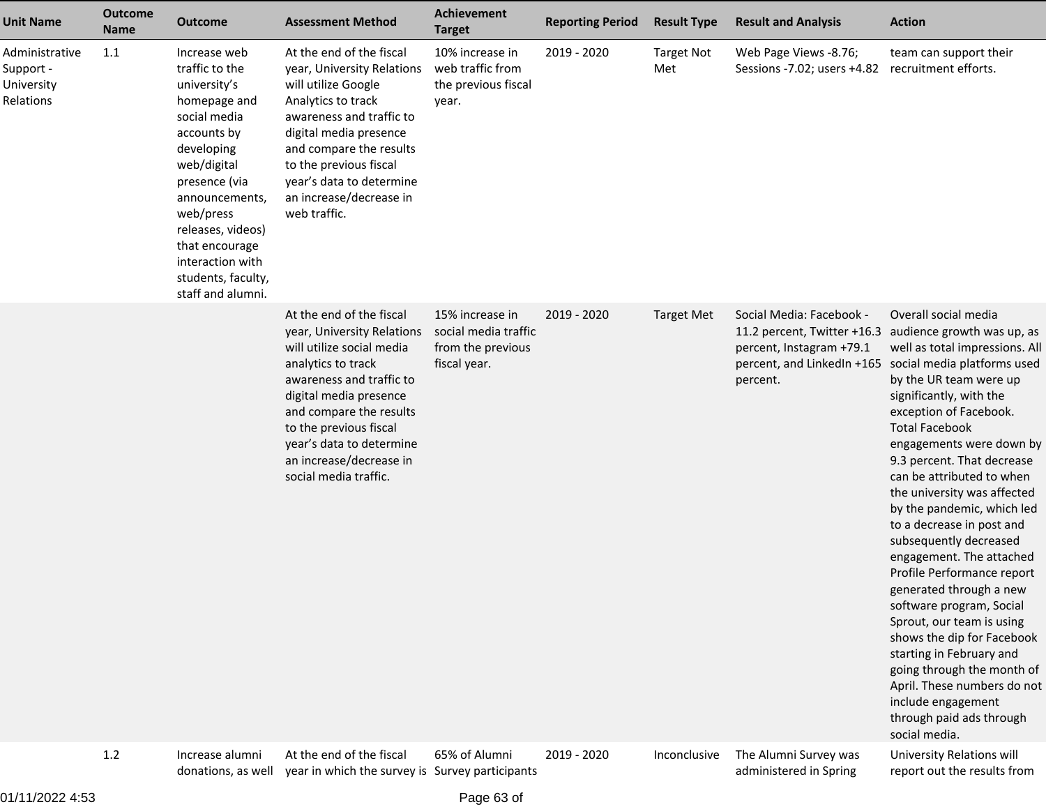| <b>Unit Name</b>                                       | <b>Outcome</b><br><b>Name</b> | <b>Outcome</b>                                                                                                                                                                                                                                                                   | <b>Assessment Method</b>                                                                                                                                                                                                                                                                             | <b>Achievement</b><br><b>Target</b>                                          | <b>Reporting Period</b> | <b>Result Type</b>       | <b>Result and Analysis</b>                                                                                                    | <b>Action</b>                                                                                                                                                                                                                                                                                                                                                                                                                                                                                                                                                                                                                                                                                                                                                                  |
|--------------------------------------------------------|-------------------------------|----------------------------------------------------------------------------------------------------------------------------------------------------------------------------------------------------------------------------------------------------------------------------------|------------------------------------------------------------------------------------------------------------------------------------------------------------------------------------------------------------------------------------------------------------------------------------------------------|------------------------------------------------------------------------------|-------------------------|--------------------------|-------------------------------------------------------------------------------------------------------------------------------|--------------------------------------------------------------------------------------------------------------------------------------------------------------------------------------------------------------------------------------------------------------------------------------------------------------------------------------------------------------------------------------------------------------------------------------------------------------------------------------------------------------------------------------------------------------------------------------------------------------------------------------------------------------------------------------------------------------------------------------------------------------------------------|
| Administrative<br>Support -<br>University<br>Relations | 1.1                           | Increase web<br>traffic to the<br>university's<br>homepage and<br>social media<br>accounts by<br>developing<br>web/digital<br>presence (via<br>announcements,<br>web/press<br>releases, videos)<br>that encourage<br>interaction with<br>students, faculty,<br>staff and alumni. | At the end of the fiscal<br>year, University Relations<br>will utilize Google<br>Analytics to track<br>awareness and traffic to<br>digital media presence<br>and compare the results<br>to the previous fiscal<br>year's data to determine<br>an increase/decrease in<br>web traffic.                | 10% increase in<br>web traffic from<br>the previous fiscal<br>year.          | 2019 - 2020             | <b>Target Not</b><br>Met | Web Page Views -8.76;<br>Sessions -7.02; users +4.82                                                                          | team can support their<br>recruitment efforts.                                                                                                                                                                                                                                                                                                                                                                                                                                                                                                                                                                                                                                                                                                                                 |
|                                                        |                               |                                                                                                                                                                                                                                                                                  | At the end of the fiscal<br>year, University Relations<br>will utilize social media<br>analytics to track<br>awareness and traffic to<br>digital media presence<br>and compare the results<br>to the previous fiscal<br>year's data to determine<br>an increase/decrease in<br>social media traffic. | 15% increase in<br>social media traffic<br>from the previous<br>fiscal year. | 2019 - 2020             | <b>Target Met</b>        | Social Media: Facebook -<br>11.2 percent, Twitter +16.3<br>percent, Instagram +79.1<br>percent, and LinkedIn +165<br>percent. | Overall social media<br>audience growth was up, as<br>well as total impressions. All<br>social media platforms used<br>by the UR team were up<br>significantly, with the<br>exception of Facebook.<br><b>Total Facebook</b><br>engagements were down by<br>9.3 percent. That decrease<br>can be attributed to when<br>the university was affected<br>by the pandemic, which led<br>to a decrease in post and<br>subsequently decreased<br>engagement. The attached<br>Profile Performance report<br>generated through a new<br>software program, Social<br>Sprout, our team is using<br>shows the dip for Facebook<br>starting in February and<br>going through the month of<br>April. These numbers do not<br>include engagement<br>through paid ads through<br>social media. |
|                                                        | 1.2                           | Increase alumni                                                                                                                                                                                                                                                                  | At the end of the fiscal                                                                                                                                                                                                                                                                             | 65% of Alumni                                                                | 2019 - 2020             |                          | Inconclusive The Alumni Survey was                                                                                            | <b>University Relations will</b>                                                                                                                                                                                                                                                                                                                                                                                                                                                                                                                                                                                                                                                                                                                                               |

 Increase alumni donations, as well

At the end of the fiscal year in which the survey is Survey participants65% of Alumni

2019 - 2020

University Relations willreport out the results from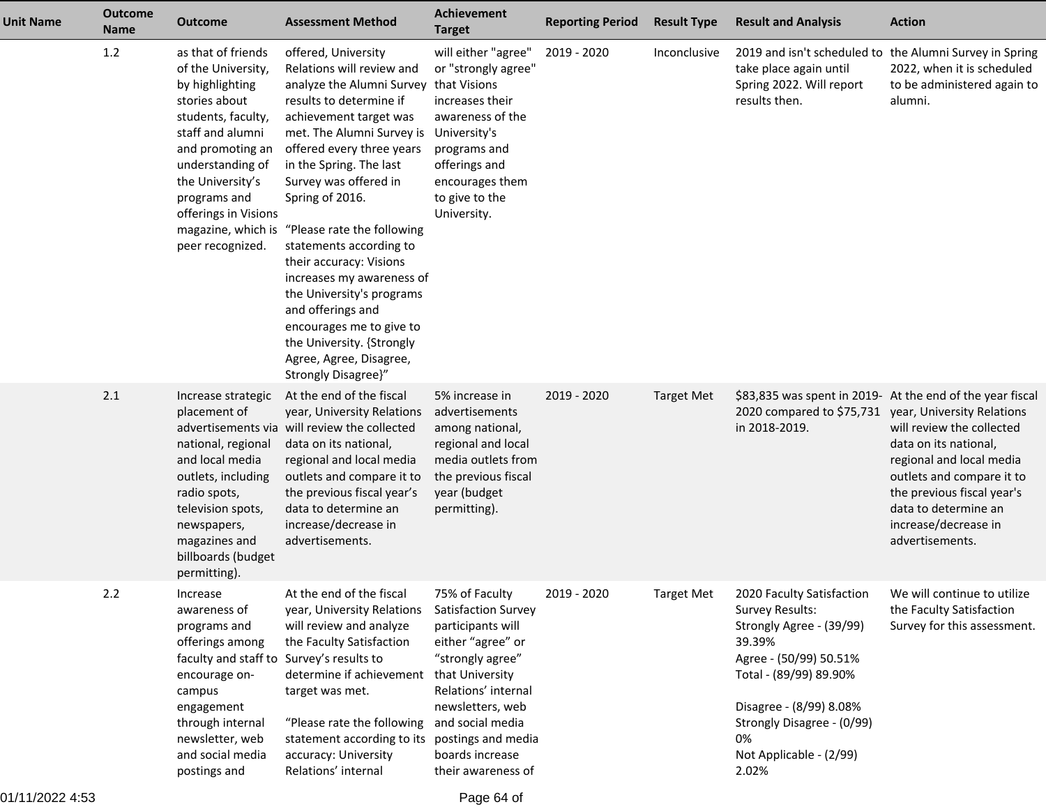| <b>Unit Name</b> | <b>Outcome</b><br><b>Name</b> | <b>Outcome</b>                                                                                                                                                                                                                                                       | <b>Assessment Method</b>                                                                                                                                                                                                                                                                                                                                                                                                                                                                                                                                       | Achievement<br><b>Target</b>                                                                                                                                                                                                                                | <b>Reporting Period</b> | <b>Result Type</b> | <b>Result and Analysis</b>                                                                                                                                                                                                                       | <b>Action</b>                                                                                                                                                                                                                              |
|------------------|-------------------------------|----------------------------------------------------------------------------------------------------------------------------------------------------------------------------------------------------------------------------------------------------------------------|----------------------------------------------------------------------------------------------------------------------------------------------------------------------------------------------------------------------------------------------------------------------------------------------------------------------------------------------------------------------------------------------------------------------------------------------------------------------------------------------------------------------------------------------------------------|-------------------------------------------------------------------------------------------------------------------------------------------------------------------------------------------------------------------------------------------------------------|-------------------------|--------------------|--------------------------------------------------------------------------------------------------------------------------------------------------------------------------------------------------------------------------------------------------|--------------------------------------------------------------------------------------------------------------------------------------------------------------------------------------------------------------------------------------------|
|                  | 1.2                           | as that of friends<br>of the University,<br>by highlighting<br>stories about<br>students, faculty,<br>staff and alumni<br>and promoting an<br>understanding of<br>the University's<br>programs and<br>offerings in Visions<br>magazine, which is<br>peer recognized. | offered, University<br>Relations will review and<br>analyze the Alumni Survey that Visions<br>results to determine if<br>achievement target was<br>met. The Alumni Survey is<br>offered every three years<br>in the Spring. The last<br>Survey was offered in<br>Spring of 2016.<br>"Please rate the following<br>statements according to<br>their accuracy: Visions<br>increases my awareness of<br>the University's programs<br>and offerings and<br>encourages me to give to<br>the University. {Strongly<br>Agree, Agree, Disagree,<br>Strongly Disagree}" | will either "agree"<br>or "strongly agree"<br>increases their<br>awareness of the<br>University's<br>programs and<br>offerings and<br>encourages them<br>to give to the<br>University.                                                                      | 2019 - 2020             | Inconclusive       | 2019 and isn't scheduled to the Alumni Survey in Spring<br>take place again until<br>Spring 2022. Will report<br>results then.                                                                                                                   | 2022, when it is scheduled<br>to be administered again to<br>alumni.                                                                                                                                                                       |
|                  | 2.1                           | Increase strategic<br>placement of<br>national, regional<br>and local media<br>outlets, including<br>radio spots,<br>television spots,<br>newspapers,<br>magazines and<br>billboards (budget<br>permitting).                                                         | At the end of the fiscal<br>year, University Relations<br>advertisements via will review the collected<br>data on its national,<br>regional and local media<br>outlets and compare it to<br>the previous fiscal year's<br>data to determine an<br>increase/decrease in<br>advertisements.                                                                                                                                                                                                                                                                      | 5% increase in<br>advertisements<br>among national,<br>regional and local<br>media outlets from<br>the previous fiscal<br>year (budget<br>permitting).                                                                                                      | 2019 - 2020             | <b>Target Met</b>  | \$83,835 was spent in 2019- At the end of the year fiscal<br>2020 compared to \$75,731<br>in 2018-2019.                                                                                                                                          | year, University Relations<br>will review the collected<br>data on its national,<br>regional and local media<br>outlets and compare it to<br>the previous fiscal year's<br>data to determine an<br>increase/decrease in<br>advertisements. |
|                  | 2.2                           | Increase<br>awareness of<br>programs and<br>offerings among<br>faculty and staff to<br>encourage on-<br>campus<br>engagement<br>through internal<br>newsletter, web<br>and social media<br>postings and                                                              | At the end of the fiscal<br>year, University Relations<br>will review and analyze<br>the Faculty Satisfaction<br>Survey's results to<br>determine if achievement<br>target was met.<br>"Please rate the following"<br>statement according to its<br>accuracy: University<br>Relations' internal                                                                                                                                                                                                                                                                | 75% of Faculty<br><b>Satisfaction Survey</b><br>participants will<br>either "agree" or<br>"strongly agree"<br>that University<br>Relations' internal<br>newsletters, web<br>and social media<br>postings and media<br>boards increase<br>their awareness of | 2019 - 2020             | <b>Target Met</b>  | 2020 Faculty Satisfaction<br><b>Survey Results:</b><br>Strongly Agree - (39/99)<br>39.39%<br>Agree - (50/99) 50.51%<br>Total - (89/99) 89.90%<br>Disagree - (8/99) 8.08%<br>Strongly Disagree - (0/99)<br>0%<br>Not Applicable - (2/99)<br>2.02% | We will continue to utilize<br>the Faculty Satisfaction<br>Survey for this assessment.                                                                                                                                                     |